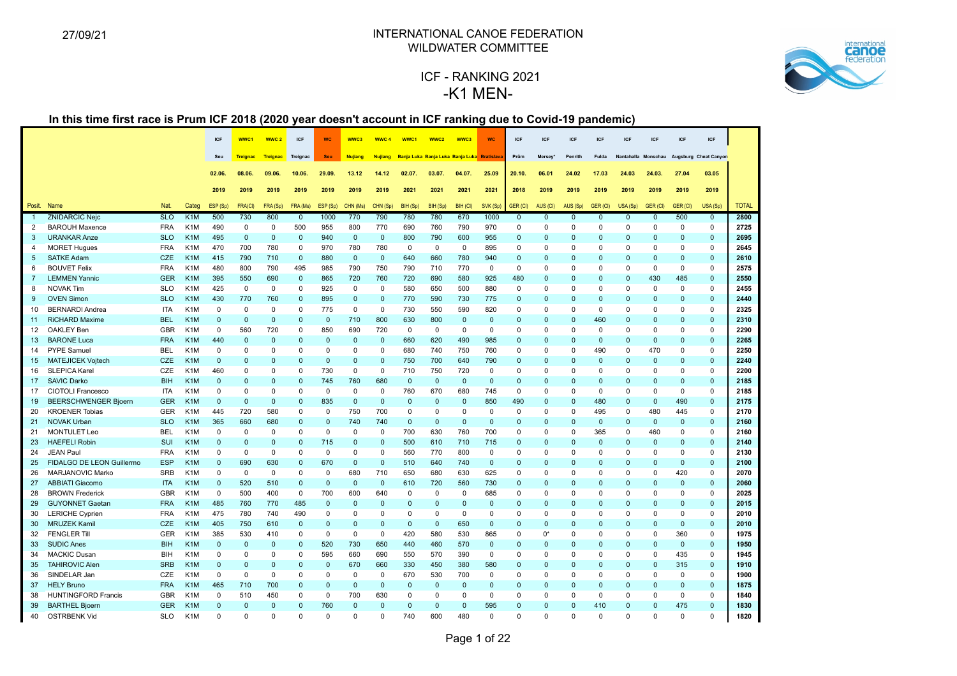

# ICF - RANKING 2021 -K1 MEN-

|                |                                            |            |                  | <b>ICF</b>           | WWC1                 | WWC <sub>2</sub>     | ICF                  | <b>WC</b>    | WWC3            | WWC 4                   | WWC1                | WWC <sub>2</sub>                            | WWC3         | <b>WC</b>    | ICF                     | <b>ICF</b>           | <b>ICF</b>               | ICF                  | ICF                  | <b>ICF</b>                 | ICF             | ICF                                       |              |
|----------------|--------------------------------------------|------------|------------------|----------------------|----------------------|----------------------|----------------------|--------------|-----------------|-------------------------|---------------------|---------------------------------------------|--------------|--------------|-------------------------|----------------------|--------------------------|----------------------|----------------------|----------------------------|-----------------|-------------------------------------------|--------------|
|                |                                            |            |                  | Seu                  | <b>Treignac</b>      | <b>Treignac</b>      | Treignac             | <b>Seu</b>   | Nujiang         | <b>Nujiang</b>          |                     | Banja Luka Banja Luka Banja Luka Bratislava |              |              | Prüm                    | Mersey*              | Penrith                  | <b>Fulda</b>         |                      |                            |                 | Nantahalla Monschau Augsburg Cheat Canyon |              |
|                |                                            |            |                  | 02.06.               | 08.06.               | 09.06.               | 10.06.               | 29.09.       | 13.12           | 14.12                   | 02.07.              | 03.07.                                      | 04.07.       | 25.09        | 20.10.                  | 06.01                | 24.02                    | 17.03                | 24.03                | 24.03.                     | 27.04           | 03.05                                     |              |
|                |                                            |            |                  |                      |                      |                      |                      |              |                 |                         |                     |                                             |              |              |                         |                      |                          |                      |                      |                            |                 |                                           |              |
|                |                                            |            |                  | 2019                 | 2019                 | 2019                 | 2019                 | 2019         | 2019            | 2019                    | 2021                | 2021                                        | 2021         | 2021         | 2018                    | 2019                 | 2019                     | 2019                 | 2019                 | 2019                       | 2019            | 2019                                      |              |
|                | Posit. Name                                | Nat.       | Categ            | ESP (Sp)             | <b>FRA(CI)</b>       | FRA (Sp)             | FRA (Ms)             | ESP (Sp)     | CHN (Ms)        | CHN (Sp)                | BIH (Sp)            | BIH (Sp)                                    | BIH (CI)     | SVK (Sp)     | GER (CI)                | AUS (CI)             | AUS (Sp)                 | GER (CI)             | USA (Sp)             | GER (CI)                   | GER (CI)        | USA (Sp)                                  | <b>TOTAL</b> |
|                | <b>ZNIDARCIC Nejc</b>                      | <b>SLO</b> | K1M              | 500                  | 730                  | 800                  | $\overline{0}$       | 1000         | 770             | 790                     | 780                 | 780                                         | 670          | 1000         | $\overline{0}$          | $\overline{0}$       | $\overline{0}$           | $\overline{0}$       | $\mathbf{0}$         | $\overline{0}$             | 500             | $\mathbf{0}$                              | 2800         |
| 2              | <b>BAROUH Maxence</b>                      | <b>FRA</b> | K <sub>1</sub> M | 490                  | $\mathsf 0$          | $\mathbf 0$          | 500                  | 955          | 800             | 770                     | 690                 | 760                                         | 790          | 970          | $\Omega$                | $\mathbf 0$          | $\mathbf 0$              | $\mathbf 0$          | $\Omega$             | $\mathbf 0$                | $\mathbf 0$     | $\mathbf 0$                               | 2725         |
| 3              | <b>URANKAR Anze</b>                        | <b>SLO</b> | K <sub>1</sub> M | 495                  | $\mathbf 0$          | $\mathbf 0$          | $\mathbf 0$          | 940          | $\mathbf 0$     | $\mathbf 0$             | 800                 | 790                                         | 600          | 955          | $\mathbf 0$             | $\mathbf{0}$         | $\mathbf{0}$             | $\mathbf 0$          | $\Omega$             | $\pmb{0}$                  | $\Omega$        | $\mathbf{0}$                              | 2695         |
| 4              | <b>MORET Hugues</b>                        | <b>FRA</b> | K <sub>1</sub> M | 470                  | 700                  | 780                  | 0                    | 970          | 780             | 780                     | $\mathbf 0$         | $\mathbf 0$                                 | $\mathbf 0$  | 895          | 0                       | $\Omega$             | $\mathbf 0$              | $\Omega$             | $\Omega$             | $\mathbf 0$                | $\Omega$        | $\mathbf 0$                               | 2645         |
| 5              | <b>SATKE Adam</b>                          | <b>CZE</b> | K <sub>1</sub> M | 415                  | 790                  | 710                  | $\mathbf{0}$         | 880          | $\mathbf{0}$    | $\mathbf{0}$            | 640                 | 660                                         | 780          | 940          | $\mathbf 0$             | $\mathbf{0}$         | $\mathbf 0$              | $\mathbf 0$          | $\mathbf{0}$         | $\mathbf{0}$               | $\mathbf{0}$    | $\mathbf{0}$                              | 2610         |
| 6              | <b>BOUVET Felix</b>                        | <b>FRA</b> | K <sub>1</sub> M | 480                  | 800                  | 790                  | 495                  | 985          | 790             | 750                     | 790                 | 710                                         | 770          | $\mathbf 0$  | $\mathbf 0$             | $\mathbf 0$          | $\mathbf 0$              | $\mathbf 0$          | $\Omega$             | $\mathbf 0$                | $\mathbf 0$     | $\mathbf 0$                               | 2575         |
| $\overline{7}$ | <b>LEMMEN Yannic</b>                       | <b>GER</b> | K <sub>1</sub> M | 395                  | 550                  | 690                  | $\mathbf 0$          | 865          | 720             | 760                     | 720                 | 690                                         | 580          | 925          | 480                     | $\Omega$             | $\mathbf 0$              | $\Omega$             | $\Omega$             | 430                        | 485             | $\mathbf{0}$                              | 2550         |
| 8              | <b>NOVAK Tim</b>                           | <b>SLO</b> | K <sub>1</sub> M | 425                  | $\mathbf{0}$         | 0                    | $\mathbf 0$          | 925          | $\mathbf 0$     | $\mathbf 0$             | 580                 | 650                                         | 500          | 880          | $\Omega$                | $\Omega$             | $\Omega$                 | 0                    | $\Omega$             | $\mathbf 0$                | $\Omega$        | $\Omega$                                  | 2455         |
| 9              | <b>OVEN Simon</b>                          | <b>SLO</b> | K <sub>1</sub> M | 430                  | 770                  | 760                  | $\mathbf{0}$         | 895          | $\Omega$        | $\Omega$                | 770                 | 590                                         | 730          | 775          | $\Omega$                | $\Omega$             | $\mathbf 0$              | $\Omega$             | $\Omega$             | $\mathbf{0}$               | $\Omega$        | $\Omega$                                  | 2440         |
| 10             | <b>BERNARDI Andrea</b>                     | <b>ITA</b> | K <sub>1</sub> M | $\mathbf 0$          | $\mathbf 0$          | $\mathbf 0$          | 0                    | 775          | $\mathbf 0$     | $\mathbf 0$             | 730                 | 550                                         | 590          | 820          | 0                       | $\Omega$             | $\mathbf 0$              | $\mathbf 0$          | $\Omega$             | 0                          | $\Omega$        | $\mathbf 0$                               | 2325         |
| 11             | <b>RiCHARD Maxime</b>                      | <b>BEL</b> | K <sub>1</sub> M | $\Omega$             | $\mathbf 0$          | $\mathbf{0}$         | $\mathbf{0}$         | $\mathbf 0$  | 710             | 800                     | 630                 | 800                                         | $\mathbf{0}$ | $\mathbf{0}$ | $\Omega$                | $\mathbf{0}$         | $\mathbf{0}$             | 460                  | $\Omega$             | $\mathbf{0}$               | $\Omega$        | $\mathbf{0}$                              | 2310         |
| 12             | OAKLEY Ben                                 | <b>GBR</b> | K <sub>1</sub> M | $\Omega$             | 560                  | 720                  | 0                    | 850          | 690             | 720                     | $\mathbf 0$         | $\mathbf 0$                                 | 0            | $\mathbf 0$  | $\Omega$                | $\Omega$             | $\mathbf 0$              | $\mathbf 0$          | $\Omega$             | $\mathbf 0$                | $\Omega$        | $\Omega$                                  | 2290         |
| 13             | <b>BARONE Luca</b>                         | <b>FRA</b> | K <sub>1</sub> M | 440                  | $\Omega$             | $\mathbf{0}$         | $\Omega$             | $\mathbf{0}$ | $\Omega$        | $\Omega$                | 660                 | 620                                         | 490          | 985          | $\Omega$                | $\Omega$             | $\mathbf 0$              | $\Omega$             | $\Omega$             | $\mathbf{0}$               | $\Omega$        | $\Omega$                                  | 2265         |
| 14             | PYPE Samuel                                | <b>BEL</b> | K <sub>1</sub> M | 0                    | $\mathsf 0$          | $\mathbf 0$          | 0                    | 0            | $\Omega$        | $\mathbf 0$             | 680                 | 740                                         | 750          | 760          | 0                       | $\Omega$             | $\mathbf 0$              | 490                  | $\Omega$             | 470                        | $\Omega$        | $\mathbf 0$                               | 2250         |
| 15             | <b>MATEJICEK Vojtech</b>                   | <b>CZE</b> | K <sub>1</sub> M | $\Omega$             | $\Omega$             | $\overline{0}$       | $\pmb{0}$            | $\mathbf 0$  | $\Omega$        | $\mathbf 0$             | 750                 | 700                                         | 640          | 790          | $\mathbf 0$             | $\mathbf{0}$         | $\mathbf 0$              | $\mathbf 0$          | $\Omega$             | $\pmb{0}$                  | $\Omega$        | $\mathbf{0}$                              | 2240         |
| 16             | <b>SLEPICA Karel</b>                       | CZE        | K <sub>1</sub> M | 460                  | $\mathbf 0$          | $\mathbf 0$          | $\mathbf 0$          | 730          | $\mathbf 0$     | $\mathbf 0$             | 710                 | 750                                         | 720          | $\mathbf 0$  | $\Omega$                | $\mathbf 0$          | $\mathbf 0$              | $\mathbf 0$          | $\Omega$             | $\mathbf 0$                | $\mathbf 0$     | $\mathbf 0$                               | 2200         |
| 17             | <b>SAVIC Darko</b>                         | <b>BIH</b> | K <sub>1</sub> M | $\Omega$             | $\Omega$             | $\Omega$             | $\mathbf 0$          | 745          | 760             | 680                     | $\mathbf{0}$        | $\mathbf 0$                                 | $\Omega$     | $\mathbf{0}$ | $\Omega$                | $\Omega$             | $\mathbf 0$              | $\Omega$             | $\Omega$             | $\mathbf{0}$               | $\Omega$        | $\mathbf{0}$                              | 2185         |
| 17             | <b>CIOTOLI Francesco</b>                   | <b>ITA</b> | K <sub>1</sub> M | $\mathbf 0$          | $\Omega$             | $\mathbf 0$          | $\mathbf 0$          | $\mathbf 0$  | $\mathbf 0$     | $\mathbf 0$             | 760                 | 670                                         | 680          | 745          | $\Omega$                | $\mathbf 0$          | $\mathbf 0$              | $\mathbf 0$          | $\Omega$             | $\mathbf 0$                | $\mathbf 0$     | $\mathbf 0$                               | 2185         |
| 19             | <b>BEERSCHWENGER Bjoern</b>                | <b>GER</b> | K <sub>1</sub> M | $\Omega$             | $\Omega$             | $\mathbf{0}$         | $\pmb{0}$            | 835          | $\mathbf{0}$    | $\mathbf 0$             | $\mathbf{0}$        | $\mathbf 0$                                 | $\Omega$     | 850          | 490                     | $\mathbf{0}$         | $\mathbf 0$              | 480                  | $\Omega$             | $\mathbf 0$                | 490             | $\mathbf{0}$                              | 2175         |
| 20             | <b>KROENER Tobias</b>                      | <b>GER</b> | K <sub>1</sub> M | 445                  | 720                  | 580                  | 0                    | $\mathbf 0$  | 750             | 700                     | $\mathbf 0$         | $\mathbf 0$                                 | $\Omega$     | $\mathbf 0$  | $\Omega$                | $\Omega$             | $\mathbf 0$              | 495                  | $\Omega$             | 480                        | 445             | $\mathbf 0$                               | 2170         |
| 21             | <b>NOVAK Urban</b>                         | <b>SLO</b> | K <sub>1</sub> M | 365                  | 660                  | 680                  | $\Omega$             | $\mathbf{0}$ | 740             | 740                     | $\mathbf{0}$        | $\mathbf{0}$                                | $\Omega$     | $\mathbf{0}$ | $\Omega$                | $\Omega$             | $\mathbf 0$              | $\mathbf{0}$         | $\Omega$             | $\mathbf{0}$               | $\mathbf{0}$    | $\mathbf{0}$                              | 2160         |
| 21             | <b>MONTULET Leo</b>                        | <b>BEL</b> | K <sub>1</sub> M | $\Omega$             | $\mathbf 0$          | $\mathbf 0$          | $\mathbf 0$          | $\mathbf 0$  | $\mathbf 0$     | $\mathbf 0$             | 700                 | 630                                         | 760          | 700          | 0                       | $\mathbf 0$          | $\mathbf 0$              | 365                  | $\Omega$             | 460                        | $\mathbf 0$     | $\mathbf 0$                               | 2160         |
| 23             | <b>HAEFELI Robin</b>                       | SUI        | K <sub>1</sub> M | $\Omega$             | $\overline{0}$       | $\mathbf{0}$         | $\pmb{0}$            | 715          | $\Omega$        | $\mathbf 0$             | 500                 | 610                                         | 710          | 715          | $\mathbf 0$             | $\Omega$             | $\mathbf 0$              | $\Omega$             | $\Omega$             | $\pmb{0}$                  | $\Omega$        | $\mathbf{0}$                              | 2140         |
| 24             | <b>JEAN Paul</b>                           | <b>FRA</b> | K <sub>1</sub> M | $\Omega$             | $\pmb{0}$            | $\mathbf 0$          | 0                    | 0            | $\Omega$        | $\Omega$                | 560                 | 770                                         | 800          | $\mathbf 0$  | 0                       | $\mathbf 0$          | $\mathbf 0$              | $\Omega$             | $\Omega$             | $\mathbf 0$                | $\Omega$        | $\mathbf 0$                               | 2130         |
| 25             | FIDALGO DE LEON Guillermo                  | <b>ESP</b> | K <sub>1</sub> M | $\Omega$             | 690                  | 630                  | $\pmb{0}$            | 670          | $\mathbf{0}$    | $\Omega$                | 510                 | 640                                         | 740          | $\mathbf 0$  | $\Omega$                | $\Omega$             | $\mathbf 0$              | $\Omega$             | $\Omega$             | $\mathbf{0}$               | $\Omega$        | $\mathbf{0}$                              | 2100         |
| 26             | MARJANOVIC Marko                           | <b>SRB</b> | K <sub>1</sub> M | $\Omega$             | $\mathbf{0}$         | $\mathbf 0$          | 0                    | $\mathbf 0$  | 680             | 710                     | 650                 | 680                                         | 630          | 625          | $\Omega$                | $\Omega$             | $\mathbf 0$              | 0                    | $\Omega$             | $\mathbf 0$                | 420             | $\mathbf 0$                               | 2070         |
| 27             | <b>ABBIATI Giacomo</b>                     | <b>ITA</b> | K <sub>1</sub> M | $\mathbf{0}$         | 520                  | 510                  | $\mathbf 0$          | $\mathsf 0$  | $\mathbf 0$     | $\mathbf 0$             | 610                 | 720                                         | 560          | 730          | $\mathbf 0$             | $\mathbf{0}$         | $\mathbf 0$              | $\mathbf 0$          | $\mathbf{0}$         | $\mathbf 0$                | $\mathbf 0$     | $\mathbf{0}$                              | 2060         |
| 28             | <b>BROWN Frederick</b>                     | <b>GBR</b> | K <sub>1</sub> M | $\mathbf 0$          | 500                  | 400                  | $\mathbf 0$          | 700          | 600             | 640                     | $\mathbf{0}$        | $\mathbf 0$                                 | $\Omega$     | 685          | $\Omega$                | $\mathbf 0$          | $\mathbf 0$              | $\Omega$             | $\Omega$             | $\mathbf 0$                | $\Omega$        | $\mathbf 0$                               | 2025         |
| 29             | <b>GUYONNET Gaetan</b>                     | <b>FRA</b> | K <sub>1</sub> M | 485                  | 760                  | 770                  | 485                  | $\mathbf{0}$ | $\Omega$        | $\Omega$                | $\mathbf{0}$        | $\Omega$                                    | $\Omega$     | $\mathbf{0}$ | $\Omega$                | $\Omega$             | $\Omega$                 | $\Omega$             | $\Omega$             | $\mathbf{0}$               | $\Omega$        | $\Omega$                                  | 2015         |
| 30             | <b>LERICHE Cyprien</b>                     | <b>FRA</b> | K <sub>1</sub> M | 475                  | 780                  | 740                  | 490                  | 0            | $\Omega$        | $\Omega$                | $\Omega$            | $\mathbf 0$                                 | $\Omega$     | $\Omega$     | $\Omega$                | $\Omega$             | $\Omega$                 | O                    | $\Omega$             | $\mathbf 0$                | $\Omega$        | $\Omega$                                  | 2010         |
| 30             | <b>MRUZEK Kamil</b><br><b>FENGLER Till</b> | <b>CZE</b> | K <sub>1</sub> M | 405                  | 750                  | 610                  | $\mathbf 0$          | $\mathbf{0}$ | $\Omega$        | $\mathbf 0$             | $\mathbf{0}$<br>420 | $\mathbf 0$                                 | 650          | $\mathbf 0$  | $\mathbf 0$<br>$\Omega$ | $\Omega$             | $\mathbf 0$              | $\Omega$<br>$\Omega$ | $\Omega$             | $\mathbf 0$<br>$\mathbf 0$ | $\Omega$<br>360 | $\mathbf{0}$<br>$\mathbf 0$               | 2010<br>1975 |
| 32             |                                            | <b>GER</b> | K <sub>1</sub> M | 385                  | 530                  | 410                  | 0                    | $\mathbf 0$  | $\mathbf 0$     | $\mathbf 0$             |                     | 580                                         | 530          | 865          |                         | $0^*$                | $\mathbf 0$              |                      | $\Omega$             |                            |                 |                                           |              |
| 33             | <b>SUDIC Anes</b>                          | <b>BIH</b> | K <sub>1</sub> M | $\Omega$<br>$\Omega$ | $\mathbf{0}$         | $\mathbf{0}$         | $\mathbf 0$          | 520          | 730             | 650                     | 440                 | 460                                         | 570          | $\mathbf{0}$ | $\Omega$                | $\Omega$             | $\mathbf 0$<br>$\Omega$  | $\Omega$             | $\Omega$<br>$\Omega$ | $\mathbf{0}$               | $\mathbf{0}$    | $\mathbf{0}$<br>$\Omega$                  | 1950<br>1945 |
| 34             | <b>MACKIC Dusan</b>                        | <b>BIH</b> | K <sub>1</sub> M |                      | $\Omega$<br>$\Omega$ | 0                    | 0                    | 595          | 660             | 690                     | 550                 | 570                                         | 390          | 0            | $\Omega$                | $\Omega$             |                          | 0                    |                      | $\mathbf 0$                | 435             |                                           | 1910         |
| 35             | <b>TAHIROVIC Alen</b>                      | <b>SRB</b> | K <sub>1</sub> M | $\mathbf 0$          |                      | $\mathbf{0}$         | $\pmb{0}$            | $\mathbf 0$  | 670             | 660                     | 330                 | 450                                         | 380          | 580          | $\mathbf 0$             | $\mathbf{0}$         | $\mathbf 0$              | 0                    | $\Omega$             | $\mathbf 0$                | 315             | $\mathbf 0$                               |              |
| 36             | SINDELAR Jan                               | CZE        | K <sub>1</sub> M | $\mathbf 0$          | $\mathbf 0$          | $\mathbf 0$          | 0                    | 0            | $\mathbf 0$     | $\mathbf 0$<br>$\Omega$ | 670                 | 530                                         | 700          | $\mathbf 0$  | 0                       | $\Omega$             | $\mathbf 0$              | $\mathbf 0$          | $\Omega$             | $\pmb{0}$                  | $\mathbf 0$     | $\mathbf 0$                               | 1900         |
| 37             | <b>HELY Bruno</b>                          | <b>FRA</b> | K <sub>1</sub> M | 465<br>$\Omega$      | 710                  | 700                  | $\mathbf{0}$         | $\mathbf{0}$ | $\Omega$        |                         | $\mathbf{0}$        | $\mathbf 0$                                 | $\Omega$     | $\mathbf{0}$ | $\Omega$<br>$\Omega$    | $\mathbf{0}$         | $\mathbf 0$              | $\Omega$             | $\Omega$<br>$\Omega$ | $\pmb{0}$                  | $\Omega$        | $\mathbf{0}$<br>$\Omega$                  | 1875         |
| 38             | <b>HUNTINGFORD Francis</b>                 | <b>GBR</b> | K <sub>1</sub> M |                      | 510                  | 450                  | 0                    | $\mathbf 0$  | 700<br>$\Omega$ | 630                     | $\mathbf{0}$        | $\mathbf 0$                                 | $\Omega$     | $\mathbf 0$  |                         | $\Omega$             | $\mathbf 0$              | $\mathbf 0$          |                      | $\mathbf 0$<br>$\Omega$    | $\mathbf 0$     |                                           | 1840<br>1830 |
| 39             | <b>BARTHEL Bjoern</b>                      | <b>GER</b> | K <sub>1</sub> M | $\Omega$<br>$\Omega$ | $\Omega$<br>$\Omega$ | $\Omega$<br>$\Omega$ | $\Omega$<br>$\Omega$ | 760<br>O     | $\Omega$        | $\Omega$<br>$\Omega$    | $\mathbf{0}$        | $\Omega$                                    | $\Omega$     | 595          | $\Omega$<br>$\Omega$    | $\Omega$<br>$\Omega$ | $\mathbf{0}$<br>$\Omega$ | 410<br>$\Omega$      | $\Omega$<br>$\Omega$ | $\Omega$                   | 475<br>$\Omega$ | $\Omega$                                  |              |
| 40             | <b>OSTRBENK Vid</b>                        | <b>SLO</b> | K <sub>1</sub> M |                      |                      |                      |                      |              |                 |                         | 740                 | 600                                         | 480          | $\Omega$     |                         |                      |                          |                      |                      |                            |                 | $\Omega$                                  | 1820         |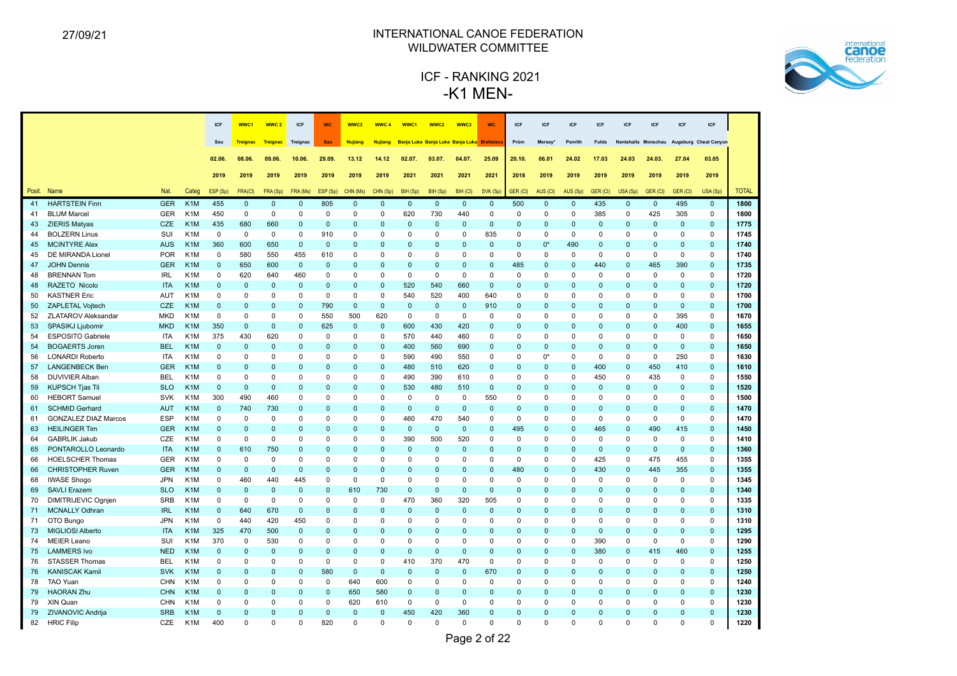

|        |                                          |            |                  | ICF            | WWC1            | <b>WWC2</b>  | ICF          | <b>WC</b>    | WWC3           | <b>WWC4</b>    | WWC1         | WWC2                                       | WWC3         | <b>WC</b>    | ICF            | <b>ICF</b>   | ICF          | <b>ICF</b>   | ICF            | <b>ICF</b>   | ICF             | ICF                                       |              |
|--------|------------------------------------------|------------|------------------|----------------|-----------------|--------------|--------------|--------------|----------------|----------------|--------------|--------------------------------------------|--------------|--------------|----------------|--------------|--------------|--------------|----------------|--------------|-----------------|-------------------------------------------|--------------|
|        |                                          |            |                  | Seu            | <b>Treignac</b> | Treignac     | Treignac     | Seu          | <b>Nujiang</b> | <b>Nujiang</b> |              | Banja Luka Banja Luka Banja Luka Bratislav |              |              | Prüm           | Mersey*      | Penrith      | Fulda        |                |              |                 | Nantahalla Monschau Augsburg Cheat Canyon |              |
|        |                                          |            |                  |                | 08.06.          |              |              |              | 13.12          |                | 02.07.       |                                            |              |              | 20.10          | 06.01        |              |              |                |              | 27.04           | 03.05                                     |              |
|        |                                          |            |                  | 02.06.         |                 | 09.06.       | 10.06        | 29.09.       |                | 14.12          |              | 03.07.                                     | 04.07.       | 25.09        |                |              | 24.02        | 17.03        | 24.03          | 24.03.       |                 |                                           |              |
|        |                                          |            |                  | 2019           | 2019            | 2019         | 2019         | 2019         | 2019           | 2019           | 2021         | 2021                                       | 2021         | 2021         | 2018           | 2019         | 2019         | 2019         | 2019           | 2019         | 2019            | 2019                                      |              |
| Posit. | Nat.<br>Name                             |            | Categ            | ESP (Sp)       | <b>FRA(CI)</b>  | FRA (Sp)     | FRA (Ms)     | ESP (Sp)     | CHN (Ms)       | CHN (Sp)       | BIH (Sp)     | BIH (Sp)                                   | BIH (CI)     | SVK (Sp)     | GER (CI)       | AUS (CI)     | AUS (Sp)     | GER (CI)     | USA (Sp)       | GER (CI)     | <b>GER (CI)</b> | USA (Sp)                                  | <b>TOTAL</b> |
| 41     | <b>HARTSTEIN Finn</b>                    | <b>GER</b> | K <sub>1</sub> M | 455            | $\mathbf{0}$    | $\mathbf{0}$ | $\mathbf{0}$ | 805          | $\mathbf{0}$   | $\mathbf{0}$   | $\mathbf{0}$ | $\mathbf{0}$                               | $\mathbf{0}$ | $\mathbf 0$  | 500            | $\mathbf{0}$ | $\mathbf{0}$ | 435          | $\mathbf{0}$   | $\mathbf{0}$ | 495             | $\mathbf{0}$                              | 1800         |
| 41     | <b>BLUM Marcel</b>                       | <b>GER</b> | K <sub>1</sub> M | 450            | $\mathsf 0$     | $\mathbf 0$  | 0            | 0            | $\mathbf 0$    | $\mathbf 0$    | 620          | 730                                        | 440          | $\mathbf 0$  | $\mathbf 0$    | 0            | $\mathbf 0$  | 385          | $\mathbf 0$    | 425          | 305             | $\mathsf 0$                               | 1800         |
| 43     | <b>ZIERIS Matyas</b>                     | <b>CZE</b> | K <sub>1</sub> M | 435            | 680             | 660          | $\mathbf 0$  | $\mathbf 0$  | $\Omega$       | $\overline{0}$ | $\mathbf 0$  | $\mathbf 0$                                | $\mathbf 0$  | $\mathbf 0$  | $\mathbf 0$    | 0            | $\mathbf{0}$ | $\Omega$     | $\mathbf{0}$   | $\mathbf 0$  | $\mathbf 0$     | $\mathbf 0$                               | 1775         |
| 44     | <b>BOLZERN Linus</b><br>SUI              |            | K <sub>1</sub> M | $\overline{0}$ | $\mathbf 0$     | $\mathbf 0$  | $\mathbf 0$  | 910          | $\Omega$       | $\mathbf 0$    | $\mathbf 0$  | $\mathbf 0$                                | $\Omega$     | 835          | $\mathbf 0$    | 0            | $\mathbf 0$  | $\mathbf 0$  | $\mathbf 0$    | $\mathbf 0$  | $\mathbf 0$     | $\mathbf 0$                               | 1745         |
| 45     | <b>MCINTYRE Alex</b>                     | <b>AUS</b> | K <sub>1</sub> M | 360            | 600             | 650          | $\mathbf 0$  | $\mathbf{0}$ | $\Omega$       | $\Omega$       | $\Omega$     | $\mathbf{0}$                               | $\Omega$     | $\mathbf{0}$ | $\overline{0}$ | $0^*$        | 490          | $\Omega$     | $\Omega$       | $\Omega$     | $\mathbf{0}$    | $\Omega$                                  | 1740         |
| 45     | DE MIRANDA Lionel                        | <b>POR</b> | K <sub>1</sub> M | $\mathbf 0$    | 580             | 550          | 455          | 610          | 0              | $\mathbf 0$    | $\mathbf 0$  | 0                                          | $\mathbf 0$  | 0            | $\mathbf 0$    | 0            | $\mathbf 0$  | $\mathbf 0$  | 0              | 0            | $\pmb{0}$       | 0                                         | 1740         |
| 47     | <b>JOHN Dennis</b>                       | <b>GER</b> | K <sub>1</sub> M | $\mathbf{0}$   | 650             | 600          | $\mathbf 0$  | $\mathbf 0$  | $\mathbf{0}$   | $\overline{0}$ | $\mathbf 0$  | $\mathbf 0$                                | $\Omega$     | $\Omega$     | 485            | $\mathbf 0$  | $\mathbf 0$  | 440          | $\mathbf 0$    | 465          | 390             | $\mathbf 0$                               | 1735         |
| 48     | <b>IRL</b><br><b>BRENNAN Tom</b>         |            | K <sub>1</sub> M | $\mathbf 0$    | 620             | 640          | 460          | 0            | $\Omega$       | $\mathbf 0$    | $\mathbf 0$  | $\mathbf 0$                                | $\Omega$     | $\mathbf 0$  | $\Omega$       | 0            | $\Omega$     | $\Omega$     | $\mathbf 0$    | $\mathbf 0$  | $\mathbf 0$     | $\Omega$                                  | 1720         |
| 48     | RAZETO Nicolo                            | <b>ITA</b> | K <sub>1</sub> M | $\pmb{0}$      | $\mathbf 0$     | $\mathbf 0$  | $\mathbf 0$  | $\mathbf 0$  | 0              | $\mathbf 0$    | 520          | 540                                        | 660          | $\mathbf 0$  | $\overline{0}$ | $\mathbf 0$  | $\mathbf 0$  | $\Omega$     | $\mathbf 0$    | $\Omega$     | $\pmb{0}$       | $\mathbf 0$                               | 1720         |
| 50     | <b>KASTNER Eric</b><br>AUT               |            | K <sub>1</sub> M | $\mathbf 0$    | $\Omega$        | 0            | 0            | 0            | $\Omega$       | $\mathbf 0$    | 540          | 520                                        | 400          | 640          | $\mathbf 0$    | 0            | $\Omega$     | $\Omega$     | 0              | $\Omega$     | $\mathbf 0$     | $\Omega$                                  | 1700         |
| 50     | <b>ZAPLETAL Voitech</b>                  | CZE        | K <sub>1</sub> M | $\mathbf{0}$   | $\Omega$        | $\mathbf{0}$ | $\mathbf 0$  | 790          | $\Omega$       | $\mathbf{0}$   | $\mathbf{0}$ | $\mathbf{0}$                               | $\Omega$     | 910          | $\overline{0}$ | $\mathbf{0}$ | $\Omega$     | $\Omega$     | $\Omega$       | $\Omega$     | $\mathbf{0}$    | $\Omega$                                  | 1700         |
| 52     | <b>ZLATAROV Aleksandar</b><br><b>MKD</b> |            | K <sub>1</sub> M | $\pmb{0}$      | $\Omega$        | $\mathbf 0$  | $\mathbf 0$  | 550          | 500            | 620            | $\mathbf 0$  | 0                                          | $\mathbf 0$  | $\Omega$     | $\mathbf 0$    | $\Omega$     | $\Omega$     | $\Omega$     | 0              | $\Omega$     | 395             | $\mathbf 0$                               | 1670         |
| 53     | SPASIKJ Ljubomir<br><b>MKD</b>           |            | K <sub>1</sub> M | 350            | $\mathbf 0$     | $\mathbf 0$  | $\mathbf 0$  | 625          | $\mathbf 0$    | $\mathbf 0$    | 600          | 430                                        | 420          | $\mathbf 0$  | $\mathbf 0$    | $\Omega$     | $\Omega$     | $\Omega$     | $\Omega$       | $\Omega$     | 400             | $\mathbf 0$                               | 1655         |
| 54     | <b>ESPOSITO Gabriele</b>                 | <b>ITA</b> | K <sub>1</sub> M | 375            | 430             | 620          | $\Omega$     | 0            | $\Omega$       | $\Omega$       | 570          | 440                                        | 460          | $\Omega$     | $\Omega$       | $\Omega$     | $\Omega$     | $\Omega$     | $\Omega$       | $\Omega$     | $\mathbf 0$     | $\mathbf 0$                               | 1650         |
| 54     | <b>BOGAERTS Joren</b><br><b>BEL</b>      |            | K <sub>1</sub> M | $\mathbf{0}$   | $\Omega$        | $\mathbf{0}$ | $\Omega$     | $\mathbf{0}$ | $\Omega$       | $\Omega$       | 400          | 560                                        | 690          | $\Omega$     | $\Omega$       | $\mathbf{0}$ | $\Omega$     | $\Omega$     | $\Omega$       | $\Omega$     | $\mathbf{0}$    | $\Omega$                                  | 1650         |
| 56     | <b>LONARDI Roberto</b>                   | <b>ITA</b> | K <sub>1</sub> M | 0              | $\Omega$        | 0            | 0            | 0            | $\Omega$       | $\mathbf 0$    | 590          | 490                                        | 550          | $\Omega$     | $\Omega$       | $0^*$        | $\Omega$     | 0            | $\Omega$       | 0            | 250             | $\mathbf 0$                               | 1630         |
| 57     | <b>LANGENBECK Ben</b>                    | <b>GER</b> | K <sub>1</sub> M | $\mathbf{0}$   | $\Omega$        | $\mathbf{0}$ | $\Omega$     | $\mathbf{0}$ | $\Omega$       | $\mathbf 0$    | 480          | 510                                        | 620          | $\Omega$     | $\overline{0}$ | $\mathbf{0}$ | $\Omega$     | 400          | $\mathbf 0$    | 450          | 410             | $\mathbf 0$                               | 1610         |
| 58     | <b>DUVIVIER Alban</b><br><b>BEL</b>      |            | K <sub>1</sub> M | $\mathbf 0$    | $\Omega$        | $\mathbf 0$  | $\mathbf 0$  | $\mathbf 0$  | $\Omega$       | $\mathbf 0$    | 490          | 390                                        | 610          | $\mathbf 0$  | $\Omega$       | 0            | $\Omega$     | 450          | $\mathbf 0$    | 435          | $\mathbf 0$     | $\mathbf 0$                               | 1550         |
| 59     | <b>KUPSCH Tjas Til</b><br><b>SLO</b>     |            | K <sub>1</sub> M | $\pmb{0}$      | $\mathbf 0$     | $\mathbf 0$  | $\mathbf 0$  | $\Omega$     | $\Omega$       | $\mathbf{0}$   | 530          | 480                                        | 510          | $\mathbf 0$  | $\overline{0}$ | $\mathbf 0$  | $\mathbf 0$  | $\mathbf{0}$ | $\Omega$       | $\mathbf 0$  | $\pmb{0}$       | $\mathbf 0$                               | 1520         |
| 60     | <b>HEBORT Samuel</b><br><b>SVK</b>       |            | K <sub>1</sub> M | 300            | 490             | 460          | $\mathbf 0$  | $\mathbf 0$  | $\Omega$       | $\mathbf 0$    | $\mathbf 0$  | 0                                          | $\Omega$     | 550          | $\mathbf 0$    | 0            | $\Omega$     | $\Omega$     | $\Omega$       | $\Omega$     | $\mathbf 0$     | $\mathbf 0$                               | 1500         |
| 61     | <b>AUT</b><br><b>SCHMID Gerhard</b>      |            | K <sub>1</sub> M | $\mathbf{0}$   | 740             | 730          | $\Omega$     | $\mathbf{0}$ | $\Omega$       | $\mathbf{0}$   | $\mathbf{0}$ | $\mathbf{0}$                               | $\Omega$     | $\mathbf{0}$ | $\Omega$       | $\mathbf{0}$ | $\Omega$     | $\Omega$     | $\Omega$       | $\mathbf{0}$ | $\mathbf{0}$    | $\Omega$                                  | 1470         |
| 61     | <b>GONZALEZ DIAZ Marcos</b>              | <b>ESP</b> | K <sub>1</sub> M | $\Omega$       | $\mathbf 0$     | $\mathbf 0$  | 0            | $\Omega$     | $\Omega$       | $\mathbf 0$    | 460          | 470                                        | 540          | $\Omega$     | $\mathbf 0$    | $\Omega$     | $\Omega$     | $\Omega$     | $\Omega$       | $\pmb{0}$    | $\Omega$        | $\Omega$                                  | 1470         |
| 63     | <b>HEILINGER Tim</b>                     | <b>GER</b> | K <sub>1</sub> M | $\mathbf{0}$   | $\Omega$        | $\mathbf{0}$ | $\Omega$     | $\Omega$     | $\Omega$       | $\mathbf 0$    | $\mathbf{0}$ | $\mathbf{0}$                               | $\Omega$     | $\Omega$     | 495            | $\mathbf{0}$ | $\mathbf 0$  | 465          | $\Omega$       | 490          | 415             | $\mathbf 0$                               | 1450         |
| 64     | <b>GABRLIK Jakub</b>                     | CZE        | K <sub>1</sub> M | $\Omega$       | $\mathbf 0$     | $\mathbf 0$  | $\mathbf 0$  | $\mathbf 0$  | $\Omega$       | $\mathbf 0$    | 390          | 500                                        | 520          | $\Omega$     | $\mathbf 0$    | 0            | $\Omega$     | $\Omega$     | $\Omega$       | $\mathbf 0$  | $\mathbf 0$     | $\mathbf 0$                               | 1410         |
| 65     | PONTAROLLO Leonardo                      | <b>ITA</b> | K <sub>1</sub> M | $\mathbf{0}$   | 610             | 750          | $\mathbf{0}$ | $\Omega$     | $\Omega$       | $\mathbf{0}$   | $\mathbf{0}$ | $\mathbf{0}$                               | $\Omega$     | $\Omega$     | $\Omega$       | $\Omega$     | $\Omega$     | $\Omega$     | $\Omega$       | $\mathbf{0}$ | $\Omega$        | $\Omega$                                  | 1360         |
| 66     | <b>HOELSCHER Thomas</b>                  | GER        | K <sub>1</sub> M | 0              | 0               | 0            | 0            | $\Omega$     | $\Omega$       | $\mathbf 0$    | $\Omega$     | 0                                          | $\Omega$     | $\Omega$     | 0              | 0            | $\mathbf 0$  | 425          | $\Omega$       | 475          | 455             | $\Omega$                                  | 1355         |
| 66     | <b>CHRISTOPHER Ruven</b>                 | <b>GER</b> | K <sub>1</sub> M | $\mathbf{0}$   | $\Omega$        | $\mathbf{0}$ | $\mathbf{0}$ | $\Omega$     | $\Omega$       | $\Omega$       | $\Omega$     | $\Omega$                                   | $\Omega$     | $\Omega$     | 480            | $\Omega$     | $\Omega$     | 430          | $\Omega$       | 445          | 355             | $\Omega$                                  | 1355         |
| 68     | <b>JPN</b><br><b>IWASE Shogo</b>         |            | K <sub>1</sub> M | $\mathbf 0$    | 460             | 440          | 445          | $\mathbf 0$  | $\mathbf 0$    | $\mathbf 0$    | $\mathbf 0$  | $\mathbf 0$                                | $\Omega$     | $\Omega$     | $\mathbf 0$    | 0            | $\Omega$     | $\Omega$     | $\Omega$       | $\mathbf 0$  | $\mathbf 0$     | $\Omega$                                  | 1345         |
| 69     | <b>SLO</b><br>SAVLI Erazem               |            | K <sub>1</sub> M | $\pmb{0}$      | $\mathbf 0$     | $\mathbf 0$  | $\mathbf 0$  | $\mathbf 0$  | 610            | 730            | $\mathbf 0$  | $\mathbf 0$                                | $\mathbf 0$  | $\mathbf 0$  | $\mathbf 0$    | $\mathbf 0$  | $\mathbf 0$  | $\Omega$     | $\mathbf 0$    | $\mathbf{0}$ | $\pmb{0}$       | $\mathbf 0$                               | 1340         |
| 70     | DIMITRIJEVIC Ognjen<br><b>SRB</b>        |            | K <sub>1</sub> M | $\mathbf 0$    | $\mathbf 0$     | $\mathbf 0$  | 0            | $\mathbf 0$  | $\mathbf 0$    | $\mathbf 0$    | 470          | 360                                        | 320          | 505          | $\mathbf 0$    | 0            | 0            | $\Omega$     | $\Omega$       | $\Omega$     | $\mathbf 0$     | $\Omega$                                  | 1335         |
| 71     | <b>MCNALLY Odhran</b><br><b>IRL</b>      |            | K <sub>1</sub> M | $\mathbf{0}$   | 640             | 670          | $\mathbf 0$  | $\mathbf{0}$ | $\Omega$       | $\mathbf 0$    | $\mathbf 0$  | $\mathbf{0}$                               | $\Omega$     | $\mathbf{0}$ | $\overline{0}$ | $\mathbf{0}$ | $\Omega$     | $\Omega$     | $\Omega$       | $\Omega$     | $\mathbf{0}$    | $\Omega$                                  | 1310         |
| 71     | <b>JPN</b><br>OTO Bungo                  |            | K <sub>1</sub> M | $\mathbf{0}$   | 440             | 420          | 450          | $\mathbf 0$  | $\Omega$       | $\mathbf 0$    | $\mathbf 0$  | $\mathbf 0$                                | $\Omega$     | $\Omega$     | $\Omega$       | 0            | $\Omega$     | $\Omega$     | $\Omega$       | $\Omega$     | $\mathbf 0$     | $\mathbf 0$                               | 1310         |
| 73     | <b>MIGLIOSI Alberto</b>                  | <b>ITA</b> | K <sub>1</sub> M | 325            | 470             | 500          | $\mathbf 0$  | $\mathbf 0$  | $\mathbf{0}$   | $\mathbf 0$    | $\mathbf{0}$ | $\mathbf 0$                                | $\mathbf 0$  | $\mathbf 0$  | $\mathbf 0$    | 0            | $\mathbf 0$  | $\mathbf{0}$ | $\mathbf 0$    | $\mathbf{0}$ | $\mathbf 0$     | $\mathbf 0$                               | 1295         |
| 74     | <b>MEIER Leano</b>                       | SUI        | K <sub>1</sub> M | 370            | $\mathbf 0$     | 530          | 0            | 0            | $\Omega$       | $\mathbf 0$    | $\mathsf 0$  | 0                                          | $\Omega$     | $\Omega$     | $\mathbf 0$    | 0            | $\mathbf 0$  | 390          | 0              | $\mathbf 0$  | $\mathbf 0$     | $\mathbf 0$                               | 1290         |
| 75     | <b>LAMMERS Ivo</b>                       | <b>NED</b> | K <sub>1</sub> M | $\mathbf{0}$   | $\mathbf 0$     | $\mathbf{0}$ | $\Omega$     | $\mathbf{0}$ | $\Omega$       | $\mathbf{0}$   | $\mathbf{0}$ | $\mathbf{0}$                               | $\Omega$     | $\Omega$     | $\overline{0}$ | $\mathbf{0}$ | $\mathbf 0$  | 380          | $\mathbf 0$    | 415          | 460             | $\Omega$                                  | 1255         |
| 76     | <b>STASSER Thomas</b><br><b>BEL</b>      |            | K <sub>1</sub> M | $\mathbf 0$    | $\mathbf 0$     | $\mathbf 0$  | 0            | 0            | $\mathbf 0$    | $\mathbf 0$    | 410          | 370                                        | 470          | $\mathbf 0$  | $\mathbf 0$    | 0            | 0            | $\mathbf 0$  | 0              | $\mathbf 0$  | $\pmb{0}$       | $\mathbf 0$                               | 1250         |
| 76     | <b>KANISCAK Kamil</b>                    | <b>SVK</b> | K <sub>1</sub> M | $\pmb{0}$      | $\Omega$        | $\mathbf{0}$ | $\mathbf 0$  | 580          | $\mathbf 0$    | $\mathbf 0$    | $\mathbf 0$  | $\mathbf{0}$                               | $\Omega$     | 670          | $\mathbf 0$    | $\mathbf{0}$ | $\Omega$     | $\Omega$     | $\mathbf 0$    | $\Omega$     | $\mathbf{0}$    | $\Omega$                                  | 1250         |
| 78     | <b>TAO Yuan</b>                          | <b>CHN</b> | K <sub>1</sub> M | $\Omega$       | $\Omega$        | $\mathbf 0$  | $\mathbf 0$  | $\mathbf 0$  | 640            | 600            | $\mathbf 0$  | $\mathbf 0$                                | $\Omega$     | $\mathbf 0$  | $\Omega$       | 0            | $\Omega$     | $\Omega$     | $\Omega$       | $\Omega$     | $\Omega$        | $\Omega$                                  | 1240         |
| 79     | <b>HAORAN Zhu</b>                        | <b>CHN</b> | K <sub>1</sub> M | $\pmb{0}$      | $\mathbf 0$     | $\mathbf{0}$ | $\mathbf 0$  | $\mathbf 0$  | 650            | 580            | $\mathbf 0$  | $\mathbf 0$                                | $\mathbf 0$  | $\mathbf 0$  | $\overline{0}$ | $\mathbf 0$  | $\mathbf 0$  | $\Omega$     | $\overline{0}$ | $\mathbf 0$  | $\Omega$        | $\mathbf 0$                               | 1230         |
| 79     | XIN Quan                                 | <b>CHN</b> | K <sub>1</sub> M | 0              | $\Omega$        | 0            | $\Omega$     | 0            | 620            | 610            | $\mathbf 0$  | 0                                          | $\Omega$     | $\Omega$     | $\Omega$       | $\Omega$     | $\Omega$     | $\Omega$     | $\Omega$       | $\Omega$     | $\mathbf 0$     | $\Omega$                                  | 1230         |
| 79     | ZIVANOVIC Andrija<br><b>SRB</b>          |            | K <sub>1</sub> M | $\mathbf{0}$   | $\Omega$        | $\Omega$     | $\Omega$     | $\mathbf{0}$ | $\Omega$       | $\Omega$       | 450          | 420                                        | 360          | $\Omega$     | $\Omega$       | $\Omega$     | $\Omega$     | $\Omega$     | $\Omega$       | $\Omega$     | $\Omega$        | $\Omega$                                  | 1230         |
| 82     | <b>HRIC Filip</b>                        | CZE        | K <sub>1</sub> M | 400            | $\Omega$        | $\Omega$     | $\Omega$     | 820          | $\Omega$       | $\Omega$       | $\Omega$     | $\Omega$                                   | $\Omega$     | $\Omega$     | $\Omega$       | $\Omega$     | $\Omega$     | $\Omega$     | $\Omega$       | $\Omega$     | $\Omega$        | $\Omega$                                  | 1220         |
|        |                                          |            |                  |                |                 |              |              |              |                |                |              |                                            |              |              |                |              |              |              |                |              |                 |                                           |              |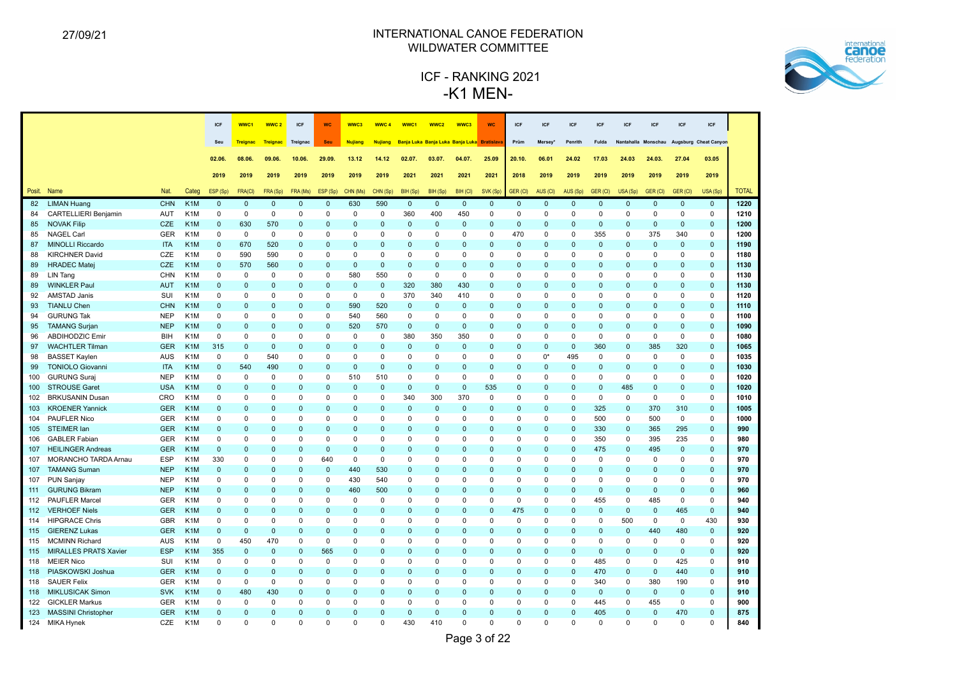

|        |                              |            |                  | <b>ICF</b>   | WWC1            | WWC <sub>2</sub> | ICF            | <b>WC</b>    | WWC3           | <b>WWC4</b>    | WWC1           | WWC <sub>2</sub>                            | WWC3         | <b>WC</b>    | <b>ICF</b>   | <b>ICF</b>   | ICF          | <b>ICF</b>   | <b>ICF</b>          | <b>ICF</b>   | <b>ICF</b>     | ICF                   |              |
|--------|------------------------------|------------|------------------|--------------|-----------------|------------------|----------------|--------------|----------------|----------------|----------------|---------------------------------------------|--------------|--------------|--------------|--------------|--------------|--------------|---------------------|--------------|----------------|-----------------------|--------------|
|        |                              |            |                  | Seu          | <b>Treignac</b> | Treignac         | Treignac       | Seu          | <b>Nujiang</b> | <b>Nujiang</b> |                | Banja Luka Banja Luka Banja Luka Bratislava |              |              | Prüm         | Mersey*      | Penrith      | <b>Fulda</b> | Nantahalla Monschau |              |                | Augsburg Cheat Canyon |              |
|        |                              |            |                  |              |                 |                  |                |              |                |                |                |                                             |              |              |              |              |              |              |                     |              |                |                       |              |
|        |                              |            |                  | 02.06        | 08.06.          | 09.06.           | 10.06.         | 29.09.       | 13.12          | 14.12          | 02.07.         | 03.07.                                      | 04.07.       | 25.09        | 20.10.       | 06.01        | 24.02        | 17.03        | 24.03               | 24.03.       | 27.04          | 03.05                 |              |
|        |                              |            |                  | 2019         | 2019            | 2019             | 2019           | 2019         | 2019           | 2019           | 2021           | 2021                                        | 2021         | 2021         | 2018         | 2019         | 2019         | 2019         | 2019                | 2019         | 2019           | 2019                  |              |
| Posit. | Name                         | Nat.       | Categ            | ESP (Sp)     | FRA(CI)         | FRA (Sp)         | FRA (Ms)       | ESP (Sp)     | CHN (Ms)       | CHN (Sp)       | BIH (Sp)       | BIH (Sp)                                    | BIH (CI)     | SVK (Sp)     | GER (CI)     | AUS (CI)     | AUS (Sp)     | GER (CI)     | USA (Sp)            | GER (CI)     | <b>GER (CI</b> | USA (Sp)              | <b>TOTAL</b> |
| 82     | <b>LIMAN Huang</b>           | <b>CHN</b> | K <sub>1</sub> M | $\Omega$     | $\mathbf 0$     | $\mathbf{0}$     | $\mathbf 0$    | $\mathbf{0}$ | 630            | 590            | $\mathbf 0$    | $\mathbf 0$                                 | $\mathbf 0$  | $\mathbf 0$  | $\mathbf 0$  | $\mathbf 0$  | $\mathbf 0$  | $\mathbf{0}$ | $\mathbf 0$         | $\mathbf{0}$ | $\mathbf 0$    | $\mathbf 0$           | 1220         |
| 84     | CARTELLIERI Benjamin         | AUT        | K <sub>1</sub> M | 0            | $\mathsf 0$     | 0                | $\Omega$       | 0            | 0              | 0              | 360            | 400                                         | 450          | 0            | 0            | 0            | 0            | 0            | $\mathbf 0$         | 0            | $\mathbf 0$    | $\mathbf 0$           | 1210         |
| 85     | <b>NOVAK Filip</b>           | <b>CZE</b> | K <sub>1</sub> M | $\Omega$     | 630             | 570              | $\mathbf 0$    | $\Omega$     | $\Omega$       | $\Omega$       | $\mathbf{0}$   | $\mathbf{0}$                                | $\Omega$     | $\mathbf{0}$ | $\mathbf 0$  | $\Omega$     | $\mathbf{0}$ | $\Omega$     | $\Omega$            | $\mathbf{0}$ | $\mathbf{0}$   | $\mathbf 0$           | 1200         |
| 85     | <b>NAGEL Carl</b>            | <b>GER</b> | K <sub>1</sub> M | $\Omega$     | $\mathbf 0$     | $\Omega$         | $\Omega$       | $\Omega$     | $\Omega$       | $\Omega$       | $\Omega$       | $\Omega$                                    | $\Omega$     | $\Omega$     | 470          | $\Omega$     | $\Omega$     | 355          | $\Omega$            | 375          | 340            | $\Omega$              | 1200         |
| 87     | <b>MINOLLI Riccardo</b>      | <b>ITA</b> | K <sub>1</sub> M | $\Omega$     | 670             | 520              | $\mathbf 0$    | $\Omega$     | $\Omega$       | $\Omega$       | $\mathbf 0$    | $\Omega$                                    | $\Omega$     | $\Omega$     | $\mathbf 0$  | $\Omega$     | $\mathbf{0}$ | $\Omega$     | $\mathbf 0$         | $\mathbf 0$  | $\mathbf{0}$   | $\mathbf 0$           | 1190         |
| 88     | <b>KIRCHNER David</b>        | CZE        | K <sub>1</sub> M | $\Omega$     | 590             | 590              | $\Omega$       | $\Omega$     | $\Omega$       | $\Omega$       | $\Omega$       | $\Omega$                                    | $\Omega$     | 0            | $\Omega$     | $\Omega$     | 0            | $\Omega$     | $\Omega$            | $\Omega$     | $\mathbf 0$    | $\Omega$              | 1180         |
| 89     | <b>HRADEC Matej</b>          | CZE        | K <sub>1</sub> M | $\Omega$     | 570             | 560              | $\overline{0}$ | $\Omega$     | $\mathbf{0}$   | $\Omega$       | $\Omega$       | $\Omega$                                    | $\Omega$     | $\Omega$     | $\mathbf{0}$ | $\Omega$     | $\mathbf{0}$ | $\Omega$     | $\Omega$            | $\Omega$     | $\mathbf{0}$   | $\Omega$              | 1130         |
| 89     | LIN Tang                     | <b>CHN</b> | K <sub>1</sub> M | $\Omega$     | $\mathbf 0$     | $\Omega$         | $\mathbf 0$    | $\Omega$     | 580            | 550            | $\mathbf 0$    | $\mathbf 0$                                 | $\mathbf 0$  | $\Omega$     | $\Omega$     | $\Omega$     | $\Omega$     | $\Omega$     | $\Omega$            | $\Omega$     | $\Omega$       | $\Omega$              | 1130         |
| 89     | <b>WINKLER Paul</b>          | <b>AUT</b> | K <sub>1</sub> M | $\mathbf 0$  | $\mathbf 0$     | $\mathbf{0}$     | $\mathbf 0$    | $\Omega$     | $\mathbf 0$    | $\overline{0}$ | 320            | 380                                         | 430          | $\Omega$     | $\mathbf 0$  | $\mathbf 0$  | $\mathbf 0$  | $\Omega$     | $\mathbf 0$         | $\mathbf 0$  | $\pmb{0}$      | $\mathbf 0$           | 1130         |
| 92     | <b>AMSTAD Janis</b>          | SUI        | K <sub>1</sub> M | 0            | $\Omega$        | 0                | $\mathbf 0$    | 0            | 0              | 0              | 370            | 340                                         | 410          | 0            | $\Omega$     | $\Omega$     | $\Omega$     | $\Omega$     | 0                   | 0            | $\mathbf 0$    | $\mathbf 0$           | 1120         |
| 93     | <b>TIANLU Chen</b>           | <b>CHN</b> | K <sub>1</sub> M | $\Omega$     | $\Omega$        | $\mathbf{0}$     | $\mathbf{0}$   | $\mathbf{0}$ | 590            | 520            | $\mathbf{0}$   | $\mathbf{0}$                                | $\mathbf{0}$ | $\Omega$     | $\mathbf 0$  | $\Omega$     | $\mathbf{0}$ | $\Omega$     | $\Omega$            | $\Omega$     | $\mathbf{0}$   | $\Omega$              | 1110         |
| 94     | <b>GURUNG Tak</b>            | <b>NEP</b> | K <sub>1</sub> M | $\mathbf 0$  | $\Omega$        | $\Omega$         | $\mathbf 0$    | 0            | 540            | 560            | $\mathbf 0$    | 0                                           | $\mathbf 0$  | $\Omega$     | $\mathbf 0$  | 0            | $\mathbf 0$  | $\Omega$     | $\mathbf 0$         | $\Omega$     | $\mathbf 0$    | $\mathbf 0$           | 1100         |
| 95     | <b>TAMANG Surjan</b>         | <b>NEP</b> | K <sub>1</sub> M | $\mathbf 0$  | $\mathbf 0$     | $\mathbf{0}$     | $\overline{0}$ | 0            | 520            | 570            | $\mathbf 0$    | $\mathbf 0$                                 | $\mathbf 0$  | $\Omega$     | $\mathbf 0$  | $\mathbf 0$  | $\mathbf 0$  | $\mathbf{0}$ | $\overline{0}$      | $\mathbf 0$  | $\pmb{0}$      | $\mathbf 0$           | 1090         |
| 96     | <b>ABDIHODZIC Emir</b>       | BIH        | K <sub>1</sub> M | 0            | $\mathbf 0$     | 0                | $\mathbf 0$    | 0            | 0              | 0              | 380            | 350                                         | 350          | 0            | 0            | 0            | $\mathbf 0$  | 0            | $\mathbf 0$         | 0            | $\mathbf 0$    | $\mathbf 0$           | 1080         |
| 97     | <b>WACHTLER Tilman</b>       | <b>GER</b> | K <sub>1</sub> M | 315          | $\mathbf 0$     | $\Omega$         | $\Omega$       | $\Omega$     | $\Omega$       | $\Omega$       | $\mathbf{0}$   | $\mathbf{0}$                                | $\Omega$     | $\Omega$     | $\mathbf 0$  | $\Omega$     | $\mathbf 0$  | 360          | $\Omega$            | 385          | 320            | $\mathbf 0$           | 1065         |
| 98     | <b>BASSET Kaylen</b>         | <b>AUS</b> | K <sub>1</sub> M | $\mathbf 0$  | $\mathbf 0$     | 540              | $\mathbf 0$    | $\Omega$     | $\Omega$       | $\Omega$       | $\Omega$       | 0                                           | $\Omega$     | $\Omega$     | $\Omega$     | $0^*$        | 495          | $\Omega$     | $\Omega$            | 0            | $\mathbf 0$    | $\mathbf 0$           | 1035         |
| 99     | <b>TONIOLO Giovanni</b>      | <b>ITA</b> | K <sub>1</sub> M | $\Omega$     | 540             | 490              | $\Omega$       | $\Omega$     | $\Omega$       | $\Omega$       | $\Omega$       | $\Omega$                                    | $\Omega$     | $\Omega$     | $\Omega$     | $\Omega$     | $\Omega$     | $\Omega$     | $\Omega$            | $\Omega$     | $\mathbf 0$    | $\Omega$              | 1030         |
| 100    | <b>GURUNG Suraj</b>          | <b>NEP</b> | K <sub>1</sub> M | 0            | 0               | 0                | 0              | $\Omega$     | 510            | 510            | $\Omega$       | $\Omega$                                    | $\Omega$     | 0            | 0            | $\Omega$     | 0            | $\Omega$     | 0                   | 0            | $\mathbf 0$    | $\mathbf 0$           | 1020         |
| 100    | <b>STROUSE Garet</b>         | <b>USA</b> | K <sub>1</sub> M | $\Omega$     | $\mathbf 0$     | $\mathbf{0}$     | $\Omega$       | $\Omega$     | $\Omega$       | $\Omega$       | $\Omega$       | $\mathbf{0}$                                | $\mathbf{0}$ | 535          | $\mathbf 0$  | $\Omega$     | $\mathbf{0}$ | $\mathbf{0}$ | 485                 | $\Omega$     | $\mathbf{0}$   | $\mathbf 0$           | 1020         |
| 102    | <b>BRKUSANIN Dusan</b>       | <b>CRO</b> | K <sub>1</sub> M | 0            | $\mathbf 0$     | $\Omega$         | $\mathbf 0$    | $\Omega$     | $\Omega$       | $\mathbf 0$    | 340            | 300                                         | 370          | $\Omega$     | $\mathbf 0$  | 0            | $\mathbf 0$  | $\mathbf 0$  | $\Omega$            | $\mathbf 0$  | $\Omega$       | $\mathbf 0$           | 1010         |
| 103    | <b>KROENER Yannick</b>       | <b>GER</b> | K <sub>1</sub> M | $\Omega$     | $\Omega$        | $\Omega$         | $\Omega$       | $\Omega$     | $\Omega$       | $\Omega$       | $\Omega$       | $\mathbf{0}$                                | $\Omega$     | $\Omega$     | $\Omega$     | $\Omega$     | $\mathbf{0}$ | 325          | $\Omega$            | 370          | 310            | $\Omega$              | 1005         |
| 104    | PAUFLER Nico                 | GER        | K <sub>1</sub> M | $\Omega$     | $\mathsf 0$     | 0                | 0              | $\Omega$     | $\Omega$       | 0              | $\Omega$       | 0                                           | $\Omega$     | $\Omega$     | 0            | $\Omega$     | 0            | 500          | $\Omega$            | 500          | $\mathbf 0$    | $\mathbf 0$           | 1000         |
| 105    | <b>STEIMER lan</b>           | <b>GER</b> | K <sub>1</sub> M | $\Omega$     | $\Omega$        | $\mathbf{0}$     | $\Omega$       | $\Omega$     | $\Omega$       | $\Omega$       | $\Omega$       | $\Omega$                                    | $\Omega$     | $\Omega$     | $\mathbf 0$  | $\Omega$     | $\mathbf{0}$ | 330          | $\Omega$            | 365          | 295            | $\Omega$              | 990          |
| 106    | <b>GABLER Fabian</b>         | <b>GER</b> | K <sub>1</sub> M | $\Omega$     | $\Omega$        | 0                | $\Omega$       | $\Omega$     | $\Omega$       | $\Omega$       | $\Omega$       | $\Omega$                                    | $\Omega$     | $\Omega$     | $\mathbf 0$  | $\Omega$     | $\mathbf 0$  | 350          | $\Omega$            | 395          | 235            | $\Omega$              | 980          |
| 107    | <b>HEILINGER Andreas</b>     | <b>GER</b> | K <sub>1</sub> M | $\Omega$     | $\Omega$        | $\Omega$         | $\Omega$       | $\Omega$     | $\Omega$       | $\Omega$       | $\Omega$       | $\Omega$                                    | $\Omega$     | $\Omega$     | $\Omega$     | $\Omega$     | $\mathbf{0}$ | 475          | $\Omega$            | 495          | $\mathbf{0}$   | $\Omega$              | 970          |
| 107    | <b>MORANCHO TARDA Arnau</b>  | <b>ESP</b> | K <sub>1</sub> M | 330          | $\mathsf 0$     | 0                | 0              | 640          | 0              | $\mathbf 0$    | 0              | 0                                           | 0            | 0            | 0            | 0            | 0            | $\Omega$     | $\mathbf 0$         | 0            | 0              | 0                     | 970          |
| 107    | <b>TAMANG Suman</b>          | <b>NEP</b> | K <sub>1</sub> M | $\mathbf 0$  | $\mathbf 0$     | $\mathbf{0}$     | $\mathbf 0$    | $\mathbf 0$  | 440            | 530            | $\mathbf 0$    | 0                                           | $\Omega$     | $\Omega$     | $\mathbf 0$  | $\Omega$     | $\mathbf 0$  | $\Omega$     | $\mathbf 0$         | $\mathbf{0}$ | $\mathbf 0$    | $\mathbf 0$           | 970          |
| 107    | <b>PUN Sanjay</b>            | <b>NEP</b> | K <sub>1</sub> M | 0            | $\mathsf 0$     | $\mathbf 0$      | $\mathbf 0$    | 0            | 430            | 540            | $\mathsf 0$    | 0                                           | $\mathbf 0$  | 0            | $\mathbf 0$  | 0            | $\mathbf 0$  | $\Omega$     | $\mathbf 0$         | 0            | $\mathbf 0$    | $\mathbf 0$           | 970          |
| 111    | <b>GURUNG Bikram</b>         | <b>NEP</b> | K <sub>1</sub> M | $\Omega$     | $\Omega$        | $\mathbf{0}$     | $\Omega$       | $\Omega$     | 460            | 500            | $\mathbf{0}$   | $\mathbf{0}$                                | $\Omega$     | $\mathbf{0}$ | $\mathbf 0$  | $\Omega$     | $\mathbf{0}$ | $\mathbf{0}$ | $\mathbf{0}$        | $\mathbf 0$  | $\mathbf{0}$   | $\Omega$              | 960          |
| 112    | <b>PAUFLER Marcel</b>        | <b>GER</b> | K <sub>1</sub> M | $\mathbf 0$  | $\mathsf 0$     | $\mathsf 0$      | $\mathsf 0$    | 0            | $\mathsf 0$    | $\pmb{0}$      | $\mathsf 0$    | 0                                           | $\mathsf 0$  | $\mathbf 0$  | $\mathbf 0$  | 0            | $\pmb{0}$    | 455          | $\mathbf 0$         | 485          | $\pmb{0}$      | $\mathbf 0$           | 940          |
| 112    | <b>VERHOEF Niels</b>         | <b>GER</b> | K <sub>1</sub> M | $\mathbf{0}$ | $\mathbf 0$     | $\mathbf{0}$     | $\overline{0}$ | $\mathbf 0$  | $\mathbf 0$    | $\overline{0}$ | $\overline{0}$ | $\mathbf{0}$                                | $\mathbf 0$  | $\mathbf{0}$ | 475          | $\mathbf{0}$ | $\mathbf 0$  | $\mathbf{0}$ | $\mathbf 0$         | $\mathbf 0$  | 465            | $\mathbf 0$           | 940          |
| 114    | <b>HIPGRACE Chris</b>        | <b>GBR</b> | K <sub>1</sub> M | 0            | $\mathsf 0$     | 0                | $\mathbf 0$    | 0            | $\Omega$       | $\Omega$       | $\mathbf 0$    | 0                                           | $\mathbf 0$  | 0            | $\mathbf 0$  | 0            | $\pmb{0}$    | $\mathbf 0$  | 500                 | 0            | $\mathbf 0$    | 430                   | 930          |
| 115    | <b>GIERENZ Lukas</b>         | <b>GER</b> | K <sub>1</sub> M | $\mathbf{0}$ | $\mathbf 0$     | $\mathbf{0}$     | $\Omega$       | $\Omega$     | $\Omega$       | $\Omega$       | $\Omega$       | $\Omega$                                    | $\mathbf{0}$ | $\Omega$     | $\mathbf 0$  | $\Omega$     | $\mathbf{0}$ | $\Omega$     | $\mathbf 0$         | 440          | 480            | $\mathbf 0$           | 920          |
| 115    | <b>MCMINN Richard</b>        | <b>AUS</b> | K <sub>1</sub> M | 0            | 450             | 470              | $\mathsf 0$    | 0            | $\Omega$       | $\Omega$       | $\mathbf 0$    | 0                                           | $\mathbf 0$  | $\mathbf 0$  | $\mathbf 0$  | 0            | $\pmb{0}$    | $\Omega$     | $\mathbf 0$         | $\mathbf 0$  | 0              | $\mathbf 0$           | 920          |
| 115    | <b>MIRALLES PRATS Xavier</b> | <b>ESP</b> | K <sub>1</sub> M | 355          | $\mathbf 0$     | $\mathbf{0}$     | $\overline{0}$ | 565          | $\mathbf 0$    | $\Omega$       | $\Omega$       | $\Omega$                                    | $\Omega$     | $\mathbf{0}$ | $\mathbf 0$  | $\Omega$     | $\mathbf 0$  | $\mathbf{0}$ | $\mathbf 0$         | $\mathbf 0$  | $\mathbf{0}$   | $\mathbf 0$           | 920          |
| 118    | <b>MEIER Nico</b>            | SUI        | K <sub>1</sub> M | $\mathbf 0$  | $\mathsf 0$     | 0                | $\Omega$       | $\Omega$     | $\Omega$       | $\Omega$       | $\Omega$       | $\Omega$                                    | $\Omega$     | 0            | $\mathbf 0$  | $\Omega$     | $\mathbf 0$  | 485          | $\Omega$            | $\Omega$     | 425            | $\mathbf 0$           | 910          |
| 118    | PIASKOWSKI Joshua            | <b>GER</b> | K <sub>1</sub> M | $\mathbf 0$  | $\Omega$        | $\Omega$         | $\Omega$       | $\Omega$     | $\Omega$       | $\Omega$       | $\Omega$       | $\Omega$                                    | $\Omega$     | $\Omega$     | $\Omega$     | $\Omega$     | $\mathbf{0}$ | 470          | $\Omega$            | $\mathbf{0}$ | 440            | $\mathbf{0}$          | 910          |
| 118    | <b>SAUER Felix</b>           | GER        | K <sub>1</sub> M | $\Omega$     | $\mathbf 0$     | $\Omega$         | $\Omega$       | $\Omega$     | $\Omega$       | $\Omega$       | $\Omega$       | $\Omega$                                    | $\Omega$     | $\Omega$     | $\mathbf 0$  | $\Omega$     | $\mathbf 0$  | 340          | $\mathbf 0$         | 380          | 190            | $\Omega$              | 910          |
| 118    | <b>MIKLUSICAK Simon</b>      | <b>SVK</b> | K <sub>1</sub> M | $\mathbf 0$  | 480             | 430              | $\mathbf 0$    | $\mathbf 0$  | $\Omega$       | $\mathbf 0$    | $\Omega$       | $\Omega$                                    | $\Omega$     | $\Omega$     | $\mathbf 0$  | $\Omega$     | $\mathbf 0$  | $\mathbf{0}$ | $\mathbf 0$         | $\mathbf 0$  | $\mathbf{0}$   | $\mathbf{0}$          | 910          |
| 122    | <b>GICKLER Markus</b>        | <b>GER</b> | K <sub>1</sub> M | $\Omega$     | $\mathbf 0$     | 0                | $\Omega$       | $\Omega$     | $\Omega$       | $\Omega$       | $\Omega$       | $\Omega$                                    | 0            | $\Omega$     | $\Omega$     | $\Omega$     | 0            | 445          | $\Omega$            | 455          | $\mathbf 0$    | $\Omega$              | 900          |
|        | 123 MASSINI Christopher      | <b>GER</b> | K <sub>1</sub> M | $\Omega$     | $\Omega$        | $\Omega$         | $\Omega$       | $\Omega$     | $\Omega$       | $\Omega$       | $\Omega$       | $\Omega$                                    | $\Omega$     | $\Omega$     | $\Omega$     | $\Omega$     | $\Omega$     | 405          | $\Omega$            | $\Omega$     | 470            | $\Omega$              | 875          |
|        | 124 MIKA Hynek               | CZE        | K <sub>1</sub> M | $\Omega$     | $\Omega$        | $\Omega$         | $\Omega$       | $\Omega$     | $\Omega$       | $\Omega$       | 430            | 410                                         | $\Omega$     | $\Omega$     | $\Omega$     | $\Omega$     | $\Omega$     | $\Omega$     | $\Omega$            | $\Omega$     | $\Omega$       | $\Omega$              | 840          |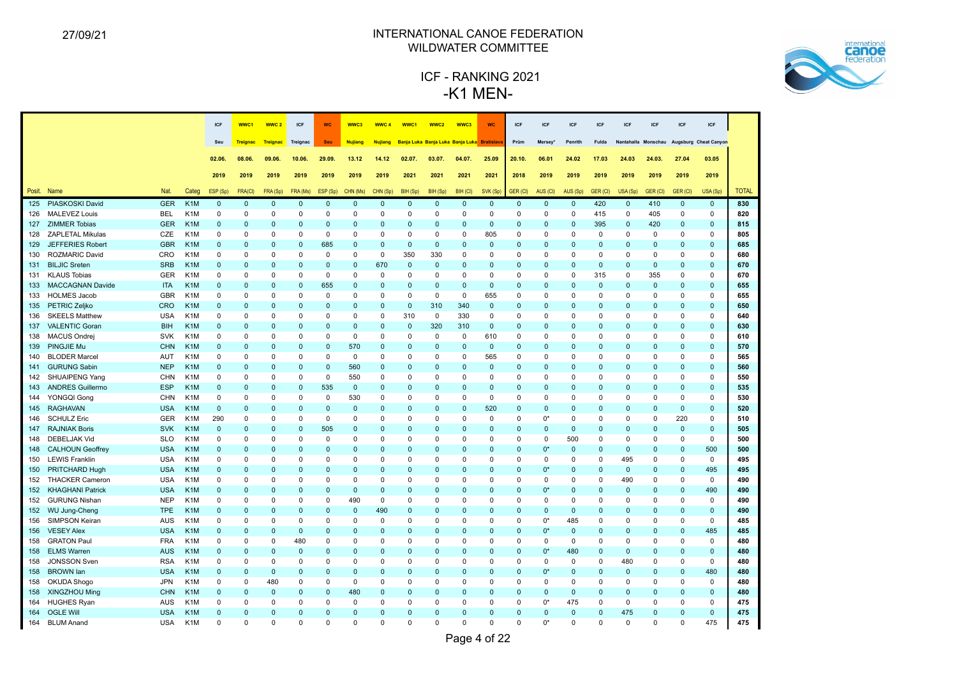

|     |                                        |                   |                                      | <b>ICF</b>              | WWC1                    | WWC <sub>2</sub>        | ICF                      | <b>WC</b>                | WWC3            | WWC <sub>4</sub>           | WWC <sub>1</sub>                            | WWC <sub>2</sub> | WWC3        | <b>WC</b>               | ICF                     | ICF                 | <b>ICF</b>      | <b>ICF</b>              | <b>ICF</b>   | <b>ICF</b>              | ICF                        | ICF                        |              |
|-----|----------------------------------------|-------------------|--------------------------------------|-------------------------|-------------------------|-------------------------|--------------------------|--------------------------|-----------------|----------------------------|---------------------------------------------|------------------|-------------|-------------------------|-------------------------|---------------------|-----------------|-------------------------|--------------|-------------------------|----------------------------|----------------------------|--------------|
|     |                                        |                   |                                      | Seu                     | <b>Treignac</b>         | <b>Treignac</b>         | Treignac                 | Seu                      | <b>Nujiang</b>  | <b>Nujiang</b>             | Banja Luka Banja Luka Banja Luka Bratislava |                  |             |                         | Prüm                    | Mersey <sup>®</sup> | Penrith         | Fulda                   |              | Nantahalla Monschau     |                            | Augsburg Cheat Canyon      |              |
|     |                                        |                   |                                      |                         |                         |                         |                          |                          |                 |                            |                                             |                  |             |                         |                         |                     |                 |                         |              |                         |                            |                            |              |
|     |                                        |                   |                                      | 02.06.                  | 08.06.                  | 09.06.                  | 10.06.                   | 29.09.                   | 13.12           | 14.12                      | 02.07.                                      | 03.07.           | 04.07.      | 25.09                   | 20.10.                  | 06.01               | 24.02           | 17.03                   | 24.03        | 24.03.                  | 27.04                      | 03.05                      |              |
|     |                                        |                   |                                      | 2019                    | 2019                    | 2019                    | 2019                     | 2019                     | 2019            | 2019                       | 2021                                        | 2021             | 2021        | 2021                    | 2018                    | 2019                | 2019            | 2019                    | 2019         | 2019                    | 2019                       | 2019                       |              |
|     | Posit. Name                            | Nat.              | Categ                                | ESP (Sp)                | FRA(CI)                 | FRA (Sp)                | FRA (Ms)                 | ESP (Sp)                 | CHN (Ms)        | CHN (Sp)                   | BIH (Sp)                                    | BIH (Sp)         | BIH (CI)    | SVK (Sp)                | GER (CI)                | AUS (CI)            | AUS (Sp)        | GER (CI)                | USA (Sp)     | GER (CI)                | GER (CI)                   | USA (Sp)                   | <b>TOTAL</b> |
| 125 | PIASKOSKI David                        | <b>GER</b>        | K <sub>1</sub> M                     | $\mathbf{0}$            | $\mathbf 0$             | $\mathbf 0$             | $\mathbf 0$              | $\pmb{0}$                | $\mathbf{0}$    | $\mathbf 0$                | $\mathbf 0$                                 | $\mathbf 0$      | $\mathbf 0$ | $\mathbf 0$             | $\mathbf 0$             | $\mathbf 0$         | $\mathbf 0$     | 420                     | $\mathbf 0$  | 410                     | $\mathbf 0$                | $\mathbf 0$                | 830          |
| 126 | <b>MALEVEZ Louis</b>                   | <b>BEL</b>        | K <sub>1</sub> M                     | $\mathsf 0$             | $\mathbf 0$             | $\mathbf 0$             | 0                        | 0                        | 0               | $\mathbf 0$                | 0                                           | 0                | 0           | $\mathbf 0$             | 0                       | 0                   | $\mathbf 0$     | 415                     | 0            | 405                     | $\mathbf 0$                | $\mathbf 0$                | 820          |
|     | 127 ZIMMER Tobias                      | <b>GER</b>        | K <sub>1</sub> M                     | $\mathbf{0}$            | $\Omega$                | $\mathbf 0$             | $\Omega$                 | $\Omega$                 | $\Omega$        | $\mathbf{0}$               | $\Omega$                                    | $\pmb{0}$        | $\Omega$    | $\Omega$                | $\mathbf 0$             | $\mathbf 0$         | $\mathbf 0$     | 395                     | $\mathbf{0}$ | 420                     | $\mathbf 0$                | $\mathbf{0}$               | 815          |
| 128 | <b>ZAPLETAL Mikulas</b>                | CZE               | K <sub>1</sub> M                     | $\mathbf 0$             | $\Omega$                | $\Omega$                | $\mathbf 0$              | $\mathbf 0$              | $\Omega$        | $\mathbf 0$                | $\mathbf 0$                                 | $\mathbf 0$      | $\Omega$    | 805                     | $\Omega$                | $\mathbf 0$         | $\mathbf 0$     | $\mathbf 0$             | $\mathbf 0$  | $\mathbf 0$             | $\Omega$                   | $\mathbf 0$                | 805          |
| 129 | JEFFERIES Robert                       | <b>GBR</b>        | K <sub>1</sub> M                     | $\mathbf{0}$            | $\Omega$                | $\mathbf 0$             | $\mathbf 0$              | 685                      | $\mathbf 0$     | $\mathbf 0$                | $\mathbf 0$                                 | $\mathbf 0$      | $\mathbf 0$ | $\mathbf 0$             | $\mathbf 0$             | $\mathbf 0$         | $\mathbf 0$     | $\mathbf{0}$            | 0            | $\mathbf 0$             | $\mathbf 0$                | $\mathbf 0$                | 685          |
| 130 | ROZMARIC David                         | CRO               | K <sub>1</sub> M                     | 0                       | $\Omega$                | $\Omega$                | $\Omega$                 | 0                        | $\mathbf 0$     | $\mathbf 0$                | 350                                         | 330              | $\Omega$    | $\mathbf 0$             | 0                       | $\mathbf 0$         | $\Omega$        | $\mathbf 0$             | 0            | $\mathbf 0$             | $\Omega$                   | $\mathbf 0$                | 680          |
| 131 | <b>BILJIC Sreten</b>                   | <b>SRB</b>        | K <sub>1</sub> M                     | $\Omega$                | $\Omega$                | $\Omega$                | $\Omega$                 | $\Omega$                 | $\Omega$        | 670                        | $\mathbf 0$                                 | $\pmb{0}$        | $\Omega$    | $\Omega$                | $\Omega$                | $\mathbf{0}$        | $\Omega$        | $\mathbf 0$             | $\Omega$     | $\mathbf{0}$            | $\Omega$                   | $\mathbf{0}$               | 670          |
| 131 | <b>KLAUS Tobias</b>                    | <b>GER</b>        | K <sub>1</sub> M                     | $\Omega$                | $\Omega$                | $\Omega$                | $\Omega$                 | $\mathbf 0$              | $\Omega$        | $\mathbf 0$                | $\mathbf 0$                                 | $\Omega$         | $\Omega$    | $\Omega$                | $\Omega$                | $\Omega$            | $\Omega$        | 315                     | $\Omega$     | 355                     | $\Omega$                   | $\mathbf 0$                | 670          |
| 133 | <b>MACCAGNAN Davide</b>                | <b>ITA</b>        | K <sub>1</sub> M                     | $\Omega$                | $\Omega$                | $\mathbf 0$             | $\pmb{0}$                | 655                      | $\Omega$        | $\mathbf 0$                | $\Omega$                                    | $\pmb{0}$        | $\Omega$    | $\mathbf 0$             | $\mathbf 0$             | $\mathbf{0}$        | $\Omega$        | $\mathbf 0$             | $\Omega$     | $\pmb{0}$               | $\Omega$                   | $\mathbf 0$                | 655          |
| 133 | <b>HOLMES Jacob</b>                    | <b>GBR</b>        | K <sub>1</sub> M                     | 0                       | $\Omega$                | $\Omega$                | $\Omega$                 | $\Omega$                 | $\Omega$        | $\Omega$                   | $\mathbf 0$                                 | 0                | $\Omega$    | 655                     | $\Omega$                | $\mathbf 0$         | $\Omega$        | $\mathbf 0$             | 0            | $\Omega$                | $\Omega$                   | $\mathbf 0$                | 655          |
| 135 | PETRIC Zeljko                          | CRO               | K <sub>1</sub> M                     | $\Omega$                | $\Omega$                | $\Omega$                | $\Omega$                 | $\Omega$                 | $\Omega$        | $\mathbf{0}$               | $\mathbf{0}$                                | 310              | 340         | $\Omega$                | $\Omega$                | $\mathbf{0}$        | $\Omega$        | $\mathbf 0$             | $\Omega$     | $\Omega$                | $\Omega$                   | $\mathbf{0}$               | 650          |
| 136 | <b>SKEELS Matthew</b>                  | <b>USA</b>        | K <sub>1</sub> M                     | $\mathbf 0$             | $\Omega$                | $\Omega$                | $\Omega$                 | $\Omega$                 | $\Omega$        | $\mathbf 0$                | 310                                         | $\mathbf 0$      | 330         | $\mathbf 0$             | $\Omega$                | $\mathbf 0$         | $\Omega$        | $\Omega$                | 0            | $\Omega$                | $\Omega$                   | $\mathbf 0$                | 640          |
| 137 | <b>VALENTIC Goran</b>                  | <b>BIH</b>        | K <sub>1</sub> M                     | $\mathbf{0}$            | $\overline{0}$          | $\mathbf 0$             | $\mathbf{0}$             | $\mathbf{0}$             | $\Omega$        | $\mathbf 0$                | $\pmb{0}$                                   | 320              | 310         | $\mathbf 0$             | 0                       | $\pmb{0}$           | $\mathbf 0$     | $\mathbf 0$             | $\mathbf 0$  | $\mathbf 0$             | $\mathbf 0$                | $\mathbf 0$                | 630          |
| 138 | <b>MACUS Ondrej</b>                    | <b>SVK</b>        | K <sub>1</sub> M                     | $\Omega$                | $\Omega$                | $\Omega$                | $\Omega$                 | $\mathbf 0$              | 0               | 0                          | $\Omega$                                    | 0                | $\Omega$    | 610                     | 0                       | $\mathbf 0$         | $\Omega$        | $\mathbf 0$             | 0            | $\Omega$                | $\Omega$                   | $\mathbf 0$                | 610          |
| 139 | <b>PINGJIE Mu</b>                      | <b>CHN</b>        | K <sub>1</sub> M                     | $\Omega$                | $\Omega$                | $\Omega$                | $\Omega$                 | $\mathbf{0}$             | 570             | $\mathbf 0$                | $\Omega$                                    | $\mathbf{0}$     | $\Omega$    | $\mathbf 0$             | $\Omega$                | $\mathbf{0}$        | $\Omega$        | $\mathbf 0$             | $\Omega$     | $\Omega$                | $\Omega$                   | $\mathbf{0}$               | 570          |
| 140 | <b>BLODER Marcel</b>                   | AUT               | K <sub>1</sub> M                     | 0                       | $\Omega$                | $\Omega$                | 0                        | $\mathbf 0$              | $\mathbf 0$     | $\mathbf 0$                | $\Omega$                                    | $\mathbf 0$      | $\Omega$    | 565                     | $\Omega$                | $\mathbf 0$         | $\Omega$        | $\mathbf 0$             | 0            | $\mathbf 0$             | $\Omega$                   | $\mathbf 0$                | 565          |
| 141 | <b>GURUNG Sabin</b>                    | <b>NEP</b>        | K <sub>1</sub> M                     | $\Omega$                | $\overline{0}$          | $\mathbf 0$             | $\mathbf{0}$             | $\pmb{0}$                | 560             | $\mathbf 0$                | $\mathbf 0$                                 | $\pmb{0}$        | $\Omega$    | $\Omega$                | $\overline{0}$          | $\pmb{0}$           | $\Omega$        | $\mathbf{0}$            | $\mathbf 0$  | $\mathbf 0$             | $\mathbf 0$                | $\mathbf 0$                | 560          |
| 142 | SHUAIPENG Yang                         | <b>CHN</b>        | K <sub>1</sub> M                     | 0                       | $\Omega$                | $\Omega$                | 0                        | 0                        | 550             | 0                          | $\Omega$                                    | 0                | $\Omega$    | $\Omega$                | 0                       | 0                   | $\mathbf 0$     | $\mathbf 0$             | 0            | 0                       | $\Omega$                   | $\mathbf 0$                | 550          |
| 143 | <b>ANDRES Guillermo</b>                | <b>ESP</b>        | K <sub>1</sub> M                     | $\Omega$                | $\Omega$                | $\Omega$                | $\mathbf{0}$             | 535                      | $\mathbf{0}$    | $\mathbf 0$                | $\Omega$                                    | $\mathbf{0}$     | $\Omega$    | $\Omega$                | $\Omega$                | $\mathbf{0}$        | $\Omega$        | $\mathbf 0$             | $\Omega$     | $\Omega$                | $\Omega$                   | $\mathbf{0}$               | 535          |
|     | 144 YONGQI Gong                        | <b>CHN</b>        | K <sub>1</sub> M                     | 0                       | $\Omega$                | $\Omega$                | 0                        | $\mathbf 0$              | 530             | $\mathbf 0$                | $\Omega$                                    | $\mathbf 0$      | $\Omega$    | $\mathbf 0$             | $\Omega$                | $\mathbf 0$         | $\Omega$        | $\Omega$                | $\Omega$     | $\mathbf 0$             | $\Omega$                   | $\mathbf 0$                | 530          |
| 145 | <b>RAGHAVAN</b>                        | <b>USA</b>        | K <sub>1</sub> M                     | $\mathbf{0}$            | $\Omega$                | $\Omega$                | $\Omega$                 | $\Omega$                 | $\Omega$        | $\mathbf{0}$               | $\Omega$                                    | $\mathbf{0}$     | $\Omega$    | 520                     | $\Omega$                | $\mathbf{0}$        | $\Omega$        | $\Omega$                | $\Omega$     | $\Omega$                | $\mathbf{0}$               | $\mathbf{0}$               | 520          |
| 146 | <b>SCHULZ Eric</b>                     | <b>GER</b>        | K <sub>1</sub> M                     | 290                     | $\Omega$                | $\Omega$                | 0                        | $\mathbf 0$              | $\Omega$        | 0                          | 0                                           | 0                | $\Omega$    | $\Omega$                | 0                       | $0^*$               | $\mathbf 0$     | $\Omega$                | 0            | $\Omega$                | 220                        | $\mathbf 0$                | 510          |
| 147 | <b>RAJNIAK Boris</b>                   | <b>SVK</b>        | K <sub>1</sub> M                     | $\mathbf{0}$            | $\Omega$                | $\Omega$                | $\mathbf{0}$             | 505                      | $\Omega$        | $\mathbf{0}$               | $\Omega$                                    | $\mathbf{0}$     | $\Omega$    | $\Omega$                | 0                       | $\mathbf{0}$        | $\Omega$        | $\Omega$                | $\Omega$     | $\Omega$                | $\mathbf{0}$               | $\mathbf{0}$               | 505          |
| 148 | <b>DEBELJAK Vid</b>                    | <b>SLO</b>        | K <sub>1</sub> M                     | $\mathbf 0$             | $\Omega$                | $\Omega$                | $\mathbf 0$              | $\mathbf 0$              | $\Omega$        | $\mathbf 0$                | $\Omega$                                    | $\mathbf 0$      | $\Omega$    | $\Omega$                | $\Omega$                | $\mathbf 0$         | 500             | $\mathbf 0$             | $\Omega$     | $\mathbf 0$             | $\mathbf 0$                | $\mathbf 0$                | 500          |
| 148 | <b>CALHOUN Geoffrey</b>                | <b>USA</b>        | K <sub>1</sub> M                     | $\Omega$                | $\Omega$                | $\Omega$                | $\Omega$                 | $\Omega$                 | $\Omega$        | $\mathbf{0}$               | $\Omega$                                    | $\Omega$         | $\Omega$    | $\Omega$                | $\Omega$                | $0^*$               | $\Omega$        | $\Omega$                | $\Omega$     | $\Omega$                | $\Omega$                   | 500                        | 500          |
| 150 | <b>LEWIS Franklin</b>                  | <b>USA</b>        | K <sub>1</sub> M                     | $\Omega$                | $\Omega$                | $\Omega$                | 0                        | $\Omega$                 | $\Omega$        | 0                          | $\Omega$                                    | 0                | $\Omega$    | $\Omega$                | $\Omega$                | $\mathbf 0$         | $\mathbf 0$     | $\mathbf 0$             | 495          | $\mathbf 0$             | $\mathbf 0$                | $\mathbf 0$                | 495          |
| 150 | PRITCHARD Hugh                         | <b>USA</b>        | K <sub>1</sub> M                     | $\Omega$                | $\Omega$                | $\Omega$                | $\Omega$                 | $\Omega$                 | $\Omega$        | $\mathbf 0$                | $\Omega$                                    | $\mathbf{0}$     | $\Omega$    | $\Omega$                | $\Omega$                | $0^*$               | $\Omega$        | $\mathbf 0$             | $\Omega$     | $\Omega$                | $\Omega$                   | 495                        | 495          |
| 152 | <b>THACKER Cameron</b>                 | <b>USA</b>        | K <sub>1</sub> M                     | 0                       | $\Omega$                | $\Omega$                | $\Omega$                 | $\mathbf 0$              | $\Omega$        | $\mathbf 0$                | $\Omega$                                    | $\mathbf 0$      | $\Omega$    | $\Omega$                | $\Omega$                | $\mathbf 0$         | $\mathbf 0$     | $\mathbf 0$             | 490          | $\Omega$                | $\Omega$                   | $\mathbf 0$                | 490          |
| 152 | <b>KHAGHANI Patrick</b>                | <b>USA</b>        | K <sub>1</sub> M                     | $\Omega$                | $\Omega$                | $\Omega$                | $\Omega$                 | $\mathbf{0}$             | $\Omega$        | $\mathbf{0}$               | $\Omega$                                    | $\mathbf{0}$     | $\Omega$    | $\Omega$                | $\Omega$                | $0^*$               | $\Omega$        | $\mathbf 0$             | $\Omega$     | $\Omega$                | $\Omega$                   | 490                        | 490          |
| 152 | <b>GURUNG Nishan</b>                   | <b>NEP</b>        | K <sub>1</sub> M                     | $\mathbf 0$             | $\mathbf 0$             | $\mathbf 0$             | 0                        | 0                        | 490             | $\mathbf 0$                | 0                                           | 0                | $\Omega$    | $\mathbf 0$             | $\mathbf 0$             | 0                   | 0               | $\mathbf 0$             | 0            | $\mathbf 0$             | $\mathbf 0$                | $\pmb{0}$                  | 490          |
| 152 | WU Jung-Cheng                          | <b>TPE</b>        | K <sub>1</sub> M                     | $\mathbf{0}$            | $\Omega$                | $\mathbf 0$             | $\mathbf{0}$             | $\pmb{0}$                | $\Omega$        | 490                        | $\mathbf{0}$                                | $\mathbf 0$      | $\Omega$    | $\mathbf 0$             | $\mathbf 0$             | $\mathbf 0$         | $\mathbf 0$     | $\mathbf 0$             | 0            | $\mathbf 0$             | $\mathbf 0$                | $\mathbf 0$                | 490          |
| 156 | SIMPSON Keiran                         | <b>AUS</b>        | K <sub>1</sub> M                     | 0                       | $\Omega$                | 0                       | $\Omega$                 | $\mathbf 0$              | $\Omega$        | $\mathbf 0$                | 0                                           | $\mathbf 0$      | $\Omega$    | $\Omega$                | $\Omega$                | $0^*$               | 485             | $\mathbf 0$             | 0            | $\mathbf 0$             | $\mathbf 0$                | $\mathbf 0$                | 485          |
| 156 | <b>VESEY Alex</b>                      | <b>USA</b>        | K <sub>1</sub> M                     | $\mathbf{0}$            | $\Omega$                | $\Omega$                | $\mathbf{0}$             | $\mathbf{0}$             | $\Omega$        | $\mathbf 0$                | $\Omega$                                    | $\mathbf{0}$     | $\Omega$    | $\Omega$                | $\Omega$                | $0^*$               | $\mathbf{0}$    | $\mathbf 0$             | $\Omega$     | $\mathbf{0}$            | $\Omega$                   | 485                        | 485          |
| 158 | <b>GRATON Paul</b>                     | <b>FRA</b>        | K <sub>1</sub> M                     | $\mathsf 0$             | $\mathbf 0$             | $\mathbf 0$             | 480                      | 0                        | 0               | $\mathbf 0$                | 0                                           | 0                | $\mathbf 0$ | $\mathbf 0$             | $\mathbf 0$             | 0                   | $\mathsf 0$     | $\mathbf 0$             | 0            | 0                       | $\pmb{0}$                  | $\pmb{0}$                  | 480          |
| 158 | <b>ELMS Warren</b>                     | <b>AUS</b>        | K <sub>1</sub> M                     | $\mathbf 0$             | $\overline{0}$          | $\mathbf 0$             | $\mathbf{0}$             | $\pmb{0}$                | $\Omega$        | $\mathbf 0$                | $\mathbf 0$                                 | $\pmb{0}$        | $\Omega$    | $\mathbf 0$             | $\mathbf 0$             | $0^*$               | 480             | $\mathbf 0$             | $\mathbf{0}$ | $\mathbf 0$             | $\mathbf 0$                | $\mathbf 0$                | 480          |
|     | <b>JONSSON Sven</b>                    | <b>RSA</b>        | K <sub>1</sub> M                     | 0                       | $\Omega$                | $\mathbf 0$             | 0                        | 0                        | 0               | $\mathbf 0$                | 0                                           | 0                | $\Omega$    | $\mathbf 0$             | $\mathbf 0$             | 0                   | $\mathbf 0$     | $\mathbf 0$             | 480          | 0                       | $\mathbf 0$                | $\mathbf 0$                | 480          |
| 158 |                                        | <b>USA</b>        |                                      |                         | $\Omega$                | $\mathbf{0}$            | $\Omega$                 | $\mathbf{0}$             | $\Omega$        | $\mathbf{0}$               | $\Omega$                                    | $\mathbf{0}$     | $\Omega$    | $\Omega$                |                         | $0^*$               | $\Omega$        | $\mathbf 0$             | $\mathbf 0$  |                         | $\Omega$                   | 480                        | 480          |
| 158 | <b>BROWN</b> lan                       | <b>JPN</b>        | K <sub>1</sub> M<br>K <sub>1</sub> M | $\mathbf 0$<br>$\Omega$ | $\Omega$                |                         | 0                        | 0                        | 0               | $\mathbf 0$                | 0                                           | 0                | $\Omega$    | $\Omega$                | $\mathbf 0$<br>$\Omega$ | 0                   | 0               | $\mathbf 0$             | $\Omega$     | $\mathbf 0$<br>0        | $\mathbf 0$                | $\pmb{0}$                  | 480          |
| 158 | OKUDA Shogo                            |                   |                                      |                         |                         | 480                     |                          |                          |                 |                            |                                             |                  | $\Omega$    |                         |                         | $\mathbf{0}$        |                 |                         |              |                         |                            |                            |              |
| 158 | <b>XINGZHOU Ming</b>                   | <b>CHN</b>        | K <sub>1</sub> M                     | $\mathbf 0$<br>$\Omega$ | $\mathbf 0$<br>$\Omega$ | $\mathbf 0$<br>$\Omega$ | $\mathbf{0}$<br>$\Omega$ | $\pmb{0}$<br>$\mathbf 0$ | 480<br>$\Omega$ | $\mathbf 0$<br>$\mathbf 0$ | $\mathbf 0$                                 | $\mathbf 0$      | $\Omega$    | $\mathbf 0$<br>$\Omega$ | $\mathbf 0$<br>$\Omega$ | $0^*$               | $\mathbf 0$     | $\mathbf{0}$            | 0            | $\mathbf 0$<br>$\Omega$ | $\mathbf 0$<br>$\mathbf 0$ | $\mathbf 0$<br>$\mathbf 0$ | 480          |
| 164 | <b>HUGHES Ryan</b><br><b>OGLE Will</b> | AUS<br><b>USA</b> | K <sub>1</sub> M<br>K <sub>1</sub> M | $\Omega$                | $\Omega$                | $\Omega$                | $\Omega$                 | $\Omega$                 | $\Omega$        | $\Omega$                   | $\mathbf 0$<br>$\Omega$                     | 0<br>$\Omega$    | $\Omega$    | $\Omega$                | $\Omega$                | $\mathbf{0}$        | 475<br>$\Omega$ | $\mathbf 0$<br>$\Omega$ | 0<br>475     | $\Omega$                | $\Omega$                   | $\mathbf{0}$               | 475<br>475   |
| 164 | 164 BLUM Anand                         |                   | K <sub>1</sub> M                     | $\Omega$                | $\Omega$                | $\Omega$                | $\Omega$                 | $\Omega$                 | $\Omega$        | $\Omega$                   | $\Omega$                                    | $\Omega$         | $\Omega$    | $\Omega$                | $\Omega$                | $^{\bullet}$        | $\Omega$        | $\Omega$                | $\Omega$     | $\Omega$                | $\Omega$                   | 475                        | 475          |
|     |                                        | <b>USA</b>        |                                      |                         |                         |                         |                          |                          |                 |                            |                                             |                  |             |                         |                         |                     |                 |                         |              |                         |                            |                            |              |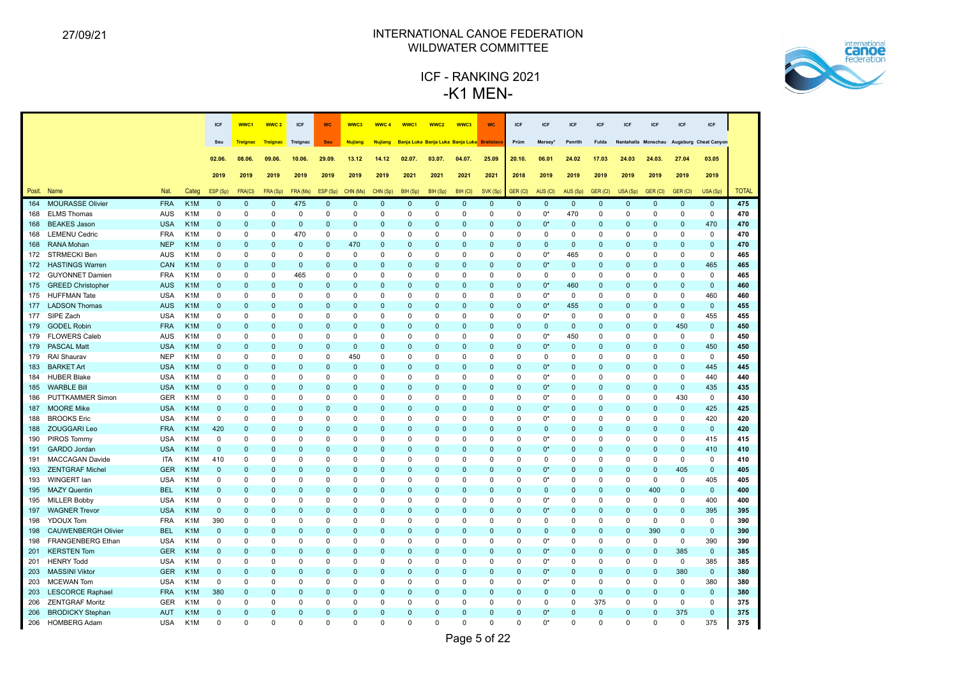

|        |                            |            |                  | ICF          | WWC1            | WWC <sub>2</sub> | ICF          | <b>WC</b>    | WWC3           | WWC <sub>4</sub> | WWC1        | WWC <sub>2</sub>                            | WWC3        | <b>WC</b>   | ICF         | <b>ICF</b>          | ICF          | <b>ICF</b>   | ICF                 | <b>ICF</b>   | <b>ICF</b>   | ICF                   |              |
|--------|----------------------------|------------|------------------|--------------|-----------------|------------------|--------------|--------------|----------------|------------------|-------------|---------------------------------------------|-------------|-------------|-------------|---------------------|--------------|--------------|---------------------|--------------|--------------|-----------------------|--------------|
|        |                            |            |                  | Seu          | <b>Treignac</b> | <b>Treignac</b>  | Treignac     | <b>Seu</b>   | <b>Nujiang</b> | <b>Nujiang</b>   |             | Banja Luka Banja Luka Banja Luka Bratislava |             |             | Prüm        | Mersey <sup>®</sup> | Penrith      | <b>Fulda</b> | Nantahalla Monschau |              |              | Augsburg Cheat Canyon |              |
|        |                            |            |                  |              |                 |                  |              |              |                |                  |             |                                             |             |             |             |                     |              |              |                     |              |              |                       |              |
|        |                            |            |                  | 02.06.       | 08.06.          | 09.06.           | 10.06.       | 29.09.       | 13.12          | 14.12            | 02.07.      | 03.07.                                      | 04.07.      | 25.09       | 20.10.      | 06.01               | 24.02        | 17.03        | 24.03               | 24.03.       | 27.04        | 03.05                 |              |
|        |                            |            |                  | 2019         | 2019            | 2019             | 2019         | 2019         | 2019           | 2019             | 2021        | 2021                                        | 2021        | 2021        | 2018        | 2019                | 2019         | 2019         | 2019                | 2019         | 2019         | 2019                  |              |
| Posit. | Name                       | Nat.       | Categ            | ESP (Sp)     | FRA(CI)         | FRA (Sp)         | FRA (Ms)     | ESP (Sp)     | CHN (Ms)       | CHN (Sp)         | BIH (Sp)    | BIH (Sp)                                    | BIH (CI)    | SVK (Sp)    | GER (CI)    | AUS (CI)            | AUS (Sp)     | GER (CI)     | USA (Sp)            | GER (CI)     | GER (CI)     | USA (Sp)              | <b>TOTAL</b> |
| 164    | <b>MOURASSE Olivier</b>    | <b>FRA</b> | K <sub>1</sub> M | $\mathbf 0$  | $\mathbf 0$     | $\mathbf 0$      | 475          | $\pmb{0}$    | $\pmb{0}$      | $\mathbf 0$      | $\mathbf 0$ | $\pmb{0}$                                   | $\mathsf 0$ | $\mathbf 0$ | $\mathbf 0$ | $\mathbf 0$         | $\mathbf 0$  | $\mathbf 0$  | $\overline{0}$      | $\mathbf 0$  | $\mathbf 0$  | $\mathbf 0$           | 475          |
| 168    | <b>ELMS Thomas</b>         | <b>AUS</b> | K <sub>1</sub> M | 0            | 0               | 0                | 0            | 0            | 0              | 0                | 0           | 0                                           | 0           | 0           | 0           | $0^*$               | 470          | 0            | 0                   | 0            | 0            | $\mathbf 0$           | 470          |
| 168    | <b>BEAKES Jason</b>        | <b>USA</b> | K <sub>1</sub> M | $\mathbf{0}$ | $\Omega$        | $\Omega$         | $\mathbf{0}$ | $\Omega$     | $\Omega$       | $\mathbf 0$      | $\mathbf 0$ | $\mathbf 0$                                 | $\Omega$    | $\Omega$    | $\mathbf 0$ | $0^*$               | $\mathbf 0$  | $\mathbf{0}$ | 0                   | $\mathbf 0$  | $\mathbf 0$  | 470                   | 470          |
| 168    | <b>LEMENU Cedric</b>       | <b>FRA</b> | K <sub>1</sub> M | $\mathbf 0$  | $\Omega$        | $\mathbf 0$      | 470          | $\mathbf 0$  | 0              | $\mathbf 0$      | $\Omega$    | $\mathbf 0$                                 | $\Omega$    | $\Omega$    | $\Omega$    | $\mathbf 0$         | $\mathbf 0$  | $\Omega$     | $\Omega$            | $\mathbf 0$  | $\mathbf 0$  | $\mathbf 0$           | 470          |
| 168    | <b>RANA Mohan</b>          | <b>NEP</b> | K <sub>1</sub> M | $\mathbf{0}$ | $\Omega$        | $\Omega$         | $\mathbf{0}$ | $\Omega$     | 470            | $\mathbf{0}$     | $\Omega$    | $\mathbf{0}$                                | $\Omega$    | $\Omega$    | $\Omega$    | $\mathbf{0}$        | $\Omega$     | $\mathbf 0$  | $\Omega$            | $\Omega$     | $\mathbf{0}$ | $\mathbf{0}$          | 470          |
| 172    | <b>STRMECKI Ben</b>        | <b>AUS</b> | K <sub>1</sub> M | $\mathbf 0$  | $\Omega$        | $\Omega$         | $\Omega$     | $\mathbf 0$  | $\Omega$       | $\mathbf 0$      | $\Omega$    | $\mathbf 0$                                 | $\Omega$    | $\mathbf 0$ | $\Omega$    | $0^*$               | 465          | $\mathbf 0$  | 0                   | $\Omega$     | $\mathbf 0$  | $\pmb{0}$             | 465          |
| 172    | <b>HASTINGS Warren</b>     | CAN        | K <sub>1</sub> M | $\Omega$     | $\Omega$        | $\Omega$         | $\Omega$     | $\Omega$     | $\Omega$       | $\mathbf 0$      | $\Omega$    | $\Omega$                                    | $\Omega$    | $\Omega$    | 0           | $0^*$               | $\Omega$     | $\mathbf{0}$ | 0                   | $\mathbf 0$  | $\Omega$     | 465                   | 465          |
| 172    | <b>GUYONNET Damien</b>     | <b>FRA</b> | K <sub>1</sub> M | 0            | $\Omega$        | $\Omega$         | 465          | 0            | $\Omega$       | 0                | $\Omega$    | 0                                           | $\Omega$    | $\Omega$    | $\Omega$    | $\mathbf 0$         | $\mathbf 0$  | $\mathbf 0$  | 0                   | $\Omega$     | $\Omega$     | $\mathbf 0$           | 465          |
| 175    | <b>GREED Christopher</b>   | <b>AUS</b> | K <sub>1</sub> M | $\mathbf{0}$ | $\Omega$        | $\Omega$         | $\mathbf{0}$ | $\mathbf{0}$ | $\Omega$       | $\mathbf{0}$     | $\Omega$    | $\mathbf{0}$                                | $\Omega$    | $\Omega$    | $\Omega$    | $0^*$               | 460          | $\mathbf{0}$ | $\Omega$            | $\Omega$     | $\Omega$     | $\mathbf{0}$          | 460          |
| 175    | <b>HUFFMAN Tate</b>        | <b>USA</b> | K <sub>1</sub> M | 0            | $\Omega$        | $\Omega$         | $\Omega$     | $\Omega$     | $\Omega$       | $\mathbf 0$      | $\Omega$    | $\Omega$                                    | $\Omega$    | $\Omega$    | $\Omega$    | $0^*$               | $\mathbf 0$  | $\Omega$     | 0                   | $\Omega$     | $\Omega$     | 460                   | 460          |
| 177    | <b>LADSON Thomas</b>       | <b>AUS</b> | K <sub>1</sub> M | $\Omega$     | $\Omega$        | $\mathbf 0$      | 0            | $\mathbf{0}$ | $\Omega$       | $\mathbf 0$      | $\mathbf 0$ | $\mathbf 0$                                 | $\Omega$    | $\mathbf 0$ | 0           | $0^*$               | 455          | $\mathbf 0$  | 0                   | $\mathbf 0$  | $\mathbf 0$  | $\mathbf 0$           | 455          |
| 177    | SIPE Zach                  | <b>USA</b> | K <sub>1</sub> M | 0            | $\Omega$        | $\mathbf 0$      | $\Omega$     | 0            | $\Omega$       | 0                | $\Omega$    | 0                                           | $\Omega$    | $\Omega$    | $\Omega$    | $0^*$               | $\mathbf 0$  | $\mathbf 0$  | 0                   | $\mathbf 0$  | 0            | 455                   | 455          |
| 179    | <b>GODEL Robin</b>         | <b>FRA</b> | K <sub>1</sub> M | $\Omega$     | $\Omega$        | $\Omega$         | $\Omega$     | $\mathbf{0}$ | $\Omega$       | $\mathbf 0$      | $\Omega$    | $\mathbf{0}$                                | $\Omega$    | $\Omega$    | $\Omega$    | $\mathbf{0}$        | $\Omega$     | $\mathbf 0$  | $\Omega$            | $\Omega$     | 450          | $\mathbf{0}$          | 450          |
| 179    | <b>FLOWERS Caleb</b>       | <b>AUS</b> | K <sub>1</sub> M | 0            | $\Omega$        | $\Omega$         | $\Omega$     | $\mathbf 0$  | $\Omega$       | $\mathbf 0$      | $\Omega$    | $\mathbf 0$                                 | $\Omega$    | $\Omega$    | $\Omega$    | $0^*$               | 450          | $\mathbf 0$  | 0                   | $\mathbf 0$  | $\mathbf 0$  | $\mathbf 0$           | 450          |
| 179    | <b>PASCAL Matt</b>         | <b>USA</b> | K <sub>1</sub> M | $\mathbf{0}$ | $\overline{0}$  | $\mathbf 0$      | $\mathbf{0}$ | $\mathbf{0}$ | $\Omega$       | $\mathbf 0$      | $\mathbf 0$ | $\pmb{0}$                                   | $\Omega$    | $\mathbf 0$ | $\mathbf 0$ | $0*$                | $\pmb{0}$    | $\mathbf 0$  | $\mathbf 0$         | $\mathbf 0$  | $\mathbf 0$  | 450                   | 450          |
| 179    | RAI Shaurav                | <b>NEP</b> | K <sub>1</sub> M | 0            | $\Omega$        | $\Omega$         | $\Omega$     | 0            | 450            | 0                | 0           | 0                                           | $\Omega$    | $\Omega$    | $\Omega$    | 0                   | $\mathbf 0$  | $\mathbf 0$  | 0                   | 0            | 0            | $\mathbf 0$           | 450          |
| 183    | <b>BARKET Art</b>          | <b>USA</b> | K <sub>1</sub> M | $\mathbf{0}$ | $\Omega$        | $\Omega$         | $\Omega$     | $\mathbf{0}$ | $\Omega$       | $\mathbf 0$      | $\Omega$    | $\mathbf{0}$                                | $\Omega$    | $\Omega$    | 0           | $0^*$               | $\Omega$     | $\mathbf 0$  | $\Omega$            | $\Omega$     | $\Omega$     | 445                   | 445          |
| 184    | <b>HUBER Blake</b>         | <b>USA</b> | K <sub>1</sub> M | 0            | $\Omega$        | $\Omega$         | $\Omega$     | $\Omega$     | $\Omega$       | $\mathbf 0$      | $\Omega$    | $\mathbf 0$                                 | $\Omega$    | $\Omega$    | $\Omega$    | $0^*$               | $\Omega$     | $\Omega$     | $\Omega$            | $\mathbf 0$  | $\mathbf 0$  | 440                   | 440          |
| 185    | <b>WARBLE Bill</b>         | <b>USA</b> | K <sub>1</sub> M | $\Omega$     | $\Omega$        | $\Omega$         | $\Omega$     | $\Omega$     | $\Omega$       | $\mathbf{0}$     | $\Omega$    | $\mathbf{0}$                                | $\Omega$    | $\Omega$    | $\Omega$    | $0^*$               | $\Omega$     | $\Omega$     | $\Omega$            | $\Omega$     | $\mathbf{0}$ | 435                   | 435          |
| 186    | <b>PUTTKAMMER Simon</b>    | GER        | K <sub>1</sub> M | 0            | $\Omega$        | $\Omega$         | 0            | 0            | $\Omega$       | 0                | 0           | 0                                           | $\Omega$    | $\Omega$    | 0           | $0^*$               | $\mathbf 0$  | $\mathbf 0$  | 0                   | 0            | 430          | 0                     | 430          |
| 187    | <b>MOORE Mike</b>          | <b>USA</b> | K <sub>1</sub> M | $\mathbf{0}$ | $\Omega$        | $\Omega$         | $\Omega$     | $\Omega$     | $\Omega$       | $\mathbf 0$      | $\mathbf 0$ | $\mathbf{0}$                                | $\Omega$    | $\Omega$    | 0           | $0^*$               | $\Omega$     | $\mathbf{0}$ | 0                   | $\Omega$     | $\Omega$     | 425                   | 425          |
| 188    | <b>BROOKS</b> Eric         | <b>USA</b> | K <sub>1</sub> M | $\mathbf 0$  | $\Omega$        | $\Omega$         | $\Omega$     | $\Omega$     | $\Omega$       | 0                | $\Omega$    | 0                                           | $\Omega$    | $\Omega$    | $\Omega$    | $0^*$               | $\Omega$     | $\Omega$     | $\Omega$            | $\mathbf 0$  | $\mathbf 0$  | 420                   | 420          |
| 188    | <b>ZOUGGARI Leo</b>        | <b>FRA</b> | K <sub>1</sub> M | 420          | $\Omega$        | $\Omega$         | $\Omega$     | $\Omega$     | $\Omega$       | $\mathbf{0}$     | $\Omega$    | $\mathbf{0}$                                | $\Omega$    | $\Omega$    | $\Omega$    | $\mathbf{0}$        | $\Omega$     | $\Omega$     | $\Omega$            | $\Omega$     | $\Omega$     | $\mathbf{0}$          | 420          |
| 190    | PIROS Tommy                | <b>USA</b> | K <sub>1</sub> M | $\mathbf 0$  | $\mathbf 0$     | $\Omega$         | $\mathbf 0$  | $\mathbf 0$  | $\Omega$       | $\mathbf 0$      | $\mathbf 0$ | $\mathbf 0$                                 | $\Omega$    | $\Omega$    | $\mathbf 0$ | $0^*$               | $\mathbf 0$  | $\mathbf 0$  | $\Omega$            | 0            | $\mathbf 0$  | 415                   | 415          |
| 191    | <b>GARDO</b> Jordan        | <b>USA</b> | K <sub>1</sub> M | $\mathbf 0$  | $\Omega$        | $\Omega$         | $\Omega$     | $\Omega$     | $\Omega$       | $\mathbf 0$      | $\Omega$    | $\mathbf{0}$                                | $\Omega$    | $\Omega$    | $\mathbf 0$ | $0^*$               | $\Omega$     | $\mathbf{0}$ | $\Omega$            | $\mathbf 0$  | $\Omega$     | 410                   | 410          |
| 191    | <b>MACCAGAN Davide</b>     | <b>ITA</b> | K <sub>1</sub> M | 410          | 0               | $\Omega$         | 0            | 0            | $\Omega$       | 0                | $\mathbf 0$ | 0                                           | $\Omega$    | $\Omega$    | $\Omega$    | $\mathbf 0$         | $\mathbf 0$  | $\mathbf 0$  | 0                   | $\Omega$     | $\mathbf 0$  | $\mathbf 0$           | 410          |
| 193    | <b>ZENTGRAF Michel</b>     | <b>GER</b> | K <sub>1</sub> M | $\mathbf{0}$ | $\Omega$        | $\Omega$         | $\Omega$     | $\Omega$     | $\Omega$       | $\mathbf{0}$     | $\Omega$    | $\mathbf{0}$                                | $\Omega$    | $\Omega$    | $\Omega$    | $0^*$               | $\Omega$     | $\mathbf 0$  | $\Omega$            | $\Omega$     | 405          | $\mathbf{0}$          | 405          |
| 193    | WINGERT lan                | <b>USA</b> | K <sub>1</sub> M | $\mathbf 0$  | $\Omega$        | $\Omega$         | $\Omega$     | $\mathbf 0$  | $\Omega$       | $\mathbf 0$      | $\Omega$    | $\mathbf 0$                                 | $\Omega$    | $\Omega$    | $\Omega$    | $0^*$               | $\mathbf 0$  | $\mathbf 0$  | 0                   | $\mathbf 0$  | $\mathbf 0$  | 405                   | 405          |
| 195    | <b>MAZY Quentin</b>        | <b>BEL</b> | K <sub>1</sub> M | $\mathbf 0$  | $\mathbf 0$     | $\mathbf 0$      | 0            | $\mathbf 0$  | $\Omega$       | $\mathbf 0$      | $\mathbf 0$ | $\mathbf 0$                                 | $\Omega$    | $\mathbf 0$ | 0           | $\mathbf 0$         | $\mathbf 0$  | $\mathbf 0$  | 0                   | 400          | $\mathbf 0$  | $\mathbf 0$           | 400          |
| 195    | <b>MILLER Bobby</b>        | <b>USA</b> | K <sub>1</sub> M | 0            | $\Omega$        | $\mathbf 0$      | 0            | $\mathbf 0$  | $\Omega$       | 0                | 0           | 0                                           | $\Omega$    | $\Omega$    | $\mathbf 0$ | 0*                  | $\mathbf 0$  | $\mathbf 0$  | 0                   | 0            | 0            | 400                   | 400          |
| 197    | <b>WAGNER Trevor</b>       | <b>USA</b> | K <sub>1</sub> M | $\mathbf 0$  | $\Omega$        | $\mathbf 0$      | $\Omega$     | $\mathbf{0}$ | $\Omega$       | $\mathbf 0$      | $\Omega$    | $\mathbf{0}$                                | $\Omega$    | $\mathbf 0$ | $\mathbf 0$ | $0^*$               | $\mathbf{0}$ | $\mathbf 0$  | $\mathbf 0$         | $\mathbf 0$  | $\mathbf 0$  | 395                   | 395          |
| 198    | <b>YDOUX Tom</b>           | <b>FRA</b> | K <sub>1</sub> M | 390          | $\Omega$        | $\Omega$         | $\Omega$     | $\mathbf 0$  | 0              | $\mathbf 0$      | $\mathbf 0$ | $\mathbf 0$                                 | $\Omega$    | $\Omega$    | $\Omega$    | $\mathbf 0$         | $\mathbf 0$  | $\mathbf 0$  | 0                   | 0            | $\mathbf 0$  | $\mathbf 0$           | 390          |
| 198    | <b>CAUWENBERGH Olivier</b> | <b>BEL</b> | K <sub>1</sub> M | $\mathbf{0}$ | $\Omega$        | $\Omega$         | $\Omega$     | $\mathbf{0}$ | $\Omega$       | $\mathbf{0}$     | $\Omega$    | $\mathbf{0}$                                | $\Omega$    | $\Omega$    | $\Omega$    | $\mathbf{0}$        | $\Omega$     | $\mathbf 0$  | $\Omega$            | 390          | $\mathbf{0}$ | $\mathbf{0}$          | 390          |
| 198    | <b>FRANGENBERG Ethan</b>   | <b>USA</b> | K <sub>1</sub> M | 0            | $\mathbf 0$     | 0                | 0            | 0            | 0              | 0                | 0           | 0                                           | $\mathbf 0$ | $\mathbf 0$ | 0           | $0^*$               | 0            | $\mathbf 0$  | 0                   | $\mathbf 0$  | $\mathbf 0$  | 390                   | 390          |
| 201    | <b>KERSTEN Tom</b>         | <b>GER</b> | K <sub>1</sub> M | $\mathbf 0$  | $\Omega$        | $\mathbf 0$      | $\mathbf{0}$ | $\pmb{0}$    | $\Omega$       | $\mathbf 0$      | $\mathbf 0$ | $\pmb{0}$                                   | $\Omega$    | $\mathbf 0$ | $\mathbf 0$ | $0^*$               | $\mathbf 0$  | $\mathbf 0$  | $\mathbf{0}$        | $\mathbf 0$  | 385          | $\mathbf 0$           | 385          |
| 201    | <b>HENRY Todd</b>          | <b>USA</b> | K <sub>1</sub> M | $\mathbf 0$  | $\Omega$        | $\mathbf 0$      | 0            | $\mathbf 0$  | 0              | $\mathbf 0$      | 0           | 0                                           | $\Omega$    | $\Omega$    | 0           | $0^*$               | 0            | $\mathbf 0$  | 0                   | 0            | $\mathbf 0$  | 385                   | 385          |
| 203    | <b>MASSINI Viktor</b>      | <b>GER</b> | K <sub>1</sub> M | $\mathbf 0$  | $\Omega$        | $\Omega$         | $\Omega$     | $\mathbf{0}$ | $\Omega$       | $\mathbf{0}$     | $\Omega$    | $\mathbf{0}$                                | $\Omega$    | $\Omega$    | $\mathbf 0$ | $0^*$               | $\Omega$     | $\Omega$     | $\mathbf{0}$        | $\mathbf{0}$ | 380          | $\mathbf{0}$          | 380          |
| 203    | <b>MCEWAN Tom</b>          | <b>USA</b> | K <sub>1</sub> M | $\mathsf 0$  | $\mathsf 0$     | $\mathbf 0$      | 0            | 0            | $\Omega$       | $\mathbf 0$      | 0           | 0                                           | $\Omega$    | $\mathbf 0$ | $\mathbf 0$ | $0^*$               | 0            | $\mathbf 0$  | 0                   | 0            | $\mathbf 0$  | 380                   | 380          |
| 203    | <b>LESCORCE Raphael</b>    | <b>FRA</b> | K <sub>1</sub> M | 380          | $\mathbf 0$     | $\Omega$         | $\mathbf{0}$ | $\mathbf{0}$ | $\Omega$       | $\mathbf 0$      | $\mathbf 0$ | $\mathbf 0$                                 | $\Omega$    | $\mathbf 0$ | $\mathbf 0$ | $\mathbf{0}$        | $\mathbf 0$  | $\mathbf 0$  | 0                   | $\mathbf 0$  | $\mathbf 0$  | $\mathbf 0$           | 380          |
| 206    | <b>ZENTGRAF Moritz</b>     | <b>GER</b> | K <sub>1</sub> M | $\mathbf 0$  | $\Omega$        | $\Omega$         | $\Omega$     | 0            | $\Omega$       | 0                | $\mathbf 0$ | 0                                           | $\Omega$    | $\Omega$    | $\Omega$    | $\mathbf 0$         | $\mathbf 0$  | 375          | $\mathbf 0$         | $\Omega$     | $\mathbf 0$  | $\mathbf 0$           | 375          |
| 206    | <b>BRODICKY Stephan</b>    | <b>AUT</b> | K <sub>1</sub> M | $\mathbf{0}$ | $\Omega$        | $\Omega$         | $\Omega$     | $\Omega$     | $\Omega$       | $\mathbf{0}$     | $\Omega$    | $\Omega$                                    | $\Omega$    | $\Omega$    | $\Omega$    | $0^*$               | $\Omega$     | $\Omega$     | $\Omega$            | $\Omega$     | 375          | $\mathbf{0}$          | 375          |
|        | 206 HOMBERG Adam           | <b>USA</b> | K <sub>1</sub> M | $\Omega$     | $\Omega$        | $\Omega$         | $\Omega$     | $\Omega$     | $\Omega$       | $\Omega$         | $\Omega$    | $\Omega$                                    | $\Omega$    | $\Omega$    | $\Omega$    | $0^*$               | $\Omega$     | $\Omega$     | $\Omega$            | $\Omega$     | $\Omega$     | 375                   | 375          |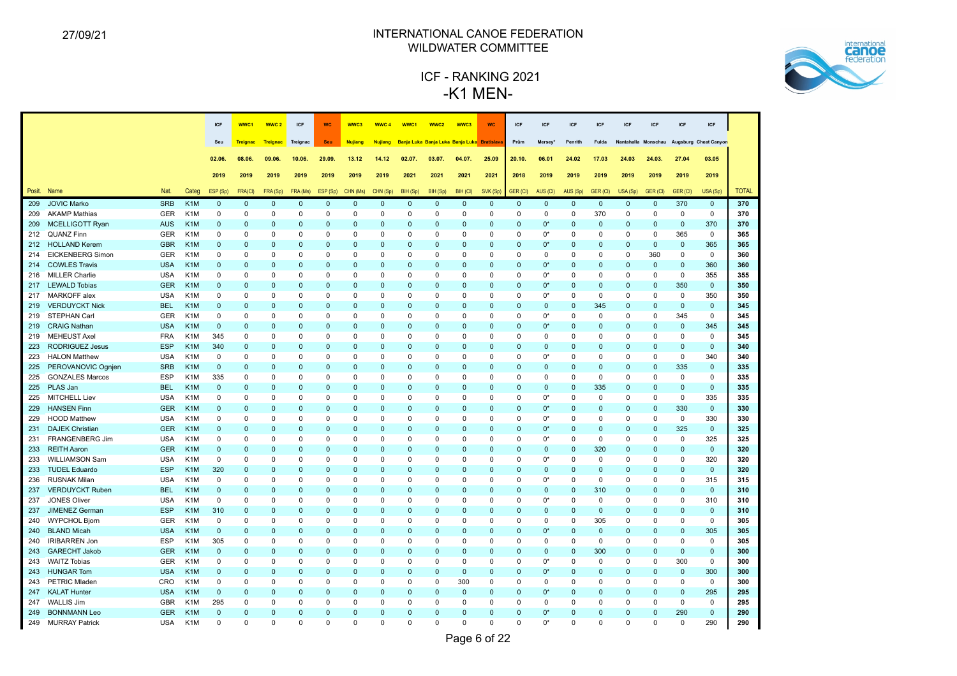

|        |                         |            |                  | <b>ICF</b>   | WWC <sub>1</sub> | WWC <sub>2</sub> | ICF          | <b>WC</b>    | WWC3           | WWC <sub>4</sub> | WWC1        | WWC <sub>2</sub>                            | WWC3        | <b>WC</b>   | ICF             | <b>ICF</b>          | <b>ICF</b>  | <b>ICF</b>   | ICF                 | <b>ICF</b>  | <b>ICF</b>   | ICF                   |              |
|--------|-------------------------|------------|------------------|--------------|------------------|------------------|--------------|--------------|----------------|------------------|-------------|---------------------------------------------|-------------|-------------|-----------------|---------------------|-------------|--------------|---------------------|-------------|--------------|-----------------------|--------------|
|        |                         |            |                  | Seu          | <b>Treignac</b>  | <b>Treignac</b>  | Treignac     | <b>Seu</b>   | <b>Nujiang</b> | <b>Nujiang</b>   |             | Banja Luka Banja Luka Banja Luka Bratislava |             |             | Prüm            | Mersey <sup>®</sup> | Penrith     | <b>Fulda</b> | Nantahalla Monschau |             |              | Augsburg Cheat Canyon |              |
|        |                         |            |                  |              |                  |                  |              |              |                |                  |             |                                             |             |             |                 |                     |             |              |                     |             |              |                       |              |
|        |                         |            |                  | 02.06.       | 08.06.           | 09.06.           | 10.06.       | 29.09.       | 13.12          | 14.12            | 02.07.      | 03.07.                                      | 04.07.      | 25.09       | 20.10.          | 06.01               | 24.02       | 17.03        | 24.03               | 24.03.      | 27.04        | 03.05                 |              |
|        |                         |            |                  | 2019         | 2019             | 2019             | 2019         | 2019         | 2019           | 2019             | 2021        | 2021                                        | 2021        | 2021        | 2018            | 2019                | 2019        | 2019         | 2019                | 2019        | 2019         | 2019                  |              |
| Posit. | Name                    | Nat.       | Categ            | ESP (Sp)     | <b>FRA(CI)</b>   | FRA (Sp)         | FRA (Ms)     | ESP (Sp)     | CHN (Ms)       | CHN (Sp)         | BIH (Sp)    | BIH (Sp)                                    | BIH (CI)    | SVK (Sp)    | <b>GER (CI)</b> | AUS (CI)            | AUS (Sp)    | GER (CI)     | USA (Sp)            | GER (CI)    | GER (CI)     | USA (Sp)              | <b>TOTAL</b> |
| 209    | <b>JOVIC Marko</b>      | <b>SRB</b> | K <sub>1</sub> M | $\mathbf{0}$ | $\overline{0}$   | $\mathbf 0$      | $\mathbf 0$  | $\mathbf{0}$ | $\Omega$       | $\mathbf 0$      | $\mathbf 0$ | $\pmb{0}$                                   | $\mathbf 0$ | $\mathbf 0$ | $\mathbf 0$     | $\mathbf 0$         | $\mathbf 0$ | $\mathbf 0$  | $\mathbf{0}$        | $\mathbf 0$ | 370          | $\mathbf 0$           | 370          |
| 209    | <b>AKAMP Mathias</b>    | <b>GER</b> | K <sub>1</sub> M | 0            | 0                | $\mathbf 0$      | 0            | 0            | 0              | 0                | 0           | 0                                           | 0           | 0           | 0               | $\mathbf 0$         | $\mathbf 0$ | 370          | 0                   | $\mathbf 0$ | $\mathbf 0$  | $\mathbf 0$           | 370          |
| 209    | <b>MCELLIGOTT Ryan</b>  | <b>AUS</b> | K <sub>1</sub> M | $\mathbf{0}$ | $\Omega$         | $\Omega$         | $\Omega$     | $\Omega$     | $\Omega$       | $\mathbf 0$      | $\Omega$    | $\mathbf{0}$                                | $\Omega$    | $\Omega$    | $\mathbf 0$     | $0^*$               | $\Omega$    | $\mathbf{0}$ | 0                   | $\Omega$    | $\mathbf{0}$ | 370                   | 370          |
|        | 212 QUANZ Finn          | <b>GER</b> | K <sub>1</sub> M | $\Omega$     | $\Omega$         | $\Omega$         | $\Omega$     | $\Omega$     | $\Omega$       | $\mathbf 0$      | $\Omega$    | $\Omega$                                    | $\Omega$    | $\Omega$    | $\Omega$        | $0^*$               | $\Omega$    | $\Omega$     | $\Omega$            | $\Omega$    | 365          | $\mathbf 0$           | 365          |
| 212    | <b>HOLLAND Kerem</b>    | <b>GBR</b> | K <sub>1</sub> M | $\mathbf{0}$ | $\Omega$         | $\mathbf 0$      | $\Omega$     | $\Omega$     | $\Omega$       | $\mathbf 0$      | $\Omega$    | $\mathbf{0}$                                | $\Omega$    | $\mathbf 0$ | $\mathbf 0$     | $0^*$               | $\Omega$    | $\mathbf{0}$ | 0                   | $\mathbf 0$ | $\mathbf 0$  | 365                   | 365          |
| 214    | <b>EICKENBERG Simon</b> | <b>GER</b> | K <sub>1</sub> M | 0            | $\Omega$         | $\Omega$         | $\Omega$     | $\Omega$     | $\Omega$       | 0                | $\Omega$    | $\Omega$                                    | $\Omega$    | $\Omega$    | $\Omega$        | $\mathbf 0$         | $\Omega$    | $\mathbf 0$  | 0                   | 360         | 0            | $\mathbf 0$           | 360          |
| 214    | <b>COWLES Travis</b>    | <b>USA</b> | K <sub>1</sub> M | $\Omega$     | $\Omega$         | $\Omega$         | $\Omega$     | $\Omega$     | $\Omega$       | $\Omega$         | $\Omega$    | $\Omega$                                    | $\Omega$    | $\Omega$    | $\Omega$        | $0^*$               | $\Omega$    | $\mathbf 0$  | $\Omega$            | $\Omega$    | $\Omega$     | 360                   | 360          |
| 216    | <b>MILLER Charlie</b>   | <b>USA</b> | K <sub>1</sub> M | $\mathbf 0$  | $\Omega$         | $\Omega$         | $\Omega$     | $\mathbf 0$  | $\Omega$       | $\Omega$         | $\Omega$    | $\mathbf 0$                                 | $\Omega$    | $\Omega$    | $\Omega$        | $0^*$               | $\Omega$    | $\Omega$     | 0                   | $\Omega$    | $\mathbf 0$  | 355                   | 355          |
| 217    | <b>LEWALD Tobias</b>    | <b>GER</b> | K <sub>1</sub> M | $\mathbf{0}$ | $\overline{0}$   | $\mathbf 0$      | $\mathbf 0$  | $\pmb{0}$    | $\Omega$       | $\mathbf 0$      | $\mathbf 0$ | $\pmb{0}$                                   | $\Omega$    | $\mathbf 0$ | $\mathbf 0$     | $0^*$               | $\mathbf 0$ | $\mathbf 0$  | 0                   | $\mathbf 0$ | 350          | $\mathbf 0$           | 350          |
| 217    | MARKOFF alex            | <b>USA</b> | K <sub>1</sub> M | 0            | $\Omega$         | $\Omega$         | $\Omega$     | 0            | $\Omega$       | 0                | $\Omega$    | 0                                           | $\Omega$    | $\Omega$    | 0               | $0^*$               | $\Omega$    | $\mathbf 0$  | 0                   | $\Omega$    | 0            | 350                   | 350          |
| 219    | <b>VERDUYCKT Nick</b>   | <b>BEL</b> | K <sub>1</sub> M | $\Omega$     | $\Omega$         | $\Omega$         | $\Omega$     | $\mathbf{0}$ | $\Omega$       | $\mathbf 0$      | $\Omega$    | $\mathbf{0}$                                | $\Omega$    | $\Omega$    | 0               | $\mathbf{0}$        | $\Omega$    | 345          | $\Omega$            | $\Omega$    | $\mathbf{0}$ | $\mathbf{0}$          | 345          |
| 219    | STEPHAN Carl            | <b>GER</b> | K <sub>1</sub> M | 0            | $\Omega$         | $\Omega$         | $\Omega$     | $\mathbf 0$  | $\Omega$       | $\mathbf 0$      | $\Omega$    | $\mathbf 0$                                 | $\Omega$    | $\Omega$    | $\Omega$        | $0^*$               | $\mathbf 0$ | $\mathbf 0$  | 0                   | $\mathbf 0$ | 345          | $\mathbf 0$           | 345          |
| 219    | <b>CRAIG Nathan</b>     | <b>USA</b> | K <sub>1</sub> M | $\mathbf 0$  | $\overline{0}$   | $\mathbf 0$      | $\mathbf 0$  | $\mathbf{0}$ | $\Omega$       | $\mathbf 0$      | $\mathbf 0$ | $\pmb{0}$                                   | $\Omega$    | $\mathbf 0$ | $\mathbf 0$     | $0*$                | $\mathbf 0$ | $\mathbf 0$  | $\mathbf 0$         | $\mathbf 0$ | $\mathbf 0$  | 345                   | 345          |
| 219    | <b>MEHEUST Axel</b>     | <b>FRA</b> | K <sub>1</sub> M | 345          | $\Omega$         | $\Omega$         | $\Omega$     | 0            | $\Omega$       | 0                | $\Omega$    | 0                                           | $\Omega$    | $\mathbf 0$ | 0               | 0                   | $\Omega$    | $\mathbf 0$  | 0                   | 0           | $\mathbf 0$  | $\mathbf 0$           | 345          |
| 223    | <b>RODRIGUEZ Jesus</b>  | <b>ESP</b> | K <sub>1</sub> M | 340          | $\Omega$         | $\Omega$         | $\Omega$     | $\mathbf{0}$ | $\Omega$       | $\mathbf 0$      | $\Omega$    | $\mathbf{0}$                                | $\Omega$    | $\Omega$    | 0               | $\mathbf{0}$        | $\Omega$    | $\mathbf 0$  | $\Omega$            | $\Omega$    | $\Omega$     | $\mathbf{0}$          | 340          |
| 223    | <b>HALON Matthew</b>    | <b>USA</b> | K <sub>1</sub> M | $\mathbf 0$  | $\Omega$         | $\Omega$         | $\Omega$     | $\mathbf 0$  | $\Omega$       | 0                | $\Omega$    | $\mathbf 0$                                 | $\Omega$    | $\Omega$    | $\Omega$        | $0^*$               | $\Omega$    | $\Omega$     | $\Omega$            | $\Omega$    | $\mathbf 0$  | 340                   | 340          |
| 225    | PEROVANOVIC Ognjen      | <b>SRB</b> | K <sub>1</sub> M | $\mathbf 0$  | $\Omega$         | $\Omega$         | $\Omega$     | $\Omega$     | $\Omega$       | $\mathbf 0$      | $\Omega$    | $\Omega$                                    | $\Omega$    | $\Omega$    | 0               | $\mathbf 0$         | $\Omega$    | $\Omega$     | $\Omega$            | $\Omega$    | 335          | $\mathbf 0$           | 335          |
| 225    | <b>GONZALES Marcos</b>  | <b>ESP</b> | K <sub>1</sub> M | 335          | $\Omega$         | $\Omega$         | $\Omega$     | 0            | $\Omega$       | 0                | 0           | 0                                           | $\Omega$    | $\Omega$    | 0               | $\mathbf 0$         | $\mathbf 0$ | $\mathbf 0$  | 0                   | $\mathbf 0$ | 0            | 0                     | 335          |
| 225    | PLAS Jan                | <b>BEL</b> | K <sub>1</sub> M | $\mathbf{0}$ | $\Omega$         | $\Omega$         | $\Omega$     | $\Omega$     | $\Omega$       | $\mathbf 0$      | $\Omega$    | $\mathbf{0}$                                | $\Omega$    | $\Omega$    | 0               | $\mathbf{0}$        | $\Omega$    | 335          | 0                   | $\Omega$    | $\mathbf{0}$ | $\mathbf{0}$          | 335          |
| 225    | <b>MITCHELL Liev</b>    | <b>USA</b> | K <sub>1</sub> M | $\mathbf 0$  | 0                | $\Omega$         | 0            | $\Omega$     | $\Omega$       | 0                | $\Omega$    | 0                                           | $\Omega$    | $\Omega$    | $\Omega$        | $0^*$               | $\Omega$    | $\mathbf 0$  | $\Omega$            | $\mathbf 0$ | $\mathbf 0$  | 335                   | 335          |
| 229    | <b>HANSEN Finn</b>      | <b>GER</b> | K <sub>1</sub> M | $\Omega$     | $\Omega$         | $\Omega$         | $\Omega$     | $\Omega$     | $\Omega$       | $\mathbf{0}$     | $\Omega$    | $\Omega$                                    | $\Omega$    | $\Omega$    | $\Omega$        | $0^*$               | $\Omega$    | $\Omega$     | $\Omega$            | $\Omega$    | 330          | $\mathbf{0}$          | 330          |
| 229    | <b>HOOD Matthew</b>     | <b>USA</b> | K <sub>1</sub> M | 0            | 0                | $\Omega$         | 0            | $\Omega$     | $\Omega$       | 0                | $\Omega$    | 0                                           | $\Omega$    | $\Omega$    | 0               | $0^*$               | $\Omega$    | $\mathbf 0$  | 0                   | $\Omega$    | $\mathbf 0$  | 330                   | 330          |
| 231    | <b>DAJEK Christian</b>  | <b>GER</b> | K <sub>1</sub> M | $\Omega$     | $\Omega$         | $\Omega$         | $\Omega$     | $\Omega$     | $\Omega$       | $\mathbf 0$      | $\Omega$    | $\Omega$                                    | $\Omega$    | $\Omega$    | $\mathbf 0$     | $0^*$               | $\Omega$    | $\mathbf{0}$ | $\Omega$            | $\Omega$    | 325          | $\mathbf{0}$          | 325          |
| 231    | <b>FRANGENBERG Jim</b>  | <b>USA</b> | K <sub>1</sub> M | 0            | $\Omega$         | $\Omega$         | $\Omega$     | 0            | $\Omega$       | 0                | $\Omega$    | 0                                           | $\Omega$    | $\Omega$    | $\Omega$        | $0^*$               | $\Omega$    | $\mathbf 0$  | 0                   | $\Omega$    | $\mathbf 0$  | 325                   | 325          |
| 233    | <b>REITH Aaron</b>      | <b>GER</b> | K <sub>1</sub> M | $\mathbf{0}$ | $\Omega$         | $\Omega$         | $\Omega$     | $\Omega$     | $\Omega$       | $\mathbf{0}$     | $\Omega$    | $\Omega$                                    | $\Omega$    | $\Omega$    | $\Omega$        | $\mathbf{0}$        | $\Omega$    | 320          | $\Omega$            | $\Omega$    | $\Omega$     | $\mathbf{0}$          | 320          |
| 233    | <b>WILLIAMSON Sam</b>   | <b>USA</b> | K <sub>1</sub> M | 0            | $\mathbf 0$      | 0                | 0            | 0            | $\Omega$       | 0                | 0           | 0                                           | $\Omega$    | $\mathbf 0$ | 0               | 0*                  | 0           | 0            | 0                   | $\mathbf 0$ | 0            | 320                   | 320          |
| 233    | <b>TUDEL Eduardo</b>    | <b>ESP</b> | K <sub>1</sub> M | 320          | $\mathbf 0$      | $\mathbf 0$      | 0            | $\pmb{0}$    | $\Omega$       | $\mathbf 0$      | $\mathbf 0$ | $\mathbf 0$                                 | $\Omega$    | $\mathbf 0$ | 0               | $\mathbf 0$         | $\Omega$    | $\mathbf{0}$ | 0                   | $\mathbf 0$ | $\mathbf 0$  | $\mathbf 0$           | 320          |
| 236    | <b>RUSNAK Milan</b>     | <b>USA</b> | K <sub>1</sub> M | $\mathbf 0$  | $\Omega$         | 0                | $\Omega$     | 0            | $\Omega$       | 0                | 0           | 0                                           | $\Omega$    | $\Omega$    | $\Omega$        | $0^*$               | $\mathbf 0$ | $\mathbf 0$  | 0                   | $\mathbf 0$ | $\mathbf 0$  | 315                   | 315          |
| 237    | <b>VERDUYCKT Ruben</b>  | <b>BEL</b> | K <sub>1</sub> M | $\mathbf{0}$ | $\Omega$         | $\Omega$         | $\Omega$     | $\mathbf{0}$ | $\Omega$       | $\mathbf 0$      | $\Omega$    | $\mathbf{0}$                                | $\Omega$    | $\Omega$    | $\Omega$        | $\mathbf{0}$        | $\Omega$    | 310          | $\Omega$            | $\Omega$    | $\Omega$     | $\mathbf{0}$          | 310          |
| 237    | <b>JONES Oliver</b>     | <b>USA</b> | K <sub>1</sub> M | $\mathsf 0$  | $\mathbf 0$      | $\mathbf 0$      | 0            | 0            | $\Omega$       | $\mathbf 0$      | 0           | 0                                           | $\mathbf 0$ | $\mathbf 0$ | $\mathbf 0$     | $0^*$               | 0           | $\mathbf 0$  | 0                   | 0           | $\mathbf 0$  | 310                   | 310          |
| 237    | JIMENEZ German          | <b>ESP</b> | K <sub>1</sub> M | 310          | $\overline{0}$   | $\mathbf 0$      | $\mathbf{0}$ | $\pmb{0}$    | $\mathbf 0$    | $\mathbf 0$      | $\mathbf 0$ | $\mathbf 0$                                 | $\Omega$    | $\mathbf 0$ | 0               | $\mathbf 0$         | $\mathbf 0$ | $\mathbf 0$  | 0                   | $\mathbf 0$ | $\mathbf 0$  | $\mathbf 0$           | 310          |
| 240    | <b>WYPCHOL Bjorn</b>    | GER        | K <sub>1</sub> M | $\mathbf 0$  | $\Omega$         | 0                | 0            | 0            | $\Omega$       | 0                | $\mathbf 0$ | 0                                           | $\Omega$    | $\mathbf 0$ | $\mathbf 0$     | 0                   | 0           | 305          | 0                   | $\mathbf 0$ | $\mathbf 0$  | $\mathbf 0$           | 305          |
| 240    | <b>BLAND Micah</b>      | <b>USA</b> | K <sub>1</sub> M | $\mathbf 0$  | $\Omega$         | $\Omega$         | $\Omega$     | $\mathbf{0}$ | $\Omega$       | $\mathbf{0}$     | $\Omega$    | $\mathbf{0}$                                | $\Omega$    | $\Omega$    | $\mathbf 0$     | $0^*$               | $\Omega$    | $\mathbf 0$  | $\mathbf 0$         | $\mathbf 0$ | $\Omega$     | 305                   | 305          |
| 240    | <b>IRIBARREN Jon</b>    | <b>ESP</b> | K <sub>1</sub> M | 305          | $\mathsf 0$      | $\mathbf 0$      | 0            | 0            | $\Omega$       | $\mathbf 0$      | 0           | 0                                           | $\Omega$    | $\mathbf 0$ | $\mathbf 0$     | 0                   | 0           | $\mathbf 0$  | 0                   | $\mathbf 0$ | $\mathbf 0$  | $\mathbf 0$           | 305          |
| 243    | <b>GARECHT Jakob</b>    | <b>GER</b> | K <sub>1</sub> M | $\mathbf 0$  | $\Omega$         | $\Omega$         | $\Omega$     | $\mathbf{0}$ | $\Omega$       | $\mathbf 0$      | $\mathbf 0$ | $\mathbf 0$                                 | $\Omega$    | $\mathbf 0$ | $\mathbf 0$     | $\mathbf{0}$        | $\mathbf 0$ | 300          | 0                   | $\mathbf 0$ | $\mathbf 0$  | $\mathbf 0$           | 300          |
| 243    | <b>WAITZ Tobias</b>     | GER        | K <sub>1</sub> M | 0            | $\Omega$         | 0                | 0            | 0            | $\Omega$       | 0                | 0           | 0                                           | $\Omega$    | $\Omega$    | 0               | $0^*$               | $\mathbf 0$ | $\mathbf 0$  | 0                   | $\Omega$    | 300          | $\mathbf 0$           | 300          |
| 243    | <b>HUNGAR Tom</b>       | <b>USA</b> | K <sub>1</sub> M | $\mathbf{0}$ | $\Omega$         | $\Omega$         | $\Omega$     | $\mathbf{0}$ | $\Omega$       | $\mathbf{0}$     | $\Omega$    | $\mathbf{0}$                                | $\Omega$    | $\Omega$    | $\mathbf 0$     | $0^*$               | $\Omega$    | $\mathbf 0$  | $\mathbf 0$         | $\Omega$    | $\mathbf{0}$ | 300                   | 300          |
| 243    | <b>PETRIC Mladen</b>    | CRO        | K <sub>1</sub> M | $\Omega$     | $\Omega$         | $\Omega$         | $\Omega$     | $\Omega$     | $\Omega$       | $\mathbf 0$      | $\Omega$    | $\mathbf 0$                                 | 300         | $\Omega$    | $\Omega$        | $\Omega$            | $\Omega$    | $\Omega$     | $\Omega$            | $\Omega$    | $\Omega$     | $\mathbf 0$           | 300          |
| 247    | <b>KALAT Hunter</b>     | <b>USA</b> | K <sub>1</sub> M | $\mathbf 0$  | $\Omega$         | $\Omega$         | $\Omega$     | $\mathbf{0}$ | $\Omega$       | $\mathbf 0$      | $\Omega$    | $\mathbf{0}$                                | $\Omega$    | $\mathbf 0$ | $\mathbf 0$     | $0^*$               | $\Omega$    | $\mathbf{0}$ | 0                   | $\mathbf 0$ | $\mathbf{0}$ | 295                   | 295          |
| 247    | <b>WALLIS Jim</b>       | <b>GBR</b> | K <sub>1</sub> M | 295          | $\Omega$         | $\Omega$         | $\Omega$     | 0            | $\Omega$       | 0                | $\Omega$    | $\Omega$                                    | $\Omega$    | $\Omega$    | $\Omega$        | $\mathbf 0$         | $\Omega$    | $\mathbf 0$  | 0                   | $\Omega$    | 0            | 0                     | 295          |
| 249    | <b>BONNMANN Leo</b>     | <b>GER</b> | K <sub>1</sub> M | $\Omega$     | $\Omega$         | $\Omega$         | $\Omega$     | $\Omega$     | $\Omega$       | $\Omega$         | $\Omega$    | $\Omega$                                    | $\Omega$    | $\Omega$    | $\Omega$        | $0^*$               | $\Omega$    | $\Omega$     | $\Omega$            | $\Omega$    | 290          | $\mathbf{0}$          | 290          |
|        | 249 MURRAY Patrick      | <b>USA</b> | K <sub>1</sub> M | $\Omega$     | $\Omega$         | $\Omega$         | $\Omega$     | $\Omega$     | $\Omega$       | $\Omega$         | $\Omega$    | $\Omega$                                    | $\Omega$    | $\Omega$    | $\Omega$        | $0^*$               | $\Omega$    | $\Omega$     | $\Omega$            | $\Omega$    | $\Omega$     | 290                   | 290          |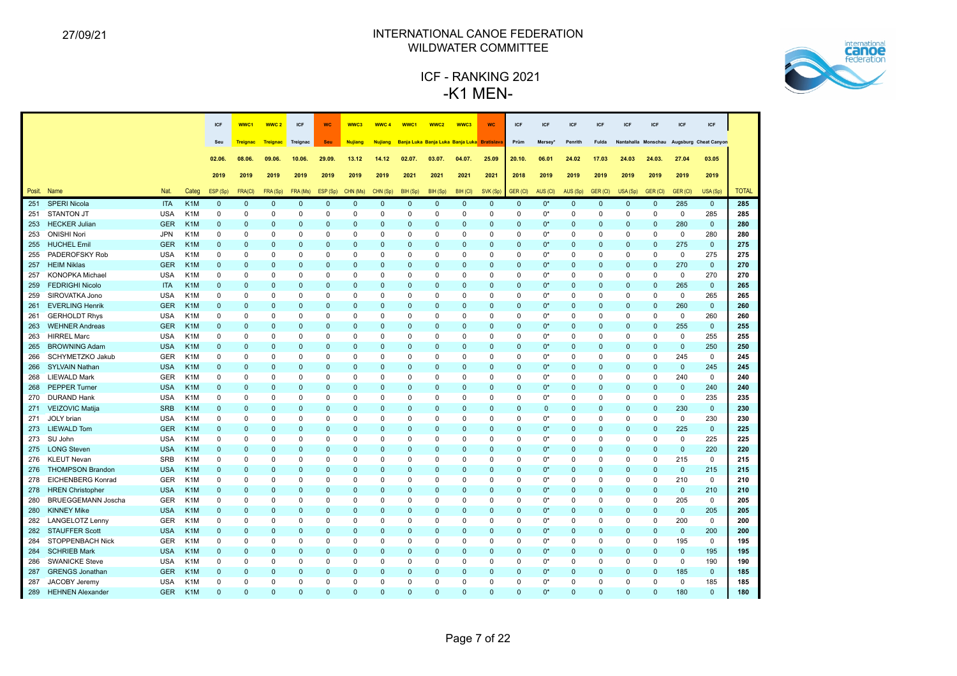

|     |                           |            |                  | ICF          | WWC1            | WWC <sub>2</sub> | ICF          | <b>WC</b> | WWC3           | <b>WWC4</b>    | WWC1         | WWC2                                        | WWC3         | <b>WC</b>   | ICF          | ICF          | ICF          | ICF          | <b>ICF</b>          | ICF          | ICF          | <b>ICF</b>            |              |
|-----|---------------------------|------------|------------------|--------------|-----------------|------------------|--------------|-----------|----------------|----------------|--------------|---------------------------------------------|--------------|-------------|--------------|--------------|--------------|--------------|---------------------|--------------|--------------|-----------------------|--------------|
|     |                           |            |                  |              |                 |                  |              |           |                |                |              |                                             |              |             |              |              |              |              |                     |              |              |                       |              |
|     |                           |            |                  | Seu          | <b>Treignac</b> | <b>Treignac</b>  | Treignac     | Seu       | <b>Nujiang</b> | <b>Nujiang</b> |              | Banja Luka Banja Luka Banja Luka Bratislava |              |             | Prüm         | Mersey'      | Penrith      | Fulda        | Nantahalla Monschau |              |              | Augsburg Cheat Canyon |              |
|     |                           |            |                  | 02.06.       | 08.06.          | 09.06.           | 10.06.       | 29.09.    | 13.12          | 14.12          | 02.07.       | 03.07.                                      | 04.07.       | 25.09       | 20.10.       | 06.01        | 24.02        | 17.03        | 24.03               | 24.03.       | 27.04        | 03.05                 |              |
|     |                           |            |                  | 2019         | 2019            | 2019             | 2019         | 2019      | 2019           | 2019           | 2021         | 2021                                        | 2021         | 2021        | 2018         | 2019         | 2019         | 2019         | 2019                | 2019         | 2019         | 2019                  |              |
|     | Posit. Name               | Nat.       | Categ            | ESP (Sp)     | FRA(CI)         | FRA (Sp)         | FRA (Ms)     | ESP (Sp)  | CHN (Ms)       | CHN (Sp)       | BIH (Sp)     | BIH (Sp)                                    | BIH (CI)     | SVK (Sp)    | GER (CI)     | AUS (CI)     | AUS (Sp)     | GER (CI)     | USA (Sp)            | GER (CI)     | GER (CI)     | USA (Sp)              | <b>TOTAL</b> |
| 251 | <b>SPERI Nicola</b>       | <b>ITA</b> | K <sub>1</sub> M | $\mathbf{0}$ | $\mathbf 0$     | $\mathbf{0}$     | $\mathbf{0}$ | $\Omega$  | $\mathbf{0}$   | $\mathbf 0$    | $\mathbf{0}$ | $\mathbf{0}$                                | $\mathbf{0}$ | $\mathbf 0$ | $\mathbf{0}$ | $0^*$        | $\mathbf{0}$ | $\mathbf 0$  | $\mathbf 0$         | $\mathbf{0}$ | 285          | $\mathbf 0$           | 285          |
| 251 | <b>STANTON JT</b>         | <b>USA</b> | K <sub>1</sub> M | $\Omega$     | $\mathbf 0$     | $\Omega$         | 0            | $\Omega$  | $\Omega$       | $\Omega$       | 0            | $\mathbf 0$                                 | $\Omega$     | $\Omega$    | 0            | $0^*$        | $\Omega$     | $\mathbf 0$  | $\Omega$            | $\mathbf 0$  | $\mathbf 0$  | 285                   | 285          |
| 253 | <b>HECKER Julian</b>      | <b>GER</b> | K <sub>1</sub> M | $\Omega$     | $\mathbf 0$     | $\mathbf{0}$     | $\mathbf 0$  | $\Omega$  | $\mathbf 0$    | $\mathbf 0$    | $\mathbf 0$  | $\mathbf 0$                                 | $\Omega$     | 0           | $\mathbf{0}$ | $0^*$        | $\mathbf{0}$ | $\mathbf 0$  | $\Omega$            | $\mathbf{0}$ | 280          | $\mathbf 0$           | 280          |
| 253 | <b>ONISHI Nori</b>        | <b>JPN</b> | K <sub>1</sub> M | $\Omega$     | 0               | $\Omega$         | $\Omega$     | $\Omega$  | $\mathbf 0$    | $\Omega$       | 0            | $\Omega$                                    | $\Omega$     | 0           | 0            | $0^*$        | $\Omega$     | $\Omega$     | $\Omega$            | $\Omega$     | $\mathbf 0$  | 280                   | 280          |
| 255 | <b>HUCHEL Emil</b>        | <b>GER</b> | K <sub>1</sub> M | $\mathbf{0}$ | $\mathbf 0$     | $\mathbf{0}$     | $\mathbf 0$  | $\Omega$  | $\mathbf{0}$   | $\mathbf 0$    | $\mathbf 0$  | $\mathbf{0}$                                | $\Omega$     | 0           | 0            | $0^*$        | $\mathbf{0}$ | $\mathbf{0}$ | $\mathbf{0}$        | $\mathbf 0$  | 275          | $\mathbf 0$           | 275          |
| 255 | PADEROFSKY Rob            | <b>USA</b> | K <sub>1</sub> M | $\mathbf 0$  | $\mathbf 0$     | 0                | 0            | $\Omega$  | $\mathbf 0$    | $\mathbf 0$    | 0            | 0                                           | $\Omega$     | 0           | 0            | $0^*$        | $\mathbf 0$  | $\mathbf 0$  | 0                   | $\mathbf 0$  | $\mathbf 0$  | 275                   | 275          |
| 257 | <b>HEIM Niklas</b>        | <b>GER</b> | K <sub>1</sub> M | $\mathbf{0}$ | $\mathbf{0}$    | $\mathbf 0$      | $\mathbf{0}$ | $\Omega$  | $\Omega$       | 0              | $\Omega$     | $\Omega$                                    | $\Omega$     | $\Omega$    | 0            | $0^*$        | $\mathbf{0}$ | $\Omega$     | $\Omega$            | $\Omega$     | 270          | $\mathbf{0}$          | 270          |
| 257 | <b>KONOPKA Michael</b>    | <b>USA</b> | K <sub>1</sub> M | $\mathbf 0$  | $\mathbf 0$     | $\Omega$         | $\mathbf 0$  | $\Omega$  | $\mathbf 0$    | $\mathbf 0$    | 0            | $\mathbf 0$                                 | $\Omega$     | 0           | 0            | $0^*$        | $\mathbf 0$  | $\mathbf 0$  | $\Omega$            | $\mathbf 0$  | $\mathbf 0$  | 270                   | 270          |
| 259 | <b>FEDRIGHI Nicolo</b>    | <b>ITA</b> | K <sub>1</sub> M | $\mathbf{0}$ | $\mathbf{0}$    | $\Omega$         | $\mathbf{0}$ | $\Omega$  | $\Omega$       | $\Omega$       | $\mathbf{0}$ | $\Omega$                                    | $\Omega$     | $\Omega$    | $\Omega$     | $0^*$        | $\mathbf{0}$ | $\mathbf{0}$ | $\Omega$            | $\Omega$     | 265          | $\mathbf{0}$          | 265          |
| 259 | SIROVATKA Jono            | <b>USA</b> | K <sub>1</sub> M | 0            | 0               | $\Omega$         | 0            | $\Omega$  | $\mathbf 0$    | $\mathbf 0$    | 0            | $\Omega$                                    | $\Omega$     | 0           | 0            | 0*           | 0            | $\Omega$     | $\Omega$            | $\Omega$     | 0            | 265                   | 265          |
| 261 | <b>EVERLING Henrik</b>    | <b>GER</b> | K <sub>1</sub> M | $\mathbf{0}$ | $\mathbf{0}$    | $\Omega$         | $\mathbf{0}$ | $\Omega$  | $\mathbf{0}$   | $\Omega$       | $\mathbf{0}$ | $\mathbf{0}$                                | $\Omega$     | $\Omega$    | $\Omega$     | $0^*$        | $\mathbf{0}$ | $\mathbf{0}$ | $\Omega$            | $\mathbf{0}$ | 260          | $\mathbf{0}$          | 260          |
| 261 | <b>GERHOLDT Rhys</b>      | <b>USA</b> | K <sub>1</sub> M | 0            | 0               | $\Omega$         | 0            | $\Omega$  | $\Omega$       | $\mathbf 0$    | 0            | $\Omega$                                    | $\Omega$     | 0           | 0            | $0^*$        | 0            | $\mathbf 0$  | $\Omega$            | $\Omega$     | 0            | 260                   | 260          |
| 263 | <b>WEHNER Andreas</b>     | <b>GER</b> | K <sub>1</sub> M | $\mathbf{0}$ | $\mathbf 0$     | $\mathbf 0$      | $\mathbf{0}$ | $\Omega$  | $\Omega$       | $\mathbf 0$    | $\mathbf 0$  | $\Omega$                                    | $\Omega$     | 0           | $\mathbf{0}$ | $0^*$        | $\mathbf{0}$ | $\Omega$     | $\mathbf{0}$        | $\mathbf{0}$ | 255          | $\mathbf 0$           | 255          |
| 263 | <b>HIRREL Marc</b>        | <b>USA</b> | K <sub>1</sub> M | 0            | 0               | $\Omega$         | $\mathbf 0$  | $\Omega$  | $\mathbf 0$    | $\Omega$       | $\mathbf 0$  | $\Omega$                                    | $\Omega$     | 0           | 0            | $0^*$        | $\Omega$     | $\mathbf 0$  | $\Omega$            | $\mathbf 0$  | 0            | 255                   | 255          |
| 265 | <b>BROWNING Adam</b>      | <b>USA</b> | K <sub>1</sub> M | $\Omega$     | $\mathbf 0$     | $\Omega$         | $\mathbf{0}$ | $\Omega$  | $\Omega$       | $\mathbf 0$    | $\mathbf{0}$ | $\Omega$                                    | $\Omega$     | $\Omega$    | $\Omega$     | $0^*$        | $\mathbf{0}$ | $\mathbf{0}$ | $\Omega$            | $\Omega$     | $\mathbf{0}$ | 250                   | 250          |
| 266 | SCHYMETZKO Jakub          | <b>GER</b> | K <sub>1</sub> M | $\Omega$     | 0               | 0                | 0            | $\Omega$  | $\mathbf 0$    | $\Omega$       | 0            | 0                                           | $\Omega$     | $\Omega$    | $\Omega$     | $0^*$        | $\Omega$     | $\Omega$     | 0                   | $\mathbf 0$  | 245          | $\mathbf 0$           | 245          |
| 266 | <b>SYLVAIN Nathan</b>     | <b>USA</b> | K <sub>1</sub> M | $\mathbf{0}$ | $\mathbf 0$     | $\mathbf 0$      | $\mathbf 0$  | $\Omega$  | 0              | 0              | $\mathbf 0$  | $\mathbf 0$                                 | $\Omega$     | 0           | 0            | $0^*$        | $\mathbf{0}$ | $\mathbf 0$  | 0                   | $\mathbf 0$  | $\mathbf 0$  | 245                   | 245          |
| 268 | <b>LIEWALD Mark</b>       | <b>GER</b> | K <sub>1</sub> M | 0            | $\mathbf 0$     | $\Omega$         | $\mathbf 0$  | $\Omega$  | $\Omega$       | $\mathbf 0$    | $\mathbf 0$  | $\Omega$                                    | $\Omega$     | $\Omega$    | $\Omega$     | 0*           | 0            | $\mathbf 0$  | $\Omega$            | $\mathbf 0$  | 240          | $\mathbf 0$           | 240          |
| 268 | <b>PEPPER Turner</b>      | <b>USA</b> | K <sub>1</sub> M | $\Omega$     | $\mathbf 0$     | $\Omega$         | $\mathbf{0}$ | $\Omega$  | $\Omega$       | 0              | $\mathbf 0$  | $\Omega$                                    | $\Omega$     | $\Omega$    | 0            | $0^*$        | $\mathbf{0}$ | $\Omega$     | $\mathbf{0}$        | $\mathbf{0}$ | $\mathbf{0}$ | 240                   | 240          |
| 270 | <b>DURAND Hank</b>        | <b>USA</b> | K <sub>1</sub> M | $\mathbf 0$  | $\mathbf 0$     | $\Omega$         | $\mathbf 0$  | $\Omega$  | $\mathbf 0$    | $\mathbf 0$    | $\mathbf 0$  | $\mathbf 0$                                 | $\mathbf 0$  | $\Omega$    | $\Omega$     | $0^*$        | $\mathbf 0$  | $\mathbf 0$  | 0                   | $\Omega$     | $\mathbf 0$  | 235                   | 235          |
| 271 | <b>VEIZOVIC Matija</b>    | <b>SRB</b> | K <sub>1</sub> M | $\mathbf{0}$ | $\mathbf{0}$    | $\Omega$         | $\mathbf{0}$ | $\Omega$  | $\mathbf{0}$   | $\mathbf 0$    | $\mathbf{0}$ | $\Omega$                                    | $\Omega$     | $\Omega$    | $\Omega$     | $\mathbf{0}$ | $\mathbf{0}$ | $\Omega$     | $\Omega$            | $\Omega$     | 230          | $\mathbf{0}$          | 230          |
| 271 | JOLY brian                | <b>USA</b> | K <sub>1</sub> M | 0            | 0               | 0                | 0            | $\Omega$  | 0              | 0              | 0            | 0                                           | 0            | 0           | 0            | 0*           | 0            | $\mathbf 0$  | 0                   | $\mathbf 0$  | 0            | 230                   | 230          |
| 273 | <b>LIEWALD Tom</b>        | <b>GER</b> | K <sub>1</sub> M | $\mathbf{0}$ | $\mathbf{0}$    | $\Omega$         | $\mathbf{0}$ | $\Omega$  | $\Omega$       | $\Omega$       | $\Omega$     | $\Omega$                                    | $\Omega$     | $\Omega$    | $\Omega$     | $0^*$        | $\mathbf{0}$ | $\Omega$     | $\Omega$            | $\mathbf{0}$ | 225          | $\mathbf{0}$          | 225          |
| 273 | SU John                   | <b>USA</b> | K <sub>1</sub> M | 0            | 0               | $\Omega$         | 0            | $\Omega$  | $\Omega$       | $\mathbf 0$    | 0            | $\Omega$                                    | $\Omega$     | 0           | 0            | 0*           | 0            | $\Omega$     | $\Omega$            | $\mathbf 0$  | $\mathbf 0$  | 225                   | 225          |
| 275 | <b>LONG Steven</b>        | <b>USA</b> | K <sub>1</sub> M | $\mathbf{0}$ | $\mathbf 0$     | $\mathbf{0}$     | $\pmb{0}$    | $\Omega$  | $\mathbf 0$    | $\mathbf 0$    | $\mathbf 0$  | $\mathbf{0}$                                | $\Omega$     | $\mathbf 0$ | $\mathbf 0$  | $0^*$        | $\mathbf{0}$ | $\mathbf 0$  | $\mathbf 0$         | $\mathbf 0$  | $\mathbf 0$  | 220                   | 220          |
| 276 | <b>KLEUT Nevan</b>        | <b>SRB</b> | K <sub>1</sub> M | 0            | $\mathbf 0$     | $\Omega$         | 0            | $\Omega$  | $\Omega$       | $\Omega$       | 0            | $\Omega$                                    | $\Omega$     | 0           | 0            | $0^*$        | 0            | $\Omega$     | $\Omega$            | $\Omega$     | 215          | $\mathbf 0$           | 215          |
| 276 | <b>THOMPSON Brandon</b>   | <b>USA</b> | K <sub>1</sub> M | $\Omega$     | $\mathbf 0$     | $\mathbf{0}$     | $\pmb{0}$    | $\Omega$  | $\mathbf{0}$   | $\overline{0}$ | $\mathbf 0$  | $\mathbf 0$                                 | $\Omega$     | $\mathbf 0$ | $\mathbf 0$  | $0^*$        | $\mathbf{0}$ | $\mathbf 0$  | $\mathbf{0}$        | $\mathbf 0$  | $\mathbf 0$  | 215                   | 215          |
| 278 | <b>EICHENBERG Konrad</b>  | <b>GER</b> | K <sub>1</sub> M | $\mathbf 0$  | 0               | $\mathbf 0$      | $\mathbf 0$  | $\Omega$  | $\mathbf 0$    | $\Omega$       | $\mathbf 0$  | $\mathbf 0$                                 | $\Omega$     | 0           | 0            | $0^*$        | $\mathbf 0$  | $\mathbf 0$  | 0                   | $\mathbf 0$  | 210          | $\mathbf 0$           | 210          |
| 278 | <b>HREN Christopher</b>   | <b>USA</b> | K <sub>1</sub> M | $\mathbf{0}$ | $\mathbf 0$     | $\Omega$         | $\mathbf{0}$ | $\Omega$  | $\Omega$       | 0              | $\mathbf{0}$ | $\Omega$                                    | $\Omega$     | 0           | $\Omega$     | $0^*$        | $\mathbf{0}$ | $\Omega$     | $\Omega$            | $\Omega$     | $\mathbf{0}$ | 210                   | 210          |
| 280 | <b>BRUEGGEMANN Joscha</b> | <b>GER</b> | K <sub>1</sub> M | $\mathbf 0$  | $\mathbf 0$     | 0                | $\mathbf 0$  | $\Omega$  | $\Omega$       | $\mathbf 0$    | $\mathbf 0$  | $\mathbf 0$                                 | $\Omega$     | $\Omega$    | 0            | $0^*$        | $\mathbf 0$  | $\Omega$     | 0                   | $\mathbf 0$  | 205          | $\mathbf 0$           | 205          |
| 280 | <b>KINNEY Mike</b>        | <b>USA</b> | K <sub>1</sub> M | $\mathbf{0}$ | $\mathbf 0$     | $\Omega$         | $\mathbf 0$  | $\Omega$  | $\mathbf{0}$   | 0              | $\mathbf 0$  | $\Omega$                                    | $\mathbf{0}$ | 0           | 0            | $0^*$        | $\mathbf{0}$ | $\mathbf{0}$ | $\Omega$            | $\mathbf 0$  | $\mathbf{0}$ | 205                   | 205          |
| 282 | LANGELOTZ Lenny           | <b>GER</b> | K <sub>1</sub> M | 0            | $\mathbf 0$     | $\Omega$         | 0            | $\Omega$  | $\mathbf 0$    | $\mathbf 0$    | 0            | $\Omega$                                    | $\Omega$     | $\Omega$    | $\Omega$     | $0^*$        | 0            | $\mathbf 0$  | $\Omega$            | $\Omega$     | 200          | $\mathsf 0$           | 200          |
| 282 | <b>STAUFFER Scott</b>     | <b>USA</b> | K <sub>1</sub> M | $\mathbf{0}$ | $\mathbf{0}$    | $\Omega$         | $\mathbf{0}$ | $\Omega$  | $\mathbf{0}$   | $\mathbf 0$    | $\mathbf{0}$ | $\Omega$                                    | $\Omega$     | 0           | $\Omega$     | $0^*$        | $\Omega$     | $\mathbf{0}$ | $\mathbf{0}$        | $\mathbf{0}$ | $\mathbf{0}$ | 200                   | 200          |
| 284 | STOPPENBACH Nick          | <b>GER</b> | K <sub>1</sub> M | 0            | 0               | 0                | 0            | $\Omega$  | $\Omega$       | $\mathbf 0$    | 0            | 0                                           | $\Omega$     | 0           | $\Omega$     | 0*           | $\mathbf 0$  | $\mathbf 0$  | $\Omega$            | $\Omega$     | 195          | $\mathbf 0$           | 195          |
| 284 | <b>SCHRIEB Mark</b>       | <b>USA</b> | K <sub>1</sub> M | $\Omega$     | $\mathbf{0}$    | $\Omega$         | $\mathbf{0}$ | $\Omega$  | $\Omega$       | $\Omega$       | $\Omega$     | $\Omega$                                    | $\Omega$     | $\Omega$    | $\Omega$     | $0^*$        | $\Omega$     | $\Omega$     | $\Omega$            | $\Omega$     | $\Omega$     | 195                   | 195          |
| 286 | <b>SWANICKE Steve</b>     | <b>USA</b> | K <sub>1</sub> M | $\Omega$     | 0               | $\Omega$         | 0            | $\Omega$  | $\Omega$       | $\Omega$       | 0            | $\Omega$                                    | $\Omega$     | 0           | 0            | 0*           | $\Omega$     | $\Omega$     | $\Omega$            | $\mathbf 0$  | $\mathbf 0$  | 190                   | 190          |
| 287 | <b>GRENGS Jonathan</b>    | <b>GER</b> | K <sub>1</sub> M | $\Omega$     | $\mathbf 0$     | $\mathbf 0$      | $\mathbf 0$  | $\Omega$  | $\mathbf{0}$   | $\mathbf 0$    | $\mathbf 0$  | $\mathbf{0}$                                | $\Omega$     | 0           | 0            | $0^*$        | $\mathbf{0}$ | $\mathbf 0$  | $\mathbf{0}$        | $\Omega$     | 185          | $\mathbf 0$           | 185          |
| 287 | JACOBY Jeremy             | <b>USA</b> | K <sub>1</sub> M | $\Omega$     | $\Omega$        | $\Omega$         | $\Omega$     | $\Omega$  | $\Omega$       | $\Omega$       | $\Omega$     | $\Omega$                                    | $\Omega$     | 0           | O            | 0*           | $\Omega$     | $\Omega$     | $\Omega$            | $\Omega$     | $\Omega$     | 185                   | 185          |
|     | 289 HEHNEN Alexander      | <b>GER</b> | K <sub>1</sub> M | $\Omega$     | $\Omega$        | $\Omega$         | $\Omega$     | $\Omega$  | $\Omega$       | n              | $\Omega$     | $\Omega$                                    | $\Omega$     | $\Omega$    | $\Omega$     | $^{\bullet}$ | $\Omega$     | $\Omega$     | $\Omega$            | $\Omega$     | 180          | $\Omega$              | 180          |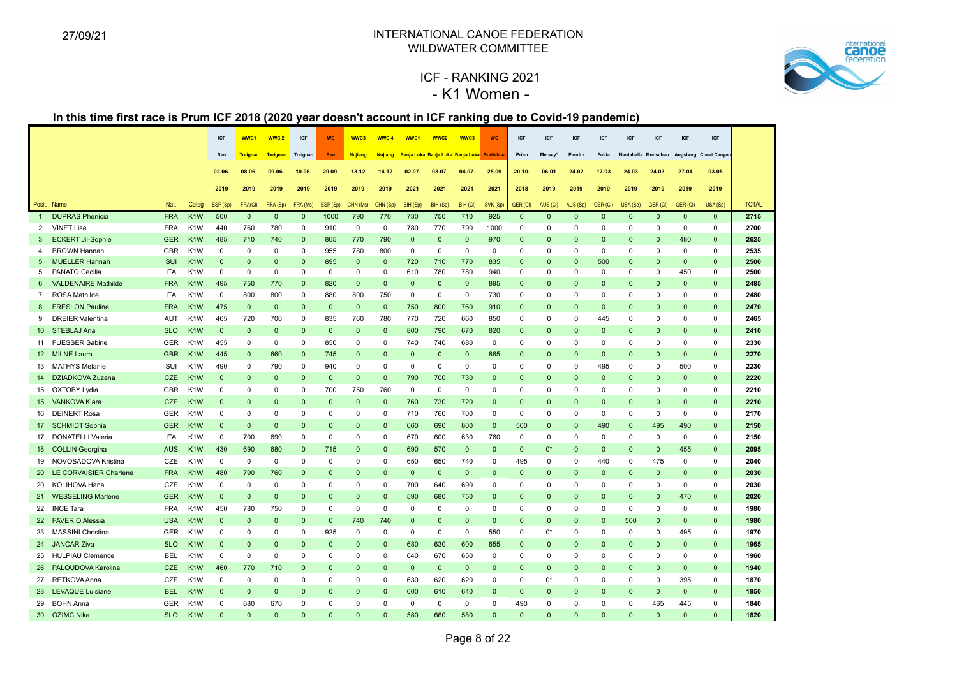

# ICF - RANKING 2021 - K1 Women -

| Banja Luka Banja Luka Banja Luka Bratislava<br>Treignac<br>Treignac<br><b>Seu</b><br><b>Nujiang</b><br><b>Nujiang</b><br>Prüm<br>Mersey*<br>Penrith<br>Fulda<br>Nantahalla Monschau<br>Augsburg Cheat Canyor<br>Seu<br><b>Trejanac</b><br>08.06.<br>09.06.<br>10.06.<br>29.09.<br>02.07.<br>03.07.<br>25.09<br>06.01<br>24.02<br>24.03.<br>27.04<br>03.05<br>02.06.<br>13.12<br>14.12<br>04.07.<br>20.10.<br>17.03<br>24.03<br>2019<br>2019<br>2019<br>2019<br>2019<br>2021<br>2021<br>2021<br>2021<br>2018<br>2019<br>2019<br>2019<br>2019<br>2019<br>2019<br>2019<br>2019<br>2019<br><b>TOTAL</b><br>Posit. Name<br>Nat.<br>Categ<br>ESP (Sp)<br>FRA(CI)<br>FRA (Sp)<br>FRA (Ms)<br>ESP (Sp)<br>CHN (Ms)<br>CHN (Sp)<br>BIH (Sp)<br>BIH (Sp)<br>BIH (CI)<br>SVK (Sp)<br>GER (CI)<br>AUS (CI)<br>AUS (Sp)<br>GER (CI)<br>USA (Sp)<br>GER (CI)<br>GER (CI)<br>USA (Sp)<br><b>DUPRAS Phenicia</b><br>K <sub>1</sub> W<br>500<br>790<br>770<br>730<br>750<br>925<br>$\mathbf{0}$<br>2715<br><b>FRA</b><br>$\mathbf{0}$<br>$\mathbf{0}$<br>$\mathbf{0}$<br>1000<br>710<br>$\mathbf{0}$<br>$\mathbf{0}$<br>$\mathbf{0}$<br>$\mathbf{0}$<br>$\Omega$<br>$\mathbf{0}$<br>$\mathbf{0}$<br>$\mathbf{1}$<br><b>FRA</b><br>780<br>2700<br>VINET Lise<br>K <sub>1</sub> W<br>440<br>760<br>780<br>$\Omega$<br>910<br>$\mathbf 0$<br>0<br>770<br>790<br>1000<br>0<br>0<br>0<br>0<br>$\Omega$<br>0<br>0<br>2<br>$\Omega$<br><b>ECKERT Jil-Sophie</b><br><b>GER</b><br>485<br>740<br>770<br>790<br>$\mathbf{0}$<br>970<br>480<br>$\mathbf{0}$<br>2625<br>K <sub>1</sub> W<br>710<br>$\Omega$<br>865<br>$\mathbf{0}$<br>$\mathbf{0}$<br>$\mathbf{0}$<br>$\mathbf{0}$<br>$\mathbf{0}$<br>$\Omega$<br>$\Omega$<br>$\Omega$<br>3<br>2535<br><b>BROWN Hannah</b><br><b>GBR</b><br>K <sub>1</sub> W<br>$\mathbf 0$<br>$\Omega$<br>955<br>780<br>800<br>$\mathbf 0$<br>$\mathbf 0$<br>$\mathbf 0$<br>0<br>$\mathbf 0$<br>$\Omega$<br>$\mathbf 0$<br>$\mathbf 0$<br>4<br>$\Omega$<br>0<br>0<br>$\Omega$<br>0<br>0<br>2500<br><b>MUELLER Hannah</b><br><b>SUI</b><br>K <sub>1</sub> W<br>$\mathbf{0}$<br>835<br>500<br>$\Omega$<br>$\mathbf{0}$<br>$\mathbf{0}$<br>$\Omega$<br>$\Omega$<br>$\Omega$<br>$\Omega$<br>895<br>$\mathbf{0}$<br>720<br>710<br>770<br>$\Omega$<br>$\mathbf{0}$<br>$\Omega$<br>5<br>$\Omega$<br>PANATO Cecilia<br><b>ITA</b><br>K <sub>1</sub> W<br>$\mathbf 0$<br>0<br>0<br>$\mathbf 0$<br>$\mathbf 0$<br>$\mathbf 0$<br>$\mathbf 0$<br>610<br>780<br>780<br>940<br>0<br>0<br>$\mathbf 0$<br>$\mathbf 0$<br>$\mathbf 0$<br>450<br>$\mathbf 0$<br>2500<br>5<br>0<br><b>VALDENAIRE Mathilde</b><br><b>FRA</b><br>K <sub>1</sub> W<br>495<br>$\mathbf 0$<br>$\mathbf 0$<br>$\mathbf{0}$<br>895<br>$\mathbf 0$<br>$\mathbf 0$<br>$\mathbf{0}$<br>2485<br>750<br>770<br>$\mathbf{0}$<br>820<br>$\mathbf{0}$<br>$\mathbf{0}$<br>$\mathbf{0}$<br>$\mathbf{0}$<br>$\mathbf{0}$<br>$\mathbf{0}$<br>$\mathbf{0}$<br>6<br>$\overline{7}$<br>ROSA Mathilde<br><b>ITA</b><br>K <sub>1</sub> W<br>$\mathbf 0$<br>800<br>800<br>$\mathbf 0$<br>880<br>800<br>750<br>$\mathbf 0$<br>$\mathbf 0$<br>$\mathbf 0$<br>730<br>0<br>0<br>$\mathbf 0$<br>$\mathbf 0$<br>$\mathbf 0$<br>0<br>$\mathbf 0$<br>2480<br>0<br>475<br>$\mathbf 0$<br>2470<br><b>FRESLON Pauline</b><br><b>FRA</b><br>K <sub>1</sub> W<br>$\mathbf 0$<br>$\mathbf{0}$<br>$\mathbf{0}$<br>$\mathbf 0$<br>$\mathbf{0}$<br>750<br>800<br>760<br>910<br>$\mathbf 0$<br>$\mathbf{0}$<br>$\mathbf 0$<br>$\Omega$<br>$\mathbf 0$<br>$\mathbf 0$<br>$\mathbf{0}$<br>8<br>$\mathbf 0$<br><b>DREIER Valentina</b><br>465<br>720<br>700<br>835<br>760<br>780<br>770<br>720<br>660<br>$\mathbf 0$<br>$\mathbf 0$<br>2465<br>9<br>AUT<br>K <sub>1</sub> W<br>$\mathbf 0$<br>850<br>0<br>0<br>0<br>445<br>$\mathbf 0$<br>$\mathbf 0$<br>10 STEBLAJ Ana<br>K <sub>1</sub> W<br>$\mathbf{0}$<br>$\mathbf{0}$<br>800<br>790<br>670<br>820<br>$\mathbf{0}$<br>2410<br><b>SLO</b><br>$\Omega$<br>$\mathbf{0}$<br>$\mathbf{0}$<br>$\mathbf 0$<br>$\mathbf{0}$<br>$\mathbf 0$<br>$\mathbf{0}$<br>$\mathbf{0}$<br>$\mathbf 0$<br>$\mathbf 0$<br>$\mathbf 0$<br>$\mathbf 0$<br><b>FUESSER Sabine</b><br><b>GER</b><br>850<br>$\mathbf 0$<br>$\mathbf 0$<br>$\mathbf 0$<br>2330<br>K <sub>1</sub> W<br>455<br>0<br>$\Omega$<br>$\mathbf 0$<br>740<br>740<br>680<br>$\mathbf 0$<br>0<br>0<br>$\mathbf 0$<br>$\mathbf 0$<br>11<br>0<br>$\mathbf 0$<br>$\Omega$<br><b>GBR</b><br>K <sub>1</sub> W<br>445<br>$\mathbf 0$<br>$\mathbf{0}$<br>2270<br>12 MILNE Laura<br>$\mathbf{0}$<br>660<br>$\Omega$<br>745<br>$\mathbf{0}$<br>$\mathbf{0}$<br>$\mathbf{0}$<br>$\mathbf{0}$<br>$\mathbf 0$<br>865<br>$\Omega$<br>$\mathbf{0}$<br>$\mathbf{0}$<br>$\Omega$<br>$\Omega$<br>$\mathbf 0$<br>490<br>790<br>940<br>$\Omega$<br>$\mathsf 0$<br>495<br>500<br>2230<br>13 MATHYS Melanie<br>SUI<br>K <sub>1</sub> W<br>0<br>$\Omega$<br>$\mathbf 0$<br>$\mathbf 0$<br>$\mathbf 0$<br>$\Omega$<br>$\mathbf 0$<br>0<br>0<br>$\mathbf 0$<br>$\Omega$<br>$\mathbf 0$<br>14 DZIADKOVA Zuzana<br><b>CZE</b><br>K <sub>1</sub> W<br>$\mathbf{0}$<br>$\mathbf{0}$<br>$\mathbf{0}$<br>$\mathbf{0}$<br>$\mathbf{0}$<br>790<br>700<br>730<br>$\overline{0}$<br>$\mathbf{0}$<br>$\mathbf{0}$<br>2220<br>$\Omega$<br>$\Omega$<br>$\Omega$<br>$\mathbf{0}$<br>$\mathbf{0}$<br>$\Omega$<br>$\mathbf{0}$<br>$\mathbf{0}$<br>15 OXTOBY Lydia<br><b>GBR</b><br>$\mathbf 0$<br>700<br>750<br>760<br>$\mathbf 0$<br>$\mathbf 0$<br>$\mathbf 0$<br>$\Omega$<br>$\Omega$<br>$\Omega$<br>$\mathbf 0$<br>$\mathbf 0$<br>2210<br>K <sub>1</sub> W<br>$\Omega$<br>$\Omega$<br>0<br>$\mathbf 0$<br>$\mathbf 0$<br>$\Omega$<br>$\Omega$<br>15 VANKOVA Klara<br><b>CZE</b><br>K <sub>1</sub> W<br>$\mathbf{0}$<br>$\mathbf{0}$<br>760<br>730<br>720<br>$\Omega$<br>$\mathbf{0}$<br>2210<br>$\mathbf{0}$<br>$\mathbf{0}$<br>$\Omega$<br>$\Omega$<br>$\mathbf{0}$<br>$\Omega$<br>$\Omega$<br>$\mathbf{0}$<br>$\mathbf{0}$<br>$\mathbf{0}$<br>$\mathbf{0}$<br>$\Omega$<br>16 DEINERT Rosa<br>GER<br>$\mathbf 0$<br>2170<br>K <sub>1</sub> W<br>$\mathbf 0$<br>$\Omega$<br>$\Omega$<br>$\Omega$<br>0<br>$\mathbf 0$<br>$\mathbf 0$<br>710<br>760<br>700<br>0<br>0<br>0<br>0<br>0<br>0<br>0<br>0<br><b>GER</b><br>K <sub>1</sub> W<br>660<br>690<br>800<br>500<br>490<br>490<br>2150<br>17 SCHMIDT Sophia<br>$\mathbf{0}$<br>$\mathbf{0}$<br>$\mathbf{0}$<br>$\Omega$<br>$\mathbf{0}$<br>$\mathbf{0}$<br>$\mathbf{0}$<br>$\mathbf{0}$<br>$\mathbf{0}$<br>$\mathbf{0}$<br>$\mathbf{0}$<br>495<br>$\mathbf{0}$<br><b>DONATELLI Valeria</b><br><b>ITA</b><br>K <sub>1</sub> W<br>$\mathbf 0$<br>700<br>690<br>$\mathbf 0$<br>$\mathbf 0$<br>$\mathbf 0$<br>$\mathbf 0$<br>670<br>600<br>630<br>760<br>0<br>0<br>$\mathbf 0$<br>$\mathbf 0$<br>$\mathbf 0$<br>$\mathbf 0$<br>$\mathbf 0$<br>2150<br>17<br>$\mathbf 0$<br>430<br>18 COLLIN Georgina<br>K <sub>1</sub> W<br>690<br>680<br>715<br>690<br>570<br>$\Omega$<br>$0^*$<br>455<br>$\mathbf{0}$<br>2095<br><b>AUS</b><br>$\Omega$<br>$\mathbf{0}$<br>$\mathbf{0}$<br>$\mathbf{0}$<br>$\mathbf{0}$<br>$\mathbf{0}$<br>$\mathbf{0}$<br>$\mathbf{0}$<br>$\mathbf{0}$<br>2040<br>19 NOVOSADOVA Kristina<br>CZE<br>$\Omega$<br>475<br>$\mathbf 0$<br>$\mathbf 0$<br>K <sub>1</sub> W<br>0<br>0<br>$\Omega$<br>0<br>$\Omega$<br>$\mathbf 0$<br>650<br>650<br>740<br>0<br>495<br>0<br>0<br>440<br>0<br>20 LE CORVAISIER Charlene<br><b>FRA</b><br>K <sub>1</sub> W<br>480<br>790<br>760<br>$\mathbf{0}$<br>$\Omega$<br>$\Omega$<br>$\mathbf{0}$<br>$\mathbf{0}$<br>$\mathbf{0}$<br>$\Omega$<br>$\mathbf{0}$<br>$\Omega$<br>$\Omega$<br>$\mathbf{0}$<br>$\mathbf{0}$<br>2030<br>$\Omega$<br>$\Omega$<br>$\mathbf{0}$<br>$\Omega$<br>CZE<br>K <sub>1</sub> W<br>$\mathbf 0$<br>$\mathbf 0$<br>$\Omega$<br>700<br>640<br>690<br>$\Omega$<br>0<br>$\mathbf 0$<br>$\Omega$<br>$\mathbf 0$<br>$\mathbf 0$<br>2030<br>20 KOLIHOVA Hana<br>$\Omega$<br>$\Omega$<br>$\Omega$<br>$\mathbf 0$<br>$\Omega$<br>0<br>0<br>21 WESSELING Marlene<br><b>GER</b><br>K <sub>1</sub> W<br>$\mathbf{0}$<br>$\mathbf{0}$<br>$\mathbf{0}$<br>$\mathbf{0}$<br>$\Omega$<br>$\mathbf{0}$<br>590<br>680<br>750<br>$\Omega$<br>$\mathbf{0}$<br>$\Omega$<br>$\mathbf{0}$<br>$\Omega$<br>$\Omega$<br>470<br>$\mathbf{0}$<br>2020<br>$\Omega$<br>$\Omega$<br><b>FRA</b><br>K <sub>1</sub> W |    |                  |  | <b>ICF</b> | WWC1 | WWC <sub>2</sub> | ICF      | <b>WC</b>   | WWC3     | WWC 4       | WWC <sub>1</sub> | WWC <sub>2</sub> | WWC3        | <b>WC</b> | ICF      | <b>ICF</b> | <b>ICF</b> | <b>ICF</b>  | <b>ICF</b>  | <b>ICF</b>  | <b>ICF</b>  | <b>ICF</b>  |      |
|--------------------------------------------------------------------------------------------------------------------------------------------------------------------------------------------------------------------------------------------------------------------------------------------------------------------------------------------------------------------------------------------------------------------------------------------------------------------------------------------------------------------------------------------------------------------------------------------------------------------------------------------------------------------------------------------------------------------------------------------------------------------------------------------------------------------------------------------------------------------------------------------------------------------------------------------------------------------------------------------------------------------------------------------------------------------------------------------------------------------------------------------------------------------------------------------------------------------------------------------------------------------------------------------------------------------------------------------------------------------------------------------------------------------------------------------------------------------------------------------------------------------------------------------------------------------------------------------------------------------------------------------------------------------------------------------------------------------------------------------------------------------------------------------------------------------------------------------------------------------------------------------------------------------------------------------------------------------------------------------------------------------------------------------------------------------------------------------------------------------------------------------------------------------------------------------------------------------------------------------------------------------------------------------------------------------------------------------------------------------------------------------------------------------------------------------------------------------------------------------------------------------------------------------------------------------------------------------------------------------------------------------------------------------------------------------------------------------------------------------------------------------------------------------------------------------------------------------------------------------------------------------------------------------------------------------------------------------------------------------------------------------------------------------------------------------------------------------------------------------------------------------------------------------------------------------------------------------------------------------------------------------------------------------------------------------------------------------------------------------------------------------------------------------------------------------------------------------------------------------------------------------------------------------------------------------------------------------------------------------------------------------------------------------------------------------------------------------------------------------------------------------------------------------------------------------------------------------------------------------------------------------------------------------------------------------------------------------------------------------------------------------------------------------------------------------------------------------------------------------------------------------------------------------------------------------------------------------------------------------------------------------------------------------------------------------------------------------------------------------------------------------------------------------------------------------------------------------------------------------------------------------------------------------------------------------------------------------------------------------------------------------------------------------------------------------------------------------------------------------------------------------------------------------------------------------------------------------------------------------------------------------------------------------------------------------------------------------------------------------------------------------------------------------------------------------------------------------------------------------------------------------------------------------------------------------------------------------------------------------------------------------------------------------------------------------------------------------------------------------------------------------------------------------------------------------------------------------------------------------------------------------------------------------------------------------------------------------------------------------------------------------------------------------------------------------------------------------------------------------------------------------------------------------------------------------------------------------------------------------------------------------------------------------------------------------------------------------------------------------------------------------------------------------------------------------------------------------------------------------------------------------------------------------------------------------------------------------------------------------------------------------------------------------------------------------------------------------------------------------------------------------------------------------------------------------------------------------------------------------------------------------------------------------------------------------------------------------------------------------------------------------------------------------------------------------------------------------------------------------------------------------------------------------------------------------------------------------------------------------------------------------------------------------------------------------------------------------------------------------------------------------------------------------------------------------------------------------------------------------------------------------------------------------------------------------------------------------------------------------------------------------------------------------------------------------------------------------------------------------------------------------------------------------------------------------------------------------------------------------------------------------------------------------------------------------------------------------------------------------------------------------------------------------------------------------------------------------------------------------------------------------------------------------------------------------------------------------------------------------------------------------------------------------------------------------------------------------------------------------------------------------------------------------------------------------------------------------------------------------------------------------------------------------------------------------------------------------------------------------------------------------------------------|----|------------------|--|------------|------|------------------|----------|-------------|----------|-------------|------------------|------------------|-------------|-----------|----------|------------|------------|-------------|-------------|-------------|-------------|-------------|------|
|                                                                                                                                                                                                                                                                                                                                                                                                                                                                                                                                                                                                                                                                                                                                                                                                                                                                                                                                                                                                                                                                                                                                                                                                                                                                                                                                                                                                                                                                                                                                                                                                                                                                                                                                                                                                                                                                                                                                                                                                                                                                                                                                                                                                                                                                                                                                                                                                                                                                                                                                                                                                                                                                                                                                                                                                                                                                                                                                                                                                                                                                                                                                                                                                                                                                                                                                                                                                                                                                                                                                                                                                                                                                                                                                                                                                                                                                                                                                                                                                                                                                                                                                                                                                                                                                                                                                                                                                                                                                                                                                                                                                                                                                                                                                                                                                                                                                                                                                                                                                                                                                                                                                                                                                                                                                                                                                                                                                                                                                                                                                                                                                                                                                                                                                                                                                                                                                                                                                                                                                                                                                                                                                                                                                                                                                                                                                                                                                                                                                                                                                                                                                                                                                                                                                                                                                                                                                                                                                                                                                                                                                                                                                                                                                                                                                                                                                                                                                                                                                                                                                                                                                                                                                                                                                                                                                                                                                                                                                                                                                                                                                                                                                                                                                                                                                                      |    |                  |  |            |      |                  |          |             |          |             |                  |                  |             |           |          |            |            |             |             |             |             |             |      |
|                                                                                                                                                                                                                                                                                                                                                                                                                                                                                                                                                                                                                                                                                                                                                                                                                                                                                                                                                                                                                                                                                                                                                                                                                                                                                                                                                                                                                                                                                                                                                                                                                                                                                                                                                                                                                                                                                                                                                                                                                                                                                                                                                                                                                                                                                                                                                                                                                                                                                                                                                                                                                                                                                                                                                                                                                                                                                                                                                                                                                                                                                                                                                                                                                                                                                                                                                                                                                                                                                                                                                                                                                                                                                                                                                                                                                                                                                                                                                                                                                                                                                                                                                                                                                                                                                                                                                                                                                                                                                                                                                                                                                                                                                                                                                                                                                                                                                                                                                                                                                                                                                                                                                                                                                                                                                                                                                                                                                                                                                                                                                                                                                                                                                                                                                                                                                                                                                                                                                                                                                                                                                                                                                                                                                                                                                                                                                                                                                                                                                                                                                                                                                                                                                                                                                                                                                                                                                                                                                                                                                                                                                                                                                                                                                                                                                                                                                                                                                                                                                                                                                                                                                                                                                                                                                                                                                                                                                                                                                                                                                                                                                                                                                                                                                                                                                      |    |                  |  |            |      |                  |          |             |          |             |                  |                  |             |           |          |            |            |             |             |             |             |             |      |
|                                                                                                                                                                                                                                                                                                                                                                                                                                                                                                                                                                                                                                                                                                                                                                                                                                                                                                                                                                                                                                                                                                                                                                                                                                                                                                                                                                                                                                                                                                                                                                                                                                                                                                                                                                                                                                                                                                                                                                                                                                                                                                                                                                                                                                                                                                                                                                                                                                                                                                                                                                                                                                                                                                                                                                                                                                                                                                                                                                                                                                                                                                                                                                                                                                                                                                                                                                                                                                                                                                                                                                                                                                                                                                                                                                                                                                                                                                                                                                                                                                                                                                                                                                                                                                                                                                                                                                                                                                                                                                                                                                                                                                                                                                                                                                                                                                                                                                                                                                                                                                                                                                                                                                                                                                                                                                                                                                                                                                                                                                                                                                                                                                                                                                                                                                                                                                                                                                                                                                                                                                                                                                                                                                                                                                                                                                                                                                                                                                                                                                                                                                                                                                                                                                                                                                                                                                                                                                                                                                                                                                                                                                                                                                                                                                                                                                                                                                                                                                                                                                                                                                                                                                                                                                                                                                                                                                                                                                                                                                                                                                                                                                                                                                                                                                                                                      |    |                  |  |            |      |                  |          |             |          |             |                  |                  |             |           |          |            |            |             |             |             |             |             |      |
|                                                                                                                                                                                                                                                                                                                                                                                                                                                                                                                                                                                                                                                                                                                                                                                                                                                                                                                                                                                                                                                                                                                                                                                                                                                                                                                                                                                                                                                                                                                                                                                                                                                                                                                                                                                                                                                                                                                                                                                                                                                                                                                                                                                                                                                                                                                                                                                                                                                                                                                                                                                                                                                                                                                                                                                                                                                                                                                                                                                                                                                                                                                                                                                                                                                                                                                                                                                                                                                                                                                                                                                                                                                                                                                                                                                                                                                                                                                                                                                                                                                                                                                                                                                                                                                                                                                                                                                                                                                                                                                                                                                                                                                                                                                                                                                                                                                                                                                                                                                                                                                                                                                                                                                                                                                                                                                                                                                                                                                                                                                                                                                                                                                                                                                                                                                                                                                                                                                                                                                                                                                                                                                                                                                                                                                                                                                                                                                                                                                                                                                                                                                                                                                                                                                                                                                                                                                                                                                                                                                                                                                                                                                                                                                                                                                                                                                                                                                                                                                                                                                                                                                                                                                                                                                                                                                                                                                                                                                                                                                                                                                                                                                                                                                                                                                                                      |    |                  |  |            |      |                  |          |             |          |             |                  |                  |             |           |          |            |            |             |             |             |             |             |      |
|                                                                                                                                                                                                                                                                                                                                                                                                                                                                                                                                                                                                                                                                                                                                                                                                                                                                                                                                                                                                                                                                                                                                                                                                                                                                                                                                                                                                                                                                                                                                                                                                                                                                                                                                                                                                                                                                                                                                                                                                                                                                                                                                                                                                                                                                                                                                                                                                                                                                                                                                                                                                                                                                                                                                                                                                                                                                                                                                                                                                                                                                                                                                                                                                                                                                                                                                                                                                                                                                                                                                                                                                                                                                                                                                                                                                                                                                                                                                                                                                                                                                                                                                                                                                                                                                                                                                                                                                                                                                                                                                                                                                                                                                                                                                                                                                                                                                                                                                                                                                                                                                                                                                                                                                                                                                                                                                                                                                                                                                                                                                                                                                                                                                                                                                                                                                                                                                                                                                                                                                                                                                                                                                                                                                                                                                                                                                                                                                                                                                                                                                                                                                                                                                                                                                                                                                                                                                                                                                                                                                                                                                                                                                                                                                                                                                                                                                                                                                                                                                                                                                                                                                                                                                                                                                                                                                                                                                                                                                                                                                                                                                                                                                                                                                                                                                                      |    |                  |  |            |      |                  |          |             |          |             |                  |                  |             |           |          |            |            |             |             |             |             |             |      |
|                                                                                                                                                                                                                                                                                                                                                                                                                                                                                                                                                                                                                                                                                                                                                                                                                                                                                                                                                                                                                                                                                                                                                                                                                                                                                                                                                                                                                                                                                                                                                                                                                                                                                                                                                                                                                                                                                                                                                                                                                                                                                                                                                                                                                                                                                                                                                                                                                                                                                                                                                                                                                                                                                                                                                                                                                                                                                                                                                                                                                                                                                                                                                                                                                                                                                                                                                                                                                                                                                                                                                                                                                                                                                                                                                                                                                                                                                                                                                                                                                                                                                                                                                                                                                                                                                                                                                                                                                                                                                                                                                                                                                                                                                                                                                                                                                                                                                                                                                                                                                                                                                                                                                                                                                                                                                                                                                                                                                                                                                                                                                                                                                                                                                                                                                                                                                                                                                                                                                                                                                                                                                                                                                                                                                                                                                                                                                                                                                                                                                                                                                                                                                                                                                                                                                                                                                                                                                                                                                                                                                                                                                                                                                                                                                                                                                                                                                                                                                                                                                                                                                                                                                                                                                                                                                                                                                                                                                                                                                                                                                                                                                                                                                                                                                                                                                      |    |                  |  |            |      |                  |          |             |          |             |                  |                  |             |           |          |            |            |             |             |             |             |             |      |
|                                                                                                                                                                                                                                                                                                                                                                                                                                                                                                                                                                                                                                                                                                                                                                                                                                                                                                                                                                                                                                                                                                                                                                                                                                                                                                                                                                                                                                                                                                                                                                                                                                                                                                                                                                                                                                                                                                                                                                                                                                                                                                                                                                                                                                                                                                                                                                                                                                                                                                                                                                                                                                                                                                                                                                                                                                                                                                                                                                                                                                                                                                                                                                                                                                                                                                                                                                                                                                                                                                                                                                                                                                                                                                                                                                                                                                                                                                                                                                                                                                                                                                                                                                                                                                                                                                                                                                                                                                                                                                                                                                                                                                                                                                                                                                                                                                                                                                                                                                                                                                                                                                                                                                                                                                                                                                                                                                                                                                                                                                                                                                                                                                                                                                                                                                                                                                                                                                                                                                                                                                                                                                                                                                                                                                                                                                                                                                                                                                                                                                                                                                                                                                                                                                                                                                                                                                                                                                                                                                                                                                                                                                                                                                                                                                                                                                                                                                                                                                                                                                                                                                                                                                                                                                                                                                                                                                                                                                                                                                                                                                                                                                                                                                                                                                                                                      |    |                  |  |            |      |                  |          |             |          |             |                  |                  |             |           |          |            |            |             |             |             |             |             |      |
|                                                                                                                                                                                                                                                                                                                                                                                                                                                                                                                                                                                                                                                                                                                                                                                                                                                                                                                                                                                                                                                                                                                                                                                                                                                                                                                                                                                                                                                                                                                                                                                                                                                                                                                                                                                                                                                                                                                                                                                                                                                                                                                                                                                                                                                                                                                                                                                                                                                                                                                                                                                                                                                                                                                                                                                                                                                                                                                                                                                                                                                                                                                                                                                                                                                                                                                                                                                                                                                                                                                                                                                                                                                                                                                                                                                                                                                                                                                                                                                                                                                                                                                                                                                                                                                                                                                                                                                                                                                                                                                                                                                                                                                                                                                                                                                                                                                                                                                                                                                                                                                                                                                                                                                                                                                                                                                                                                                                                                                                                                                                                                                                                                                                                                                                                                                                                                                                                                                                                                                                                                                                                                                                                                                                                                                                                                                                                                                                                                                                                                                                                                                                                                                                                                                                                                                                                                                                                                                                                                                                                                                                                                                                                                                                                                                                                                                                                                                                                                                                                                                                                                                                                                                                                                                                                                                                                                                                                                                                                                                                                                                                                                                                                                                                                                                                                      |    |                  |  |            |      |                  |          |             |          |             |                  |                  |             |           |          |            |            |             |             |             |             |             |      |
|                                                                                                                                                                                                                                                                                                                                                                                                                                                                                                                                                                                                                                                                                                                                                                                                                                                                                                                                                                                                                                                                                                                                                                                                                                                                                                                                                                                                                                                                                                                                                                                                                                                                                                                                                                                                                                                                                                                                                                                                                                                                                                                                                                                                                                                                                                                                                                                                                                                                                                                                                                                                                                                                                                                                                                                                                                                                                                                                                                                                                                                                                                                                                                                                                                                                                                                                                                                                                                                                                                                                                                                                                                                                                                                                                                                                                                                                                                                                                                                                                                                                                                                                                                                                                                                                                                                                                                                                                                                                                                                                                                                                                                                                                                                                                                                                                                                                                                                                                                                                                                                                                                                                                                                                                                                                                                                                                                                                                                                                                                                                                                                                                                                                                                                                                                                                                                                                                                                                                                                                                                                                                                                                                                                                                                                                                                                                                                                                                                                                                                                                                                                                                                                                                                                                                                                                                                                                                                                                                                                                                                                                                                                                                                                                                                                                                                                                                                                                                                                                                                                                                                                                                                                                                                                                                                                                                                                                                                                                                                                                                                                                                                                                                                                                                                                                                      |    |                  |  |            |      |                  |          |             |          |             |                  |                  |             |           |          |            |            |             |             |             |             |             |      |
|                                                                                                                                                                                                                                                                                                                                                                                                                                                                                                                                                                                                                                                                                                                                                                                                                                                                                                                                                                                                                                                                                                                                                                                                                                                                                                                                                                                                                                                                                                                                                                                                                                                                                                                                                                                                                                                                                                                                                                                                                                                                                                                                                                                                                                                                                                                                                                                                                                                                                                                                                                                                                                                                                                                                                                                                                                                                                                                                                                                                                                                                                                                                                                                                                                                                                                                                                                                                                                                                                                                                                                                                                                                                                                                                                                                                                                                                                                                                                                                                                                                                                                                                                                                                                                                                                                                                                                                                                                                                                                                                                                                                                                                                                                                                                                                                                                                                                                                                                                                                                                                                                                                                                                                                                                                                                                                                                                                                                                                                                                                                                                                                                                                                                                                                                                                                                                                                                                                                                                                                                                                                                                                                                                                                                                                                                                                                                                                                                                                                                                                                                                                                                                                                                                                                                                                                                                                                                                                                                                                                                                                                                                                                                                                                                                                                                                                                                                                                                                                                                                                                                                                                                                                                                                                                                                                                                                                                                                                                                                                                                                                                                                                                                                                                                                                                                      |    |                  |  |            |      |                  |          |             |          |             |                  |                  |             |           |          |            |            |             |             |             |             |             |      |
|                                                                                                                                                                                                                                                                                                                                                                                                                                                                                                                                                                                                                                                                                                                                                                                                                                                                                                                                                                                                                                                                                                                                                                                                                                                                                                                                                                                                                                                                                                                                                                                                                                                                                                                                                                                                                                                                                                                                                                                                                                                                                                                                                                                                                                                                                                                                                                                                                                                                                                                                                                                                                                                                                                                                                                                                                                                                                                                                                                                                                                                                                                                                                                                                                                                                                                                                                                                                                                                                                                                                                                                                                                                                                                                                                                                                                                                                                                                                                                                                                                                                                                                                                                                                                                                                                                                                                                                                                                                                                                                                                                                                                                                                                                                                                                                                                                                                                                                                                                                                                                                                                                                                                                                                                                                                                                                                                                                                                                                                                                                                                                                                                                                                                                                                                                                                                                                                                                                                                                                                                                                                                                                                                                                                                                                                                                                                                                                                                                                                                                                                                                                                                                                                                                                                                                                                                                                                                                                                                                                                                                                                                                                                                                                                                                                                                                                                                                                                                                                                                                                                                                                                                                                                                                                                                                                                                                                                                                                                                                                                                                                                                                                                                                                                                                                                                      |    |                  |  |            |      |                  |          |             |          |             |                  |                  |             |           |          |            |            |             |             |             |             |             |      |
|                                                                                                                                                                                                                                                                                                                                                                                                                                                                                                                                                                                                                                                                                                                                                                                                                                                                                                                                                                                                                                                                                                                                                                                                                                                                                                                                                                                                                                                                                                                                                                                                                                                                                                                                                                                                                                                                                                                                                                                                                                                                                                                                                                                                                                                                                                                                                                                                                                                                                                                                                                                                                                                                                                                                                                                                                                                                                                                                                                                                                                                                                                                                                                                                                                                                                                                                                                                                                                                                                                                                                                                                                                                                                                                                                                                                                                                                                                                                                                                                                                                                                                                                                                                                                                                                                                                                                                                                                                                                                                                                                                                                                                                                                                                                                                                                                                                                                                                                                                                                                                                                                                                                                                                                                                                                                                                                                                                                                                                                                                                                                                                                                                                                                                                                                                                                                                                                                                                                                                                                                                                                                                                                                                                                                                                                                                                                                                                                                                                                                                                                                                                                                                                                                                                                                                                                                                                                                                                                                                                                                                                                                                                                                                                                                                                                                                                                                                                                                                                                                                                                                                                                                                                                                                                                                                                                                                                                                                                                                                                                                                                                                                                                                                                                                                                                                      |    |                  |  |            |      |                  |          |             |          |             |                  |                  |             |           |          |            |            |             |             |             |             |             |      |
|                                                                                                                                                                                                                                                                                                                                                                                                                                                                                                                                                                                                                                                                                                                                                                                                                                                                                                                                                                                                                                                                                                                                                                                                                                                                                                                                                                                                                                                                                                                                                                                                                                                                                                                                                                                                                                                                                                                                                                                                                                                                                                                                                                                                                                                                                                                                                                                                                                                                                                                                                                                                                                                                                                                                                                                                                                                                                                                                                                                                                                                                                                                                                                                                                                                                                                                                                                                                                                                                                                                                                                                                                                                                                                                                                                                                                                                                                                                                                                                                                                                                                                                                                                                                                                                                                                                                                                                                                                                                                                                                                                                                                                                                                                                                                                                                                                                                                                                                                                                                                                                                                                                                                                                                                                                                                                                                                                                                                                                                                                                                                                                                                                                                                                                                                                                                                                                                                                                                                                                                                                                                                                                                                                                                                                                                                                                                                                                                                                                                                                                                                                                                                                                                                                                                                                                                                                                                                                                                                                                                                                                                                                                                                                                                                                                                                                                                                                                                                                                                                                                                                                                                                                                                                                                                                                                                                                                                                                                                                                                                                                                                                                                                                                                                                                                                                      |    |                  |  |            |      |                  |          |             |          |             |                  |                  |             |           |          |            |            |             |             |             |             |             |      |
|                                                                                                                                                                                                                                                                                                                                                                                                                                                                                                                                                                                                                                                                                                                                                                                                                                                                                                                                                                                                                                                                                                                                                                                                                                                                                                                                                                                                                                                                                                                                                                                                                                                                                                                                                                                                                                                                                                                                                                                                                                                                                                                                                                                                                                                                                                                                                                                                                                                                                                                                                                                                                                                                                                                                                                                                                                                                                                                                                                                                                                                                                                                                                                                                                                                                                                                                                                                                                                                                                                                                                                                                                                                                                                                                                                                                                                                                                                                                                                                                                                                                                                                                                                                                                                                                                                                                                                                                                                                                                                                                                                                                                                                                                                                                                                                                                                                                                                                                                                                                                                                                                                                                                                                                                                                                                                                                                                                                                                                                                                                                                                                                                                                                                                                                                                                                                                                                                                                                                                                                                                                                                                                                                                                                                                                                                                                                                                                                                                                                                                                                                                                                                                                                                                                                                                                                                                                                                                                                                                                                                                                                                                                                                                                                                                                                                                                                                                                                                                                                                                                                                                                                                                                                                                                                                                                                                                                                                                                                                                                                                                                                                                                                                                                                                                                                                      |    |                  |  |            |      |                  |          |             |          |             |                  |                  |             |           |          |            |            |             |             |             |             |             |      |
|                                                                                                                                                                                                                                                                                                                                                                                                                                                                                                                                                                                                                                                                                                                                                                                                                                                                                                                                                                                                                                                                                                                                                                                                                                                                                                                                                                                                                                                                                                                                                                                                                                                                                                                                                                                                                                                                                                                                                                                                                                                                                                                                                                                                                                                                                                                                                                                                                                                                                                                                                                                                                                                                                                                                                                                                                                                                                                                                                                                                                                                                                                                                                                                                                                                                                                                                                                                                                                                                                                                                                                                                                                                                                                                                                                                                                                                                                                                                                                                                                                                                                                                                                                                                                                                                                                                                                                                                                                                                                                                                                                                                                                                                                                                                                                                                                                                                                                                                                                                                                                                                                                                                                                                                                                                                                                                                                                                                                                                                                                                                                                                                                                                                                                                                                                                                                                                                                                                                                                                                                                                                                                                                                                                                                                                                                                                                                                                                                                                                                                                                                                                                                                                                                                                                                                                                                                                                                                                                                                                                                                                                                                                                                                                                                                                                                                                                                                                                                                                                                                                                                                                                                                                                                                                                                                                                                                                                                                                                                                                                                                                                                                                                                                                                                                                                                      |    |                  |  |            |      |                  |          |             |          |             |                  |                  |             |           |          |            |            |             |             |             |             |             |      |
|                                                                                                                                                                                                                                                                                                                                                                                                                                                                                                                                                                                                                                                                                                                                                                                                                                                                                                                                                                                                                                                                                                                                                                                                                                                                                                                                                                                                                                                                                                                                                                                                                                                                                                                                                                                                                                                                                                                                                                                                                                                                                                                                                                                                                                                                                                                                                                                                                                                                                                                                                                                                                                                                                                                                                                                                                                                                                                                                                                                                                                                                                                                                                                                                                                                                                                                                                                                                                                                                                                                                                                                                                                                                                                                                                                                                                                                                                                                                                                                                                                                                                                                                                                                                                                                                                                                                                                                                                                                                                                                                                                                                                                                                                                                                                                                                                                                                                                                                                                                                                                                                                                                                                                                                                                                                                                                                                                                                                                                                                                                                                                                                                                                                                                                                                                                                                                                                                                                                                                                                                                                                                                                                                                                                                                                                                                                                                                                                                                                                                                                                                                                                                                                                                                                                                                                                                                                                                                                                                                                                                                                                                                                                                                                                                                                                                                                                                                                                                                                                                                                                                                                                                                                                                                                                                                                                                                                                                                                                                                                                                                                                                                                                                                                                                                                                                      |    |                  |  |            |      |                  |          |             |          |             |                  |                  |             |           |          |            |            |             |             |             |             |             |      |
|                                                                                                                                                                                                                                                                                                                                                                                                                                                                                                                                                                                                                                                                                                                                                                                                                                                                                                                                                                                                                                                                                                                                                                                                                                                                                                                                                                                                                                                                                                                                                                                                                                                                                                                                                                                                                                                                                                                                                                                                                                                                                                                                                                                                                                                                                                                                                                                                                                                                                                                                                                                                                                                                                                                                                                                                                                                                                                                                                                                                                                                                                                                                                                                                                                                                                                                                                                                                                                                                                                                                                                                                                                                                                                                                                                                                                                                                                                                                                                                                                                                                                                                                                                                                                                                                                                                                                                                                                                                                                                                                                                                                                                                                                                                                                                                                                                                                                                                                                                                                                                                                                                                                                                                                                                                                                                                                                                                                                                                                                                                                                                                                                                                                                                                                                                                                                                                                                                                                                                                                                                                                                                                                                                                                                                                                                                                                                                                                                                                                                                                                                                                                                                                                                                                                                                                                                                                                                                                                                                                                                                                                                                                                                                                                                                                                                                                                                                                                                                                                                                                                                                                                                                                                                                                                                                                                                                                                                                                                                                                                                                                                                                                                                                                                                                                                                      |    |                  |  |            |      |                  |          |             |          |             |                  |                  |             |           |          |            |            |             |             |             |             |             |      |
|                                                                                                                                                                                                                                                                                                                                                                                                                                                                                                                                                                                                                                                                                                                                                                                                                                                                                                                                                                                                                                                                                                                                                                                                                                                                                                                                                                                                                                                                                                                                                                                                                                                                                                                                                                                                                                                                                                                                                                                                                                                                                                                                                                                                                                                                                                                                                                                                                                                                                                                                                                                                                                                                                                                                                                                                                                                                                                                                                                                                                                                                                                                                                                                                                                                                                                                                                                                                                                                                                                                                                                                                                                                                                                                                                                                                                                                                                                                                                                                                                                                                                                                                                                                                                                                                                                                                                                                                                                                                                                                                                                                                                                                                                                                                                                                                                                                                                                                                                                                                                                                                                                                                                                                                                                                                                                                                                                                                                                                                                                                                                                                                                                                                                                                                                                                                                                                                                                                                                                                                                                                                                                                                                                                                                                                                                                                                                                                                                                                                                                                                                                                                                                                                                                                                                                                                                                                                                                                                                                                                                                                                                                                                                                                                                                                                                                                                                                                                                                                                                                                                                                                                                                                                                                                                                                                                                                                                                                                                                                                                                                                                                                                                                                                                                                                                                      |    |                  |  |            |      |                  |          |             |          |             |                  |                  |             |           |          |            |            |             |             |             |             |             |      |
|                                                                                                                                                                                                                                                                                                                                                                                                                                                                                                                                                                                                                                                                                                                                                                                                                                                                                                                                                                                                                                                                                                                                                                                                                                                                                                                                                                                                                                                                                                                                                                                                                                                                                                                                                                                                                                                                                                                                                                                                                                                                                                                                                                                                                                                                                                                                                                                                                                                                                                                                                                                                                                                                                                                                                                                                                                                                                                                                                                                                                                                                                                                                                                                                                                                                                                                                                                                                                                                                                                                                                                                                                                                                                                                                                                                                                                                                                                                                                                                                                                                                                                                                                                                                                                                                                                                                                                                                                                                                                                                                                                                                                                                                                                                                                                                                                                                                                                                                                                                                                                                                                                                                                                                                                                                                                                                                                                                                                                                                                                                                                                                                                                                                                                                                                                                                                                                                                                                                                                                                                                                                                                                                                                                                                                                                                                                                                                                                                                                                                                                                                                                                                                                                                                                                                                                                                                                                                                                                                                                                                                                                                                                                                                                                                                                                                                                                                                                                                                                                                                                                                                                                                                                                                                                                                                                                                                                                                                                                                                                                                                                                                                                                                                                                                                                                                      |    |                  |  |            |      |                  |          |             |          |             |                  |                  |             |           |          |            |            |             |             |             |             |             |      |
|                                                                                                                                                                                                                                                                                                                                                                                                                                                                                                                                                                                                                                                                                                                                                                                                                                                                                                                                                                                                                                                                                                                                                                                                                                                                                                                                                                                                                                                                                                                                                                                                                                                                                                                                                                                                                                                                                                                                                                                                                                                                                                                                                                                                                                                                                                                                                                                                                                                                                                                                                                                                                                                                                                                                                                                                                                                                                                                                                                                                                                                                                                                                                                                                                                                                                                                                                                                                                                                                                                                                                                                                                                                                                                                                                                                                                                                                                                                                                                                                                                                                                                                                                                                                                                                                                                                                                                                                                                                                                                                                                                                                                                                                                                                                                                                                                                                                                                                                                                                                                                                                                                                                                                                                                                                                                                                                                                                                                                                                                                                                                                                                                                                                                                                                                                                                                                                                                                                                                                                                                                                                                                                                                                                                                                                                                                                                                                                                                                                                                                                                                                                                                                                                                                                                                                                                                                                                                                                                                                                                                                                                                                                                                                                                                                                                                                                                                                                                                                                                                                                                                                                                                                                                                                                                                                                                                                                                                                                                                                                                                                                                                                                                                                                                                                                                                      |    |                  |  |            |      |                  |          |             |          |             |                  |                  |             |           |          |            |            |             |             |             |             |             |      |
|                                                                                                                                                                                                                                                                                                                                                                                                                                                                                                                                                                                                                                                                                                                                                                                                                                                                                                                                                                                                                                                                                                                                                                                                                                                                                                                                                                                                                                                                                                                                                                                                                                                                                                                                                                                                                                                                                                                                                                                                                                                                                                                                                                                                                                                                                                                                                                                                                                                                                                                                                                                                                                                                                                                                                                                                                                                                                                                                                                                                                                                                                                                                                                                                                                                                                                                                                                                                                                                                                                                                                                                                                                                                                                                                                                                                                                                                                                                                                                                                                                                                                                                                                                                                                                                                                                                                                                                                                                                                                                                                                                                                                                                                                                                                                                                                                                                                                                                                                                                                                                                                                                                                                                                                                                                                                                                                                                                                                                                                                                                                                                                                                                                                                                                                                                                                                                                                                                                                                                                                                                                                                                                                                                                                                                                                                                                                                                                                                                                                                                                                                                                                                                                                                                                                                                                                                                                                                                                                                                                                                                                                                                                                                                                                                                                                                                                                                                                                                                                                                                                                                                                                                                                                                                                                                                                                                                                                                                                                                                                                                                                                                                                                                                                                                                                                                      |    |                  |  |            |      |                  |          |             |          |             |                  |                  |             |           |          |            |            |             |             |             |             |             |      |
|                                                                                                                                                                                                                                                                                                                                                                                                                                                                                                                                                                                                                                                                                                                                                                                                                                                                                                                                                                                                                                                                                                                                                                                                                                                                                                                                                                                                                                                                                                                                                                                                                                                                                                                                                                                                                                                                                                                                                                                                                                                                                                                                                                                                                                                                                                                                                                                                                                                                                                                                                                                                                                                                                                                                                                                                                                                                                                                                                                                                                                                                                                                                                                                                                                                                                                                                                                                                                                                                                                                                                                                                                                                                                                                                                                                                                                                                                                                                                                                                                                                                                                                                                                                                                                                                                                                                                                                                                                                                                                                                                                                                                                                                                                                                                                                                                                                                                                                                                                                                                                                                                                                                                                                                                                                                                                                                                                                                                                                                                                                                                                                                                                                                                                                                                                                                                                                                                                                                                                                                                                                                                                                                                                                                                                                                                                                                                                                                                                                                                                                                                                                                                                                                                                                                                                                                                                                                                                                                                                                                                                                                                                                                                                                                                                                                                                                                                                                                                                                                                                                                                                                                                                                                                                                                                                                                                                                                                                                                                                                                                                                                                                                                                                                                                                                                                      |    |                  |  |            |      |                  |          |             |          |             |                  |                  |             |           |          |            |            |             |             |             |             |             |      |
|                                                                                                                                                                                                                                                                                                                                                                                                                                                                                                                                                                                                                                                                                                                                                                                                                                                                                                                                                                                                                                                                                                                                                                                                                                                                                                                                                                                                                                                                                                                                                                                                                                                                                                                                                                                                                                                                                                                                                                                                                                                                                                                                                                                                                                                                                                                                                                                                                                                                                                                                                                                                                                                                                                                                                                                                                                                                                                                                                                                                                                                                                                                                                                                                                                                                                                                                                                                                                                                                                                                                                                                                                                                                                                                                                                                                                                                                                                                                                                                                                                                                                                                                                                                                                                                                                                                                                                                                                                                                                                                                                                                                                                                                                                                                                                                                                                                                                                                                                                                                                                                                                                                                                                                                                                                                                                                                                                                                                                                                                                                                                                                                                                                                                                                                                                                                                                                                                                                                                                                                                                                                                                                                                                                                                                                                                                                                                                                                                                                                                                                                                                                                                                                                                                                                                                                                                                                                                                                                                                                                                                                                                                                                                                                                                                                                                                                                                                                                                                                                                                                                                                                                                                                                                                                                                                                                                                                                                                                                                                                                                                                                                                                                                                                                                                                                                      |    |                  |  |            |      |                  |          |             |          |             |                  |                  |             |           |          |            |            |             |             |             |             |             |      |
|                                                                                                                                                                                                                                                                                                                                                                                                                                                                                                                                                                                                                                                                                                                                                                                                                                                                                                                                                                                                                                                                                                                                                                                                                                                                                                                                                                                                                                                                                                                                                                                                                                                                                                                                                                                                                                                                                                                                                                                                                                                                                                                                                                                                                                                                                                                                                                                                                                                                                                                                                                                                                                                                                                                                                                                                                                                                                                                                                                                                                                                                                                                                                                                                                                                                                                                                                                                                                                                                                                                                                                                                                                                                                                                                                                                                                                                                                                                                                                                                                                                                                                                                                                                                                                                                                                                                                                                                                                                                                                                                                                                                                                                                                                                                                                                                                                                                                                                                                                                                                                                                                                                                                                                                                                                                                                                                                                                                                                                                                                                                                                                                                                                                                                                                                                                                                                                                                                                                                                                                                                                                                                                                                                                                                                                                                                                                                                                                                                                                                                                                                                                                                                                                                                                                                                                                                                                                                                                                                                                                                                                                                                                                                                                                                                                                                                                                                                                                                                                                                                                                                                                                                                                                                                                                                                                                                                                                                                                                                                                                                                                                                                                                                                                                                                                                                      |    |                  |  |            |      |                  |          |             |          |             |                  |                  |             |           |          |            |            |             |             |             |             |             |      |
|                                                                                                                                                                                                                                                                                                                                                                                                                                                                                                                                                                                                                                                                                                                                                                                                                                                                                                                                                                                                                                                                                                                                                                                                                                                                                                                                                                                                                                                                                                                                                                                                                                                                                                                                                                                                                                                                                                                                                                                                                                                                                                                                                                                                                                                                                                                                                                                                                                                                                                                                                                                                                                                                                                                                                                                                                                                                                                                                                                                                                                                                                                                                                                                                                                                                                                                                                                                                                                                                                                                                                                                                                                                                                                                                                                                                                                                                                                                                                                                                                                                                                                                                                                                                                                                                                                                                                                                                                                                                                                                                                                                                                                                                                                                                                                                                                                                                                                                                                                                                                                                                                                                                                                                                                                                                                                                                                                                                                                                                                                                                                                                                                                                                                                                                                                                                                                                                                                                                                                                                                                                                                                                                                                                                                                                                                                                                                                                                                                                                                                                                                                                                                                                                                                                                                                                                                                                                                                                                                                                                                                                                                                                                                                                                                                                                                                                                                                                                                                                                                                                                                                                                                                                                                                                                                                                                                                                                                                                                                                                                                                                                                                                                                                                                                                                                                      |    |                  |  |            |      |                  |          |             |          |             |                  |                  |             |           |          |            |            |             |             |             |             |             |      |
|                                                                                                                                                                                                                                                                                                                                                                                                                                                                                                                                                                                                                                                                                                                                                                                                                                                                                                                                                                                                                                                                                                                                                                                                                                                                                                                                                                                                                                                                                                                                                                                                                                                                                                                                                                                                                                                                                                                                                                                                                                                                                                                                                                                                                                                                                                                                                                                                                                                                                                                                                                                                                                                                                                                                                                                                                                                                                                                                                                                                                                                                                                                                                                                                                                                                                                                                                                                                                                                                                                                                                                                                                                                                                                                                                                                                                                                                                                                                                                                                                                                                                                                                                                                                                                                                                                                                                                                                                                                                                                                                                                                                                                                                                                                                                                                                                                                                                                                                                                                                                                                                                                                                                                                                                                                                                                                                                                                                                                                                                                                                                                                                                                                                                                                                                                                                                                                                                                                                                                                                                                                                                                                                                                                                                                                                                                                                                                                                                                                                                                                                                                                                                                                                                                                                                                                                                                                                                                                                                                                                                                                                                                                                                                                                                                                                                                                                                                                                                                                                                                                                                                                                                                                                                                                                                                                                                                                                                                                                                                                                                                                                                                                                                                                                                                                                                      |    |                  |  |            |      |                  |          |             |          |             |                  |                  |             |           |          |            |            |             |             |             |             |             |      |
|                                                                                                                                                                                                                                                                                                                                                                                                                                                                                                                                                                                                                                                                                                                                                                                                                                                                                                                                                                                                                                                                                                                                                                                                                                                                                                                                                                                                                                                                                                                                                                                                                                                                                                                                                                                                                                                                                                                                                                                                                                                                                                                                                                                                                                                                                                                                                                                                                                                                                                                                                                                                                                                                                                                                                                                                                                                                                                                                                                                                                                                                                                                                                                                                                                                                                                                                                                                                                                                                                                                                                                                                                                                                                                                                                                                                                                                                                                                                                                                                                                                                                                                                                                                                                                                                                                                                                                                                                                                                                                                                                                                                                                                                                                                                                                                                                                                                                                                                                                                                                                                                                                                                                                                                                                                                                                                                                                                                                                                                                                                                                                                                                                                                                                                                                                                                                                                                                                                                                                                                                                                                                                                                                                                                                                                                                                                                                                                                                                                                                                                                                                                                                                                                                                                                                                                                                                                                                                                                                                                                                                                                                                                                                                                                                                                                                                                                                                                                                                                                                                                                                                                                                                                                                                                                                                                                                                                                                                                                                                                                                                                                                                                                                                                                                                                                                      |    |                  |  |            |      |                  |          |             |          |             |                  |                  |             |           |          |            |            |             |             |             |             |             |      |
|                                                                                                                                                                                                                                                                                                                                                                                                                                                                                                                                                                                                                                                                                                                                                                                                                                                                                                                                                                                                                                                                                                                                                                                                                                                                                                                                                                                                                                                                                                                                                                                                                                                                                                                                                                                                                                                                                                                                                                                                                                                                                                                                                                                                                                                                                                                                                                                                                                                                                                                                                                                                                                                                                                                                                                                                                                                                                                                                                                                                                                                                                                                                                                                                                                                                                                                                                                                                                                                                                                                                                                                                                                                                                                                                                                                                                                                                                                                                                                                                                                                                                                                                                                                                                                                                                                                                                                                                                                                                                                                                                                                                                                                                                                                                                                                                                                                                                                                                                                                                                                                                                                                                                                                                                                                                                                                                                                                                                                                                                                                                                                                                                                                                                                                                                                                                                                                                                                                                                                                                                                                                                                                                                                                                                                                                                                                                                                                                                                                                                                                                                                                                                                                                                                                                                                                                                                                                                                                                                                                                                                                                                                                                                                                                                                                                                                                                                                                                                                                                                                                                                                                                                                                                                                                                                                                                                                                                                                                                                                                                                                                                                                                                                                                                                                                                                      |    |                  |  |            |      |                  |          |             |          |             |                  |                  |             |           |          |            |            |             |             |             |             |             |      |
|                                                                                                                                                                                                                                                                                                                                                                                                                                                                                                                                                                                                                                                                                                                                                                                                                                                                                                                                                                                                                                                                                                                                                                                                                                                                                                                                                                                                                                                                                                                                                                                                                                                                                                                                                                                                                                                                                                                                                                                                                                                                                                                                                                                                                                                                                                                                                                                                                                                                                                                                                                                                                                                                                                                                                                                                                                                                                                                                                                                                                                                                                                                                                                                                                                                                                                                                                                                                                                                                                                                                                                                                                                                                                                                                                                                                                                                                                                                                                                                                                                                                                                                                                                                                                                                                                                                                                                                                                                                                                                                                                                                                                                                                                                                                                                                                                                                                                                                                                                                                                                                                                                                                                                                                                                                                                                                                                                                                                                                                                                                                                                                                                                                                                                                                                                                                                                                                                                                                                                                                                                                                                                                                                                                                                                                                                                                                                                                                                                                                                                                                                                                                                                                                                                                                                                                                                                                                                                                                                                                                                                                                                                                                                                                                                                                                                                                                                                                                                                                                                                                                                                                                                                                                                                                                                                                                                                                                                                                                                                                                                                                                                                                                                                                                                                                                                      |    |                  |  |            |      |                  |          |             |          |             |                  |                  |             |           |          |            |            |             |             |             |             |             |      |
|                                                                                                                                                                                                                                                                                                                                                                                                                                                                                                                                                                                                                                                                                                                                                                                                                                                                                                                                                                                                                                                                                                                                                                                                                                                                                                                                                                                                                                                                                                                                                                                                                                                                                                                                                                                                                                                                                                                                                                                                                                                                                                                                                                                                                                                                                                                                                                                                                                                                                                                                                                                                                                                                                                                                                                                                                                                                                                                                                                                                                                                                                                                                                                                                                                                                                                                                                                                                                                                                                                                                                                                                                                                                                                                                                                                                                                                                                                                                                                                                                                                                                                                                                                                                                                                                                                                                                                                                                                                                                                                                                                                                                                                                                                                                                                                                                                                                                                                                                                                                                                                                                                                                                                                                                                                                                                                                                                                                                                                                                                                                                                                                                                                                                                                                                                                                                                                                                                                                                                                                                                                                                                                                                                                                                                                                                                                                                                                                                                                                                                                                                                                                                                                                                                                                                                                                                                                                                                                                                                                                                                                                                                                                                                                                                                                                                                                                                                                                                                                                                                                                                                                                                                                                                                                                                                                                                                                                                                                                                                                                                                                                                                                                                                                                                                                                                      | 22 | <b>INCE Tara</b> |  | 450        | 780  | 750              | $\Omega$ | $\mathbf 0$ | $\Omega$ | $\mathbf 0$ | $\mathbf 0$      | $\mathbf 0$      | $\mathbf 0$ | $\Omega$  | $\Omega$ | 0          | 0          | $\mathbf 0$ | $\mathbf 0$ | $\mathbf 0$ | $\mathbf 0$ | $\mathbf 0$ | 1980 |
| 22 FAVERIO Alessia<br><b>USA</b><br>K <sub>1</sub> W<br>$\Omega$<br>$\mathbf{0}$<br>740<br>$\mathbf{0}$<br>500<br>$\mathbf{0}$<br>$\mathbf{0}$<br>1980<br>$\Omega$<br>$\Omega$<br>$\Omega$<br>740<br>$\mathbf{0}$<br>$\mathbf{0}$<br>$\mathbf{0}$<br>$\Omega$<br>$\Omega$<br>$\Omega$<br>$\mathbf{0}$<br>$\Omega$                                                                                                                                                                                                                                                                                                                                                                                                                                                                                                                                                                                                                                                                                                                                                                                                                                                                                                                                                                                                                                                                                                                                                                                                                                                                                                                                                                                                                                                                                                                                                                                                                                                                                                                                                                                                                                                                                                                                                                                                                                                                                                                                                                                                                                                                                                                                                                                                                                                                                                                                                                                                                                                                                                                                                                                                                                                                                                                                                                                                                                                                                                                                                                                                                                                                                                                                                                                                                                                                                                                                                                                                                                                                                                                                                                                                                                                                                                                                                                                                                                                                                                                                                                                                                                                                                                                                                                                                                                                                                                                                                                                                                                                                                                                                                                                                                                                                                                                                                                                                                                                                                                                                                                                                                                                                                                                                                                                                                                                                                                                                                                                                                                                                                                                                                                                                                                                                                                                                                                                                                                                                                                                                                                                                                                                                                                                                                                                                                                                                                                                                                                                                                                                                                                                                                                                                                                                                                                                                                                                                                                                                                                                                                                                                                                                                                                                                                                                                                                                                                                                                                                                                                                                                                                                                                                                                                                                                                                                                                                    |    |                  |  |            |      |                  |          |             |          |             |                  |                  |             |           |          |            |            |             |             |             |             |             |      |
| 23 MASSINI Christina<br>GER<br>K <sub>1</sub> W<br>$\Omega$<br>925<br>$\mathbf 0$<br>$\mathbf 0$<br>$\mathbf 0$<br>$\Omega$<br>$\mathbf 0$<br>550<br>$0^*$<br>0<br>$\mathbf 0$<br>$\Omega$<br>$\mathbf 0$<br>495<br>$\mathbf 0$<br>1970<br>$\Omega$<br>$\Omega$<br>$\Omega$<br>$\Omega$                                                                                                                                                                                                                                                                                                                                                                                                                                                                                                                                                                                                                                                                                                                                                                                                                                                                                                                                                                                                                                                                                                                                                                                                                                                                                                                                                                                                                                                                                                                                                                                                                                                                                                                                                                                                                                                                                                                                                                                                                                                                                                                                                                                                                                                                                                                                                                                                                                                                                                                                                                                                                                                                                                                                                                                                                                                                                                                                                                                                                                                                                                                                                                                                                                                                                                                                                                                                                                                                                                                                                                                                                                                                                                                                                                                                                                                                                                                                                                                                                                                                                                                                                                                                                                                                                                                                                                                                                                                                                                                                                                                                                                                                                                                                                                                                                                                                                                                                                                                                                                                                                                                                                                                                                                                                                                                                                                                                                                                                                                                                                                                                                                                                                                                                                                                                                                                                                                                                                                                                                                                                                                                                                                                                                                                                                                                                                                                                                                                                                                                                                                                                                                                                                                                                                                                                                                                                                                                                                                                                                                                                                                                                                                                                                                                                                                                                                                                                                                                                                                                                                                                                                                                                                                                                                                                                                                                                                                                                                                                              |    |                  |  |            |      |                  |          |             |          |             |                  |                  |             |           |          |            |            |             |             |             |             |             |      |
| 24 JANCAR Ziva<br><b>SLO</b><br>K <sub>1</sub> W<br>$\mathbf{0}$<br>$\mathbf{0}$<br>$\mathbf{0}$<br>680<br>630<br>600<br>655<br>$\mathbf{0}$<br>$\mathbf{0}$<br>$\mathbf{0}$<br>$\mathbf 0$<br>$\mathbf{0}$<br>$\mathbf{0}$<br>1965<br>$\mathbf{0}$<br>$\Omega$<br>$\mathbf 0$<br>$\mathbf{0}$<br>$\mathbf 0$<br>$\Omega$                                                                                                                                                                                                                                                                                                                                                                                                                                                                                                                                                                                                                                                                                                                                                                                                                                                                                                                                                                                                                                                                                                                                                                                                                                                                                                                                                                                                                                                                                                                                                                                                                                                                                                                                                                                                                                                                                                                                                                                                                                                                                                                                                                                                                                                                                                                                                                                                                                                                                                                                                                                                                                                                                                                                                                                                                                                                                                                                                                                                                                                                                                                                                                                                                                                                                                                                                                                                                                                                                                                                                                                                                                                                                                                                                                                                                                                                                                                                                                                                                                                                                                                                                                                                                                                                                                                                                                                                                                                                                                                                                                                                                                                                                                                                                                                                                                                                                                                                                                                                                                                                                                                                                                                                                                                                                                                                                                                                                                                                                                                                                                                                                                                                                                                                                                                                                                                                                                                                                                                                                                                                                                                                                                                                                                                                                                                                                                                                                                                                                                                                                                                                                                                                                                                                                                                                                                                                                                                                                                                                                                                                                                                                                                                                                                                                                                                                                                                                                                                                                                                                                                                                                                                                                                                                                                                                                                                                                                                                                            |    |                  |  |            |      |                  |          |             |          |             |                  |                  |             |           |          |            |            |             |             |             |             |             |      |
| 25 HULPIAU Clemence<br><b>BEL</b><br>$\mathbf 0$<br>670<br>1960<br>K <sub>1</sub> W<br>0<br>$\mathbf 0$<br>$\mathbf 0$<br>$\mathbf 0$<br>$\mathbf 0$<br>$\mathbf 0$<br>640<br>650<br>$\mathbf 0$<br>0<br>0<br>0<br>0<br>$\mathbf 0$<br>$\mathbf 0$<br>0<br>$\mathbf 0$                                                                                                                                                                                                                                                                                                                                                                                                                                                                                                                                                                                                                                                                                                                                                                                                                                                                                                                                                                                                                                                                                                                                                                                                                                                                                                                                                                                                                                                                                                                                                                                                                                                                                                                                                                                                                                                                                                                                                                                                                                                                                                                                                                                                                                                                                                                                                                                                                                                                                                                                                                                                                                                                                                                                                                                                                                                                                                                                                                                                                                                                                                                                                                                                                                                                                                                                                                                                                                                                                                                                                                                                                                                                                                                                                                                                                                                                                                                                                                                                                                                                                                                                                                                                                                                                                                                                                                                                                                                                                                                                                                                                                                                                                                                                                                                                                                                                                                                                                                                                                                                                                                                                                                                                                                                                                                                                                                                                                                                                                                                                                                                                                                                                                                                                                                                                                                                                                                                                                                                                                                                                                                                                                                                                                                                                                                                                                                                                                                                                                                                                                                                                                                                                                                                                                                                                                                                                                                                                                                                                                                                                                                                                                                                                                                                                                                                                                                                                                                                                                                                                                                                                                                                                                                                                                                                                                                                                                                                                                                                                               |    |                  |  |            |      |                  |          |             |          |             |                  |                  |             |           |          |            |            |             |             |             |             |             |      |
| <b>CZE</b><br>460<br>1940<br>26 PALOUDOVA Karolina<br>K <sub>1</sub> W<br>770<br>710<br>$\mathbf 0$<br>$\mathbf{0}$<br>$\mathbf{0}$<br>$\mathbf 0$<br>$\mathbf{0}$<br>$\mathbf 0$<br>$\mathbf{0}$<br>$\mathbf{0}$<br>$\mathbf 0$<br>$\mathbf 0$<br>$\mathbf 0$<br>$\mathbf{0}$<br>$\mathbf{0}$<br>$\mathbf 0$<br>$\mathbf{0}$<br>$\mathbf{0}$                                                                                                                                                                                                                                                                                                                                                                                                                                                                                                                                                                                                                                                                                                                                                                                                                                                                                                                                                                                                                                                                                                                                                                                                                                                                                                                                                                                                                                                                                                                                                                                                                                                                                                                                                                                                                                                                                                                                                                                                                                                                                                                                                                                                                                                                                                                                                                                                                                                                                                                                                                                                                                                                                                                                                                                                                                                                                                                                                                                                                                                                                                                                                                                                                                                                                                                                                                                                                                                                                                                                                                                                                                                                                                                                                                                                                                                                                                                                                                                                                                                                                                                                                                                                                                                                                                                                                                                                                                                                                                                                                                                                                                                                                                                                                                                                                                                                                                                                                                                                                                                                                                                                                                                                                                                                                                                                                                                                                                                                                                                                                                                                                                                                                                                                                                                                                                                                                                                                                                                                                                                                                                                                                                                                                                                                                                                                                                                                                                                                                                                                                                                                                                                                                                                                                                                                                                                                                                                                                                                                                                                                                                                                                                                                                                                                                                                                                                                                                                                                                                                                                                                                                                                                                                                                                                                                                                                                                                                                        |    |                  |  |            |      |                  |          |             |          |             |                  |                  |             |           |          |            |            |             |             |             |             |             |      |
| $0^*$<br>395<br>1870<br>27 RETKOVA Anna<br>CZE<br>K <sub>1</sub> W<br>$\mathbf 0$<br>$\Omega$<br>$\mathbf 0$<br>$\mathbf 0$<br>630<br>620<br>620<br>$\Omega$<br>0<br>$\mathbf 0$<br>$\mathbf 0$<br>$\mathbf 0$<br>0<br>0<br>0<br>$\Omega$<br>0                                                                                                                                                                                                                                                                                                                                                                                                                                                                                                                                                                                                                                                                                                                                                                                                                                                                                                                                                                                                                                                                                                                                                                                                                                                                                                                                                                                                                                                                                                                                                                                                                                                                                                                                                                                                                                                                                                                                                                                                                                                                                                                                                                                                                                                                                                                                                                                                                                                                                                                                                                                                                                                                                                                                                                                                                                                                                                                                                                                                                                                                                                                                                                                                                                                                                                                                                                                                                                                                                                                                                                                                                                                                                                                                                                                                                                                                                                                                                                                                                                                                                                                                                                                                                                                                                                                                                                                                                                                                                                                                                                                                                                                                                                                                                                                                                                                                                                                                                                                                                                                                                                                                                                                                                                                                                                                                                                                                                                                                                                                                                                                                                                                                                                                                                                                                                                                                                                                                                                                                                                                                                                                                                                                                                                                                                                                                                                                                                                                                                                                                                                                                                                                                                                                                                                                                                                                                                                                                                                                                                                                                                                                                                                                                                                                                                                                                                                                                                                                                                                                                                                                                                                                                                                                                                                                                                                                                                                                                                                                                                                       |    |                  |  |            |      |                  |          |             |          |             |                  |                  |             |           |          |            |            |             |             |             |             |             |      |
| $\mathbf 0$<br>28 LEVAQUE Luisiane<br><b>BEL</b><br>K <sub>1</sub> W<br>$\mathbf{0}$<br>$\mathbf{0}$<br>$\mathbf{0}$<br>$\Omega$<br>600<br>610<br>640<br>$\mathbf 0$<br>$\mathbf 0$<br>$\Omega$<br>$\Omega$<br>$\mathbf{0}$<br>1850<br>$\mathbf{0}$<br>$\Omega$<br>$\Omega$<br>$\mathbf{0}$<br>$\mathbf 0$<br>$\mathbf{0}$                                                                                                                                                                                                                                                                                                                                                                                                                                                                                                                                                                                                                                                                                                                                                                                                                                                                                                                                                                                                                                                                                                                                                                                                                                                                                                                                                                                                                                                                                                                                                                                                                                                                                                                                                                                                                                                                                                                                                                                                                                                                                                                                                                                                                                                                                                                                                                                                                                                                                                                                                                                                                                                                                                                                                                                                                                                                                                                                                                                                                                                                                                                                                                                                                                                                                                                                                                                                                                                                                                                                                                                                                                                                                                                                                                                                                                                                                                                                                                                                                                                                                                                                                                                                                                                                                                                                                                                                                                                                                                                                                                                                                                                                                                                                                                                                                                                                                                                                                                                                                                                                                                                                                                                                                                                                                                                                                                                                                                                                                                                                                                                                                                                                                                                                                                                                                                                                                                                                                                                                                                                                                                                                                                                                                                                                                                                                                                                                                                                                                                                                                                                                                                                                                                                                                                                                                                                                                                                                                                                                                                                                                                                                                                                                                                                                                                                                                                                                                                                                                                                                                                                                                                                                                                                                                                                                                                                                                                                                                           |    |                  |  |            |      |                  |          |             |          |             |                  |                  |             |           |          |            |            |             |             |             |             |             |      |
| 1840<br>29 BOHN Anna<br>GER<br>K <sub>1</sub> W<br>$\mathbf 0$<br>680<br>670<br>$\Omega$<br>$\mathbf 0$<br>$\mathbf 0$<br>$\mathbf 0$<br>$\mathbf 0$<br>$\mathbf 0$<br>0<br>$\Omega$<br>490<br>$\mathbf 0$<br>0<br>0<br>$\mathbf 0$<br>465<br>445<br>$\mathbf 0$                                                                                                                                                                                                                                                                                                                                                                                                                                                                                                                                                                                                                                                                                                                                                                                                                                                                                                                                                                                                                                                                                                                                                                                                                                                                                                                                                                                                                                                                                                                                                                                                                                                                                                                                                                                                                                                                                                                                                                                                                                                                                                                                                                                                                                                                                                                                                                                                                                                                                                                                                                                                                                                                                                                                                                                                                                                                                                                                                                                                                                                                                                                                                                                                                                                                                                                                                                                                                                                                                                                                                                                                                                                                                                                                                                                                                                                                                                                                                                                                                                                                                                                                                                                                                                                                                                                                                                                                                                                                                                                                                                                                                                                                                                                                                                                                                                                                                                                                                                                                                                                                                                                                                                                                                                                                                                                                                                                                                                                                                                                                                                                                                                                                                                                                                                                                                                                                                                                                                                                                                                                                                                                                                                                                                                                                                                                                                                                                                                                                                                                                                                                                                                                                                                                                                                                                                                                                                                                                                                                                                                                                                                                                                                                                                                                                                                                                                                                                                                                                                                                                                                                                                                                                                                                                                                                                                                                                                                                                                                                                                     |    |                  |  |            |      |                  |          |             |          |             |                  |                  |             |           |          |            |            |             |             |             |             |             |      |
| 30 OZIMC Nika<br>$\Omega$<br>$\Omega$<br>$\mathbf{0}$<br>580<br>660<br>580<br>$\Omega$<br>$\mathbf{0}$<br>$\Omega$<br>$\Omega$<br>$\Omega$<br>1820<br><b>SLO</b><br>K <sub>1</sub> W<br>$\Omega$<br>$\Omega$<br>$\Omega$<br>$\Omega$<br>$\Omega$<br>$\Omega$<br>$\mathbf{0}$<br>$\Omega$                                                                                                                                                                                                                                                                                                                                                                                                                                                                                                                                                                                                                                                                                                                                                                                                                                                                                                                                                                                                                                                                                                                                                                                                                                                                                                                                                                                                                                                                                                                                                                                                                                                                                                                                                                                                                                                                                                                                                                                                                                                                                                                                                                                                                                                                                                                                                                                                                                                                                                                                                                                                                                                                                                                                                                                                                                                                                                                                                                                                                                                                                                                                                                                                                                                                                                                                                                                                                                                                                                                                                                                                                                                                                                                                                                                                                                                                                                                                                                                                                                                                                                                                                                                                                                                                                                                                                                                                                                                                                                                                                                                                                                                                                                                                                                                                                                                                                                                                                                                                                                                                                                                                                                                                                                                                                                                                                                                                                                                                                                                                                                                                                                                                                                                                                                                                                                                                                                                                                                                                                                                                                                                                                                                                                                                                                                                                                                                                                                                                                                                                                                                                                                                                                                                                                                                                                                                                                                                                                                                                                                                                                                                                                                                                                                                                                                                                                                                                                                                                                                                                                                                                                                                                                                                                                                                                                                                                                                                                                                                             |    |                  |  |            |      |                  |          |             |          |             |                  |                  |             |           |          |            |            |             |             |             |             |             |      |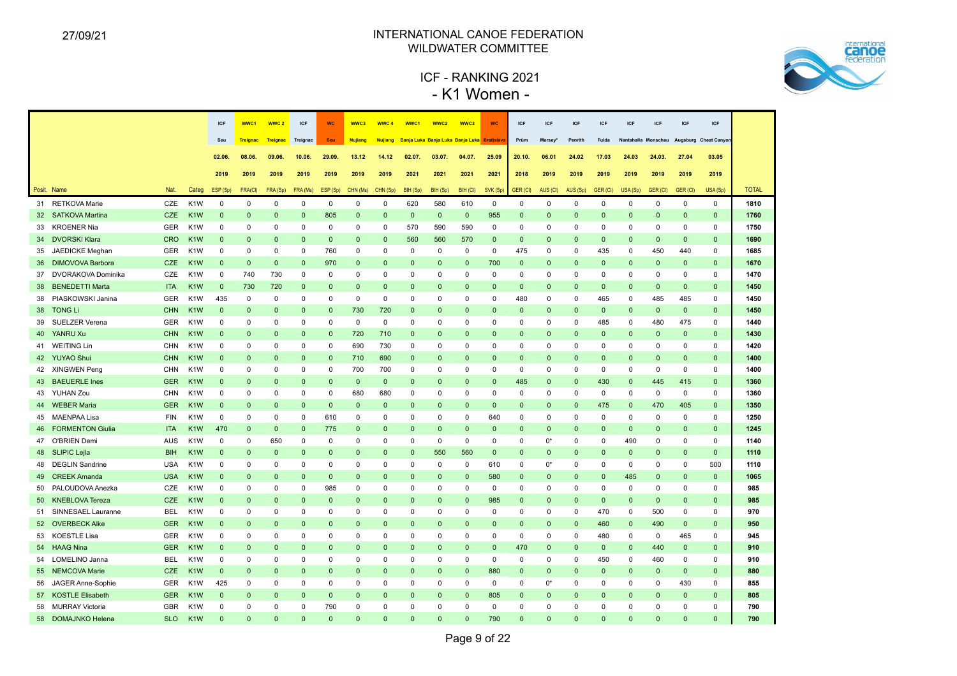

# ICF - RANKING 2021 - K1 Women -

|    |                            |            |                  | <b>ICF</b>   | WWC1            | WWC <sub>2</sub> | ICF          | <b>WC</b>    | WWC3           | WWC 4          | WWC1                                        | WWC2         | WWC3         | <b>WC</b>    | ICF          | <b>ICF</b>          | ICF          | <b>ICF</b>   | <b>ICF</b>   | <b>ICF</b>   | ICF          | ICF                                       |              |
|----|----------------------------|------------|------------------|--------------|-----------------|------------------|--------------|--------------|----------------|----------------|---------------------------------------------|--------------|--------------|--------------|--------------|---------------------|--------------|--------------|--------------|--------------|--------------|-------------------------------------------|--------------|
|    |                            |            |                  | Seu          | <b>Treignac</b> | Treignac         | Treignac     | Seu          | <b>Nujiang</b> | <b>Nujiang</b> | Banja Luka Banja Luka Banja Luka Bratislava |              |              |              | Prüm         | Mersey <sup>®</sup> | Penrith      | Fulda        |              |              |              | Nantahalla Monschau Augsburg Cheat Canyon |              |
|    |                            |            |                  | 02.06.       | 08.06.          | 09.06.           | 10.06.       | 29.09.       | 13.12          | 14.12          | 02.07                                       | 03.07.       | 04.07.       | 25.09        | 20.10.       | 06.01               | 24.02        | 17.03        | 24.03        | 24.03.       | 27.04        | 03.05                                     |              |
|    |                            |            |                  |              |                 |                  |              |              |                |                |                                             |              |              |              |              |                     |              |              |              |              |              |                                           |              |
|    |                            |            |                  | 2019         | 2019            | 2019             | 2019         | 2019         | 2019           | 2019           | 2021                                        | 2021         | 2021         | 2021         | 2018         | 2019                | 2019         | 2019         | 2019         | 2019         | 2019         | 2019                                      |              |
|    | Posit. Name                | <b>Nat</b> | Categ            | ESP (Sp)     | FRA(CI)         | FRA (Sp)         | FRA (Ms)     | ESP (Sp)     | CHN (Ms)       | CHN (Sp)       | BIH (Sp)                                    | BIH (Sp)     | BIH (CI)     | SVK (Sp)     | GER (CI)     | AUS (CI)            | AUS (Sp)     | GER (CI)     | USA (Sp)     | GER (CI)     | GER (CI)     | USA (Sp)                                  | <b>TOTAL</b> |
|    | 31 RETKOVA Marie           | CZE        | K <sub>1</sub> W | $\mathbf 0$  | $\mathbf 0$     | 0                | $\mathbf 0$  | $\mathbf 0$  | $\mathbf 0$    | $\mathbf 0$    | 620                                         | 580          | 610          | $\mathbf 0$  | $\mathbf 0$  | $\mathbf 0$         | $\mathbf 0$  | $\mathbf 0$  | $\mathbf 0$  | $\mathbf 0$  | $\mathbf 0$  | $\mathbf 0$                               | 1810         |
|    | 32 SATKOVA Martina         | <b>CZE</b> | K <sub>1</sub> W | $\mathbf{0}$ | $\mathbf{0}$    | $\Omega$         | $\mathbf 0$  | 805          | $\Omega$       | $\Omega$       | $\mathbf 0$                                 | $\mathbf{0}$ | $\mathbf 0$  | 955          | $\Omega$     | $\Omega$            | $\mathbf 0$  | $\mathbf 0$  | $\Omega$     | $\Omega$     | $\mathbf{0}$ | $\mathbf 0$                               | 1760         |
| 33 | <b>KROENER Nia</b>         | <b>GER</b> | K <sub>1</sub> W | $\mathbf 0$  | 0               | 0                | $\mathbf 0$  | $\mathbf 0$  | $\mathbf 0$    | $\mathbf 0$    | 570                                         | 590          | 590          | $\mathbf 0$  | $\mathbf 0$  | $\mathbf 0$         | $\mathbf 0$  | $\mathbf 0$  | 0            | 0            | $\mathbf 0$  | $\mathbf 0$                               | 1750         |
|    | 34 DVORSKI Klara           | <b>CRO</b> | K <sub>1</sub> W | $\mathbf{0}$ | $\Omega$        | $\Omega$         | $\mathbf{0}$ | $\mathbf{0}$ | $\mathbf{0}$   | $\mathbf{0}$   | 560                                         | 560          | 570          | $\mathbf{0}$ | $\mathbf{0}$ | $\Omega$            | $\mathbf{0}$ | $\mathbf{0}$ | $\Omega$     | $\mathbf{0}$ | $\mathbf{0}$ | $\mathbf{0}$                              | 1690         |
| 35 | JAEDICKE Meghan            | <b>GER</b> | K <sub>1</sub> W | $\Omega$     | $\mathbf 0$     | 0                | $\mathbf 0$  | 760          | $\Omega$       | $\mathbf 0$    | $\mathbf 0$                                 | $\mathbf 0$  | $\mathbf 0$  | $\mathbf 0$  | 475          | $\mathbf 0$         | $\mathbf 0$  | 435          | $\mathbf 0$  | 450          | 440          | $\mathbf 0$                               | 1685         |
|    | 36 DIMOVOVA Barbora        | <b>CZE</b> | K <sub>1</sub> W | $\mathbf 0$  | $\mathbf{0}$    | $\mathbf{0}$     | $\mathbf 0$  | 970          | $\mathbf 0$    | $\mathbf{0}$   | $\mathbf 0$                                 | $\mathbf 0$  | $\mathbf 0$  | 700          | $\mathbf{0}$ | $\mathbf{0}$        | $\mathbf 0$  | $\mathbf 0$  | $\mathbf{0}$ | $\mathbf{0}$ | $\mathbf 0$  | $\mathbf 0$                               | 1670         |
|    | 37 DVORAKOVA Dominika      | CZE        | K <sub>1</sub> W | $\mathbf 0$  | 740             | 730              | $\mathbf 0$  | 0            | 0              | $\mathbf 0$    | $\mathbf 0$                                 | $\mathbf 0$  | $\mathbf 0$  | 0            | $\mathbf 0$  | 0                   | $\mathbf 0$  | 0            | 0            | $\mathbf 0$  | $\mathbf 0$  | 0                                         | 1470         |
| 38 | <b>BENEDETTI Marta</b>     | <b>ITA</b> | K <sub>1</sub> W | $\mathbf{0}$ | 730             | 720              | $\mathbf 0$  | $\mathbf 0$  | $\Omega$       | $\mathbf 0$    | $\mathbf 0$                                 | $\mathbf{0}$ | $\mathbf{0}$ | $\mathbf{0}$ | $\mathbf 0$  | $\Omega$            | $\mathbf{0}$ | $\mathbf{0}$ | $\mathbf{0}$ | $\mathbf 0$  | $\mathbf 0$  | $\mathbf{0}$                              | 1450         |
|    | 38 PIASKOWSKI Janina       | <b>GER</b> | K <sub>1</sub> W | 435          | $\Omega$        | 0                | $\mathbf 0$  | $\mathbf 0$  | $\Omega$       | $\mathbf 0$    | $\mathbf 0$                                 | $\mathbf 0$  | 0            | 0            | 480          | 0                   | $\mathbf 0$  | 465          | $\Omega$     | 485          | 485          | $\mathbf 0$                               | 1450         |
| 38 | <b>TONG Li</b>             | <b>CHN</b> | K <sub>1</sub> W | $\Omega$     | $\Omega$        | $\Omega$         | $\mathbf{0}$ | $\mathbf{0}$ | 730            | 720            | $\Omega$                                    | $\Omega$     | $\Omega$     | $\Omega$     | $\Omega$     | $\Omega$            | $\Omega$     | $\mathbf 0$  | $\Omega$     | $\Omega$     | $\mathbf{0}$ | $\mathbf{0}$                              | 1450         |
| 39 | SUELZER Verena             | <b>GER</b> | K <sub>1</sub> W | $\Omega$     | $\Omega$        | $\Omega$         | $\Omega$     | $\Omega$     | $\Omega$       | $\mathbf 0$    | $\Omega$                                    | $\Omega$     | $\Omega$     | $\Omega$     | $\Omega$     | $\Omega$            | $\Omega$     | 485          | $\Omega$     | 480          | 475          | $\mathbf 0$                               | 1440         |
| 40 | YANRU Xu                   | <b>CHN</b> | K <sub>1</sub> W | $\mathbf 0$  | $\mathbf{0}$    | $\mathbf 0$      | $\mathbf 0$  | $\mathbf 0$  | 720            | 710            | $\mathbf 0$                                 | $\mathbf{0}$ | $\mathbf{0}$ | $\mathbf{0}$ | $\mathbf 0$  | $\mathbf 0$         | $\mathbf{0}$ | $\mathbf 0$  | $\mathbf{0}$ | $\mathbf{0}$ | $\mathbf 0$  | $\mathbf 0$                               | 1430         |
|    | 41 WEITING Lin             | CHN        | K <sub>1</sub> W | $\mathbf 0$  | $\Omega$        | $\Omega$         | 0            | $\mathbf 0$  | 690            | 730            | $\mathbf 0$                                 | $\Omega$     | 0            | $\mathbf 0$  | $\Omega$     | $\Omega$            | $\mathbf 0$  | $\mathbf 0$  | $\Omega$     | $\Omega$     | 0            | $\mathbf 0$                               | 1420         |
|    | 42 YUYAO Shui              | <b>CHN</b> | K <sub>1</sub> W | $\mathbf{0}$ | $\mathbf{0}$    | $\Omega$         | $\mathbf 0$  | $\mathbf 0$  | 710            | 690            | $\mathbf 0$                                 | $\mathbf{0}$ | $\mathbf{0}$ | $\mathbf{0}$ | $\Omega$     | $\Omega$            | $\mathbf{0}$ | $\mathbf 0$  | $\Omega$     | $\Omega$     | $\mathbf{0}$ | $\mathbf{0}$                              | 1400         |
|    | 42 XINGWEN Peng            | <b>CHN</b> | K <sub>1</sub> W | $\mathbf 0$  | $\mathbf 0$     | $\Omega$         | $\mathbf 0$  | $\mathbf 0$  | 700            | 700            | $\mathbf 0$                                 | $\mathbf 0$  | 0            | $\mathbf 0$  | $\mathbf 0$  | $\Omega$            | $\mathbf 0$  | $\mathbf 0$  | $\mathbf 0$  | $\mathbf 0$  | $\mathbf 0$  | $\mathbf 0$                               | 1400         |
| 43 | <b>BAEUERLE Ines</b>       | <b>GER</b> | K <sub>1</sub> W | $\mathbf{0}$ | $\Omega$        | $\Omega$         | $\mathbf{0}$ | $\mathbf{0}$ | $\mathbf{0}$   | $\mathbf{0}$   | $\mathbf{0}$                                | $\mathbf{0}$ | $\mathbf{0}$ | $\mathbf{0}$ | 485          | $\Omega$            | $\mathbf{0}$ | 430          | $\Omega$     | 445          | 415          | $\mathbf{0}$                              | 1360         |
|    | 43 YUHAN Zou               | <b>CHN</b> | K <sub>1</sub> W | $\mathbf 0$  | $\Omega$        | $\Omega$         | $\mathbf 0$  | $\mathbf 0$  | 680            | 680            | $\mathbf 0$                                 | $\mathbf 0$  | 0            | $\mathbf 0$  | $\mathbf 0$  | $\Omega$            | $\mathbf 0$  | $\mathbf 0$  | $\mathbf 0$  | $\mathbf 0$  | $\mathbf 0$  | $\mathbf 0$                               | 1360         |
|    | 44 WEBER Maria             | <b>GER</b> | K <sub>1</sub> W | $\mathbf{0}$ | $\Omega$        | $\mathbf{0}$     | $\mathbf 0$  | $\mathbf 0$  | $\mathbf{0}$   | $\mathbf{0}$   | $\mathbf 0$                                 | $\mathbf 0$  | $\mathbf 0$  | $\mathbf{0}$ | $\Omega$     | $\Omega$            | $\mathbf{0}$ | 475          | $\mathbf{0}$ | 470          | 405          | $\mathbf{0}$                              | 1350         |
|    | 45 MAENPAA Lisa            | <b>FIN</b> | K <sub>1</sub> W | $\mathbf 0$  | 0               | $\mathbf 0$      | 0            | 610          | 0              | 0              | 0                                           | 0            | 0            | 640          | 0            | $\Omega$            | $\mathbf 0$  | 0            | 0            | $\mathbf 0$  | 0            | $\mathbf 0$                               | 1250         |
|    | <b>46 FORMENTON Giulia</b> | <b>ITA</b> | K <sub>1</sub> W | 470          | $\mathbf{0}$    | $\mathbf{0}$     | $\mathbf{0}$ | 775          | $\mathbf{0}$   | $\mathbf{0}$   | $\Omega$                                    | $\Omega$     | $\mathbf{0}$ | $\mathbf{0}$ | $\Omega$     | $\Omega$            | $\mathbf{0}$ | $\mathbf{0}$ | $\mathbf 0$  | $\Omega$     | $\mathbf{0}$ | $\Omega$                                  | 1245         |
|    | 47 O'BRIEN Demi            | <b>AUS</b> | K <sub>1</sub> W | $\mathbf 0$  | 0               | 650              | $\mathbf 0$  | $\mathbf 0$  | $\Omega$       | $\mathbf 0$    | $\mathbf 0$                                 | $\mathbf 0$  | 0            | $\mathbf 0$  | 0            | $0^*$               | $\mathbf 0$  | $\mathbf 0$  | 490          | $\Omega$     | $\mathbf 0$  | $\mathbf 0$                               | 1140         |
|    | 48 SLIPIC Lejla            | <b>BIH</b> | K <sub>1</sub> W | $\Omega$     | $\Omega$        | $\Omega$         | $\mathbf{0}$ | $\Omega$     | $\Omega$       | $\Omega$       | $\mathbf{0}$                                | 550          | 560          | $\mathbf{0}$ | $\Omega$     | $\Omega$            | $\mathbf{0}$ | $\mathbf{0}$ | $\Omega$     | $\Omega$     | $\mathbf{0}$ | $\Omega$                                  | 1110         |
|    | 48 DEGLIN Sandrine         | <b>USA</b> | K <sub>1</sub> W | $\Omega$     | $\mathbf 0$     | $\Omega$         | $\mathbf 0$  | $\mathbf 0$  | $\Omega$       | $\mathbf 0$    | $\mathbf 0$                                 | $\mathbf 0$  | $\mathbf 0$  | 610          | $\Omega$     | $0^*$               | $\Omega$     | $\mathbf 0$  | $\mathbf 0$  | $\Omega$     | $\mathbf 0$  | 500                                       | 1110         |
| 49 | <b>CREEK Amanda</b>        | <b>USA</b> | K <sub>1</sub> W | $\Omega$     | $\mathbf{0}$    | $\mathbf{0}$     | $\mathbf 0$  | $\mathbf 0$  | $\Omega$       | $\mathbf{0}$   | $\mathbf{0}$                                | $\mathbf 0$  | $\mathbf 0$  | 580          | $\Omega$     | $\Omega$            | $\mathbf 0$  | $\mathbf 0$  | 485          | $\mathbf{0}$ | $\mathbf 0$  | $\Omega$                                  | 1065         |
| 50 | PALOUDOVA Anezka           | CZE        | K <sub>1</sub> W | $\mathbf 0$  | 0               | 0                | 0            | 985          | 0              | 0              | $\mathbf 0$                                 | $\mathsf 0$  | 0            | 0            | 0            | 0                   | $\mathbf 0$  | $\mathbf 0$  | 0            | 0            | 0            | 0                                         | 985          |
| 50 | <b>KNEBLOVA Tereza</b>     | <b>CZE</b> | K <sub>1</sub> W | $\mathbf{0}$ | $\mathbf{0}$    | $\mathbf 0$      | $\mathbf 0$  | $\mathbf 0$  | $\Omega$       | $\mathbf{0}$   | $\mathbf{0}$                                | $\mathbf 0$  | $\mathbf{0}$ | 985          | $\mathbf{0}$ | $\mathbf{0}$        | $\mathbf 0$  | $\mathbf 0$  | $\Omega$     | $\mathbf 0$  | $\mathbf 0$  | $\Omega$                                  | 985          |
|    | 51 SINNESAEL Lauranne      | <b>BEL</b> | K <sub>1</sub> W | $\mathbf 0$  | 0               | 0                | $\mathbf 0$  | $\mathbf 0$  | 0              | $\mathbf 0$    | $\mathbf 0$                                 | $\mathbf 0$  | 0            | 0            | 0            | $\mathbf 0$         | $\mathbf 0$  | 470          | 0            | 500          | $\mathbf 0$  | $\mathbf 0$                               | 970          |
|    | 52 OVERBECK Alke           | <b>GER</b> | K <sub>1</sub> W | $\mathbf{0}$ | $\mathbf{0}$    | $\Omega$         | $\mathbf{0}$ | $\mathbf{0}$ | $\mathbf{0}$   | $\Omega$       | $\mathbf{0}$                                | $\mathbf{0}$ | $\mathbf 0$  | $\mathbf{0}$ | $\mathbf{0}$ | $\Omega$            | $\mathbf{0}$ | 460          | $\Omega$     | 490          | $\mathbf 0$  | $\mathbf{0}$                              | 950          |
| 53 | <b>KOESTLE Lisa</b>        | <b>GER</b> | K <sub>1</sub> W | $\mathbf 0$  | $\mathbf 0$     | 0                | $\mathbf 0$  | $\mathbf 0$  | $\Omega$       | $\mathbf 0$    | $\mathbf 0$                                 | $\mathbf 0$  | 0            | $\mathbf 0$  | $\mathbf 0$  | $\mathbf 0$         | $\mathbf 0$  | 480          | $\mathbf 0$  | $\mathbf 0$  | 465          | $\mathbf 0$                               | 945          |
| 54 | <b>HAAG Nina</b>           | <b>GER</b> | K <sub>1</sub> W | $\mathbf 0$  | $\mathbf 0$     | $\Omega$         | $\mathbf 0$  | $\mathbf{0}$ | $\Omega$       | $\mathbf 0$    | $\mathbf{0}$                                | $\mathbf 0$  | $\mathbf{0}$ | $\mathbf 0$  | 470          | $\Omega$            | $\mathbf 0$  | $\mathbf 0$  | $\Omega$     | 440          | $\mathbf 0$  | $\mathbf 0$                               | 910          |
| 54 | LOMELINO Janna             | BEL        | K <sub>1</sub> W | $\mathbf 0$  | 0               | $\mathbf 0$      | 0            | 0            | 0              | 0              | 0                                           | 0            | 0            | $\mathbf 0$  | 0            | 0                   | 0            | 450          | 0            | 460          | 0            | 0                                         | 910          |
|    | 55 NEMCOVA Marie           | <b>CZE</b> | K <sub>1</sub> W | $\mathbf 0$  | $\mathbf{0}$    | $\Omega$         | $\mathbf 0$  | $\mathbf{0}$ | $\Omega$       | $\Omega$       | $\mathbf{0}$                                | $\mathbf 0$  | $\mathbf 0$  | 880          | $\Omega$     | $\Omega$            | $\mathbf{0}$ | $\mathbf 0$  | $\mathbf{0}$ | $\mathbf{0}$ | $\mathbf 0$  | $\mathbf{0}$                              | 880          |
| 56 | JAGER Anne-Sophie          | <b>GER</b> | K <sub>1</sub> W | 425          | 0               | 0                | $\mathbf 0$  | $\mathbf 0$  | $\Omega$       | $\mathbf 0$    | $\mathbf 0$                                 | $\mathbf 0$  | 0            | $\mathbf 0$  | $\mathbf 0$  | $0^*$               | $\mathbf 0$  | 0            | $\mathbf 0$  | 0            | 430          | $\mathbf 0$                               | 855          |
|    | 57 KOSTLE Elisabeth        | <b>GER</b> | K <sub>1</sub> W | $\mathbf{0}$ | $\mathbf{0}$    | $\Omega$         | $\mathbf{0}$ | $\mathbf{0}$ | $\Omega$       | $\mathbf{0}$   | $\mathbf{0}$                                | $\Omega$     | $\mathbf{0}$ | 805          | $\mathbf{0}$ | $\Omega$            | $\Omega$     | $\Omega$     | $\mathbf{0}$ | $\Omega$     | $\mathbf{0}$ | $\mathbf{0}$                              | 805          |
|    | 58 MURRAY Victoria         | <b>GBR</b> | K <sub>1</sub> W | $\Omega$     | $\Omega$        | $\Omega$         | $\Omega$     | 790          | $\Omega$       | $\Omega$       | $\Omega$                                    | $\Omega$     | $\Omega$     | $\Omega$     | $\Omega$     | $\Omega$            | $\Omega$     | $\Omega$     | $\Omega$     | $\Omega$     | $\Omega$     | $\Omega$                                  | 790          |
|    | 58 DOMAJNKO Helena         | <b>SLO</b> | K <sub>1</sub> W | $\Omega$     | $\Omega$        | $\Omega$         | $\Omega$     | $\Omega$     | $\Omega$       | $\Omega$       | $\Omega$                                    | $\Omega$     | $\Omega$     | 790          | $\Omega$     | $\Omega$            | $\Omega$     | $\Omega$     | $\Omega$     | $\Omega$     | $\Omega$     | $\Omega$                                  | 790          |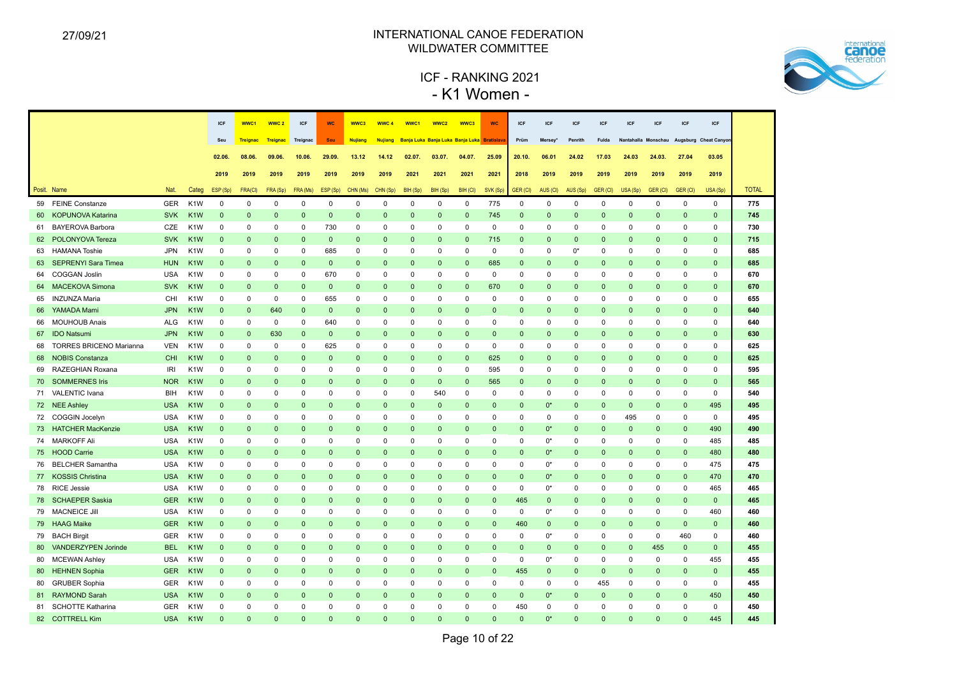

# ICF - RANKING 2021 - K1 Women -

|    |                                |            |                  | <b>ICF</b>   | WWC1            | WWC <sub>2</sub> | ICF          | <b>WC</b>    | WWC3           | WWC <sub>4</sub> | WWC1                                        | WWC2         | WWC3         | <b>WC</b>    | ICF          | ICF          | <b>ICF</b>   | <b>ICF</b>   | <b>ICF</b>   | ICF          | <b>ICF</b>   | ICF                                       |              |
|----|--------------------------------|------------|------------------|--------------|-----------------|------------------|--------------|--------------|----------------|------------------|---------------------------------------------|--------------|--------------|--------------|--------------|--------------|--------------|--------------|--------------|--------------|--------------|-------------------------------------------|--------------|
|    |                                |            |                  | Seu          | <b>Treignac</b> | Treignac         | Treignac     | Seu          | <b>Nujiang</b> | <b>Nujiang</b>   | Banja Luka Banja Luka Banja Luka Bratislava |              |              |              | Prüm         | Mersey*      | Penrith      | Fulda        |              |              |              | Nantahalla Monschau Augsburg Cheat Canyor |              |
|    |                                |            |                  | 02.06.       | 08.06.          | 09.06            | 10.06.       | 29.09.       | 13.12          | 14.12            | 02.07                                       | 03.07.       | 04.07.       | 25.09        | 20.10.       | 06.01        | 24.02        | 17.03        | 24.03        | 24.03.       | 27.04        | 03.05                                     |              |
|    |                                |            |                  |              |                 |                  |              |              |                |                  |                                             |              |              |              |              |              |              |              |              |              |              |                                           |              |
|    |                                |            |                  | 2019         | 2019            | 2019             | 2019         | 2019         | 2019           | 2019             | 2021                                        | 2021         | 2021         | 2021         | 2018         | 2019         | 2019         | 2019         | 2019         | 2019         | 2019         | 2019                                      |              |
|    | Posit. Name                    | Nat.       | Categ            | ESP (Sp)     | FRA(CI)         | FRA (Sp)         | FRA (Ms)     | ESP (Sp)     | CHN (Ms)       | CHN (Sp)         | BIH (Sp)                                    | BIH (Sp)     | BIH (CI)     | SVK (Sp)     | GER (CI)     | AUS (CI)     | AUS (Sp)     | GER (CI)     | USA (Sp)     | GER (CI)     | GER (CI)     | USA (Sp)                                  | <b>TOTAL</b> |
|    | 59 FEINE Constanze             | <b>GER</b> | K <sub>1</sub> W | $\mathbf 0$  | $\mathbf 0$     | $\mathbf 0$      | $\mathbf 0$  | $\mathbf 0$  | $\mathbf 0$    | $\mathbf 0$      | $\mathbf 0$                                 | $\mathbf 0$  | $\mathbf 0$  | 775          | $\mathbf 0$  | $\mathbf 0$  | $\mathbf 0$  | $\mathbf 0$  | $\mathbf 0$  | $\mathbf 0$  | $\mathbf 0$  | $\mathbf 0$                               | 775          |
|    | 60 KOPUNOVA Katarina           | <b>SVK</b> | K <sub>1</sub> W | $\mathbf{0}$ | $\mathbf{0}$    | $\Omega$         | $\mathbf{0}$ | $\mathbf{0}$ | $\Omega$       | $\mathbf{0}$     | $\mathbf{0}$                                | $\mathbf 0$  | $\mathbf{0}$ | 745          | $\mathbf{0}$ | $\Omega$     | $\mathbf{0}$ | $\mathbf 0$  | $\Omega$     | $\Omega$     | $\mathbf{0}$ | $\Omega$                                  | 745          |
| 61 | <b>BAYEROVA Barbora</b>        | CZE        | K <sub>1</sub> W | $\mathbf 0$  | 0               | $\mathbf 0$      | 0            | 730          | $\mathbf 0$    | $\mathbf 0$      | $\mathbf 0$                                 | $\mathbf 0$  | $\mathbf 0$  | 0            | $\mathbf 0$  | $\mathbf 0$  | $\mathbf 0$  | $\mathbf 0$  | $\mathbf 0$  | $\mathbf 0$  | $\mathbf 0$  | $\mathbf 0$                               | 730          |
|    | 62 POLONYOVA Tereza            | <b>SVK</b> | K <sub>1</sub> W | $\mathbf 0$  | $\mathbf{0}$    | $\mathbf{0}$     | $\mathbf{0}$ | $\mathbf 0$  | $\mathsf 0$    | $\mathbf 0$      | $\mathbf 0$                                 | $\mathbf 0$  | $\mathbf{0}$ | 715          | $\mathbf 0$  | $\mathbf 0$  | $\mathbf 0$  | $\mathbf 0$  | $\mathbf{0}$ | $\mathbf 0$  | $\mathbf{0}$ | $\mathbf 0$                               | 715          |
|    | 63 HAMANA Toshie               | <b>JPN</b> | K <sub>1</sub> W | 0            | 0               | 0                | 0            | 685          | 0              | 0                | 0                                           | 0            | 0            | 0            | 0            | 0            | 0*           | 0            | $\Omega$     | 0            | 0            | 0                                         | 685          |
|    | 63 SEPRENYI Sara Timea         | <b>HUN</b> | K <sub>1</sub> W | $\mathbf{0}$ | $\mathbf{0}$    | $\Omega$         | $\mathbf{0}$ | $\mathbf 0$  | $\mathbf{0}$   | $\mathbf{0}$     | $\mathbf{0}$                                | $\mathbf{0}$ | $\mathbf{0}$ | 685          | $\mathbf{0}$ | $\mathbf 0$  | $\mathbf{0}$ | $\mathbf 0$  | $\Omega$     | $\mathbf{0}$ | $\mathbf{0}$ | $\mathbf 0$                               | 685          |
| 64 | <b>COGGAN Joslin</b>           | <b>USA</b> | K <sub>1</sub> W | $\Omega$     | 0               | 0                | 0            | 670          | $\mathbf 0$    | 0                | $\mathbf 0$                                 | $\mathbf 0$  | $\mathbf 0$  | 0            | $\mathbf 0$  | $\mathbf 0$  | $\Omega$     | $\mathbf 0$  | $\Omega$     | 0            | 0            | $\mathbf 0$                               | 670          |
|    | 64 MACEKOVA Simona             | <b>SVK</b> | K <sub>1</sub> W | $\mathbf{0}$ | $\mathbf{0}$    | $\Omega$         | $\mathbf{0}$ | $\mathbf{0}$ | $\Omega$       | $\mathbf{0}$     | $\mathbf{0}$                                | $\Omega$     | $\mathbf{0}$ | 670          | $\mathbf{0}$ | $\mathbf{0}$ | $\Omega$     | $\mathbf{0}$ | $\Omega$     | $\Omega$     | $\mathbf{0}$ | $\mathbf{0}$                              | 670          |
|    | 65 INZUNZA Maria               | CHI        | K <sub>1</sub> W | $\Omega$     | $\Omega$        | 0                | 0            | 655          | $\Omega$       | $\Omega$         | $\mathbf 0$                                 | $\Omega$     | $\mathbf 0$  | 0            | $\Omega$     | $\mathbf 0$  | $\Omega$     | $\mathbf 0$  | $\Omega$     | $\Omega$     | 0            | $\Omega$                                  | 655          |
|    | 66 YAMADA Mami                 | <b>JPN</b> | K <sub>1</sub> W | $\mathbf{0}$ | $\Omega$        | 640              | $\mathbf{0}$ | $\mathbf 0$  | $\Omega$       | $\mathbf{0}$     | $\Omega$                                    | $\Omega$     | $\Omega$     | $\Omega$     | $\Omega$     | $\Omega$     | $\Omega$     | $\mathbf 0$  | $\Omega$     | $\Omega$     | $\mathbf{0}$ | $\Omega$                                  | 640          |
| 66 | <b>MOUHOUB Anais</b>           | <b>ALG</b> | K <sub>1</sub> W | $\mathbf 0$  | $\Omega$        | 0                | 0            | 640          | $\Omega$       | 0                | $\mathbf 0$                                 | $\Omega$     | 0            | $\Omega$     | 0            | $\mathbf 0$  | 0            | $\mathbf 0$  | $\Omega$     | $\Omega$     | 0            | $\mathbf 0$                               | 640          |
| 67 | <b>IDO Natsumi</b>             | <b>JPN</b> | K <sub>1</sub> W | $\mathbf{0}$ | $\mathbf{0}$    | 630              | $\mathbf 0$  | $\mathbf 0$  | $\Omega$       | $\mathbf{0}$     | $\mathbf 0$                                 | $\Omega$     | $\mathbf 0$  | $\mathbf{0}$ | $\mathbf 0$  | $\mathbf 0$  | $\Omega$     | $\mathbf 0$  | $\Omega$     | $\mathbf 0$  | $\mathbf{0}$ | $\mathbf{0}$                              | 630          |
| 68 | <b>TORRES BRICENO Marianna</b> | <b>VEN</b> | K <sub>1</sub> W | $\mathbf 0$  | $\Omega$        | $\mathbf 0$      | 0            | 625          | $\Omega$       | $\mathbf 0$      | $\mathbf 0$                                 | $\mathbf 0$  | $\mathbf 0$  | 0            | 0            | $\mathbf 0$  | $\mathbf 0$  | $\mathbf 0$  | $\Omega$     | $\Omega$     | 0            | $\mathbf 0$                               | 625          |
| 68 | <b>NOBIS Constanza</b>         | CHI        | K <sub>1</sub> W | $\mathbf{0}$ | $\mathbf{0}$    | $\Omega$         | $\mathbf{0}$ | $\mathbf{0}$ | $\Omega$       | $\Omega$         | $\mathbf{0}$                                | $\mathbf{0}$ | $\mathbf{0}$ | 625          | $\mathbf{0}$ | $\mathbf{0}$ | $\Omega$     | $\mathbf{0}$ | $\mathbf{0}$ | $\Omega$     | $\mathbf{0}$ | $\mathbf{0}$                              | 625          |
| 69 | RAZEGHIAN Roxana               | <b>IRI</b> | K <sub>1</sub> W | $\pmb{0}$    | 0               | 0                | 0            | $\pmb{0}$    | 0              | 0                | $\mathbf 0$                                 | $\mathsf 0$  | 0            | 595          | 0            | $\mathsf 0$  | $\mathbf 0$  | 0            | $\mathbf 0$  | $^{\circ}$   | 0            | $\mathsf 0$                               | 595          |
|    | 70 SOMMERNES Iris              | <b>NOR</b> | K <sub>1</sub> W | $\mathbf{0}$ | $\Omega$        | 0                | $\mathbf{0}$ | $\mathbf 0$  | $\mathbf{0}$   | $\mathbf{0}$     | $\mathbf 0$                                 | $\mathbf 0$  | $\mathbf 0$  | 565          | $\mathbf 0$  | $\mathbf 0$  | $\mathbf{0}$ | $\mathbf 0$  | $\mathbf 0$  | 0            | $\mathbf{0}$ | $\mathbf{0}$                              | 565          |
|    | 71 VALENTIC Ivana              | BIH        | K <sub>1</sub> W | $\mathbf 0$  | $\mathbf 0$     | 0                | 0            | 0            | $\mathbf 0$    | 0                | $\mathbf 0$                                 | 540          | $\mathbf 0$  | 0            | 0            | $\mathbf 0$  | $\mathbf 0$  | $\mathbf 0$  | $\mathbf 0$  | $\mathbf 0$  | 0            | $\mathbf 0$                               | 540          |
|    | 72 NEE Ashley                  | <b>USA</b> | K <sub>1</sub> W | $\mathbf{0}$ | $\Omega$        | $\Omega$         | $\mathbf{0}$ | $\mathbf{0}$ | $\Omega$       | $\mathbf{0}$     | $\mathbf{0}$                                | $\mathbf{0}$ | $\mathbf{0}$ | $\mathbf{0}$ | $\mathbf{0}$ | $0^*$        | $\Omega$     | $\mathbf{0}$ | $\mathbf{0}$ | $\mathbf{0}$ | $\mathbf{0}$ | 495                                       | 495          |
|    | 72 COGGIN Jocelyn              | <b>USA</b> | K <sub>1</sub> W | $\Omega$     | 0               | $\Omega$         | 0            | $\mathbf 0$  | $\Omega$       | 0                | $\mathbf 0$                                 | $\mathbf 0$  | $\mathbf 0$  | 0            | $\mathbf 0$  | $\mathbf 0$  | $\Omega$     | $\mathbf 0$  | 495          | $\mathbf 0$  | $\mathbf 0$  | $\Omega$                                  | 495          |
|    | 73 HATCHER MacKenzie           | <b>USA</b> | K <sub>1</sub> W | $\mathbf{0}$ | $\mathbf{0}$    | $\mathbf 0$      | $\mathbf 0$  | $\mathbf 0$  | $\Omega$       | $\mathbf 0$      | $\mathbf 0$                                 | $\mathbf 0$  | $\mathbf 0$  | $\mathbf{0}$ | $\mathbf 0$  | $0^*$        | $\mathbf{0}$ | $\mathbf 0$  | $\mathbf 0$  | $\mathbf{0}$ | $\mathbf 0$  | 490                                       | 490          |
|    | 74 MARKOFF Ali                 | <b>USA</b> | K <sub>1</sub> W | 0            | 0               | $\Omega$         | 0            | 0            | $\Omega$       | 0                | $\mathbf 0$                                 | 0            | 0            | 0            | 0            | $0^*$        | 0            | $\mathbf 0$  | 0            | $\mathbf 0$  | $\mathbf 0$  | 485                                       | 485          |
|    | 75 HOOD Carrie                 | <b>USA</b> | K <sub>1</sub> W | $\mathbf{0}$ | $\Omega$        | $\mathbf 0$      | $\mathbf{0}$ | $\Omega$     | $\Omega$       | $\mathbf{0}$     | $\mathbf 0$                                 | $\mathbf{0}$ | $\mathbf{0}$ | $\Omega$     | $\mathbf 0$  | $0^*$        | $\mathbf{0}$ | $\Omega$     | $\Omega$     | $\mathbf{0}$ | $\mathbf{0}$ | 480                                       | 480          |
|    | 76 BELCHER Samantha            | <b>USA</b> | K <sub>1</sub> W | $\mathbf 0$  | 0               | $\Omega$         | 0            | $\mathbf 0$  | $\Omega$       | 0                | $\mathbf 0$                                 | $\mathbf 0$  | 0            | 0            | 0            | $0^*$        | 0            | $\mathbf 0$  | 0            | $\mathbf 0$  | 0            | 475                                       | 475          |
|    | 77 KOSSIS Christina            | <b>USA</b> | K <sub>1</sub> W | $\mathbf{0}$ | $\Omega$        | $\Omega$         | $\Omega$     | $\mathbf{0}$ | $\Omega$       | $\mathbf{0}$     | $\Omega$                                    | $\Omega$     | $\Omega$     | $\Omega$     | $\Omega$     | $0^*$        | $\mathbf{0}$ | $\mathbf{0}$ | $\Omega$     | $\Omega$     | $\Omega$     | 470                                       | 470          |
| 78 | <b>RICE Jessie</b>             | <b>USA</b> | K <sub>1</sub> W | $\mathbf 0$  | $\mathbf 0$     | $\mathbf 0$      | $\mathbf 0$  | $\mathbf 0$  | $\mathbf 0$    | $\mathbf 0$      | $\mathbf 0$                                 | $\mathbf 0$  | $\mathbf 0$  | 0            | $\mathbf 0$  | $0^*$        | $\mathbf 0$  | $\mathbf 0$  | $\mathbf 0$  | $\mathbf{0}$ | $\mathbf 0$  | 465                                       | 465          |
| 78 | <b>SCHAEPER Saskia</b>         | <b>GER</b> | K <sub>1</sub> W | $\mathbf 0$  | $\mathbf{0}$    | $\mathbf 0$      | $\mathbf{0}$ | $\mathbf 0$  | $\mathbf{0}$   | $\mathbf 0$      | $\mathbf 0$                                 | $\mathbf 0$  | $\mathbf 0$  | $\mathbf{0}$ | 465          | $\mathbf 0$  | $\mathbf 0$  | $\mathbf 0$  | $\mathbf{0}$ | $\mathbf 0$  | $\mathbf{0}$ | $\mathbf 0$                               | 465          |
| 79 | <b>MACNEICE Jill</b>           | <b>USA</b> | K <sub>1</sub> W | $\mathbf 0$  | 0               | 0                | 0            | 0            | 0              | 0                | 0                                           | 0            | 0            | 0            | 0            | 0*           | 0            | $\mathbf 0$  | 0            | 0            | 0            | 460                                       | 460          |
|    | 79 HAAG Maike                  | <b>GER</b> | K <sub>1</sub> W | $\mathbf{0}$ | $\mathbf{0}$    | $\Omega$         | $\mathbf{0}$ | $\mathbf 0$  | $\mathbf{0}$   | $\mathbf{0}$     | $\mathbf 0$                                 | $\mathbf 0$  | $\mathbf 0$  | $\mathbf{0}$ | 460          | $\mathbf 0$  | $\mathbf{0}$ | $\mathbf 0$  | $\Omega$     | $\mathbf 0$  | $\mathbf 0$  | $\mathbf 0$                               | 460          |
| 79 | <b>BACH Birgit</b>             | <b>GER</b> | K <sub>1</sub> W | $\mathbf 0$  | 0               | 0                | 0            | $\mathbf 0$  | $\mathbf 0$    | $\Omega$         | $\mathbf 0$                                 | $\mathbf 0$  | $\mathbf 0$  | 0            | $\mathbf 0$  | $0^*$        | $\Omega$     | $\mathbf 0$  | $\mathbf 0$  | $\mathbf{0}$ | 460          | $\mathbf 0$                               | 460          |
|    | 80 VANDERZYPEN Jorinde         | <b>BEL</b> | K <sub>1</sub> W | $\mathbf{0}$ | $\mathbf{0}$    | $\Omega$         | $\mathbf 0$  | $\mathbf{0}$ | $\Omega$       | $\mathbf{0}$     | $\mathbf{0}$                                | $\mathbf{0}$ | $\mathbf{0}$ | $\mathbf{0}$ | $\mathbf{0}$ | $\mathbf 0$  | $\mathbf{0}$ | $\mathbf{0}$ | $\Omega$     | 455          | $\mathbf 0$  | $\mathbf{0}$                              | 455          |
|    | 80 MCEWAN Ashley               | <b>USA</b> | K <sub>1</sub> W | $\mathbf 0$  | $\mathbf 0$     | $\mathbf 0$      | 0            | 0            | $\Omega$       | 0                | $\mathbf 0$                                 | $\mathbf 0$  | 0            | 0            | $\mathbf 0$  | 0*           | $\mathbf 0$  | $\mathbf 0$  | $\Omega$     | $\mathbf 0$  | 0            | 455                                       | 455          |
|    | 80 HEHNEN Sophia               | <b>GER</b> | K <sub>1</sub> W | $\mathbf{0}$ | $\Omega$        | $\Omega$         | $\mathbf{0}$ | $\mathbf{0}$ | $\Omega$       | $\mathbf{0}$     | $\mathbf{0}$                                | $\Omega$     | $\Omega$     | $\mathbf{0}$ | 455          | $\mathbf{0}$ | $\Omega$     | $\mathbf 0$  | $\Omega$     | $\Omega$     | $\mathbf{0}$ | $\Omega$                                  | 455          |
|    | 80 GRUBER Sophia               | <b>GER</b> | K <sub>1</sub> W | 0            | $\Omega$        | $\Omega$         | 0            | 0            | $\Omega$       | 0                | $\mathbf 0$                                 | 0            | 0            | $\Omega$     | 0            | $\mathbf 0$  | 0            | 455          | $\Omega$     | $\mathbf 0$  | $\mathbf 0$  | $\mathbf 0$                               | 455          |
|    | 81 RAYMOND Sarah               | <b>USA</b> | K <sub>1</sub> W | $\mathbf{0}$ | $\Omega$        | $\Omega$         | $\Omega$     | $\mathbf{0}$ | $\Omega$       | $\mathbf{0}$     | $\mathbf{0}$                                | $\Omega$     | $\Omega$     | $\Omega$     | $\mathbf{0}$ | $0^*$        | $\Omega$     | $\mathbf{0}$ | $\Omega$     | $\Omega$     | $\Omega$     | 450                                       | 450          |
|    | 81 SCHOTTE Katharina           | <b>GER</b> | K <sub>1</sub> W | $\Omega$     | $\Omega$        | $\Omega$         | 0            | $\mathbf 0$  | $\Omega$       | $\Omega$         | $\mathbf 0$                                 | $\Omega$     | $\Omega$     | $\Omega$     | 450          | $\mathbf 0$  | $\Omega$     | $\mathbf 0$  | $\Omega$     | $\Omega$     | $\Omega$     | $\mathbf 0$                               | 450          |
|    | 82 COTTRELL Kim                | <b>USA</b> | K <sub>1</sub> W | $\Omega$     | $\Omega$        | $\Omega$         | $\Omega$     | $\Omega$     | $\Omega$       | $\Omega$         | $\Omega$                                    | $\Omega$     | $\Omega$     | $\Omega$     | $\Omega$     | $0^*$        | $\Omega$     | $\Omega$     | $\Omega$     | $\Omega$     | $\Omega$     | 445                                       | 445          |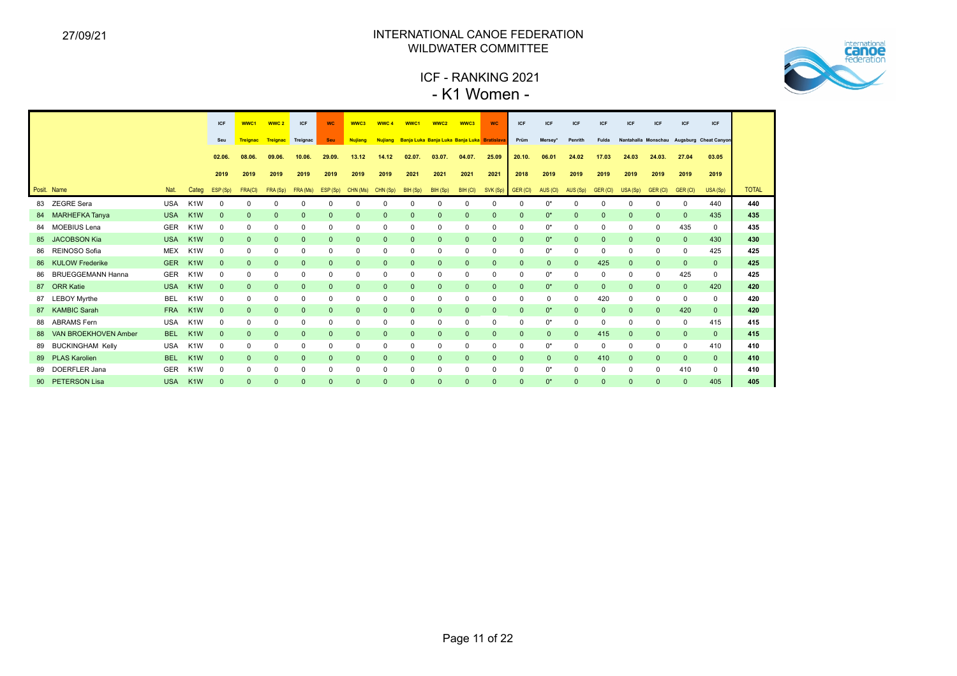

# ICF - RANKING 2021 - K1 Women -

|    |                          |            |                  | <b>ICF</b>   | WWC1            | WWC <sub>2</sub> | ICF          | <b>WC</b>    | WWC3           | WWC <sub>4</sub> | WWC1                                               | WWC <sub>2</sub> | WWC3         | <b>WC</b>    | <b>ICF</b>   | <b>ICF</b>          | <b>ICF</b>   | <b>ICF</b>   | <b>ICF</b>   | <b>ICF</b>   | <b>ICF</b>   | ICF                                       |              |
|----|--------------------------|------------|------------------|--------------|-----------------|------------------|--------------|--------------|----------------|------------------|----------------------------------------------------|------------------|--------------|--------------|--------------|---------------------|--------------|--------------|--------------|--------------|--------------|-------------------------------------------|--------------|
|    |                          |            |                  | Seu          | <b>Treignac</b> | Treignac         | Treignac     | <b>Seu</b>   | <b>Nujiang</b> | <b>Nujiang</b>   | <b>Banja Luka Banja Luka Banja Luka Bratislava</b> |                  |              |              | Prüm         | Mersey <sup>®</sup> | Penrith      | Fulda        |              |              |              | Nantahalla Monschau Augsburg Cheat Canyon |              |
|    |                          |            |                  | 02.06.       | 08.06.          | 09.06.           | 10.06.       | 29.09.       | 13.12          | 14.12            | 02.07.                                             | 03.07.           | 04.07.       | 25.09        | 20.10.       | 06.01               | 24.02        | 17.03        | 24.03        | 24.03.       | 27.04        | 03.05                                     |              |
|    |                          |            |                  | 2019         | 2019            | 2019             | 2019         | 2019         | 2019           | 2019             | 2021                                               | 2021             | 2021         | 2021         | 2018         | 2019                | 2019         | 2019         | 2019         | 2019         | 2019         | 2019                                      |              |
|    | Posit. Name              | Nat.       | Categ            | ESP (Sp)     | FRA(CI)         | FRA (Sp)         | FRA (Ms)     | ESP (Sp)     | CHN (Ms)       | CHN (Sp)         | BIH (Sp)                                           | BIH (Sp)         | BIH (CI)     | SVK (Sp)     | GER (CI)     | AUS (CI)            | AUS (Sp)     | GER (CI)     | USA (Sp)     | GER (CI)     | GER (CI)     | USA (Sp)                                  | <b>TOTAL</b> |
|    | 83 ZEGRE Sera            | <b>USA</b> | K <sub>1</sub> W | 0            | $\Omega$        | $\Omega$         | $\Omega$     | $\mathbf 0$  | $\mathbf 0$    | 0                | $\Omega$                                           | 0                | 0            | 0            | $\Omega$     | 0*                  | $\mathbf 0$  | $\mathbf 0$  | 0            | 0            | 0            | 440                                       | 440          |
| 84 | <b>MARHEFKA Tanya</b>    | <b>USA</b> | K <sub>1</sub> W | $\Omega$     | $\Omega$        |                  | $\Omega$     | $\mathbf 0$  | $\mathbf 0$    | $\mathbf{0}$     | $\Omega$                                           | $\mathbf{0}$     | $\mathbf{0}$ | $\Omega$     | $\Omega$     | $0^*$               | $\mathbf{0}$ | $\mathbf{0}$ |              | $\mathbf{0}$ | $\mathbf{0}$ | 435                                       | 435          |
| 84 | <b>MOEBIUS Lena</b>      | <b>GER</b> | K <sub>1</sub> W | 0            | $\mathbf 0$     | 0                | $\Omega$     | 0            | $\mathbf 0$    | 0                | 0                                                  | 0                | $\mathbf 0$  | $\mathbf 0$  | $\Omega$     | 0*                  | $\mathbf 0$  | $\mathbf 0$  | 0            | 0            | 435          | $\mathbf 0$                               | 435          |
| 85 | <b>JACOBSON Kia</b>      | <b>USA</b> | K <sub>1</sub> W | $\mathbf{0}$ | $\mathbf{0}$    | $\Omega$         | $\mathbf{0}$ | $\mathbf{0}$ | $\mathbf{0}$   | $\mathbf{0}$     | $\mathbf{0}$                                       | $\mathbf 0$      | $\mathbf{0}$ | $\mathbf{0}$ | $\mathbf{0}$ | $0^*$               | $\mathbf{0}$ | $\mathbf{0}$ | $\mathbf{0}$ | $\mathbf{0}$ | $\mathbf{0}$ | 430                                       | 430          |
| 86 | REINOSO Sofia            | <b>MEX</b> | K <sub>1</sub> W | 0            | 0               | $\Omega$         | $\Omega$     | $\mathbf 0$  | $\mathbf 0$    | 0                | $\Omega$                                           | 0                | 0            | 0            | $\Omega$     | $0^*$               | $\mathbf 0$  | 0            |              | 0            | 0            | 425                                       | 425          |
|    | 86 KULOW Frederike       | <b>GER</b> | K <sub>1</sub> W | $\Omega$     | $\mathbf{0}$    | $\Omega$         | $\Omega$     | $\mathbf{0}$ | $\mathbf{0}$   | $\mathbf{0}$     | $\Omega$                                           | $\mathbf{0}$     | $\mathbf{0}$ | $\mathbf{0}$ | $\mathbf{0}$ | $\mathbf{0}$        | $\mathbf{0}$ | 425          | 0            | $\mathbf{0}$ | $\mathbf{0}$ | $\mathbf{0}$                              | 425          |
| 86 | <b>BRUEGGEMANN Hanna</b> | <b>GER</b> | K <sub>1</sub> W | 0            | $\Omega$        |                  | $\Omega$     | $\mathbf 0$  | $\mathbf 0$    | 0                | 0                                                  | 0                | $\mathbf 0$  | $\Omega$     |              | 0*                  | $\mathbf 0$  | $\mathbf 0$  |              | $\Omega$     | 425          | $\Omega$                                  | 425          |
|    | 87 ORR Katie             | <b>USA</b> | K <sub>1</sub> W | $\Omega$     | $\mathbf{0}$    | $\Omega$         | $\Omega$     | $\mathbf{0}$ | $\mathbf{0}$   | $\mathbf{0}$     | $\mathbf{0}$                                       | $\mathbf{0}$     | $\mathbf{0}$ | $\mathbf{0}$ | $\mathbf{0}$ | $0^*$               | $\mathbf{0}$ | $\mathbf{0}$ | 0            | $\mathbf{0}$ | $\mathbf{0}$ | 420                                       | 420          |
|    | 87 LEBOY Myrthe          | <b>BEL</b> | K <sub>1</sub> W | $\Omega$     | $\mathbf 0$     | 0                | $\Omega$     | $\mathbf 0$  | $\mathbf 0$    | 0                | $\Omega$                                           | 0                | 0            | 0            | 0            | $\Omega$            | 0            | 420          | 0            | $\mathbf 0$  | 0            | $\mathbf 0$                               | 420          |
| 87 | <b>KAMBIC Sarah</b>      | <b>FRA</b> | K <sub>1</sub> W | $\Omega$     | $\Omega$        | $\Omega$         | $\Omega$     | $\mathbf{0}$ | $\mathbf{0}$   | $\mathbf{0}$     | $\Omega$                                           | $\mathbf{0}$     | $\mathbf{0}$ | $\mathbf{0}$ | $\Omega$     | $0^*$               | $\mathbf{0}$ | $\mathbf 0$  |              | $\Omega$     | 420          | $\mathbf{0}$                              | 420          |
| 88 | <b>ABRAMS</b> Fern       | <b>USA</b> | K <sub>1</sub> W | 0            | $\mathbf 0$     | $\Omega$         | $\Omega$     | $\mathbf 0$  | $\mathbf 0$    | 0                | 0                                                  | 0                | 0            | $\mathbf 0$  | $\Omega$     | $0^*$               | $\mathbf 0$  | $\mathbf 0$  |              | 0            | 0            | 415                                       | 415          |
| 88 | VAN BROEKHOVEN Amber     | <b>BEL</b> | K <sub>1</sub> W | $\Omega$     | $\Omega$        | $\Omega$         | $\Omega$     | $\mathbf{0}$ | $\mathbf 0$    | $\mathbf{0}$     | $\mathbf{0}$                                       | $\mathbf 0$      | $\mathbf{0}$ | $\mathbf{0}$ | $\mathbf{0}$ | $\mathbf{0}$        | $\mathbf 0$  | 415          | $\mathbf{0}$ | $\mathbf{0}$ | $\mathbf{0}$ | $\Omega$                                  | 415          |
|    | 89 BUCKINGHAM Kelly      | <b>USA</b> | K <sub>1</sub> W | $\Omega$     | $\Omega$        | <sup>0</sup>     | $\Omega$     | $\mathbf 0$  | $\mathbf 0$    | 0                | $\Omega$                                           | 0                | 0            | $\Omega$     | <sup>0</sup> | 0*                  | $\mathbf 0$  | 0            |              | 0            | 0            | 410                                       | 410          |
|    | 89 PLAS Karolien         | <b>BEL</b> | K <sub>1</sub> W | $\Omega$     | $\mathbf{0}$    | $\Omega$         | $\Omega$     | $\mathbf{0}$ | $\mathbf{0}$   | $\mathbf{0}$     | $\Omega$                                           | $\mathbf{0}$     | $\mathbf{0}$ | $\mathbf{0}$ | $\mathbf{0}$ | $\mathbf{0}$        | $\mathbf{0}$ | 410          | 0            | $\mathbf{0}$ | $\mathbf{0}$ | $\mathbf{0}$                              | 410          |
| 89 | <b>DOERFLER Jana</b>     | <b>GER</b> | K <sub>1</sub> W | 0            | $\Omega$        | $\Omega$         | $\Omega$     | $\mathbf 0$  | $\mathbf 0$    | 0                | $\Omega$                                           | 0                | 0            | $\Omega$     | $\Omega$     | $0^*$               | $\mathbf 0$  | $\mathbf 0$  |              | 0            | 410          | $\mathbf 0$                               | 410          |
|    | 90 PETERSON Lisa         | <b>USA</b> | K <sub>1</sub> W | $\Omega$     | $\Omega$        |                  | $\Omega$     | $\Omega$     | $\Omega$       | $\Omega$         |                                                    | $\mathbf{0}$     | $\Omega$     | $\Omega$     |              | $0^*$               | $\Omega$     | $\Omega$     |              | $\Omega$     | $\mathbf{0}$ | 405                                       | 405          |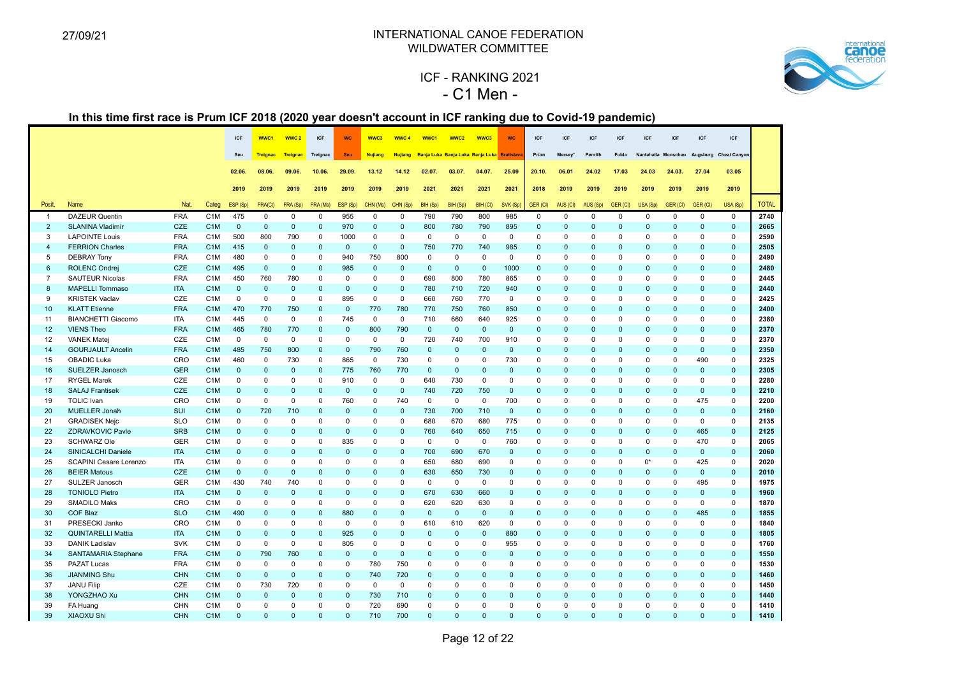

# ICF - RANKING 2021 - C1 Men -

|                                  |                                               |                          |                                      | ICF                         | WWC1                     | WWC <sub>2</sub>     | ICF                         | <b>WC</b>           | WWC3                        | WWC 4                   | WWC1            | WWC2                                        | WWC3               | <b>WC</b>    | <b>ICF</b>              | <b>ICF</b>           | <b>ICF</b>           | <b>ICF</b>                  | <b>ICF</b>                  | <b>ICF</b>                   | <b>ICF</b>                  | <b>ICF</b>           |                      |
|----------------------------------|-----------------------------------------------|--------------------------|--------------------------------------|-----------------------------|--------------------------|----------------------|-----------------------------|---------------------|-----------------------------|-------------------------|-----------------|---------------------------------------------|--------------------|--------------|-------------------------|----------------------|----------------------|-----------------------------|-----------------------------|------------------------------|-----------------------------|----------------------|----------------------|
|                                  |                                               |                          |                                      | Seu                         | <b>Treignac</b>          | Treignac             | Treignac                    | Seu                 | <b>Nujiang</b>              | <b>Nujiang</b>          |                 | Banja Luka Banja Luka Banja Luka Bratislava |                    |              | Prüm                    | Mersey*              | Penrith              | Fulda                       |                             | Nantahalla Monschau Augsburg |                             | <b>Cheat Canyon</b>  |                      |
|                                  |                                               |                          |                                      | 02.06.                      | 08.06                    | 09.06.               | 10.06.                      | 29.09.              | 13.12                       | 14.12                   | 02.07.          | 03.07.                                      | 04.07.             | 25.09        | 20.10.                  | 06.01                | 24.02                | 17.03                       | 24.03                       | 24.03.                       | 27.04                       | 03.05                |                      |
|                                  |                                               |                          |                                      | 2019                        | 2019                     | 2019                 | 2019                        | 2019                | 2019                        | 2019                    | 2021            | 2021                                        | 2021               | 2021         | 2018                    | 2019                 | 2019                 | 2019                        | 2019                        | 2019                         | 2019                        | 2019                 |                      |
|                                  |                                               |                          |                                      |                             |                          |                      |                             |                     |                             |                         |                 |                                             |                    |              |                         |                      |                      |                             |                             |                              |                             |                      |                      |
| Posit.                           | Name                                          | Nat.                     | Categ                                | ESP (Sp)                    | FRA(CI)                  | FRA (Sp)<br>$\Omega$ | FRA (Ms)<br>$\Omega$        | ESP (Sp)            | CHN (Ms)                    | CHN (Sp)<br>$\Omega$    | BIH (Sp)<br>790 | BIH (Sp)<br>790                             | BIH (CI)<br>800    | SVK (Sp)     | GER (CI)                | AUS (CI)<br>$\Omega$ | AUS (Sp)<br>$\Omega$ | <b>GER (CI)</b><br>$\Omega$ | USA (Sp)                    | GER (CI)                     | <b>GER (CI)</b><br>$\Omega$ | USA (Sp)<br>$\Omega$ | <b>TOTAL</b><br>2740 |
| $\overline{1}$<br>$\overline{2}$ | <b>DAZEUR Quentin</b><br>SLANINA Vladimír     | <b>FRA</b><br>CZE        | C <sub>1</sub> M<br>C <sub>1</sub> M | 475<br>$\mathbf 0$          | $\Omega$<br>$\mathbf{0}$ | $\mathbf 0$          | $\mathbf 0$                 | 955<br>970          | $\Omega$<br>$\mathbf 0$     | $\mathbf{0}$            | 800             | 780                                         | 790                | 985<br>895   | $\Omega$<br>$\mathbf 0$ | $\mathbf 0$          | $\Omega$             | $\mathbf 0$                 | $\Omega$<br>$\mathbf 0$     | $\Omega$<br>$\mathbf{0}$     | $\Omega$                    | $\mathbf 0$          | 2665                 |
| $\mathbf{3}$                     | <b>LAPOINTE Louis</b>                         | <b>FRA</b>               | C <sub>1</sub> M                     | 500                         | 800                      | 790                  | $\mathbf 0$                 | 1000                | $\mathbf 0$                 | $\mathbf 0$             | $\mathbf 0$     | $\mathbf 0$                                 | $\mathbf 0$        | $\mathbf 0$  | $\mathbf 0$             | $\mathbf 0$          | $\mathbf 0$          | $\mathbf 0$                 | $\mathbf 0$                 | $\Omega$                     | $\mathbf 0$                 | $\mathbf 0$          | 2590                 |
| $\overline{4}$                   | <b>FERRION Charles</b>                        | <b>FRA</b>               | C <sub>1</sub> M                     | 415                         | $\mathbf{0}$             | $\mathbf{0}$         | $\mathbf{0}$                | $\mathbf{0}$        | $\mathbf{0}$                | $\mathbf{0}$            | 750             | 770                                         | 740                | 985          | $\mathbf{0}$            | $\Omega$             | $\Omega$             | $\mathbf{0}$                | $\mathbf{0}$                | $\Omega$                     | $\Omega$                    | $\mathbf{0}$         | 2505                 |
| 5                                | <b>DEBRAY Tony</b>                            | <b>FRA</b>               | C <sub>1</sub> M                     | 480                         | $\Omega$                 | 0                    | $\mathbf 0$                 | 940                 | 750                         | 800                     | $\Omega$        | $\mathbf 0$                                 | $\mathbf 0$        | $\mathbf 0$  | $\Omega$                | $\Omega$             | 0                    | $\mathbf 0$                 | $\Omega$                    | $\Omega$                     | $\Omega$                    | 0                    | 2490                 |
| 6                                | <b>ROLENC Ondrej</b>                          | <b>CZE</b>               | C <sub>1</sub> M                     | 495                         | $\mathbf{0}$             | $\mathbf{0}$         | $\mathbf{0}$                | 985                 | $\mathbf{0}$                | $\mathbf{0}$            | $\mathbf{0}$    | $\mathbf{0}$                                | $\mathbf{0}$       | 1000         | $\mathbf{0}$            | $\mathbf{0}$         | $\mathbf 0$          | $\mathbf{0}$                | $\mathbf{0}$                | $\mathbf{0}$                 | $\Omega$                    | $\mathbf{0}$         | 2480                 |
| $\overline{7}$                   | <b>SAUTEUR Nicolas</b>                        | <b>FRA</b>               | C <sub>1</sub> M                     | 450                         | 760                      | 780                  | $\mathbf 0$                 | $\mathsf 0$         | $\mathsf 0$                 | $\mathbf 0$             | 690             | 800                                         | 780                | 865          | 0                       | $\mathbf 0$          | 0                    | $\mathsf 0$                 | $\mathbf 0$                 | $\mathbf 0$                  | $\mathbf 0$                 | 0                    | 2445                 |
| 8                                | <b>MAPELLI Tommaso</b>                        | <b>ITA</b>               | C <sub>1</sub> M                     | $\mathbf 0$                 | $\mathbf{0}$             | $\mathbf 0$          | $\mathbf{0}$                | $\mathbf{0}$        | $\mathbf 0$                 | $\mathbf{0}$            | 780             | 710                                         | 720                | 940          | $\mathbf{0}$            | $\mathbf{0}$         | $\Omega$             | $\mathbf{0}$                | $\mathbf{0}$                | $\mathbf{0}$                 | $\Omega$                    | $\mathbf{0}$         | 2440                 |
| 9                                | <b>KRISTEK Vaclav</b>                         | CZE                      | C <sub>1</sub> M                     | $\mathbf 0$                 | $\Omega$                 | $\mathbf 0$          | $\mathbf 0$                 | 895                 | $\mathbf 0$                 | $\mathbf 0$             | 660             | 760                                         | 770                | $\mathbf 0$  | $\mathbf 0$             | $\Omega$             | $\mathbf 0$          | $\mathbf 0$                 | $\Omega$                    | $\Omega$                     | $\Omega$                    | $\mathbf 0$          | 2425                 |
| 10                               | <b>KLATT Etienne</b>                          | <b>FRA</b>               | C <sub>1</sub> M                     | 470                         | 770                      | 750                  | $\mathbf{0}$                | $\mathbf{0}$        | 770                         | 780                     | 770             | 750                                         | 760                | 850          | $\Omega$                | $\Omega$             | $\Omega$             | $\mathbf{0}$                | $\Omega$                    | $\Omega$                     | $\Omega$                    | $\mathbf{0}$         | 2400                 |
| 11                               | <b>BIANCHETTI Giacomo</b>                     | ITA                      | C <sub>1</sub> M                     | 445                         | $\Omega$                 | $\mathbf 0$          | $\mathbf 0$                 | 745                 | $\mathbf 0$                 | $\mathbf 0$             | 710             | 660                                         | 640                | 925          | 0                       | $\mathbf 0$          | $\Omega$             | $\mathbf 0$                 | $\mathbf 0$                 | $\Omega$                     | $\Omega$                    | $\mathbf 0$          | 2380                 |
| 12                               | <b>VIENS Theo</b>                             | <b>FRA</b>               | C <sub>1</sub> M                     | 465                         | 780                      | 770                  | $\mathbf{0}$                | $\mathbf{0}$        | 800                         | 790                     | $\mathbf 0$     | $\mathsf{O}\xspace$                         | $\mathbf 0$        | $\mathbf 0$  | $\mathbf{0}$            | $\Omega$             | $\Omega$             | $\mathbf{0}$                | $\Omega$                    | $\Omega$                     | $\Omega$                    | $\Omega$             | 2370                 |
| 12                               | <b>VANEK Matej</b>                            | CZE                      | C <sub>1</sub> M                     | $\mathbf 0$                 | $\Omega$                 | $\mathbf 0$          | $\mathbf 0$                 | $\mathbf 0$         | $\mathbf 0$                 | $\mathbf 0$             | 720             | 740                                         | 700                | 910          | $\mathbf 0$             | $\mathbf 0$          | $\mathbf 0$          | $\mathbf 0$                 | $\mathbf 0$                 | $\Omega$                     | $\Omega$                    | $\mathbf 0$          | 2370                 |
| 14                               | <b>GOURJAULT Ancelin</b>                      | <b>FRA</b>               | C <sub>1</sub> M                     | 485                         | 750                      | 800                  | $\mathbf{0}$                | $\mathbf{0}$        | 790                         | 760                     | $\mathbf{0}$    | $\mathbf{0}$                                | $\mathbf{0}$       | $\mathbf{0}$ | $\mathbf{0}$            | $\Omega$             | $\Omega$             | $\mathbf{0}$                | $\Omega$                    | $\Omega$                     | $\mathbf{0}$                | $\mathbf{0}$         | 2350                 |
| 15                               | <b>OBADIC Luka</b>                            | CRO                      | C <sub>1</sub> M                     | 460                         | $\Omega$                 | 730                  | $\mathbf 0$                 | 865                 | $\mathbf 0$                 | 730                     | $\mathbf 0$     | $\mathbf 0$                                 | $\mathbf 0$        | 730          | $\mathbf 0$             | $\Omega$             | $\Omega$             | $\Omega$                    | $\Omega$                    | $\Omega$                     | 490                         | $\mathbf 0$          | 2325                 |
| 16                               | SUELZER Janosch                               | <b>GER</b>               | C <sub>1</sub> M                     | $\mathbf 0$                 | $\mathbf{0}$             | $\mathbf 0$          | $\mathbf 0$                 | 775                 | 760                         | 770                     | $\mathbf 0$     | $\mathsf 0$                                 | $\mathbf 0$        | $\mathbf 0$  | $\mathbf{0}$            | $\Omega$             | $\mathbf{0}$         | $\mathbf 0$                 | $\mathbf{0}$                | $\mathbf{0}$                 | $\mathbf{0}$                | $\mathbf 0$          | 2305                 |
| 17                               | <b>RYGEL Marek</b>                            | CZE                      | C <sub>1</sub> M                     | $\mathsf 0$                 | $\mathbf 0$              | $\mathbf 0$          | $\mathbf 0$                 | 910                 | $\mathbf 0$                 | $\mathbf 0$             | 640             | 730                                         | $\mathbf 0$        | 0            | $\mathbf 0$             | $\mathbf 0$          | $\Omega$             | $\mathbf 0$                 | $\mathbf 0$                 | $\mathbf 0$                  | $\mathbf 0$                 | 0                    | 2280                 |
| 18                               | <b>SALAJ Frantisek</b>                        | <b>CZE</b>               | C <sub>1</sub> M                     | $\mathbf 0$                 | $\mathbf{0}$             | $\mathbf 0$          | $\mathbf 0$                 | $\mathbf{0}$        | $\mathbf{0}$                | $\mathbf{0}$            | 740             | 720                                         | 750                | $\mathbf 0$  | $\mathbf{0}$            | $\mathbf{0}$         | $\Omega$             | $\mathbf 0$                 | $\mathbf{0}$                | $\mathbf{0}$                 | $\mathbf{0}$                | $\mathbf 0$          | 2210                 |
| 19                               | <b>TOLIC</b> Ivan                             | CRO                      | C <sub>1</sub> M                     | $\mathbf 0$                 | $\mathbf 0$              | 0                    | $\mathbf 0$                 | 760                 | $\mathbf 0$                 | 740                     | $\mathbf 0$     | $\mathbf 0$                                 | $\mathbf 0$        | 700          | 0                       | $\mathbf 0$          | $\Omega$             | $\mathbf 0$                 | $\mathbf 0$                 | $\mathbf 0$                  | 475                         | 0                    | 2200                 |
| 20                               | <b>MUELLER Jonah</b>                          | <b>SUI</b>               | C <sub>1</sub> M                     | $\mathbf{0}$                | 720                      | 710                  | $\mathbf{0}$                | $\mathbf{0}$        | $\mathbf{0}$                | $\mathbf{0}$            | 730             | 700                                         | 710                | $\mathbf{0}$ | $\Omega$                | $\Omega$             | $\Omega$             | $\mathbf{0}$                | $\mathbf{0}$                | $\mathbf{0}$                 | $\mathbf{0}$                | $\mathbf{0}$         | 2160                 |
| 21                               | <b>GRADISEK Nejc</b>                          | <b>SLO</b>               | C <sub>1</sub> M                     | 0                           | $\mathbf 0$              | $\mathbf 0$          | $\mathbf 0$                 | $\mathbf 0$         | $\mathbf 0$                 | $\mathbf 0$<br>$\Omega$ | 680             | 670                                         | 680                | 775          | $\mathbf 0$             | $\Omega$<br>$\Omega$ | $\Omega$<br>$\Omega$ | $\mathbf 0$                 | $\mathbf 0$                 | $\mathbf 0$<br>$\Omega$      | $\mathbf 0$                 | $\mathbf{0}$         | 2135                 |
| 22<br>23                         | <b>ZDRAVKOVIC Pavle</b><br><b>SCHWARZ Ole</b> | <b>SRB</b><br><b>GER</b> | C <sub>1</sub> M<br>C <sub>1</sub> M | $\mathbf{0}$<br>$\mathbf 0$ | $\Omega$<br>$\Omega$     | $\mathbf{0}$<br>0    | $\mathbf{0}$<br>$\mathbf 0$ | $\mathbf{0}$<br>835 | $\mathbf{0}$<br>$\mathbf 0$ | $\Omega$                | 760<br>$\Omega$ | 640<br>$\mathbf 0$                          | 650<br>$\mathbf 0$ | 715<br>760   | $\mathbf{0}$<br>0       | $\Omega$             | 0                    | $\mathbf{0}$<br>$\mathbf 0$ | $\mathbf{0}$<br>$\mathbf 0$ | $\Omega$                     | 465<br>470                  | $\mathbf{0}$<br>0    | 2125<br>2065         |
| 24                               | SINICALCHI Daniele                            | <b>ITA</b>               | C <sub>1</sub> M                     | $\mathbf{0}$                | $\Omega$                 | $\Omega$             | $\mathbf{0}$                | $\mathbf{0}$        | $\mathbf{0}$                | $\Omega$                | 700             | 690                                         | 670                | $\mathbf{0}$ | $\mathbf{0}$            | $\Omega$             | $\Omega$             | $\mathbf{0}$                | $\Omega$                    | $\Omega$                     | $\mathbf{0}$                | $\mathbf{0}$         | 2060                 |
| 25                               | SCAPINI Cesare Lorenzo                        | <b>ITA</b>               | C <sub>1</sub> M                     | 0                           | $\mathbf 0$              | 0                    | $\Omega$                    | $\mathbf 0$         | $\mathbf 0$                 | $\mathbf 0$             | 650             | 680                                         | 690                | 0            | 0                       | $\mathbf 0$          | $\Omega$             | $\mathbf 0$                 | $0^*$                       | $\mathbf 0$                  | 425                         | 0                    | 2020                 |
| 26                               | <b>BEIER Matous</b>                           | CZE                      | C <sub>1</sub> M                     | $\mathbf 0$                 | $\mathbf{0}$             | $\mathsf 0$          | $\mathbf{0}$                | $\mathbf{0}$        | $\mathbf 0$                 | $\Omega$                | 630             | 650                                         | 730                | $\Omega$     | $\mathbf{0}$            | $\Omega$             | $\overline{0}$       | $\mathbf{0}$                | $\mathbf{0}$                | $\mathbf{0}$                 | $\mathbf{0}$                | $\mathbf 0$          | 2010                 |
| 27                               | SULZER Janosch                                | <b>GER</b>               | C <sub>1</sub> M                     | 430                         | 740                      | 740                  | $\mathbf 0$                 | $\mathbf 0$         | $\mathbf 0$                 | $\mathbf 0$             | $\mathbf 0$     | $\mathbf 0$                                 | $\mathbf 0$        | $\mathbf 0$  | $\mathbf 0$             | $\mathbf 0$          | $\mathbf 0$          | $\mathbf 0$                 | $\mathbf 0$                 | $\Omega$                     | 495                         | 0                    | 1975                 |
| 28                               | <b>TONIOLO Pietro</b>                         | <b>ITA</b>               | C <sub>1</sub> M                     | $\mathbf{0}$                | $\mathbf{0}$             | $\mathbf{0}$         | $\mathbf{0}$                | $\mathbf{0}$        | $\mathbf{0}$                | $\mathbf{0}$            | 670             | 630                                         | 660                | $\mathbf{0}$ | $\mathbf{0}$            | $\Omega$             | $\Omega$             | $\mathbf{0}$                | $\mathbf{0}$                | $\mathbf{0}$                 | $\mathbf{0}$                | $\mathbf{0}$         | 1960                 |
| 29                               | <b>SMADILO Maks</b>                           | CRO                      | C <sub>1</sub> M                     | $\mathbf 0$                 | $\Omega$                 | $\mathbf 0$          | $\mathbf 0$                 | $\Omega$            | $\Omega$                    | $\Omega$                | 620             | 620                                         | 630                | $\Omega$     | 0                       | $\Omega$             | $\Omega$             | $\mathbf 0$                 | $\Omega$                    | $\Omega$                     | $\Omega$                    | $\mathbf 0$          | 1870                 |
| 30                               | <b>COF Blaz</b>                               | <b>SLO</b>               | C <sub>1</sub> M                     | 490                         | $\Omega$                 | $\Omega$             | $\mathbf{0}$                | 880                 | $\mathbf{0}$                | $\mathbf{0}$            | $\mathbf{0}$    | $\mathsf{O}\xspace$                         | $\mathbf 0$        | $\Omega$     | $\Omega$                | $\Omega$             | $\Omega$             | $\mathbf{0}$                | $\Omega$                    | $\mathbf{0}$                 | 485                         | $\mathbf{0}$         | 1855                 |
| 31                               | PRESECKI Janko                                | CRO                      | C <sub>1</sub> M                     | $\mathbf 0$                 | $\Omega$                 | $\mathbf 0$          | $\mathbf 0$                 | $\Omega$            | $\mathbf 0$                 | $\Omega$                | 610             | 610                                         | 620                | $\mathbf 0$  | $\mathbf 0$             | $\Omega$             | $\Omega$             | $\mathbf 0$                 | $\Omega$                    | $\Omega$                     | $\Omega$                    | $\mathbf 0$          | 1840                 |
| 32                               | <b>QUINTARELLI Mattia</b>                     | <b>ITA</b>               | C <sub>1</sub> M                     | $\mathbf{0}$                | $\Omega$                 | $\Omega$             | $\mathbf{0}$                | 925                 | $\mathbf{0}$                | $\Omega$                | $\Omega$        | $\mathbf{0}$                                | $\mathbf{0}$       | 880          | $\mathbf{0}$            | $\Omega$             | $\Omega$             | $\mathbf{0}$                | $\Omega$                    | $\Omega$                     | $\Omega$                    | $\mathbf{0}$         | 1805                 |
| 33                               | <b>DANIK Ladislav</b>                         | SVK                      | C <sub>1</sub> M                     | $\mathbf 0$                 | $\Omega$                 | $\mathbf 0$          | $\mathbf 0$                 | 805                 | $\Omega$                    | $\Omega$                | $\mathbf 0$     | 0                                           | $\mathbf 0$        | 955          | $\mathbf 0$             | $\Omega$             | $\Omega$             | $\mathbf 0$                 | $\Omega$                    | $\Omega$                     | $\Omega$                    | $\mathbf 0$          | 1760                 |
| 34                               | <b>SANTAMARIA Stephane</b>                    | <b>FRA</b>               | C <sub>1</sub> M                     | $\mathbf 0$                 | 790                      | 760                  | $\mathbf 0$                 | $\mathbf{0}$        | $\mathbf 0$                 | $\mathbf{0}$            | $\mathbf{0}$    | $\mathsf 0$                                 | $\mathbf 0$        | $\mathbf 0$  | $\mathbf{0}$            | $\mathbf{0}$         | $\mathbf{0}$         | $\mathbf 0$                 | $\mathbf{0}$                | $\mathbf{0}$                 | $\Omega$                    | $\mathbf 0$          | 1550                 |
| 35                               | <b>PAZAT Lucas</b>                            | <b>FRA</b>               | C <sub>1</sub> M                     | $\mathbf 0$                 | $\mathbf 0$              | $\mathbf 0$          | $\mathbf 0$                 | $\mathbf 0$         | 780                         | 750                     | $\Omega$        | $\mathbf 0$                                 | $\mathbf 0$        | $\Omega$     | 0                       | $\Omega$             | $\mathbf 0$          | $\mathbf 0$                 | $\mathbf 0$                 | $\mathbf 0$                  | $\Omega$                    | $\mathbf 0$          | 1530                 |
| 36                               | <b>JIANMING Shu</b>                           | <b>CHN</b>               | C <sub>1</sub> M                     | $\mathbf 0$                 | $\mathbf{0}$             | $\mathbf 0$          | $\mathbf{0}$                | $\mathbf{0}$        | 740                         | 720                     | $\Omega$        | $\Omega$                                    | $\Omega$           | $\mathbf{0}$ | $\mathbf{0}$            | $\Omega$             | $\Omega$             | $\mathbf{0}$                | $\mathbf{0}$                | $\Omega$                     | $\Omega$                    | $\mathbf 0$          | 1460                 |
| 37                               | <b>JANU Filip</b>                             | CZE                      | C <sub>1</sub> M                     | $\mathbf 0$                 | 730                      | 720                  | $\mathbf 0$                 | $\mathbf 0$         | $\mathbf 0$                 | $\mathbf 0$             | $\Omega$        | 0                                           | $\mathbf 0$        | 0            | 0                       | $\Omega$             | $\Omega$             | $\mathbf 0$                 | $\mathbf 0$                 | $\Omega$                     | $\Omega$                    | $\mathbf 0$          | 1450                 |
| 38                               | YONGZHAO Xu                                   | <b>CHN</b>               | C <sub>1</sub> M                     | $\mathbf{0}$                | $\mathbf{0}$             | $\mathbf{0}$         | $\mathbf{0}$                | $\mathbf{0}$        | 730                         | 710                     | $\Omega$        | $\mathbf{0}$                                | $\mathbf{0}$       | $\mathbf{0}$ | $\mathbf{0}$            | $\mathbf{0}$         | $\mathbf{0}$         | $\mathbf{0}$                | $\mathbf{0}$                | $\Omega$                     | $\mathbf{0}$                | $\mathbf{0}$         | 1440                 |
| 39                               | FA Huang                                      | <b>CHN</b>               | C <sub>1</sub> M                     | 0                           | 0                        | $\Omega$             | $\mathbf 0$                 | $\mathbf 0$         | 720                         | 690                     | $\Omega$        | $\mathbf 0$                                 | $\mathbf 0$        | 0            | $\mathbf 0$             | $\mathbf 0$          | $\mathbf 0$          | $\mathbf 0$                 | $\mathbf 0$                 | $\mathbf 0$                  | $\mathbf 0$                 | 0                    | 1410                 |
| 39                               | <b>XIAOXU Shi</b>                             | <b>CHN</b>               | C <sub>1</sub> M                     | $\mathbf{0}$                | $\Omega$                 | $\Omega$             | $\Omega$                    | $\mathbf{0}$        | 710                         | 700                     | $\Omega$        | $\Omega$                                    | $\Omega$           | $\Omega$     | $\Omega$                | $\Omega$             | $\Omega$             | $\mathbf{0}$                | $\Omega$                    | $\Omega$                     | $\Omega$                    | $\mathbf{0}$         | 1410                 |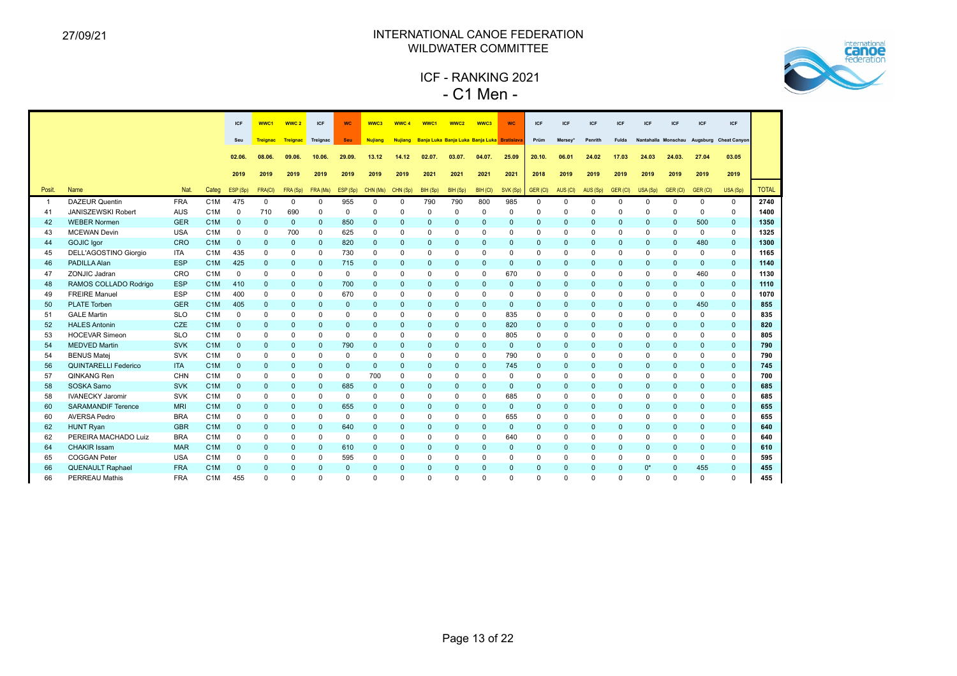

 ICF - RANKING 2021 - C1 Men -

|                |                              |            |                  | ICF          | WWC1            | WWC <sub>2</sub> | ICF            | <b>WC</b>    | WWC3           | WWC <sub>4</sub> | WWC <sub>1</sub>                            | WWC <sub>2</sub> | WWC3         | <b>WC</b>    | <b>ICF</b>   | <b>ICF</b>   | <b>ICF</b>   | ICF          | <b>ICF</b>   | <b>ICF</b>                   | <b>ICF</b>   | <b>ICF</b>          |              |
|----------------|------------------------------|------------|------------------|--------------|-----------------|------------------|----------------|--------------|----------------|------------------|---------------------------------------------|------------------|--------------|--------------|--------------|--------------|--------------|--------------|--------------|------------------------------|--------------|---------------------|--------------|
|                |                              |            |                  | Seu          | <b>Treignac</b> | Treignac         | Treignac       | <b>Seu</b>   | <b>Nujiang</b> | <b>Nujiang</b>   | Banja Luka Banja Luka Banja Luka Bratislava |                  |              |              | Prüm         | Mersey*      | Penrith      | Fulda        |              | Nantahalla Monschau Augsburg |              | <b>Cheat Canyon</b> |              |
|                |                              |            |                  |              |                 |                  |                |              |                |                  |                                             |                  |              |              |              |              |              |              |              |                              |              |                     |              |
|                |                              |            |                  | 02.06.       | 08.06.          | 09.06.           | 10.06.         | 29.09.       | 13.12          | 14.12            | 02.07.                                      | 03.07.           | 04.07.       | 25.09        | 20.10.       | 06.01        | 24.02        | 17.03        | 24.03        | 24.03.                       | 27.04        | 03.05               |              |
|                |                              |            |                  | 2019         | 2019            | 2019             | 2019           | 2019         | 2019           | 2019             | 2021                                        | 2021             | 2021         | 2021         | 2018         | 2019         | 2019         | 2019         | 2019         | 2019                         | 2019         | 2019                |              |
| Posit.         | <b>Name</b>                  | Nat.       | Categ            | ESP (Sp)     | FRA(CI)         | FRA (Sp)         | FRA (Ms)       | ESP (Sp)     | CHN (Ms)       | CHN (Sp)         | BIH (Sp)                                    | BIH (Sp)         | BIH (CI)     | SVK (Sp)     | GER (CI)     | AUS (CI)     | AUS (Sp)     | GER (CI)     | USA (Sp)     | GER (CI)                     | GER (CI)     | USA (Sp)            | <b>TOTAL</b> |
| $\overline{1}$ | <b>DAZEUR Quentin</b>        | <b>FRA</b> | C <sub>1</sub> M | 475          | $\Omega$        | $\Omega$         | $\Omega$       | 955          | $\Omega$       | $\Omega$         | 790                                         | 790              | 800          | 985          | $\Omega$     | $\Omega$     | $\Omega$     | $\Omega$     | $\Omega$     | $\Omega$                     | $\Omega$     | $\Omega$            | 2740         |
| 41             | <b>JANISZEWSKI Robert</b>    | AUS        | C <sub>1</sub> M | $\mathbf 0$  | 710             | 690              | $\mathbf 0$    | $\mathbf 0$  | $\mathbf 0$    | $\Omega$         | $\mathbf 0$                                 | $\mathbf 0$      | $\Omega$     | $\Omega$     | $\mathbf 0$  | $\Omega$     | $\Omega$     | $\Omega$     | $\Omega$     | $\Omega$                     | $\Omega$     | $\mathbf 0$         | 1400         |
| 42             | <b>WEBER Normen</b>          | <b>GER</b> | C <sub>1</sub> M | $\mathbf{0}$ | $\mathbf{0}$    | $\mathbf{0}$     | $\mathbf{0}$   | 850          | $\mathbf{0}$   | $\mathbf{0}$     | $\mathbf{0}$                                | $\mathbf{0}$     | $\mathbf{0}$ | $\mathbf{0}$ | $\mathbf{0}$ | $\mathbf{0}$ | $\mathbf{0}$ | $\Omega$     | $\mathbf{0}$ | $\mathbf{0}$                 | 500          | $\mathbf{0}$        | 1350         |
| 43             | <b>MCEWAN Devin</b>          | <b>USA</b> | C <sub>1</sub> M | $\mathbf 0$  | $\Omega$        | 700              | $\mathbf 0$    | 625          | $\mathbf 0$    | $\Omega$         | $\Omega$                                    | $\mathbf 0$      | $\Omega$     | $\Omega$     | $\mathbf 0$  | $\Omega$     | $\Omega$     | $\Omega$     | $\Omega$     | $\mathbf 0$                  | $\Omega$     | $\mathbf 0$         | 1325         |
| 44             | <b>GOJIC Igor</b>            | CRO        | C <sub>1</sub> M | $\mathbf{0}$ | $\mathbf{0}$    | $\mathbf{0}$     | $\mathbf{0}$   | 820          | $\mathbf 0$    | $\mathbf{0}$     | $\mathbf{0}$                                | $\mathbf{0}$     | $\mathbf{0}$ | $\mathbf{0}$ | $\mathbf{0}$ | $\mathbf{0}$ | $\mathbf{0}$ | $\mathbf{0}$ | $\mathbf{0}$ | $\mathbf{0}$                 | 480          | $\mathbf{0}$        | 1300         |
| 45             | <b>DELL'AGOSTINO Giorgio</b> | <b>ITA</b> | C <sub>1</sub> M | 435          | $\mathbf 0$     | $\mathbf 0$      | $\mathbf 0$    | 730          | $\mathbf 0$    | $\Omega$         | $\mathbf 0$                                 | $\mathbf 0$      | $\mathbf 0$  | $\Omega$     | $\mathbf 0$  | $\mathbf 0$  | $\mathbf 0$  | $\Omega$     | $\Omega$     | $\mathbf 0$                  | $\mathbf 0$  | $\mathbf 0$         | 1165         |
| 46             | PADILLA Alan                 | <b>ESP</b> | C <sub>1</sub> M | 425          | $\mathbf{0}$    | $\mathbf{0}$     | $\mathbf{0}$   | 715          | $\mathbf 0$    | $\mathbf{0}$     | $\mathbf{0}$                                | $\mathbf 0$      | $\mathbf{0}$ | $\mathbf{0}$ | $\mathbf{0}$ | $\mathbf{0}$ | $\mathbf{0}$ | $\mathbf{0}$ | $\Omega$     | $\mathbf{0}$                 | $\mathbf{0}$ | $\mathbf{0}$        | 1140         |
| 47             | ZONJIC Jadran                | CRO        | C <sub>1</sub> M | $\mathbf 0$  | $\mathbf 0$     | $\Omega$         | $\mathbf 0$    | $\mathbf 0$  | $\Omega$       | $\Omega$         | $\Omega$                                    | $\mathbf 0$      | $\Omega$     | 670          | $\mathbf 0$  | $\Omega$     | $\mathbf 0$  | $\Omega$     | $\Omega$     | $\mathbf 0$                  | 460          | $\mathbf 0$         | 1130         |
| 48             | RAMOS COLLADO Rodrigo        | <b>ESP</b> | C <sub>1</sub> M | 410          | $\mathbf{0}$    | $\mathbf{0}$     | $\overline{0}$ | 700          | $\mathbf{0}$   | $\mathbf{0}$     | $\mathbf{0}$                                | $\mathbf{0}$     | $\mathbf{0}$ | $\mathbf{0}$ | $\mathbf{0}$ | $\mathbf{0}$ | $\mathbf{0}$ | $\mathbf{0}$ | $\Omega$     | $\mathbf{0}$                 | $\mathbf{0}$ | $\mathbf{0}$        | 1110         |
| 49             | <b>FREIRE Manuel</b>         | <b>ESP</b> | C <sub>1</sub> M | 400          | $\Omega$        | $\Omega$         | $\Omega$       | 670          | $\mathbf 0$    | $\Omega$         | $\Omega$                                    | $\mathbf 0$      | $\Omega$     | $\Omega$     | $\Omega$     | $\Omega$     | $\Omega$     | $\Omega$     | $\Omega$     | $\mathbf 0$                  | $\Omega$     | $\mathbf 0$         | 1070         |
| 50             | <b>PLATE Torben</b>          | <b>GER</b> | C <sub>1</sub> M | 405          | $\mathbf{0}$    | $\mathbf{0}$     | $\mathbf{0}$   | $\mathbf{0}$ | $\mathbf{0}$   | $\mathbf{0}$     | $\mathbf{0}$                                | $\mathbf{0}$     | $\mathbf{0}$ | $\mathbf{0}$ | $\mathbf{0}$ | $\mathbf{0}$ | $\mathbf{0}$ | $\mathbf{0}$ | $\mathbf{0}$ | $\mathbf{0}$                 | 450          | $\mathbf{0}$        | 855          |
| 51             | <b>GALE Martin</b>           | <b>SLO</b> | C <sub>1</sub> M | $\Omega$     | $\Omega$        | 0                | $\Omega$       | $\Omega$     | $\mathbf 0$    | $\Omega$         | $\Omega$                                    | $\mathbf 0$      | $\Omega$     | 835          | $\Omega$     | $\Omega$     | $\Omega$     | $\Omega$     | $\Omega$     | $\mathbf 0$                  | $\Omega$     | $\mathbf 0$         | 835          |
| 52             | <b>HALES Antonin</b>         | CZE        | C <sub>1</sub> M | $\mathbf{0}$ | $\mathbf{0}$    | $\mathbf{0}$     | $\mathbf{0}$   | $\mathbf{0}$ | $\mathbf{0}$   | $\mathbf{0}$     | $\mathbf{0}$                                | $\mathbf{0}$     | $\mathbf{0}$ | 820          | $\mathbf{0}$ | $\mathbf{0}$ | $\mathbf{0}$ | $\mathbf{0}$ | $\Omega$     | $\mathbf{0}$                 | $\Omega$     | $\mathbf{0}$        | 820          |
| 53             | <b>HOCEVAR Simeon</b>        | <b>SLO</b> | C <sub>1</sub> M | $\mathbf 0$  | $\mathbf 0$     | 0                | $\mathbf 0$    | $\Omega$     | $\Omega$       | $\Omega$         | $\mathbf 0$                                 | $\mathbf 0$      | $\mathbf 0$  | 805          | $\mathbf 0$  | $\mathbf 0$  | $\mathbf 0$  | $\Omega$     | $\Omega$     | $\mathbf 0$                  | $\Omega$     | $\mathbf 0$         | 805          |
| 54             | <b>MEDVED Martin</b>         | <b>SVK</b> | C <sub>1</sub> M | $\mathbf{0}$ | $\mathbf{0}$    | $\Omega$         | $\mathbf{0}$   | 790          | $\mathbf{0}$   | $\Omega$         | $\Omega$                                    | $\mathbf{0}$     | $\Omega$     | $\mathbf{0}$ | $\Omega$     | $\Omega$     | $\Omega$     | $\Omega$     | $\Omega$     | $\mathbf{0}$                 | $\Omega$     | $\Omega$            | 790          |
| 54             | <b>BENUS Matej</b>           | SVK        | C <sub>1</sub> M | 0            | $\Omega$        | $\Omega$         | $\mathbf 0$    | $\mathbf 0$  | $\mathbf 0$    | $\Omega$         | $\mathbf 0$                                 | $\mathbf 0$      | $\mathbf 0$  | 790          | $\mathbf 0$  | $\mathbf 0$  | $\mathbf 0$  | $\Omega$     | $\Omega$     | $\mathbf 0$                  | $\Omega$     | 0                   | 790          |
| 56             | <b>QUINTARELLI Federico</b>  | <b>ITA</b> | C <sub>1</sub> M | $\mathbf{0}$ | $\mathbf{0}$    | 0                | $\mathbf{0}$   | $\mathbf{0}$ | $\mathbf{0}$   | $\mathbf{0}$     | $\mathbf{0}$                                | $\mathbf{0}$     | $\mathbf{0}$ | 745          | $\mathbf{0}$ | $\mathbf{0}$ | $\mathbf{0}$ | $\mathbf{0}$ | $\mathbf{0}$ | $\mathbf{0}$                 | $\mathbf{0}$ | $\mathbf{0}$        | 745          |
| 57             | QINKANG Ren                  | CHN        | C <sub>1</sub> M | $\mathbf 0$  | $\Omega$        | $\Omega$         | $\Omega$       | $\Omega$     | 700            | $\Omega$         | $\Omega$                                    | $\mathbf 0$      | $\Omega$     | $\Omega$     | $\Omega$     | $\Omega$     | $\Omega$     | $\Omega$     | $\Omega$     | $\Omega$                     | $\Omega$     | $\Omega$            | 700          |
| 58             | SOSKA Samo                   | <b>SVK</b> | C <sub>1</sub> M | $\mathbf{0}$ | $\mathbf{0}$    | $\mathbf{0}$     | $\mathbf{0}$   | 685          | $\mathbf{0}$   | $\mathbf{0}$     | $\mathbf{0}$                                | $\mathbf{0}$     | $\mathbf{0}$ | $\mathbf{0}$ | $\mathbf{0}$ | $\mathbf{0}$ | $\mathbf{0}$ | $\Omega$     | $\Omega$     | $\mathbf{0}$                 | $\mathbf{0}$ | $\mathbf{0}$        | 685          |
| 58             | <b>IVANECKY Jaromir</b>      | <b>SVK</b> | C <sub>1</sub> M | $\Omega$     | $\Omega$        | $\Omega$         | $\Omega$       | $\Omega$     | $\Omega$       | $\Omega$         | $\Omega$                                    | $\Omega$         | $\Omega$     | 685          | $\Omega$     | $\Omega$     | $\Omega$     | $\Omega$     | $\Omega$     | $\Omega$                     | $\Omega$     | $\Omega$            | 685          |
| 60             | <b>SARAMANDIF Terence</b>    | <b>MRI</b> | C <sub>1</sub> M | $\mathbf{0}$ | $\mathbf{0}$    | $\mathbf{0}$     | $\mathbf{0}$   | 655          | $\mathbf{0}$   | $\mathbf{0}$     | $\Omega$                                    | $\mathbf{0}$     | $\Omega$     | $\mathbf{0}$ | $\Omega$     | $\Omega$     | $\Omega$     | $\Omega$     | $\Omega$     | $\mathbf{0}$                 | $\Omega$     | $\mathbf{0}$        | 655          |
| 60             | <b>AVERSA Pedro</b>          | <b>BRA</b> | C <sub>1</sub> M | $\mathbf 0$  | $\mathbf 0$     | $\Omega$         | $\mathbf 0$    | $\mathbf 0$  | $\mathbf 0$    | $\Omega$         | $\mathbf 0$                                 | $\mathbf 0$      | $\mathbf 0$  | 655          | $\mathbf 0$  | $\mathbf 0$  | $\mathbf 0$  | $\Omega$     | $\Omega$     | $\mathbf 0$                  | $\Omega$     | $\mathbf 0$         | 655          |
| 62             | <b>HUNT Ryan</b>             | <b>GBR</b> | C <sub>1</sub> M | $\mathbf{0}$ | $\mathbf{0}$    | $\Omega$         | $\mathbf{0}$   | 640          | $\mathbf{0}$   | $\mathbf{0}$     | $\mathbf{0}$                                | $\mathbf{0}$     | $\Omega$     | $\mathbf{0}$ | $\mathbf{0}$ | $\Omega$     | $\mathbf{0}$ | $\Omega$     | $\Omega$     | $\mathbf{0}$                 | $\Omega$     | $\mathbf{0}$        | 640          |
| 62             | PEREIRA MACHADO Luiz         | <b>BRA</b> | C <sub>1</sub> M | $\Omega$     | 0               | $\Omega$         | $\mathbf 0$    | $\mathbf 0$  | $\mathbf 0$    | $\Omega$         | $\mathbf 0$                                 | $\mathbf 0$      | $\Omega$     | 640          | $\mathbf 0$  | $\mathbf 0$  | $\Omega$     | $\Omega$     | $\Omega$     | $\mathbf 0$                  | $\Omega$     | $\mathbf 0$         | 640          |
| 64             | <b>CHAKIR Issam</b>          | <b>MAR</b> | C <sub>1</sub> M | $\mathbf{0}$ | $\mathbf{0}$    | $\mathbf{0}$     | $\overline{0}$ | 610          | $\mathbf{0}$   | $\mathbf{0}$     | $\mathbf{0}$                                | $\mathbf{0}$     | $\mathbf{0}$ | $\mathbf{0}$ | $\mathbf{0}$ | $\mathbf{0}$ | $\mathbf{0}$ | $\mathbf{0}$ | $\Omega$     | $\mathbf{0}$                 | $\Omega$     | $\mathbf{0}$        | 610          |
| 65             | <b>COGGAN Peter</b>          | <b>USA</b> | C <sub>1</sub> M | $\Omega$     | $\Omega$        | 0                | $\mathbf 0$    | 595          | $\mathbf 0$    | $\Omega$         | $\mathbf 0$                                 | $\mathbf 0$      | $\Omega$     | $\Omega$     | $\Omega$     | $\Omega$     | $\Omega$     | $\Omega$     | $\Omega$     | $\mathbf 0$                  | $\Omega$     | 0                   | 595          |
| 66             | <b>QUENAULT Raphael</b>      | <b>FRA</b> | C <sub>1</sub> M | $\mathbf{0}$ | $\Omega$        | $\Omega$         | $\mathbf{0}$   | $\mathbf{0}$ | $\mathbf{0}$   | $\Omega$         | $\mathbf{0}$                                | $\mathbf{0}$     | $\Omega$     | $\mathbf{0}$ | $\mathbf{0}$ | $\Omega$     | $\mathbf{0}$ | $\Omega$     | $0^*$        | $\mathbf{0}$                 | 455          | $\mathbf{0}$        | 455          |
| 66             | <b>PERREAU Mathis</b>        | <b>FRA</b> | C <sub>1</sub> M | 455          | $\Omega$        | U                | $\Omega$       | $\Omega$     | $\Omega$       | $\Omega$         | $\Omega$                                    | $\Omega$         | $\Omega$     | $\Omega$     | $\Omega$     | $\Omega$     | $\Omega$     | $\Omega$     | $\Omega$     | $\Omega$                     | $\Omega$     | $\Omega$            | 455          |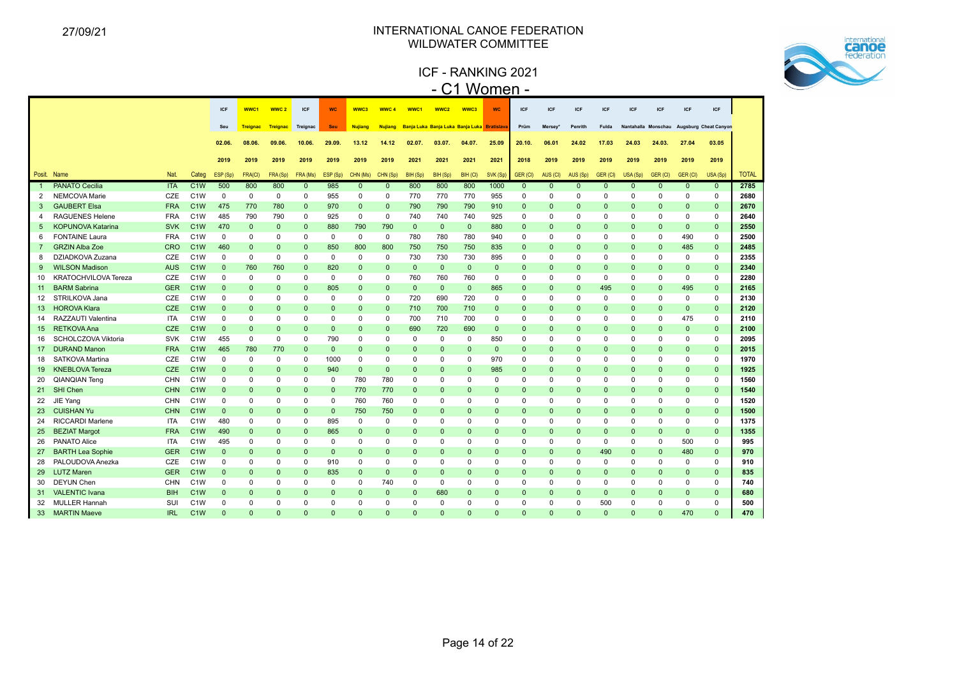ICF - RANKING 2021 - C1 Women -



|                 |                             |            |                  | <b>ICF</b>   | WWC1            | WWC <sub>2</sub> | <b>ICF</b>   | <b>WC</b>    | WWC3           | WWC <sub>4</sub> | WWC1                                        | WWC <sub>2</sub> | WWC3         | <b>WC</b>    | <b>ICF</b>   | <b>ICF</b>   | <b>ICF</b>   | <b>ICF</b>  | <b>ICF</b>          | <b>ICF</b>   | ICF          | <b>ICF</b>                   |              |
|-----------------|-----------------------------|------------|------------------|--------------|-----------------|------------------|--------------|--------------|----------------|------------------|---------------------------------------------|------------------|--------------|--------------|--------------|--------------|--------------|-------------|---------------------|--------------|--------------|------------------------------|--------------|
|                 |                             |            |                  | Seu          | <b>Treignac</b> | <b>Treignac</b>  | Treignac     | Seu          | <b>Nujiang</b> | <b>Nujiang</b>   | Banja Luka Banja Luka Banja Luka Bratislava |                  |              |              | Prüm         | Mersey'      | Penrith      | Fulda       | Nantahalla Monschau |              |              | <b>Augsburg Cheat Canyon</b> |              |
|                 |                             |            |                  | 02.06.       | 08.06.          | 09.06.           | 10.06        | 29.09.       | 13.12          | 14.12            | 02.07.                                      | 03.07.           | 04.07.       | 25.09        | 20.10.       | 06.01        | 24.02        | 17.03       | 24.03               | 24.03.       | 27.04        | 03.05                        |              |
|                 |                             |            |                  |              |                 |                  |              |              |                |                  |                                             |                  |              |              |              |              |              |             |                     |              |              |                              |              |
|                 |                             |            |                  | 2019         | 2019            | 2019             | 2019         | 2019         | 2019           | 2019             | 2021                                        | 2021             | 2021         | 2021         | 2018         | 2019         | 2019         | 2019        | 2019                | 2019         | 2019         | 2019                         |              |
|                 | Posit. Name                 | Nat.       | Categ            | ESP (Sp)     | FRA(CI)         | FRA (Sp)         | FRA (Ms)     | ESP (Sp)     | CHN (Ms)       | CHN (Sp)         | BIH (Sp)                                    | BIH (Sp)         | BIH (CI)     | SVK (Sp)     | GER (CI)     | AUS (CI)     | AUS (Sp)     | GER (CI)    | USA(Sp)             | GER (CI)     | GER (CI)     | USA (Sp)                     | <b>TOTAL</b> |
|                 | <b>PANATO Cecilia</b>       | <b>ITA</b> | C <sub>1</sub> W | 500          | 800             | 800              | $\mathbf{0}$ | 985          | $\mathbf{0}$   | $\mathbf{0}$     | 800                                         | 800              | 800          | 1000         | $\mathbf{0}$ | $\mathbf{0}$ | $\mathbf{0}$ | $\Omega$    | $\mathbf{0}$        | $\mathbf{0}$ | $\mathbf{0}$ | $\mathbf{0}$                 | 2785         |
| 2               | NEMCOVA Marie               | CZE        | C <sub>1</sub> W | $\mathbf 0$  | $\mathbf 0$     | $\mathbf 0$      | 0            | 955          | $\Omega$       | $\mathbf 0$      | 770                                         | 770              | 770          | 955          | 0            | $\mathbf 0$  | $\Omega$     | $\Omega$    | $\Omega$            | $\mathbf 0$  | 0            | 0                            | 2680         |
| 3               | <b>GAUBERT Elsa</b>         | <b>FRA</b> | C <sub>1</sub> W | 475          | 770             | 780              | $\mathbf{0}$ | 970          | $\Omega$       | $\mathbf{0}$     | 790                                         | 790              | 790          | 910          | $\mathbf{0}$ | $\mathbf{0}$ | $\mathbf{0}$ | $\Omega$    | $\Omega$            | $\mathbf{0}$ | $\mathbf{0}$ | $\mathbf{0}$                 | 2670         |
| 4               | <b>RAGUENES Helene</b>      | <b>FRA</b> | C <sub>1</sub> W | 485          | 790             | 790              | $\mathbf 0$  | 925          | $\mathbf 0$    | $\mathbf 0$      | 740                                         | 740              | 740          | 925          | $\mathbf 0$  | $\Omega$     | $\Omega$     | $\Omega$    | $\Omega$            | $\mathbf 0$  | $\Omega$     | $\mathbf 0$                  | 2640         |
| 5               | <b>KOPUNOVA Katarina</b>    | <b>SVK</b> | C <sub>1</sub> W | 470          | $\mathbf{0}$    | $\mathbf{0}$     | $\mathbf{0}$ | 880          | 790            | 790              | $\mathbf{0}$                                | $\mathbf{0}$     | $\mathbf{0}$ | 880          | $\mathbf{0}$ | $\Omega$     | $\Omega$     | $\Omega$    | $\Omega$            | $\mathbf{0}$ | $\Omega$     | $\mathbf{0}$                 | 2550         |
| 6               | <b>FONTAINE Laura</b>       | <b>FRA</b> | C <sub>1</sub> W | $\mathbf 0$  | $\mathbf 0$     | $\Omega$         | $\mathbf 0$  | $\mathbf 0$  | $\mathbf 0$    | $\mathbf{0}$     | 780                                         | 780              | 780          | 940          | $\mathbf 0$  | $\Omega$     | $\Omega$     | $\Omega$    | $\Omega$            | $\mathbf 0$  | 490          | $\mathbf 0$                  | 2500         |
| $\overline{7}$  | <b>GRZIN Alba Zoe</b>       | <b>CRO</b> | C <sub>1</sub> W | 460          | $\mathbf{0}$    | $\mathbf{0}$     | $\mathbf 0$  | 850          | 800            | 800              | 750                                         | 750              | 750          | 835          | $\mathbf 0$  | $\mathbf{0}$ | $\mathbf{0}$ | $\Omega$    | $\mathbf{0}$        | $\mathbf 0$  | 485          | $\mathbf 0$                  | 2485         |
| 8               | DZIADKOVA Zuzana            | CZE        | C <sub>1</sub> W | $\mathbf 0$  | 0               | 0                | $\mathbf 0$  | 0            | 0              | $\mathbf 0$      | 730                                         | 730              | 730          | 895          | 0            | $\Omega$     | 0            | $\Omega$    | $\Omega$            | $\mathbf 0$  | $\mathbf 0$  | 0                            | 2355         |
| 9               | <b>WILSON Madison</b>       | <b>AUS</b> | C <sub>1</sub> W | $\Omega$     | 760             | 760              | $\mathbf 0$  | 820          | $\Omega$       | $\mathbf 0$      | $\mathbf{0}$                                | $\mathbf 0$      | $\mathbf{0}$ | $\Omega$     | $\mathbf 0$  | $\mathbf{0}$ | $\mathbf 0$  | $\Omega$    | $\Omega$            | $\mathbf 0$  | $\mathbf{0}$ | $\mathbf 0$                  | 2340         |
| 10              | <b>KRATOCHVILOVA Tereza</b> | CZE        | C <sub>1</sub> W | $\mathbf 0$  | $\mathbf 0$     | $\mathbf 0$      | $\mathbf 0$  | $\mathbf 0$  | $\mathbf 0$    | $\mathbf{0}$     | 760                                         | 760              | 760          | $\mathbf{0}$ | $\mathbf 0$  | $\mathbf 0$  | $\mathbf 0$  | $\mathbf 0$ | $\mathbf 0$         | $\mathbf 0$  | $\mathbf 0$  | $\mathbf 0$                  | 2280         |
| 11              | <b>BARM Sabrina</b>         | <b>GER</b> | C <sub>1</sub> W | $\mathbf{0}$ | $\mathbf{0}$    | $\mathbf{0}$     | $\mathbf{0}$ | 805          | $\mathbf{0}$   | $\mathbf{0}$     | $\mathbf{0}$                                | $\mathbf{0}$     | $\mathbf{0}$ | 865          | $\mathbf{0}$ | $\mathbf{0}$ | $\mathbf{0}$ | 495         | $\mathbf 0$         | $\mathbf{0}$ | 495          | $\mathbf{0}$                 | 2165         |
| 12 <sup>2</sup> | STRILKOVA Jana              | CZE        | C <sub>1</sub> W | $\Omega$     | $\mathbf 0$     | $\Omega$         | $\mathbf 0$  | $\Omega$     | $\mathbf 0$    | 0                | 720                                         | 690              | 720          | 0            | 0            | $\Omega$     | 0            | $\Omega$    | 0                   | $\mathbf 0$  | $\Omega$     | $\mathbf 0$                  | 2130         |
| 13 <sup>°</sup> | <b>HOROVA Klara</b>         | <b>CZE</b> | C <sub>1</sub> W | $\Omega$     | $\mathbf{0}$    | $\mathbf{0}$     | $\mathbf{0}$ | $\Omega$     | $\Omega$       | $\mathbf{0}$     | 710                                         | 700              | 710          | $\Omega$     | $\mathbf{0}$ | $\Omega$     | $\mathbf{0}$ | $\Omega$    | $\Omega$            | $\mathbf{0}$ | $\mathbf{0}$ | $\mathbf{0}$                 | 2120         |
| 14              | RAZZAUTI Valentina          | <b>ITA</b> | C <sub>1</sub> W | $\Omega$     | $\mathbf 0$     | 0                | $\Omega$     | $\Omega$     | 0              | $\mathbf 0$      | 700                                         | 710              | 700          | 0            | $\mathbf 0$  | $\Omega$     | $\Omega$     | $\Omega$    | $\Omega$            | $\mathbf 0$  | 475          | $\mathbf 0$                  | 2110         |
| 15 <sup>2</sup> | <b>RETKOVA Ana</b>          | <b>CZE</b> | C <sub>1</sub> W | $\Omega$     | $\Omega$        | $\Omega$         | $\mathbf{0}$ | $\mathbf{0}$ | $\Omega$       | $\mathbf{0}$     | 690                                         | 720              | 690          | $\mathbf{0}$ | $\mathbf{0}$ | $\Omega$     | $\mathbf{0}$ | $\Omega$    | 0                   | $\mathbf{0}$ | $\mathbf{0}$ | $\mathbf{0}$                 | 2100         |
| 16              | SCHOLCZOVA Viktoria         | <b>SVK</b> | C <sub>1</sub> W | 455          | $\mathbf 0$     | $\mathbf 0$      | $\mathbf 0$  | 790          | $\mathbf 0$    | 0                | $\mathbf 0$                                 | $\mathbf 0$      | 0            | 850          | 0            | 0            | $\Omega$     | $\Omega$    | $\mathbf 0$         | $\mathbf 0$  | 0            | $\mathbf 0$                  | 2095         |
| 17              | <b>DURAND Manon</b>         | <b>FRA</b> | C <sub>1</sub> W | 465          | 780             | 770              | $\mathbf{0}$ | $\mathbf{0}$ | $\Omega$       | $\mathbf{0}$     | $\mathbf{0}$                                | $\mathbf{0}$     | $\mathbf{0}$ | $\mathbf{0}$ | $\mathbf{0}$ | $\mathbf{0}$ | $\mathbf{0}$ | $\Omega$    | $\Omega$            | $\mathbf 0$  | $\mathbf{0}$ | $\mathbf{0}$                 | 2015         |
| 18              | <b>SATKOVA Martina</b>      | CZE        | C <sub>1</sub> W | $\mathbf 0$  | $\mathbf 0$     | $\mathbf 0$      | $\mathbf{0}$ | 1000         | 0              | $\mathbf 0$      | $\mathbf 0$                                 | $\mathbf 0$      | $\Omega$     | 970          | 0            | $\Omega$     | $\mathbf 0$  | $\mathbf 0$ | 0                   | 0            | 0            | $\mathbf 0$                  | 1970         |
| 19              | <b>KNEBLOVA Tereza</b>      | <b>CZE</b> | C <sub>1</sub> W | $\Omega$     | $\mathbf{0}$    | $\mathbf{0}$     | $\mathbf{0}$ | 940          | $\mathbf{0}$   | $\mathbf{0}$     | $\mathbf{0}$                                | $\mathbf{0}$     | $\Omega$     | 985          | $\mathbf{0}$ | $\Omega$     | $\mathbf{0}$ | $\Omega$    | $\mathbf 0$         | $\mathbf{0}$ | $\mathbf{0}$ | $\mathbf{0}$                 | 1925         |
| 20              | <b>QIANQIAN Teng</b>        | <b>CHN</b> | C <sub>1</sub> W | $\Omega$     | $\mathbf 0$     | $\Omega$         | $\mathbf 0$  | $\Omega$     | 780            | 780              | 0                                           | 0                | $\Omega$     | $\Omega$     | 0            | $\Omega$     | 0            | $\Omega$    | $\Omega$            | $\mathbf 0$  | $\Omega$     | $\mathbf 0$                  | 1560         |
| 21              | SHI Chen                    | <b>CHN</b> | C <sub>1</sub> W | $\Omega$     | $\mathbf{0}$    | $\Omega$         | $\mathbf{0}$ | $\mathbf{0}$ | 770            | 770              | $\Omega$                                    | $\mathbf{0}$     | $\Omega$     | $\Omega$     | $\mathbf{0}$ | $\Omega$     | $\mathbf{0}$ | $\Omega$    | $\Omega$            | $\mathbf{0}$ | $\Omega$     | $\mathbf{0}$                 | 1540         |
| 22              | JIE Yang                    | CHN        | C <sub>1</sub> W | 0            | $\mathbf 0$     | 0                | $\Omega$     | $\Omega$     | 760            | 760              | $\Omega$                                    | $\Omega$         | $\Omega$     | $\Omega$     | $\mathbf 0$  | $\Omega$     | $\Omega$     | $\Omega$    | $\Omega$            | $\mathbf 0$  | 0            | $\mathbf 0$                  | 1520         |
| 23              | <b>CUISHAN Yu</b>           | <b>CHN</b> | C <sub>1</sub> W | $\mathbf{0}$ | $\mathbf{0}$    | $\mathbf{0}$     | $\mathbf{0}$ | $\mathbf{0}$ | 750            | 750              | $\mathbf{0}$                                | $\mathbf{0}$     | $\Omega$     | $\Omega$     | $\mathbf 0$  | $\mathbf{0}$ | $\mathbf{0}$ | $\Omega$    | $\Omega$            | $\mathbf 0$  | $\mathbf{0}$ | $\mathbf{0}$                 | 1500         |
| 24              | <b>RICCARDI Marlene</b>     | <b>ITA</b> | C <sub>1</sub> W | 480          | 0               | $\Omega$         | $\mathbf 0$  | 895          | 0              | 0                | $\Omega$                                    | $\Omega$         | $\Omega$     | $\Omega$     | 0            | $\Omega$     | $\Omega$     | $\Omega$    | $\Omega$            | $\mathbf 0$  | $\Omega$     | $\mathbf 0$                  | 1375         |
| 25              | <b>BEZIAT Margot</b>        | <b>FRA</b> | C <sub>1</sub> W | 490          | $\mathbf{0}$    | $\mathbf{0}$     | $\mathbf{0}$ | 865          | $\Omega$       | $\mathbf{0}$     | $\mathbf{0}$                                | $\mathbf{0}$     | $\Omega$     | $\Omega$     | $\mathbf{0}$ | $\mathbf{0}$ | $\mathbf{0}$ | $\Omega$    | $\Omega$            | $\mathbf{0}$ | $\mathbf{0}$ | $\mathbf{0}$                 | 1355         |
| 26              | PANATO Alice                | <b>ITA</b> | C <sub>1</sub> W | 495          | $\mathsf 0$     | $\Omega$         | $\mathbf 0$  | $\Omega$     | $\Omega$       | 0                | $\Omega$                                    | $\Omega$         | $\Omega$     | 0            | 0            | $\Omega$     | $\mathbf 0$  | $\mathbf 0$ | 0                   | 0            | 500          | 0                            | 995          |
| 27              | <b>BARTH Lea Sophie</b>     | <b>GER</b> | C <sub>1</sub> W | $\mathbf 0$  | $\mathbf 0$     | $\mathbf{0}$     | $\mathbf{0}$ | $\mathbf{0}$ | $\mathbf{0}$   | $\mathbf 0$      | $\mathbf{0}$                                | $\mathbf{0}$     | $\Omega$     | $\mathbf{0}$ | $\mathbf 0$  | $\mathbf{0}$ | $\mathbf 0$  | 490         | $\mathbf{0}$        | $\mathbf 0$  | 480          | $\mathbf{0}$                 | 970          |
| 28              | PALOUDOVA Anezka            | CZE        | C <sub>1</sub> W | $\Omega$     | $\mathbf 0$     | $\mathbf 0$      | $\mathbf 0$  | 910          | 0              | $\mathbf 0$      | $\mathbf 0$                                 | $\mathbf 0$      | $\Omega$     | 0            | $\mathbf 0$  | $\mathbf 0$  | $\mathbf 0$  | $\Omega$    | $\mathbf 0$         | $\mathbf 0$  | $\mathbf 0$  | $\mathbf 0$                  | 910          |
| 29              | <b>LUTZ Maren</b>           | <b>GER</b> | C <sub>1</sub> W | $\Omega$     | $\mathbf{0}$    | $\Omega$         | $\mathbf{0}$ | 835          | $\mathbf{0}$   | $\mathbf{0}$     | $\Omega$                                    | $\mathbf{0}$     | $\Omega$     | $\Omega$     | $\mathbf{0}$ | $\Omega$     | $\mathbf{0}$ | $\Omega$    | $\Omega$            | $\mathbf{0}$ | $\mathbf{0}$ | $\mathbf{0}$                 | 835          |
| 30              | <b>DEYUN Chen</b>           | <b>CHN</b> | C <sub>1</sub> W | 0            | 0               | 0                | $\mathbf 0$  | $\Omega$     | 0              | 740              | 0                                           | $\mathbf 0$      | $\Omega$     | $\Omega$     | 0            | 0            | $\Omega$     | 0           | $\Omega$            | $\mathbf 0$  | 0            | 0                            | 740          |
| 31              | <b>VALENTIC Ivana</b>       | <b>BIH</b> | C <sub>1</sub> W | $\Omega$     | $\mathbf{0}$    | $\Omega$         | $\mathbf{0}$ | $\Omega$     | $\Omega$       | $\mathbf{0}$     | $\Omega$                                    | 680              | $\Omega$     | $\Omega$     | $\mathbf{0}$ | $\Omega$     | $\mathbf{0}$ | $\Omega$    | 0                   | $\mathbf{0}$ | $\Omega$     | $\mathbf{0}$                 | 680          |
| 32              | <b>MULLER Hannah</b>        | SUI        | C <sub>1</sub> W | $\Omega$     | $\mathbf 0$     | $\Omega$         | $\Omega$     | $\Omega$     | $\Omega$       | $\Omega$         | $\Omega$                                    | $\Omega$         | $\Omega$     | $\Omega$     | 0            | $\Omega$     | $\Omega$     | 500         | $\Omega$            | $\mathbf 0$  | $\Omega$     | $\mathbf 0$                  | 500          |
|                 | 33 MARTIN Maeve             | <b>IRL</b> | C <sub>1</sub> W | $\Omega$     | $\Omega$        | $\Omega$         | $\Omega$     | n            | $\Omega$       | $\Omega$         | $\Omega$                                    | $\Omega$         | $\Omega$     | $\Omega$     | $\Omega$     | $\Omega$     | $\Omega$     | U           | $\Omega$            | $\Omega$     | 470          | $\Omega$                     | 470          |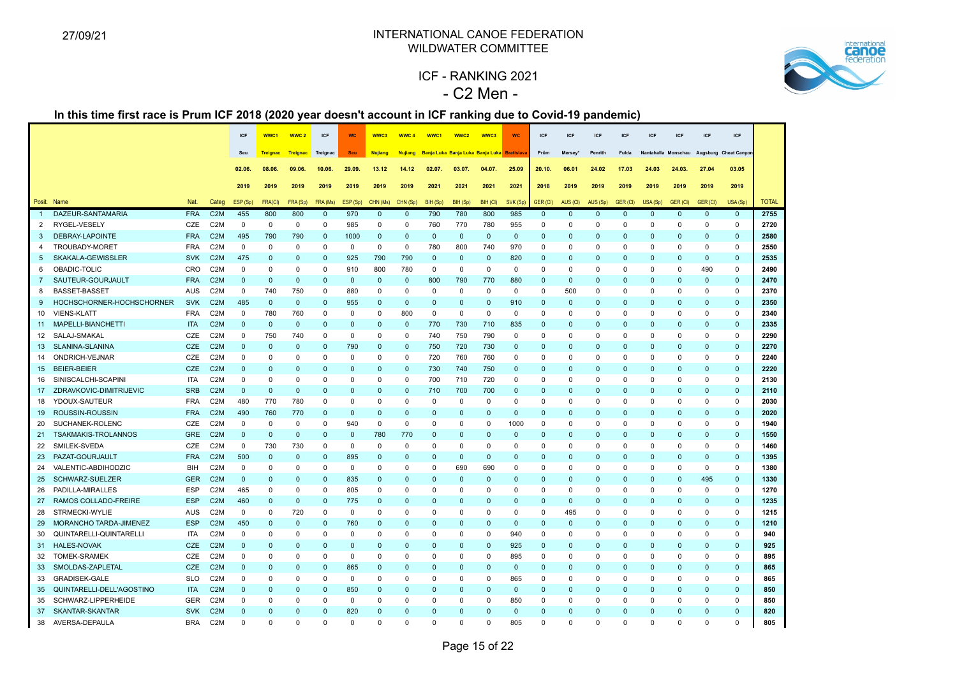

# ICF - RANKING 2021 - C2 Men -

|                 |                           |            |                  | <b>ICF</b>   | WWC <sub>1</sub> | WWC <sub>2</sub> | <b>ICF</b>   | <b>WC</b>   | WWC3           | WWC <sub>4</sub> | WWC <sub>1</sub> | WWC <sub>2</sub>                            | WWC3         | <b>WC</b>    | <b>ICF</b>   | <b>ICF</b>    | <b>ICF</b>   | <b>ICF</b>   | <b>ICF</b>   | <b>ICF</b>   | <b>ICF</b>                               | <b>ICF</b>   |              |
|-----------------|---------------------------|------------|------------------|--------------|------------------|------------------|--------------|-------------|----------------|------------------|------------------|---------------------------------------------|--------------|--------------|--------------|---------------|--------------|--------------|--------------|--------------|------------------------------------------|--------------|--------------|
|                 |                           |            |                  | Seu          | <b>Trejanac</b>  | <b>Treignac</b>  | Treignac     | <b>Seu</b>  | <b>Nujiang</b> | <b>Nujiang</b>   |                  | Banja Luka Banja Luka Banja Luka Bratislava |              |              | Prüm         | <b>Mersey</b> | Penrith      | <b>Fulda</b> |              |              | Nantahalla Monschau Augsburg Cheat Canyo |              |              |
|                 |                           |            |                  | 02.06        | 08.06            | 09.06            | 10.06.       | 29.09.      | 13.12          | 14.12            | 02.07            | 03.07.                                      | 04.07.       | 25.09        | 20.10.       | 06.01         | 24.02        | 17.03        | 24.03        | 24.03.       | 27.04                                    | 03.05        |              |
|                 |                           |            |                  |              |                  |                  |              |             |                |                  |                  |                                             |              |              |              |               |              |              |              |              |                                          |              |              |
|                 |                           |            |                  | 2019         | 2019             | 2019             | 2019         | 2019        | 2019           | 2019             | 2021             | 2021                                        | 2021         | 2021         | 2018         | 2019          | 2019         | 2019         | 2019         | 2019         | 2019                                     | 2019         |              |
|                 | Posit. Name               | Nat.       | Categ            | ESP (Sp)     | FRA(CI)          | FRA (Sp)         | FRA (Ms)     | ESP (Sp)    | CHN (Ms)       | CHN (Sp)         | BIH (Sp)         | BIH (Sp)                                    | BIH (CI)     | SVK (Sp)     | GER (CI)     | AUS (CI)      | AUS (Sp)     | GER (CI)     | USA (Sp)     | GER (CI)     | GER (CI)                                 | USA (Sp)     | <b>TOTAL</b> |
| $\overline{1}$  | DAZEUR-SANTAMARIA         | <b>FRA</b> | C <sub>2</sub> M | 455          | 800              | 800              | $\mathbf 0$  | 970         | $\Omega$       | $\Omega$         | 790              | 780                                         | 800          | 985          | $\mathbf{0}$ | $\Omega$      | $\Omega$     | $\Omega$     | $\Omega$     | $\mathbf{0}$ | $\mathbf{0}$                             | $\mathbf{0}$ | 2755         |
| 2               | RYGEL-VESELY              | CZE        | C <sub>2</sub> M | $\mathbf 0$  | $\mathbf 0$      | $\mathbf 0$      | $\mathbf 0$  | 985         | $\Omega$       | $\mathbf 0$      | 760              | 770                                         | 780          | 955          | $\Omega$     | $\Omega$      | $\mathbf 0$  | $\mathbf 0$  | $\Omega$     | $\mathbf 0$  | $\mathbf 0$                              | $\mathbf 0$  | 2720         |
| 3               | <b>DEBRAY-LAPOINTE</b>    | <b>FRA</b> | C <sub>2</sub> M | 495          | 790              | 790              | $\mathbf{0}$ | 1000        | $\mathbf 0$    | $\mathbf{0}$     | $\mathbf{0}$     | $\mathbf{0}$                                | $\mathbf{0}$ | $\mathbf{0}$ | $\mathbf{0}$ | $\Omega$      | $\mathbf{0}$ | $\mathbf{0}$ | $\mathbf 0$  | $\mathbf{0}$ | $\mathbf{0}$                             | $\mathbf{0}$ | 2580         |
| 4               | TROUBADY-MORET            | <b>FRA</b> | C <sub>2</sub> M | $\mathbf 0$  | $\Omega$         | $\mathbf 0$      | $\Omega$     | $\mathbf 0$ | $\mathbf 0$    | $\mathbf 0$      | 780              | 800                                         | 740          | 970          | $\Omega$     | $\Omega$      | $\Omega$     | $\Omega$     | $\Omega$     | $\mathbf 0$  | $\Omega$                                 | $\mathbf 0$  | 2550         |
| 5               | SKAKALA-GEWISSLER         | <b>SVK</b> | C <sub>2</sub> M | 475          | $\mathbf{0}$     | $\mathbf 0$      | $\mathbf 0$  | 925         | 790            | 790              | $\mathbf 0$      | $\mathbf 0$                                 | $\mathbf 0$  | 820          | $\mathbf 0$  | $\Omega$      | $\mathbf 0$  | $\mathbf 0$  | $\mathbf 0$  | $\mathbf{0}$ | $\mathbf 0$                              | $\pmb{0}$    | 2535         |
| 6               | OBADIC-TOLIC              | CRO        | C <sub>2</sub> M | $\mathbf 0$  | $\Omega$         | $\mathbf 0$      | $\mathbf 0$  | 910         | 800            | 780              | $\mathbf 0$      | $\mathbf 0$                                 | $\mathbf 0$  | $\mathbf 0$  | $\mathbf 0$  | $\Omega$      | 0            | $\mathbf 0$  | $\Omega$     | $\mathbf 0$  | 490                                      | $\mathbf 0$  | 2490         |
| $\overline{7}$  | SAUTEUR-GOURJAULT         | <b>FRA</b> | C <sub>2</sub> M | $\mathbf 0$  | $\mathbf 0$      | $\mathbf 0$      | $\mathbf 0$  | $\mathbf 0$ | $\mathbf 0$    | $\mathbf{0}$     | 800              | 790                                         | 770          | 880          | $\mathbf{0}$ | $\Omega$      | $\mathbf{0}$ | $\Omega$     | $\Omega$     | $\mathbf 0$  | $\mathbf 0$                              | $\pmb{0}$    | 2470         |
| 8               | <b>BASSET-BASSET</b>      | <b>AUS</b> | C <sub>2</sub> M | $\mathbf 0$  | 740              | 750              | $\mathbf 0$  | 880         | $\Omega$       | $\Omega$         | $\mathbf 0$      | $\Omega$                                    | $\mathbf 0$  | $\mathsf 0$  | $\Omega$     | 500           | 0            | $\mathbf 0$  | $\Omega$     | $\mathbf 0$  | $\mathbf 0$                              | $\mathsf 0$  | 2370         |
| 9               | HOCHSCHORNER-HOCHSCHORNER | <b>SVK</b> | C <sub>2</sub> M | 485          | $\mathbf 0$      | $\mathbf 0$      | $\mathbf 0$  | 955         | $\mathbf 0$    | $\mathbf{0}$     | $\mathbf{0}$     | $\Omega$                                    | $\Omega$     | 910          | $\mathbf 0$  | $\Omega$      | $\mathbf{0}$ | $\Omega$     | $\Omega$     | $\mathbf 0$  | $\Omega$                                 | $\mathbf 0$  | 2350         |
| 10              | <b>VIENS-KLATT</b>        | <b>FRA</b> | C <sub>2</sub> M | $\mathbf 0$  | 780              | 760              | $\mathbf 0$  | $\Omega$    | $\Omega$       | 800              | $\mathbf 0$      | $\mathbf 0$                                 | $\mathsf 0$  | $\mathbf 0$  | $\Omega$     | $\Omega$      | $\Omega$     | $\mathbf 0$  | $\Omega$     | $\mathbf 0$  | $\mathbf{0}$                             | $\mathsf 0$  | 2340         |
| 11              | MAPELLI-BIANCHETTI        | <b>ITA</b> | C <sub>2</sub> M | $\pmb{0}$    | $\mathbf 0$      | $\mathbf 0$      | $\mathbf 0$  | $\mathbf 0$ | $\mathbf 0$    | $\mathbf 0$      | 770              | 730                                         | 710          | 835          | $\mathbf 0$  | $\Omega$      | $\mathbf 0$  | $\mathbf 0$  | $\mathbf{0}$ | $\mathbf 0$  | $\mathbf 0$                              | $\mathbf 0$  | 2335         |
| 12              | SALAJ-SMAKAL              | <b>CZE</b> | C <sub>2</sub> M | $\mathbf 0$  | 750              | 740              | $\Omega$     | $\mathbf 0$ | $\Omega$       | $\mathbf 0$      | 740              | 750                                         | 790          | $\mathbf 0$  | $\Omega$     | $\Omega$      | $\mathbf 0$  | $\mathbf 0$  | $\Omega$     | $\Omega$     | $\Omega$                                 | $\mathbf 0$  | 2290         |
| 13              | SLANINA-SLANINA           | CZE        | C <sub>2</sub> M | $\mathbf{0}$ | $\Omega$         | $\mathbf 0$      | $\mathbf 0$  | 790         | $\mathbf 0$    | $\mathbf 0$      | 750              | 720                                         | 730          | $\mathbf 0$  | $\Omega$     | $\Omega$      | $\mathbf{0}$ | $\mathbf{0}$ | $\Omega$     | $\mathbf{0}$ | $\mathbf 0$                              | $\mathbf 0$  | 2270         |
| 14              | ONDRICH-VEJNAR            | CZE        | C <sub>2</sub> M | $\mathbf 0$  | $\Omega$         | $\mathbf 0$      | $\Omega$     | $\mathbf 0$ | $\Omega$       | $\mathbf 0$      | 720              | 760                                         | 760          | 0            | $\Omega$     | $\Omega$      | $\Omega$     | $\mathbf 0$  | $\Omega$     | $\mathbf 0$  | $\Omega$                                 | $\mathbf 0$  | 2240         |
| 15              | <b>BEIER-BEIER</b>        | <b>CZE</b> | C <sub>2</sub> M | $\Omega$     | $\mathbf{0}$     | $\mathbf 0$      | $\mathbf 0$  | $\mathbf 0$ | $\Omega$       | $\mathbf{0}$     | 730              | 740                                         | 750          | $\mathbf 0$  | $\mathbf{0}$ | $\Omega$      | $\mathbf 0$  | $\Omega$     | $\mathbf 0$  | $\mathbf{0}$ | $\mathbf 0$                              | $\mathbf 0$  | 2220         |
| 16              | SINISCALCHI-SCAPINI       | <b>ITA</b> | C <sub>2</sub> M | $\Omega$     | $\Omega$         | $\mathbf 0$      | $\Omega$     | $\mathbf 0$ | $\Omega$       | $\mathbf 0$      | 700              | 710                                         | 720          | $\mathbf 0$  | $\Omega$     | $\Omega$      | $\mathbf 0$  | $\mathbf 0$  | $\Omega$     | $\mathbf 0$  | $\Omega$                                 | $\mathbf 0$  | 2130         |
| 17 <sup>2</sup> | ZDRAVKOVIC-DIMITRIJEVIC   | <b>SRB</b> | C <sub>2</sub> M | $\pmb{0}$    | $\Omega$         | $\mathbf 0$      | $\mathbf{0}$ | $\Omega$    | $\Omega$       | $\Omega$         | 710              | 700                                         | 700          | $\mathbf 0$  | $\mathbf{0}$ | $\Omega$      | $\Omega$     | $\Omega$     | $\mathbf 0$  | $\mathbf{0}$ | $\mathbf 0$                              | $\mathbf 0$  | 2110         |
| 18              | YDOUX-SAUTEUR             | <b>FRA</b> | C <sub>2</sub> M | 480          | 770              | 780              | $\mathbf 0$  | $\mathbf 0$ | $\Omega$       | $\mathbf 0$      | $\mathbf 0$      | $\mathbf 0$                                 | $\mathbf 0$  | $\mathbf 0$  | $\mathbf 0$  | $\Omega$      | $\mathbf 0$  | $\mathbf 0$  | $\Omega$     | $\mathbf 0$  | $\mathbf 0$                              | $\mathsf 0$  | 2030         |
| 19              | ROUSSIN-ROUSSIN           | <b>FRA</b> | C <sub>2</sub> M | 490          | 760              | 770              | $\mathbf 0$  | $\mathbf 0$ | $\Omega$       | $\Omega$         | $\Omega$         | $\Omega$                                    | $\mathbf{0}$ | $\mathbf 0$  | $\Omega$     | $\Omega$      | $\Omega$     | $\Omega$     | $\Omega$     | $\mathbf{0}$ | $\Omega$                                 | $\mathbf 0$  | 2020         |
| 20              | SUCHANEK-ROLENC           | CZE        | C <sub>2</sub> M | $\mathbf 0$  | $\Omega$         | $\mathbf 0$      | $\mathbf 0$  | 940         | $\mathbf 0$    | 0                | $\Omega$         | $\Omega$                                    | $\mathbf 0$  | 1000         | $\Omega$     | $\Omega$      | $\Omega$     | $\mathbf 0$  | $\Omega$     | $\mathbf 0$  | $\mathbf{0}$                             | $\mathbf 0$  | 1940         |
| 21              | TSAKMAKIS-TROLANNOS       | <b>GRE</b> | C <sub>2</sub> M | $\mathbf 0$  | $\Omega$         | $\mathbf 0$      | $\mathbf 0$  | $\mathbf 0$ | 780            | 770              | $\mathbf{0}$     | $\Omega$                                    | $\mathbf 0$  | $\mathbf 0$  | $\Omega$     | $\Omega$      | $\mathbf{0}$ | $\Omega$     | $\Omega$     | $\mathbf 0$  | $\mathbf{0}$                             | $\mathbf 0$  | 1550         |
| 22              | SMILEK-SVEDA              | CZE        | C <sub>2</sub> M | $\mathbf 0$  | 730              | 730              | $\mathbf 0$  | 0           | $\Omega$       | $\Omega$         | $\Omega$         | $\Omega$                                    | $\Omega$     | $\Omega$     | $\Omega$     | $\Omega$      | $\Omega$     | $\Omega$     | $\Omega$     | $\mathbf 0$  | $\Omega$                                 | $\mathbf 0$  | 1460         |
| 23              | PAZAT-GOURJAULT           | <b>FRA</b> | C <sub>2</sub> M | 500          | $\mathbf 0$      | $\mathbf 0$      | $\mathbf 0$  | 895         | $\Omega$       | $\Omega$         | $\mathbf 0$      | $\mathbf 0$                                 | $\mathbf{0}$ | $\mathbf 0$  | $\Omega$     | $\Omega$      | $\mathbf 0$  | $\mathbf{0}$ | $\Omega$     | $\mathbf 0$  | $\mathbf 0$                              | $\mathbf 0$  | 1395         |
| 24              | VALENTIC-ABDIHODZIC       | BIH        | C <sub>2</sub> M | $\mathbf 0$  | $\Omega$         | 0                | $\mathbf 0$  | 0           | $\Omega$       | $\Omega$         | 0                | 690                                         | 690          | $\Omega$     | $\mathbf 0$  | $\Omega$      | $\Omega$     | 0            | $\Omega$     | 0            | $\mathbf 0$                              | $\mathbf 0$  | 1380         |
| 25              | SCHWARZ-SUELZER           | <b>GER</b> | C <sub>2</sub> M | $\mathbf{0}$ | $\Omega$         | $\mathbf 0$      | $\mathbf{0}$ | 835         | $\Omega$       | $\Omega$         | $\Omega$         | $\Omega$                                    | $\Omega$     | $\mathbf 0$  | $\Omega$     | $\Omega$      | $\Omega$     | $\Omega$     | $\Omega$     | $\mathbf{0}$ | 495                                      | $\mathbf 0$  | 1330         |
| 26              | PADILLA-MIRALLES          | <b>ESP</b> | C <sub>2</sub> M | 465          | $\Omega$         | $\mathbf 0$      | $\mathbf 0$  | 805         | $\Omega$       | $\Omega$         | $\Omega$         | $\Omega$                                    | $\Omega$     | $\mathbf 0$  | $\Omega$     | $\Omega$      | 0            | $\mathbf 0$  | $\Omega$     | $\mathbf 0$  | $\mathbf 0$                              | $\mathbf 0$  | 1270         |
| 27              | RAMOS COLLADO-FREIRE      | <b>ESP</b> | C <sub>2</sub> M | 460          | $\Omega$         | $\mathbf{0}$     | $\mathbf{0}$ | 775         | $\Omega$       | $\Omega$         | $\Omega$         | $\Omega$                                    | $\Omega$     | $\mathbf{0}$ | $\Omega$     | $\Omega$      | $\Omega$     | $\mathbf{0}$ | $\Omega$     | $\Omega$     | $\mathbf{0}$                             | $\mathbf 0$  | 1235         |
| 28              | STRMECKI-WYLIE            | <b>AUS</b> | C <sub>2</sub> M | $\mathbf 0$  | $\Omega$         | 720              | $\mathbf 0$  | $\mathbf 0$ | $\Omega$       | $\Omega$         | $\mathbf 0$      | $\Omega$                                    | $\Omega$     | $\mathbf 0$  | $\mathbf 0$  | 495           | 0            | $\mathbf 0$  | $\Omega$     | $\mathbf 0$  | $\mathbf{0}$                             | $\mathbf 0$  | 1215         |
| 29              | MORANCHO TARDA-JIMENEZ    | <b>ESP</b> | C <sub>2</sub> M | 450          | $\mathbf 0$      | $\mathbf 0$      | $\mathbf 0$  | 760         | $\mathbf 0$    | $\Omega$         | $\Omega$         | $\mathbf{0}$                                | $\mathbf 0$  | $\mathbf 0$  | $\Omega$     | $\Omega$      | $\mathbf 0$  | $\Omega$     | $\Omega$     | $\mathbf{0}$ | $\mathbf 0$                              | $\mathbf 0$  | 1210         |
| 30              | QUINTARELLI-QUINTARELLI   | <b>ITA</b> | C <sub>2</sub> M | $\Omega$     | $\Omega$         | $\mathbf 0$      | $\mathbf 0$  | $\Omega$    | $\Omega$       | $\Omega$         | $\Omega$         | $\Omega$                                    | $\mathbf 0$  | 940          | $\mathbf 0$  | $\Omega$      | 0            | $\Omega$     | $\Omega$     | $\mathbf 0$  | $\Omega$                                 | $\mathbf 0$  | 940          |
| 31              | <b>HALES-NOVAK</b>        | <b>CZE</b> | C <sub>2</sub> M | $\mathbf 0$  | $\mathbf 0$      | $\mathbf 0$      | $\mathbf{0}$ | $\mathbf 0$ | $\Omega$       | $\Omega$         | $\mathbf{0}$     | $\Omega$                                    | $\mathbf{0}$ | 925          | $\mathbf 0$  | $\Omega$      | $\mathbf{0}$ | $\mathbf{0}$ | $\mathbf 0$  | $\mathbf{0}$ | $\mathbf 0$                              | $\mathbf 0$  | 925          |
| 32              | <b>TOMEK-SRAMEK</b>       | <b>CZE</b> | C <sub>2</sub> M | $\Omega$     | $\Omega$         | $\Omega$         | $\Omega$     | 0           | $\Omega$       | $\Omega$         | $\Omega$         | $\Omega$                                    | $\Omega$     | 895          | $\Omega$     | $\Omega$      | $\Omega$     | $\Omega$     | $\Omega$     | $\Omega$     | $\Omega$                                 | $\mathbf 0$  | 895          |
| 33              | SMOLDAS-ZAPLETAL          | CZE        | C <sub>2</sub> M | $\mathbf{0}$ | $\Omega$         | $\mathbf{0}$     | $\mathbf{0}$ | 865         | $\Omega$       | $\Omega$         | $\Omega$         | $\Omega$                                    | $\Omega$     | $\mathbf 0$  | $\mathbf{0}$ | $\Omega$      | $\Omega$     | $\mathbf{0}$ | $\Omega$     | $\mathbf 0$  | $\mathbf{0}$                             | $\mathbf 0$  | 865          |
| 33              | <b>GRADISEK-GALE</b>      | <b>SLO</b> | C <sub>2</sub> M | $\mathbf 0$  | $\Omega$         | $\mathbf 0$      | $\Omega$     | 0           | $\Omega$       | $\Omega$         | 0                | $\Omega$                                    | $\Omega$     | 865          | $\mathbf 0$  | $\Omega$      | $\Omega$     | 0            | $\Omega$     | $\mathbf 0$  | $\Omega$                                 | $\mathbf 0$  | 865          |
| 35              | QUINTARELLI-DELL'AGOSTINO | <b>ITA</b> | C <sub>2</sub> M | $\Omega$     | $\Omega$         | $\Omega$         | $\mathbf{0}$ | 850         | $\Omega$       | $\Omega$         | $\Omega$         | $\Omega$                                    | $\Omega$     | $\mathbf 0$  | $\Omega$     | $\Omega$      | $\Omega$     | $\Omega$     | $\Omega$     | $\Omega$     | $\mathbf{0}$                             | $\mathbf 0$  | 850          |
|                 | 35 SCHWARZ-LIPPERHEIDE    | <b>GER</b> | C <sub>2</sub> M | $\mathbf 0$  | $\Omega$         | 0                | $\mathbf 0$  | $\mathbf 0$ | $\mathbf 0$    | 0                | 0                | $\mathbf 0$                                 | $\mathbf 0$  | 850          | $\mathbf 0$  | $\Omega$      | 0            | $\mathbf 0$  | $\Omega$     | 0            | $\mathbf{0}$                             | $\mathbf 0$  | 850          |
| 37              | SKANTAR-SKANTAR           | <b>SVK</b> | C <sub>2</sub> M | $\Omega$     | $\Omega$         | $\Omega$         | $\Omega$     | 820         | $\Omega$       | $\Omega$         | $\Omega$         | $\Omega$                                    | $\Omega$     | $\Omega$     | $\Omega$     | $\Omega$      | $\Omega$     | $\Omega$     | $\Omega$     | $\Omega$     | $\Omega$                                 | $\mathbf{0}$ | 820          |
| 38              | AVERSA-DEPAULA            | <b>BRA</b> | C <sub>2</sub> M | $\mathbf 0$  | $\Omega$         | $\Omega$         | $\Omega$     | $\Omega$    | $\Omega$       | $\Omega$         | $\Omega$         | $\Omega$                                    | $\Omega$     | 805          | $\Omega$     | $\Omega$      | $\Omega$     | $\Omega$     | $\Omega$     | $\Omega$     | $\Omega$                                 | $\Omega$     | 805          |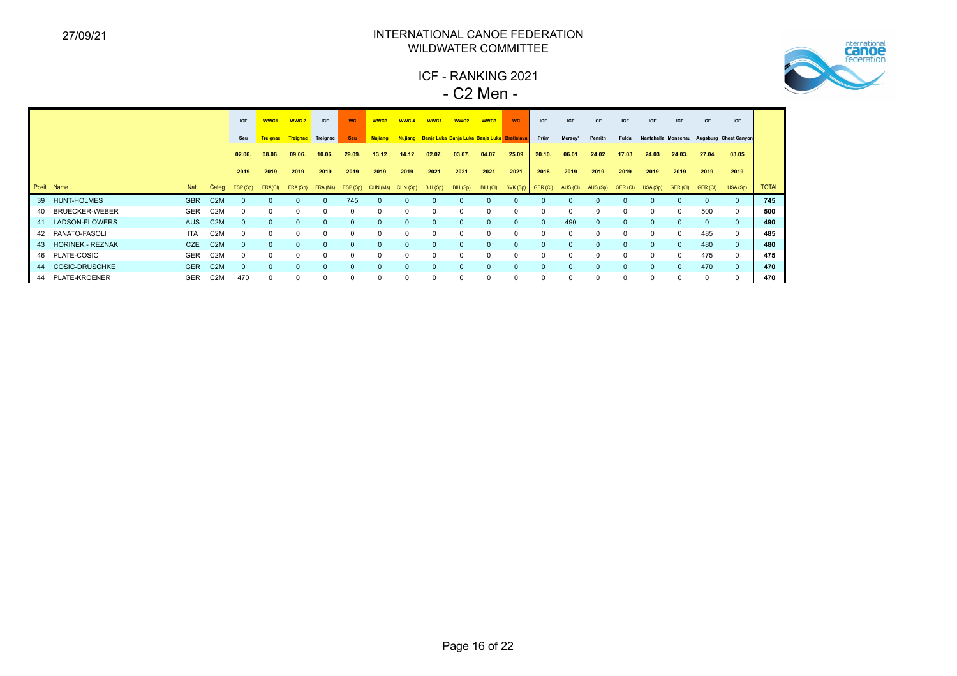

ICF - RANKING 2021 - C2 Men -

|    |                         |            |                  | <b>ICF</b>   | WWC1     | WWC <sub>2</sub> | <b>ICF</b> | <b>WC</b>  | WWC3           | WWC <sub>4</sub> | WWC <sub>1</sub>                                    | WWC <sub>2</sub> | WWC3     | <b>WC</b>         | ICF      | ICF          | ICF          | ICF      | <b>ICF</b> | <b>ICF</b>  | ICF      | ICF                                       |              |
|----|-------------------------|------------|------------------|--------------|----------|------------------|------------|------------|----------------|------------------|-----------------------------------------------------|------------------|----------|-------------------|----------|--------------|--------------|----------|------------|-------------|----------|-------------------------------------------|--------------|
|    |                         |            |                  | Seu          | Treignac | Treignac         | Treignac   | <b>Seu</b> | <b>Nujiang</b> |                  | Nujiang Banja Luka Banja Luka Banja Luka Bratislava |                  |          |                   | Prüm     | Mersey*      | Penrith      | Fulda    |            |             |          | Nantahalla Monschau Augsburg Cheat Canyon |              |
|    |                         |            |                  | 02.06.       | 08.06.   | 09.06.           | 10.06.     | 29.09.     | 13.12          | 14.12            | 02.07.                                              | 03.07.           | 04.07.   | 25.09             | 20.10.   | 06.01        | 24.02        | 17.03    | 24.03      | 24.03.      | 27.04    | 03.05                                     |              |
|    |                         |            |                  | 2019         | 2019     | 2019             | 2019       | 2019       | 2019           | 2019             | 2021                                                | 2021             | 2021     | 2021              | 2018     | 2019         | 2019         | 2019     | 2019       | 2019        | 2019     | 2019                                      |              |
|    | Posit. Name             | Nat.       | Categ            | ESP (Sp)     | FRA(CI)  | FRA (Sp)         | FRA (Ms)   | ESP (Sp)   | CHN (Ms)       | CHN (Sp)         | BIH (Sp)                                            | BIH (Sp)         | BIH (CI) | SVK (Sp) GER (CI) |          | AUS (CI)     | AUS (Sp)     | GER (CI) | USA (Sp)   | GER (CI)    | GER (CI) | USA (Sp)                                  | <b>TOTAL</b> |
| 39 | <b>HUNT-HOLMES</b>      | <b>GBR</b> | C <sub>2</sub> M |              |          | <sup>0</sup>     |            | 745        |                |                  |                                                     |                  |          |                   |          |              |              |          |            | $\Omega$    |          |                                           | 745          |
| 40 | <b>BRUECKER-WEBER</b>   | <b>GER</b> | C <sub>2</sub> M |              | $\Omega$ | $\mathbf 0$      | $\Omega$   | $\Omega$   |                | 0                | 0                                                   |                  | $\Omega$ |                   | $\Omega$ | 0            | $\mathbf 0$  |          | $\Omega$   | $\mathbf 0$ | 500      | 0                                         | 500          |
| 41 | LADSON-FLOWERS          | <b>AUS</b> | C <sub>2</sub> M | <sup>0</sup> | $\Omega$ | $\Omega$         | $\Omega$   | $\Omega$   | $\Omega$       | $\Omega$         | <sup>0</sup>                                        | $\Omega$         | $\Omega$ | $\Omega$          | $\Omega$ | 490          | $\Omega$     | $\Omega$ | $\Omega$   | $\Omega$    | $\Omega$ |                                           | 490          |
| 42 | PANATO-FASOLI           | <b>ITA</b> | C <sub>2</sub> M |              | $\Omega$ | 0                |            |            |                | $\Omega$         |                                                     |                  | $\Omega$ |                   |          | $\Omega$     |              |          |            | $\Omega$    | 485      | 0                                         | 485          |
| 43 | <b>HORINEK - REZNAK</b> | <b>CZE</b> | C <sub>2</sub> M |              | $\Omega$ | $\Omega$         | $\Omega$   | $\Omega$   |                | $\Omega$         | $\Omega$                                            |                  | $\Omega$ |                   | $\Omega$ | $\mathbf{0}$ | $\mathbf{0}$ | $\Omega$ | $\Omega$   | $\Omega$    | 480      | $\mathbf{0}$                              | 480          |
|    | 46 PLATE-COSIC          | <b>GER</b> | C <sub>2</sub> M | O            | $\Omega$ | $\Omega$         | $\Omega$   | $\Omega$   | <sup>0</sup>   | $\Omega$         | 0                                                   | $\Omega$         | $\Omega$ |                   | $\Omega$ | $\Omega$     | $\Omega$     | O        | $\Omega$   | $\Omega$    | 475      | 0                                         | 475          |
| 44 | <b>COSIC-DRUSCHKE</b>   | <b>GER</b> | C <sub>2</sub> M |              | $\Omega$ | $\Omega$         |            |            |                | $\Omega$         | $\Omega$                                            |                  | $\Omega$ |                   | $\Omega$ | $\Omega$     |              |          | $\Omega$   | $\Omega$    | 470      | $\mathbf{0}$                              | 470          |
|    | 44 PLATE-KROENER        | <b>GER</b> | C <sub>2</sub> M | 470          | $\Omega$ | 0                | $\Omega$   | 0          |                | $\Omega$         | 0                                                   | $\Omega$         | $\Omega$ |                   | $\Omega$ | 0            | $\mathbf 0$  | $\Omega$ | $\Omega$   | 0           | 0        |                                           | 470          |